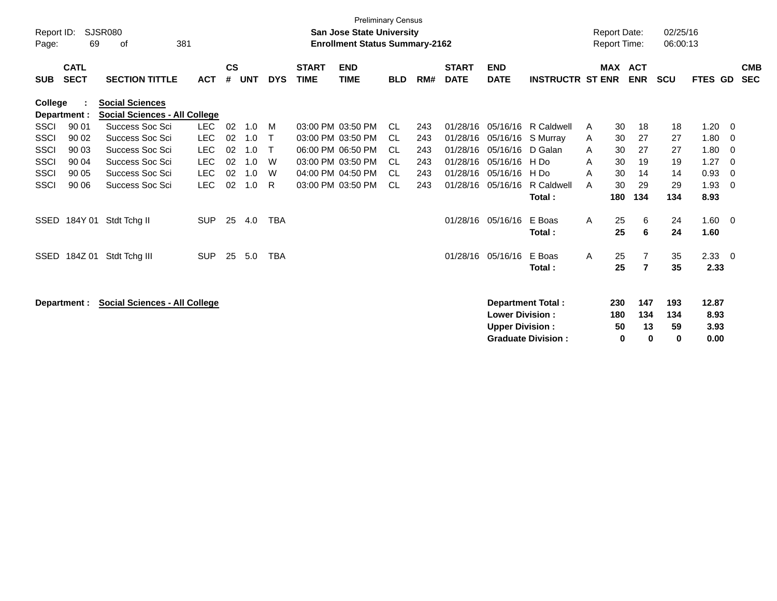| $\mathsf{cs}$<br><b>MAX ACT</b><br><b>CATL</b><br><b>START</b><br><b>END</b><br><b>START</b><br><b>END</b><br><b>SECT</b><br><b>TIME</b><br><b>TIME</b><br><b>ENR</b><br><b>SECTION TITTLE</b><br><b>ACT</b><br>#<br><b>UNT</b><br><b>DYS</b><br>RM#<br><b>DATE</b><br><b>DATE</b><br><b>INSTRUCTR ST ENR</b><br><b>SCU</b><br><b>FTES GD</b><br><b>BLD</b><br><b>SUB</b><br><b>College</b><br><b>Social Sciences</b><br><b>Social Sciences - All College</b><br>Department :<br>Success Soc Sci<br><b>LEC</b><br>90 01<br>02<br>03:00 PM 03:50 PM<br>R Caldwell<br>1.20<br><b>SSCI</b><br>1.0<br>M<br>CL.<br>243<br>01/28/16<br>05/16/16<br>30<br>18<br>18<br>A<br><b>LEC</b><br>02<br>03:00 PM 03:50 PM<br>30<br>1.80<br>SSCI<br>90 02<br>Success Soc Sci<br>1.0<br>01/28/16<br>05/16/16<br>S Murray<br>27<br>$\mathsf{T}$<br>CL.<br>243<br>27<br>A<br><b>LEC</b><br><b>SSCI</b><br>90 03<br>Success Soc Sci<br>02<br>06:00 PM 06:50 PM<br>01/28/16<br>05/16/16<br>D Galan<br>30<br>27<br>27<br>1.80<br>1.0<br>$\mathsf{T}$<br>CL.<br>243<br>A<br><b>LEC</b><br>02<br>03:00 PM 03:50 PM<br>90 04<br>Success Soc Sci<br>1.0<br>W<br><b>CL</b><br>01/28/16<br>05/16/16<br>30<br>1.27<br>SSCI<br>243<br>H Do<br>19<br>19<br>A<br><b>LEC</b><br>Success Soc Sci<br>02<br>04:00 PM 04:50 PM<br>0.93<br><b>SSCI</b><br>90 05<br>1.0<br>W<br>01/28/16<br>05/16/16<br>30<br>14<br>CL.<br>243<br>H Do<br>A<br>14<br><b>LEC</b><br>Success Soc Sci<br>02<br>03:00 PM 03:50 PM<br>R Caldwell<br>30<br>29<br>29<br>1.93<br>SSCI<br>90 06<br>1.0<br>R<br>CL.<br>243<br>01/28/16<br>05/16/16<br>A<br>134<br>8.93<br>180<br>134<br>Total:<br>05/16/16<br>E Boas<br>25<br>1.60<br>184Y 01 Stdt Tchg II<br><b>SUP</b><br>25<br>4.0<br><b>TBA</b><br>01/28/16<br>A<br>6<br>24<br><b>SSED</b><br>25<br>6<br>24<br>1.60<br>Total:<br>184Z 01<br>E Boas<br>25<br>2.33<br>Stdt Tchg III<br><b>SUP</b><br>25<br>5.0<br><b>TBA</b><br>01/28/16<br>05/16/16<br>$\mathsf{A}$<br>$\overline{7}$<br>35<br><b>SSED</b><br>25<br>7<br>35<br>2.33<br>Total: |                          |
|--------------------------------------------------------------------------------------------------------------------------------------------------------------------------------------------------------------------------------------------------------------------------------------------------------------------------------------------------------------------------------------------------------------------------------------------------------------------------------------------------------------------------------------------------------------------------------------------------------------------------------------------------------------------------------------------------------------------------------------------------------------------------------------------------------------------------------------------------------------------------------------------------------------------------------------------------------------------------------------------------------------------------------------------------------------------------------------------------------------------------------------------------------------------------------------------------------------------------------------------------------------------------------------------------------------------------------------------------------------------------------------------------------------------------------------------------------------------------------------------------------------------------------------------------------------------------------------------------------------------------------------------------------------------------------------------------------------------------------------------------------------------------------------------------------------------------------------------------------------------------------------------------------------------------------------------------------------------------------------------------------------------------------|--------------------------|
|                                                                                                                                                                                                                                                                                                                                                                                                                                                                                                                                                                                                                                                                                                                                                                                                                                                                                                                                                                                                                                                                                                                                                                                                                                                                                                                                                                                                                                                                                                                                                                                                                                                                                                                                                                                                                                                                                                                                                                                                                                | <b>CMB</b><br><b>SEC</b> |
|                                                                                                                                                                                                                                                                                                                                                                                                                                                                                                                                                                                                                                                                                                                                                                                                                                                                                                                                                                                                                                                                                                                                                                                                                                                                                                                                                                                                                                                                                                                                                                                                                                                                                                                                                                                                                                                                                                                                                                                                                                |                          |
|                                                                                                                                                                                                                                                                                                                                                                                                                                                                                                                                                                                                                                                                                                                                                                                                                                                                                                                                                                                                                                                                                                                                                                                                                                                                                                                                                                                                                                                                                                                                                                                                                                                                                                                                                                                                                                                                                                                                                                                                                                | 0                        |
|                                                                                                                                                                                                                                                                                                                                                                                                                                                                                                                                                                                                                                                                                                                                                                                                                                                                                                                                                                                                                                                                                                                                                                                                                                                                                                                                                                                                                                                                                                                                                                                                                                                                                                                                                                                                                                                                                                                                                                                                                                | 0                        |
|                                                                                                                                                                                                                                                                                                                                                                                                                                                                                                                                                                                                                                                                                                                                                                                                                                                                                                                                                                                                                                                                                                                                                                                                                                                                                                                                                                                                                                                                                                                                                                                                                                                                                                                                                                                                                                                                                                                                                                                                                                | 0                        |
|                                                                                                                                                                                                                                                                                                                                                                                                                                                                                                                                                                                                                                                                                                                                                                                                                                                                                                                                                                                                                                                                                                                                                                                                                                                                                                                                                                                                                                                                                                                                                                                                                                                                                                                                                                                                                                                                                                                                                                                                                                | $\Omega$                 |
|                                                                                                                                                                                                                                                                                                                                                                                                                                                                                                                                                                                                                                                                                                                                                                                                                                                                                                                                                                                                                                                                                                                                                                                                                                                                                                                                                                                                                                                                                                                                                                                                                                                                                                                                                                                                                                                                                                                                                                                                                                | $\Omega$                 |
|                                                                                                                                                                                                                                                                                                                                                                                                                                                                                                                                                                                                                                                                                                                                                                                                                                                                                                                                                                                                                                                                                                                                                                                                                                                                                                                                                                                                                                                                                                                                                                                                                                                                                                                                                                                                                                                                                                                                                                                                                                | 0                        |
|                                                                                                                                                                                                                                                                                                                                                                                                                                                                                                                                                                                                                                                                                                                                                                                                                                                                                                                                                                                                                                                                                                                                                                                                                                                                                                                                                                                                                                                                                                                                                                                                                                                                                                                                                                                                                                                                                                                                                                                                                                |                          |
|                                                                                                                                                                                                                                                                                                                                                                                                                                                                                                                                                                                                                                                                                                                                                                                                                                                                                                                                                                                                                                                                                                                                                                                                                                                                                                                                                                                                                                                                                                                                                                                                                                                                                                                                                                                                                                                                                                                                                                                                                                | - 0                      |
|                                                                                                                                                                                                                                                                                                                                                                                                                                                                                                                                                                                                                                                                                                                                                                                                                                                                                                                                                                                                                                                                                                                                                                                                                                                                                                                                                                                                                                                                                                                                                                                                                                                                                                                                                                                                                                                                                                                                                                                                                                |                          |
|                                                                                                                                                                                                                                                                                                                                                                                                                                                                                                                                                                                                                                                                                                                                                                                                                                                                                                                                                                                                                                                                                                                                                                                                                                                                                                                                                                                                                                                                                                                                                                                                                                                                                                                                                                                                                                                                                                                                                                                                                                | - 0                      |
|                                                                                                                                                                                                                                                                                                                                                                                                                                                                                                                                                                                                                                                                                                                                                                                                                                                                                                                                                                                                                                                                                                                                                                                                                                                                                                                                                                                                                                                                                                                                                                                                                                                                                                                                                                                                                                                                                                                                                                                                                                |                          |
| 147<br><b>Social Sciences - All College</b><br><b>Department Total:</b><br>230<br>193<br>12.87<br>Department :<br>134<br><b>Lower Division:</b><br>180<br>8.93<br>134<br><b>Upper Division:</b><br>13<br>59<br>3.93<br>50<br><b>Graduate Division:</b><br>0.00<br>$\bf{0}$<br>0<br>0                                                                                                                                                                                                                                                                                                                                                                                                                                                                                                                                                                                                                                                                                                                                                                                                                                                                                                                                                                                                                                                                                                                                                                                                                                                                                                                                                                                                                                                                                                                                                                                                                                                                                                                                           |                          |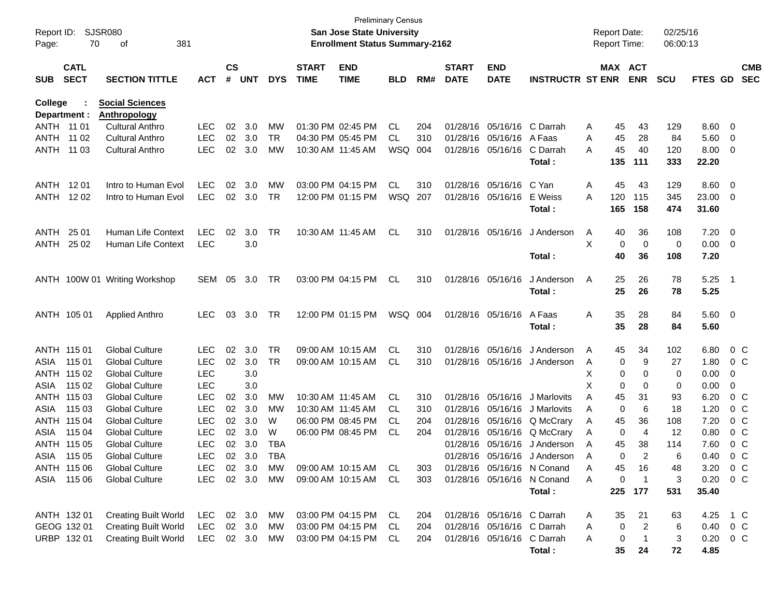| Report ID:<br>Page: | 70                         | <b>SJSR080</b><br>381<br>οf   |            |                    |                  |            |                             | <b>Preliminary Census</b><br><b>San Jose State University</b><br><b>Enrollment Status Summary-2162</b> |            |     |                             |                            |                                                          |   | <b>Report Date:</b><br><b>Report Time:</b> |                                | 02/25/16<br>06:00:13 |               |                          |                          |
|---------------------|----------------------------|-------------------------------|------------|--------------------|------------------|------------|-----------------------------|--------------------------------------------------------------------------------------------------------|------------|-----|-----------------------------|----------------------------|----------------------------------------------------------|---|--------------------------------------------|--------------------------------|----------------------|---------------|--------------------------|--------------------------|
| <b>SUB</b>          | <b>CATL</b><br><b>SECT</b> | <b>SECTION TITTLE</b>         | <b>ACT</b> | $\mathsf{cs}$<br># | <b>UNT</b>       | <b>DYS</b> | <b>START</b><br><b>TIME</b> | <b>END</b><br><b>TIME</b>                                                                              | <b>BLD</b> | RM# | <b>START</b><br><b>DATE</b> | <b>END</b><br><b>DATE</b>  | <b>INSTRUCTR ST ENR</b>                                  |   | <b>MAX ACT</b>                             | <b>ENR</b>                     | <b>SCU</b>           | FTES GD       |                          | <b>CMB</b><br><b>SEC</b> |
| College             |                            | <b>Social Sciences</b>        |            |                    |                  |            |                             |                                                                                                        |            |     |                             |                            |                                                          |   |                                            |                                |                      |               |                          |                          |
|                     | Department :               | <b>Anthropology</b>           |            |                    |                  |            |                             |                                                                                                        |            |     |                             |                            |                                                          |   |                                            |                                |                      |               |                          |                          |
| ANTH 11 01          |                            | <b>Cultural Anthro</b>        | <b>LEC</b> | 02                 | 3.0              | MW         |                             | 01:30 PM 02:45 PM                                                                                      | CL.        | 204 | 01/28/16                    | 05/16/16                   | C Darrah                                                 | A | 45                                         | 43                             | 129                  | 8.60          | - 0                      |                          |
| <b>ANTH</b>         | 11 02                      | <b>Cultural Anthro</b>        | <b>LEC</b> | 02                 | 3.0              | <b>TR</b>  |                             | 04:30 PM 05:45 PM                                                                                      | CL.        | 310 | 01/28/16                    | 05/16/16                   | A Faas                                                   | A | 45                                         | 28                             | 84                   | 5.60          | $\overline{0}$           |                          |
| ANTH                | 11 03                      | <b>Cultural Anthro</b>        | <b>LEC</b> | 02                 | 3.0              | MW         | 10:30 AM 11:45 AM           |                                                                                                        | WSQ        | 004 | 01/28/16                    | 05/16/16                   | C Darrah<br>Total:                                       | A | 45<br>135                                  | 40<br>111                      | 120<br>333           | 8.00<br>22.20 | - 0                      |                          |
|                     | ANTH 1201                  | Intro to Human Evol           | <b>LEC</b> | 02                 | 3.0              | MW         |                             | 03:00 PM 04:15 PM                                                                                      | CL.        | 310 | 01/28/16                    | 05/16/16                   | C Yan                                                    | Α | 45                                         | 43                             | 129                  | 8.60          | - 0                      |                          |
|                     | ANTH 1202                  | Intro to Human Evol           | <b>LEC</b> | 02                 | 3.0              | TR         |                             | 12:00 PM 01:15 PM                                                                                      | WSQ        | 207 | 01/28/16                    | 05/16/16                   | E Weiss                                                  | A | 120                                        | 115                            | 345                  | 23.00         | - 0                      |                          |
|                     |                            |                               |            |                    |                  |            |                             |                                                                                                        |            |     |                             |                            | Total:                                                   |   | 165                                        | 158                            | 474                  | 31.60         |                          |                          |
| ANTH                | 25 01                      | Human Life Context            | <b>LEC</b> | 02                 | 3.0              | TR         |                             | 10:30 AM 11:45 AM                                                                                      | CL         | 310 | 01/28/16                    | 05/16/16                   | J Anderson                                               | A | 40                                         | 36                             | 108                  | 7.20          | - 0                      |                          |
| ANTH                | 25 02                      | Human Life Context            | <b>LEC</b> |                    | 3.0              |            |                             |                                                                                                        |            |     |                             |                            |                                                          | X | 0                                          | 0                              | 0                    | 0.00          | - 0                      |                          |
|                     |                            |                               |            |                    |                  |            |                             |                                                                                                        |            |     |                             |                            | Total:                                                   |   | 40                                         | 36                             | 108                  | 7.20          |                          |                          |
|                     |                            | ANTH 100W 01 Writing Workshop | SEM        | 05                 | 3.0              | TR         |                             | 03:00 PM 04:15 PM                                                                                      | CL         | 310 |                             | 01/28/16 05/16/16          | J Anderson                                               | A | 25                                         | 26                             | 78                   | 5.25          | - 1                      |                          |
|                     |                            |                               |            |                    |                  |            |                             |                                                                                                        |            |     |                             |                            | Total:                                                   |   | 25                                         | 26                             | 78                   | 5.25          |                          |                          |
|                     | ANTH 105 01                | <b>Applied Anthro</b>         | <b>LEC</b> | 03                 | 3.0              | TR         |                             | 12:00 PM 01:15 PM                                                                                      | WSQ 004    |     |                             | 01/28/16 05/16/16          | A Faas                                                   | Α | 35                                         | 28                             | 84                   | 5.60          | $\overline{\phantom{0}}$ |                          |
|                     |                            |                               |            |                    |                  |            |                             |                                                                                                        |            |     |                             |                            | Total:                                                   |   | 35                                         | 28                             | 84                   | 5.60          |                          |                          |
|                     | ANTH 115 01                | <b>Global Culture</b>         | <b>LEC</b> | 02                 | 3.0              | <b>TR</b>  |                             | 09:00 AM 10:15 AM                                                                                      | CL         | 310 | 01/28/16                    | 05/16/16                   | J Anderson                                               | A | 45                                         | 34                             | 102                  | 6.80          | $0\,C$                   |                          |
| ASIA                | 115 01                     | <b>Global Culture</b>         | <b>LEC</b> | 02                 | 3.0              | <b>TR</b>  |                             | 09:00 AM 10:15 AM                                                                                      | CL.        | 310 | 01/28/16                    | 05/16/16                   | J Anderson                                               | A | 0                                          | 9                              | 27                   | 1.80          | $0\,C$                   |                          |
|                     | ANTH 115 02                | <b>Global Culture</b>         | <b>LEC</b> |                    | 3.0              |            |                             |                                                                                                        |            |     |                             |                            |                                                          | Х | 0                                          | 0                              | 0                    | 0.00          | 0                        |                          |
| ASIA                | 115 02                     | <b>Global Culture</b>         | <b>LEC</b> |                    | 3.0              |            |                             |                                                                                                        |            |     |                             |                            |                                                          | X | 0                                          | 0                              | 0                    | 0.00          | 0                        |                          |
| ANTH                | 115 03                     | <b>Global Culture</b>         | <b>LEC</b> | 02                 | 3.0              | MW         |                             | 10:30 AM 11:45 AM                                                                                      | CL         | 310 | 01/28/16                    | 05/16/16                   | J Marlovits                                              | A | 45                                         | 31                             | 93                   | 6.20          | $0\,C$                   |                          |
| ASIA                | 115 03                     | <b>Global Culture</b>         | LEC        | 02                 | 3.0              | MW         | 10:30 AM 11:45 AM           |                                                                                                        | CL.        | 310 | 01/28/16                    | 05/16/16                   | J Marlovits                                              | A | 0                                          | 6                              | 18                   | 1.20          | $0\,C$                   |                          |
|                     | ANTH 115 04                | <b>Global Culture</b>         | LEC        | 02                 | 3.0              | W          |                             | 06:00 PM 08:45 PM                                                                                      | CL.        | 204 | 01/28/16                    | 05/16/16                   | Q McCrary                                                | A | 45                                         | 36                             | 108                  | 7.20          | 0 <sup>C</sup>           |                          |
| ASIA                | 115 04                     | <b>Global Culture</b>         | <b>LEC</b> | 02                 | 3.0              | W          |                             | 06:00 PM 08:45 PM                                                                                      | CL.        | 204 | 01/28/16                    | 05/16/16                   | Q McCrary                                                | A | 0                                          | $\overline{4}$                 | 12                   | 0.80          | $0\,C$                   |                          |
|                     | ANTH 115 05                | <b>Global Culture</b>         | <b>LEC</b> | 02                 | 3.0              | <b>TBA</b> |                             |                                                                                                        |            |     | 01/28/16                    | 05/16/16                   | J Anderson                                               | A | 45                                         | 38<br>2                        | 114                  | 7.60          | $0\,C$                   |                          |
|                     | ASIA 115 05                | <b>Global Culture</b>         | LEC.       |                    | 02 3.0           | <b>TBA</b> |                             |                                                                                                        |            |     |                             |                            | 01/28/16 05/16/16 J Anderson                             | A | $\Omega$                                   |                                | 6                    | 0.40          | $0\,C$                   |                          |
|                     | ANTH 115 06                | <b>Global Culture</b>         | LEC.       |                    | 02 3.0<br>02 3.0 | MW         |                             | 09:00 AM 10:15 AM CL                                                                                   |            | 303 |                             |                            | 01/28/16 05/16/16 N Conand<br>01/28/16 05/16/16 N Conand | A | 45                                         | 16                             | 48                   | 3.20 0 C      |                          |                          |
|                     | ASIA 115 06                | <b>Global Culture</b>         | <b>LEC</b> |                    |                  | MW         |                             | 09:00 AM 10:15 AM CL                                                                                   |            | 303 |                             |                            | Total:                                                   | A | 0<br>225                                   | $\overline{\mathbf{1}}$<br>177 | 3<br>531             | 0.20<br>35.40 | $0\,$ C                  |                          |
|                     | ANTH 132 01                | <b>Creating Built World</b>   | LEC        |                    | 02 3.0           | МW         |                             | 03:00 PM 04:15 PM CL                                                                                   |            | 204 |                             | 01/28/16 05/16/16 C Darrah |                                                          | A | 35                                         | 21                             | 63                   | 4.25          | 1 C                      |                          |
|                     | GEOG 132 01                | <b>Creating Built World</b>   | <b>LEC</b> |                    | 02 3.0           | MW         |                             | 03:00 PM 04:15 PM                                                                                      | -CL        | 204 |                             | 01/28/16 05/16/16 C Darrah |                                                          | A | 0                                          | $\overline{2}$                 | 6                    | 0.40          | 0 C                      |                          |
|                     | URBP 132 01                | <b>Creating Built World</b>   | LEC 02 3.0 |                    |                  | MW         |                             | 03:00 PM 04:15 PM CL                                                                                   |            | 204 |                             |                            | 01/28/16 05/16/16 C Darrah                               | A | 0                                          | $\overline{1}$                 | 3                    | $0.20 \t 0 C$ |                          |                          |
|                     |                            |                               |            |                    |                  |            |                             |                                                                                                        |            |     |                             |                            | Total:                                                   |   | $35\phantom{a}$                            | 24                             | 72                   | 4.85          |                          |                          |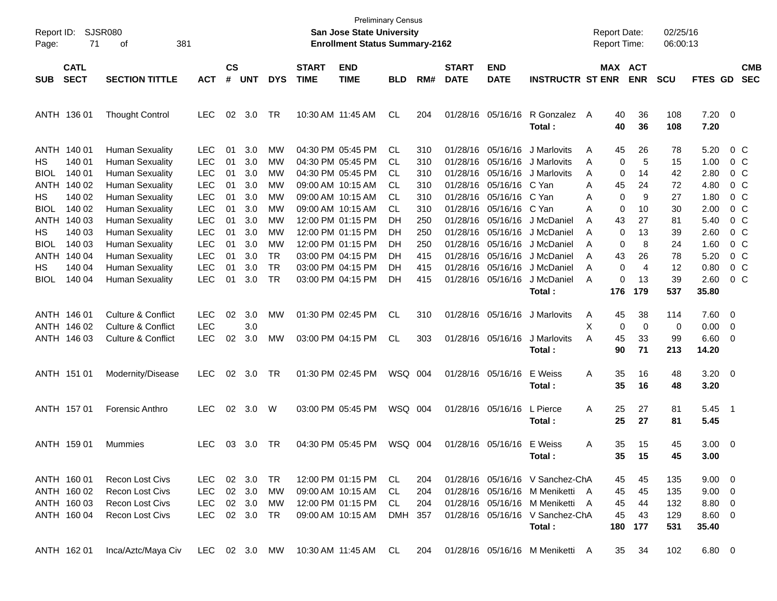| Report ID:<br>Page:              | 71                         | SJSR080<br>381<br>οf                                                       |                                        |                |                   |                              |                             | <b>Preliminary Census</b><br>San Jose State University<br><b>Enrollment Status Summary-2162</b> |                |                   |                                  |                                        |                                                                            | <b>Report Date:</b><br><b>Report Time:</b> |                 |                       | 02/25/16<br>06:00:13 |                           |                                                    |                          |
|----------------------------------|----------------------------|----------------------------------------------------------------------------|----------------------------------------|----------------|-------------------|------------------------------|-----------------------------|-------------------------------------------------------------------------------------------------|----------------|-------------------|----------------------------------|----------------------------------------|----------------------------------------------------------------------------|--------------------------------------------|-----------------|-----------------------|----------------------|---------------------------|----------------------------------------------------|--------------------------|
| <b>SUB</b>                       | <b>CATL</b><br><b>SECT</b> | <b>SECTION TITTLE</b>                                                      | <b>ACT</b>                             | <b>CS</b><br># | <b>UNT</b>        | <b>DYS</b>                   | <b>START</b><br><b>TIME</b> | <b>END</b><br><b>TIME</b>                                                                       | <b>BLD</b>     | RM#               | <b>START</b><br><b>DATE</b>      | <b>END</b><br><b>DATE</b>              | <b>INSTRUCTR ST ENR</b>                                                    |                                            |                 | MAX ACT<br><b>ENR</b> | <b>SCU</b>           | FTES GD                   |                                                    | <b>CMB</b><br><b>SEC</b> |
|                                  |                            |                                                                            |                                        |                |                   |                              |                             |                                                                                                 |                |                   |                                  |                                        |                                                                            |                                            |                 |                       |                      |                           |                                                    |                          |
|                                  | ANTH 136 01                | <b>Thought Control</b>                                                     | <b>LEC</b>                             | 02             | 3.0               | TR                           |                             | 10:30 AM 11:45 AM                                                                               | CL             | 204               |                                  | 01/28/16 05/16/16                      | R Gonzalez<br>Total:                                                       | A                                          | 40<br>40        | 36<br>36              | 108<br>108           | $7.20 \ 0$<br>7.20        |                                                    |                          |
| HS                               | ANTH 140 01<br>140 01      | <b>Human Sexuality</b><br><b>Human Sexuality</b>                           | LEC.<br><b>LEC</b>                     | 01<br>01       | 3.0<br>3.0        | MW<br>MW                     |                             | 04:30 PM 05:45 PM<br>04:30 PM 05:45 PM                                                          | CL<br>CL       | 310<br>310        |                                  | 01/28/16 05/16/16<br>01/28/16 05/16/16 | J Marlovits<br>J Marlovits                                                 | A<br>A                                     | 45<br>0         | 26<br>5               | 78<br>15             | 5.20<br>1.00              | 0 C<br>0 C                                         |                          |
| <b>BIOL</b><br><b>ANTH</b>       | 140 01<br>140 02           | <b>Human Sexuality</b><br><b>Human Sexuality</b>                           | <b>LEC</b><br><b>LEC</b>               | 01<br>01       | 3.0<br>3.0        | <b>MW</b><br><b>MW</b>       |                             | 04:30 PM 05:45 PM<br>09:00 AM 10:15 AM                                                          | СL<br>СL       | 310<br>310        |                                  | 01/28/16 05/16/16<br>01/28/16 05/16/16 | J Marlovits<br>C Yan                                                       | A<br>A                                     | 0<br>45         | 14<br>24              | 42<br>72             | 2.80<br>4.80              | 0 <sup>o</sup>                                     | 0 <sup>o</sup>           |
| HS<br><b>BIOL</b>                | 140 02<br>140 02           | <b>Human Sexuality</b><br><b>Human Sexuality</b>                           | <b>LEC</b><br><b>LEC</b>               | 01<br>01       | 3.0<br>3.0        | <b>MW</b><br><b>MW</b>       |                             | 09:00 AM 10:15 AM<br>09:00 AM 10:15 AM                                                          | CL<br>CL.      | 310<br>310        |                                  | 01/28/16 05/16/16<br>01/28/16 05/16/16 | C Yan<br>C Yan                                                             | Α<br>A                                     | 0<br>0          | 9<br>10               | 27<br>30             | 1.80<br>2.00              | 0 <sup>o</sup><br>0 <sup>o</sup>                   |                          |
| <b>ANTH</b><br>HS<br><b>BIOL</b> | 140 03<br>140 03<br>140 03 | <b>Human Sexuality</b><br><b>Human Sexuality</b><br><b>Human Sexuality</b> | <b>LEC</b><br><b>LEC</b><br><b>LEC</b> | 01<br>01<br>01 | 3.0<br>3.0<br>3.0 | <b>MW</b><br><b>MW</b><br>MW |                             | 12:00 PM 01:15 PM<br>12:00 PM 01:15 PM<br>12:00 PM 01:15 PM                                     | DH<br>DH<br>DH | 250<br>250<br>250 | 01/28/16<br>01/28/16<br>01/28/16 | 05/16/16<br>05/16/16<br>05/16/16       | J McDaniel<br>J McDaniel<br>J McDaniel                                     | A<br>A<br>A                                | 43<br>0<br>0    | 27<br>13<br>8         | 81<br>39<br>24       | 5.40<br>2.60<br>1.60      | 0 <sup>o</sup><br>0 <sup>o</sup><br>0 <sup>o</sup> |                          |
| <b>ANTH</b><br>HS                | 140 04<br>140 04           | <b>Human Sexuality</b><br><b>Human Sexuality</b>                           | <b>LEC</b><br><b>LEC</b>               | 01<br>01       | 3.0<br>3.0        | <b>TR</b><br><b>TR</b>       |                             | 03:00 PM 04:15 PM<br>03:00 PM 04:15 PM                                                          | DH<br>DH       | 415<br>415        | 01/28/16<br>01/28/16             | 05/16/16<br>05/16/16                   | J McDaniel<br>J McDaniel                                                   | A<br>A                                     | 43<br>0         | 26<br>$\overline{4}$  | 78<br>12             | 5.20<br>0.80              | 0 <sup>o</sup><br>0 <sup>o</sup>                   |                          |
| <b>BIOL</b>                      | 140 04                     | <b>Human Sexuality</b>                                                     | <b>LEC</b>                             | 01             | 3.0               | <b>TR</b>                    |                             | 03:00 PM 04:15 PM                                                                               | DH             | 415               |                                  | 01/28/16 05/16/16                      | J McDaniel<br>Total:                                                       | A                                          | 0<br>176        | 13<br>179             | 39<br>537            | 2.60<br>35.80             | 0 <sup>o</sup>                                     |                          |
|                                  | ANTH 146 01<br>ANTH 146 02 | <b>Culture &amp; Conflict</b><br><b>Culture &amp; Conflict</b>             | <b>LEC</b><br><b>LEC</b>               | 02             | 3.0<br>3.0        | MW                           |                             | 01:30 PM 02:45 PM                                                                               | CL             | 310               |                                  | 01/28/16 05/16/16                      | J Marlovits                                                                | A<br>X                                     | 45<br>0         | 38<br>$\mathbf 0$     | 114<br>0             | 7.60 0<br>0.00            | $\overline{\phantom{0}}$                           |                          |
|                                  | ANTH 146 03                | <b>Culture &amp; Conflict</b>                                              | <b>LEC</b>                             | 02             | 3.0               | <b>MW</b>                    |                             | 03:00 PM 04:15 PM                                                                               | CL             | 303               |                                  | 01/28/16 05/16/16                      | J Marlovits<br>Total :                                                     | A                                          | 45<br>90        | 33<br>71              | 99<br>213            | $6.60$ 0<br>14.20         |                                                    |                          |
|                                  | ANTH 151 01                | Modernity/Disease                                                          | <b>LEC</b>                             |                | 02 3.0            | TR                           |                             | 01:30 PM 02:45 PM                                                                               | WSQ 004        |                   |                                  | 01/28/16 05/16/16                      | E Weiss<br>Total :                                                         | Α                                          | 35<br>35        | 16<br>16              | 48<br>48             | $3.20 \ 0$<br>3.20        |                                                    |                          |
|                                  | ANTH 157 01                | Forensic Anthro                                                            | <b>LEC</b>                             |                | 02 3.0            | W                            |                             | 03:00 PM 05:45 PM                                                                               | WSQ 004        |                   |                                  | 01/28/16 05/16/16                      | L Pierce<br>Total :                                                        | Α                                          | 25<br>25        | 27<br>27              | 81<br>81             | $5.45$ 1<br>5.45          |                                                    |                          |
|                                  | ANTH 159 01                | Mummies                                                                    | <b>LEC</b>                             | 03             | 3.0               | TR                           |                             | 04:30 PM 05:45 PM                                                                               | WSQ 004        |                   |                                  | 01/28/16 05/16/16                      | E Weiss<br>Total :                                                         | Α                                          | 35<br>35        | 15<br>15              | 45<br>45             | $3.00 \ 0$<br>3.00        |                                                    |                          |
|                                  | ANTH 160 01                | <b>Recon Lost Civs</b>                                                     | LEC.                                   |                | 02 3.0            | TR                           |                             | 12:00 PM 01:15 PM                                                                               | CL.            | 204               |                                  |                                        | 01/28/16 05/16/16 V Sanchez-ChA                                            |                                            | 45              | 45                    | 135                  | $9.00 \t 0$               |                                                    |                          |
|                                  | ANTH 160 02                | <b>Recon Lost Civs</b>                                                     | <b>LEC</b>                             |                | 02 3.0            | MW                           |                             | 09:00 AM 10:15 AM                                                                               | CL             | 204               |                                  |                                        | 01/28/16 05/16/16 M Meniketti A                                            |                                            | 45              | 45                    | 135                  | $9.00 \t 0$               |                                                    |                          |
|                                  | ANTH 160 03<br>ANTH 160 04 | <b>Recon Lost Civs</b><br>Recon Lost Civs                                  | LEC<br><b>LEC</b>                      |                | 02 3.0<br>02 3.0  | МW<br>TR                     |                             | 12:00 PM 01:15 PM<br>09:00 AM 10:15 AM                                                          | CL<br>DMH 357  | 204               |                                  |                                        | 01/28/16 05/16/16 M Meniketti<br>01/28/16 05/16/16 V Sanchez-ChA<br>Total: | A                                          | 45<br>45<br>180 | 44<br>43<br>177       | 132<br>129<br>531    | 8.80 0<br>8.60 0<br>35.40 |                                                    |                          |
|                                  | ANTH 162 01                | Inca/Aztc/Maya Civ                                                         |                                        |                |                   |                              |                             | LEC 02 3.0 MW 10:30 AM 11:45 AM CL                                                              |                | 204               |                                  |                                        | 01/28/16 05/16/16 M Meniketti A                                            |                                            | 35              | 34                    | 102                  | $6.80\ 0$                 |                                                    |                          |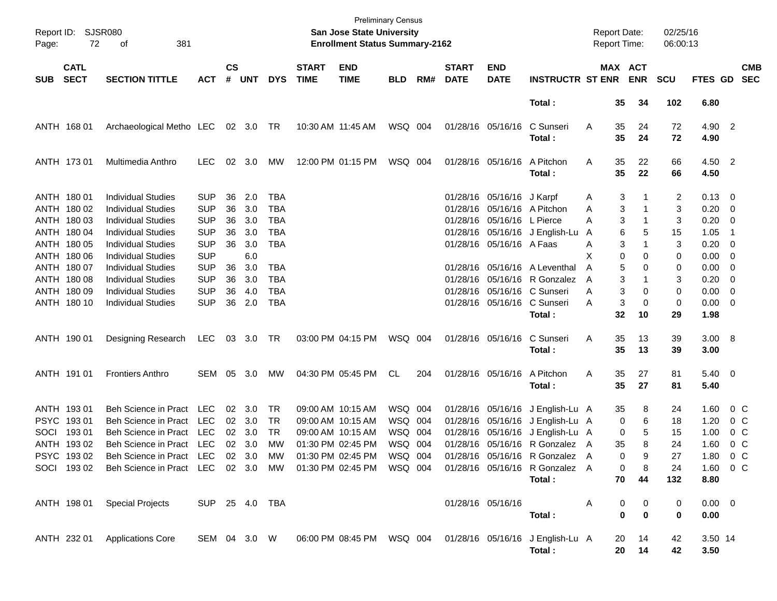| Page:      | Report ID: SJSR080<br>72                  | 381<br>οf                                                                                                                  |                                        |                    |                   |                              |                             | <b>Preliminary Census</b><br>San Jose State University<br><b>Enrollment Status Summary-2162</b> |                    |     |                             |                                                          |                                                                                                      | <b>Report Date:</b><br>Report Time: |                                      | 02/25/16<br>06:00:13 |                             |                                                          |
|------------|-------------------------------------------|----------------------------------------------------------------------------------------------------------------------------|----------------------------------------|--------------------|-------------------|------------------------------|-----------------------------|-------------------------------------------------------------------------------------------------|--------------------|-----|-----------------------------|----------------------------------------------------------|------------------------------------------------------------------------------------------------------|-------------------------------------|--------------------------------------|----------------------|-----------------------------|----------------------------------------------------------|
| <b>SUB</b> | <b>CATL</b><br><b>SECT</b>                | <b>SECTION TITTLE</b>                                                                                                      | <b>ACT</b>                             | $\mathsf{cs}$<br># | <b>UNT</b>        | <b>DYS</b>                   | <b>START</b><br><b>TIME</b> | <b>END</b><br><b>TIME</b>                                                                       | <b>BLD</b>         | RM# | <b>START</b><br><b>DATE</b> | <b>END</b><br><b>DATE</b>                                | <b>INSTRUCTR ST ENR</b>                                                                              |                                     | MAX ACT<br><b>ENR</b>                | <b>SCU</b>           | FTES GD                     | <b>CMB</b><br><b>SEC</b>                                 |
|            |                                           |                                                                                                                            |                                        |                    |                   |                              |                             |                                                                                                 |                    |     |                             |                                                          | Total:                                                                                               | 35                                  | 34                                   | 102                  | 6.80                        |                                                          |
|            | ANTH 168 01                               | Archaeological Metho LEC 02 3.0 TR                                                                                         |                                        |                    |                   |                              |                             | 10:30 AM 11:45 AM                                                                               | WSQ 004            |     |                             | 01/28/16 05/16/16                                        | C Sunseri<br>Total:                                                                                  | 35<br>Α<br>35                       | 24<br>24                             | 72<br>72             | 4.90 2<br>4.90              |                                                          |
|            | ANTH 173 01                               | Multimedia Anthro                                                                                                          | <b>LEC</b>                             | 02                 | 3.0               | МW                           |                             | 12:00 PM 01:15 PM                                                                               | WSQ 004            |     |                             | 01/28/16 05/16/16                                        | A Pitchon<br>Total:                                                                                  | 35<br>Α<br>35                       | 22<br>22                             | 66<br>66             | 4.50 2<br>4.50              |                                                          |
|            | ANTH 180 01<br>ANTH 180 02                | <b>Individual Studies</b><br><b>Individual Studies</b>                                                                     | <b>SUP</b><br><b>SUP</b>               | 36<br>36           | 2.0<br>3.0        | TBA<br>TBA                   |                             |                                                                                                 |                    |     |                             | 01/28/16 05/16/16 J Karpf<br>01/28/16 05/16/16 A Pitchon |                                                                                                      | Α<br>Α                              | 3<br>3<br>1                          | 2<br>3               | $0.13 \quad 0$<br>0.20      | $\overline{\phantom{0}}$                                 |
|            | ANTH 180 03<br>ANTH 180 04<br>ANTH 180 05 | <b>Individual Studies</b><br><b>Individual Studies</b><br><b>Individual Studies</b>                                        | <b>SUP</b><br><b>SUP</b><br><b>SUP</b> | 36<br>36<br>36     | 3.0<br>3.0<br>3.0 | TBA<br>TBA<br>TBA            |                             |                                                                                                 |                    |     |                             | 01/28/16 05/16/16 L Pierce<br>01/28/16 05/16/16 A Faas   | 01/28/16 05/16/16 J English-Lu                                                                       | Α<br>A<br>Α                         | 3<br>1<br>6<br>5<br>3<br>1           | 3<br>15<br>3         | 0.20<br>1.05<br>0.20        | $\overline{\mathbf{0}}$<br>-1<br>$\overline{\mathbf{0}}$ |
|            | ANTH 180 06<br>ANTH 180 07                | <b>Individual Studies</b><br><b>Individual Studies</b>                                                                     | <b>SUP</b><br><b>SUP</b>               | 36                 | 6.0<br>3.0        | TBA                          |                             |                                                                                                 |                    |     |                             |                                                          | 01/28/16 05/16/16 A Leventhal                                                                        | Х<br>Α                              | 0<br>0<br>5<br>0                     | 0<br>0               | 0.00<br>0.00                | $\overline{\phantom{0}}$<br>$\overline{\phantom{0}}$     |
|            | ANTH 180 08<br>ANTH 180 09<br>ANTH 180 10 | <b>Individual Studies</b><br><b>Individual Studies</b><br><b>Individual Studies</b>                                        | <b>SUP</b><br><b>SUP</b><br><b>SUP</b> | 36<br>36<br>36     | 3.0<br>4.0<br>2.0 | TBA<br><b>TBA</b><br>TBA     |                             |                                                                                                 |                    |     |                             |                                                          | 01/28/16 05/16/16 R Gonzalez<br>01/28/16 05/16/16 C Sunseri<br>01/28/16 05/16/16 C Sunseri           | A<br>Α<br>Α                         | 3<br>1<br>3<br>0<br>3<br>0           | 3<br>0<br>0          | 0.20<br>0.00<br>$0.00 \t 0$ | $\overline{\mathbf{0}}$<br>$\overline{\phantom{0}}$      |
|            |                                           |                                                                                                                            |                                        |                    |                   |                              |                             |                                                                                                 |                    |     |                             |                                                          | Total:                                                                                               | 32                                  | 10                                   | 29                   | 1.98                        |                                                          |
|            | ANTH 190 01                               | Designing Research                                                                                                         | <b>LEC</b>                             |                    | 03 3.0 TR         |                              |                             | 03:00 PM 04:15 PM                                                                               | WSQ 004            |     |                             | 01/28/16 05/16/16                                        | C Sunseri<br>Total:                                                                                  | 35<br>Α<br>35                       | 13<br>13                             | 39<br>39             | 3.00 8<br>3.00              |                                                          |
|            | ANTH 191 01                               | <b>Frontiers Anthro</b>                                                                                                    | <b>SEM</b>                             | 05                 | 3.0               | МW                           |                             | 04:30 PM 05:45 PM                                                                               | CL                 | 204 |                             | 01/28/16 05/16/16                                        | A Pitchon<br>Total:                                                                                  | Α<br>35<br>35                       | 27<br>27                             | 81<br>81             | $5.40 \ 0$<br>5.40          |                                                          |
|            | ANTH 193 01<br>PSYC 19301                 | <b>Beh Science in Pract</b><br><b>Beh Science in Pract</b>                                                                 | LEC<br><b>LEC</b><br><b>LEC</b>        | 02<br>02           | 3.0<br>3.0        | TR<br><b>TR</b><br><b>TR</b> |                             | 09:00 AM 10:15 AM<br>09:00 AM 10:15 AM                                                          | WSQ 004<br>WSQ 004 |     |                             |                                                          | 01/28/16 05/16/16 J English-Lu A<br>01/28/16 05/16/16 J English-Lu A                                 | 35                                  | 8<br>6<br>0                          | 24<br>18             | 1.60<br>1.20                | $0\,$ C<br>$0\,$ C                                       |
| SOCI       | 19301<br>ANTH 19302<br>PSYC 19302         | <b>Beh Science in Pract</b><br><b>Beh Science in Pract</b><br>Beh Science in Pract LEC 02 3.0 MW 01:30 PM 02:45 PM WSQ 004 | <b>LEC</b>                             | 02<br>02           | 3.0<br>3.0        | MW                           |                             | 09:00 AM 10:15 AM<br>01:30 PM 02:45 PM                                                          | WSQ 004<br>WSQ 004 |     |                             |                                                          | 01/28/16 05/16/16 J English-Lu A<br>01/28/16 05/16/16 R Gonzalez A<br>01/28/16 05/16/16 R Gonzalez A | 35                                  | 5<br>0<br>8<br>9<br>0                | 15<br>24<br>27       | 1.00<br>1.60                | 0 <sup>o</sup><br>0 <sup>o</sup><br>$1.80 \t 0 C$        |
|            | SOCI 193 02                               | Beh Science in Pract LEC 02 3.0 MW 01:30 PM 02:45 PM WSQ 004                                                               |                                        |                    |                   |                              |                             |                                                                                                 |                    |     |                             |                                                          | 01/28/16 05/16/16 R Gonzalez A<br>Total:                                                             | 70                                  | 8<br>0<br>44                         | 24<br>132            | 8.80                        | 1.60 0 C                                                 |
|            | ANTH 198 01                               | <b>Special Projects</b>                                                                                                    | SUP 25 4.0 TBA                         |                    |                   |                              |                             |                                                                                                 |                    |     |                             | 01/28/16 05/16/16                                        | Total:                                                                                               | Α                                   | 0<br>0<br>$\mathbf 0$<br>$\mathbf 0$ | 0<br>0               | $0.00 \t 0$<br>0.00         |                                                          |
|            |                                           | ANTH 232 01 Applications Core                                                                                              |                                        |                    |                   | SEM 04 3.0 W                 |                             |                                                                                                 |                    |     |                             |                                                          | 06:00 PM 08:45 PM  WSQ 004  01/28/16  05/16/16  J English-Lu A<br>Total:                             | 20<br>20                            | 14<br>14                             | 42<br>42             | 3.50 14<br>3.50             |                                                          |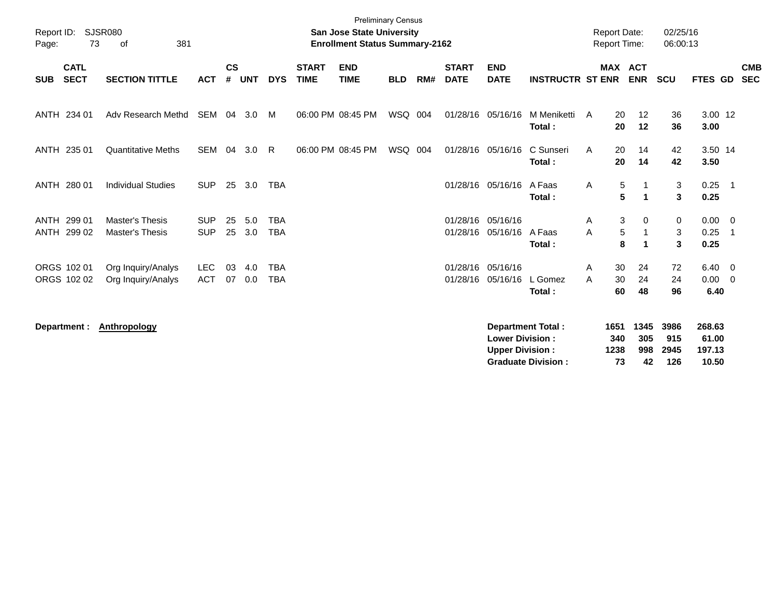| Report ID:<br>Page: | 73                         | <b>SJSR080</b><br>381<br>of                      |                          |                    |            |                          |                             | <b>San Jose State University</b><br><b>Enrollment Status Summary-2162</b> | <b>Preliminary Census</b> |     |                             |                                                  |                                                       | <b>Report Date:</b><br>Report Time: |                                               | 02/25/16<br>06:00:13       |                                    |                            |
|---------------------|----------------------------|--------------------------------------------------|--------------------------|--------------------|------------|--------------------------|-----------------------------|---------------------------------------------------------------------------|---------------------------|-----|-----------------------------|--------------------------------------------------|-------------------------------------------------------|-------------------------------------|-----------------------------------------------|----------------------------|------------------------------------|----------------------------|
| <b>SUB</b>          | <b>CATL</b><br><b>SECT</b> | <b>SECTION TITTLE</b>                            | <b>ACT</b>               | $\mathsf{cs}$<br># | <b>UNT</b> | <b>DYS</b>               | <b>START</b><br><b>TIME</b> | <b>END</b><br><b>TIME</b>                                                 | <b>BLD</b>                | RM# | <b>START</b><br><b>DATE</b> | <b>END</b><br><b>DATE</b>                        | <b>INSTRUCTR ST ENR</b>                               |                                     | <b>MAX ACT</b><br><b>ENR</b>                  | <b>SCU</b>                 | <b>FTES GD</b>                     | <b>CMB</b><br><b>SEC</b>   |
|                     | ANTH 234 01                | Adv Research Methd                               | SEM                      |                    | 04 3.0     | M                        |                             | 06:00 PM 08:45 PM                                                         | WSQ 004                   |     |                             | 01/28/16 05/16/16                                | M Meniketti<br>Total:                                 | A                                   | 20<br>12<br>12<br>20                          | 36<br>36                   | 3.00 12<br>3.00                    |                            |
|                     | ANTH 235 01                | <b>Quantitative Meths</b>                        | <b>SEM</b>               | 04                 | 3.0        | R                        |                             | 06:00 PM 08:45 PM                                                         | WSQ                       | 004 |                             | 01/28/16 05/16/16                                | C Sunseri<br>Total:                                   | A                                   | 20<br>14<br>20<br>14                          | 42<br>42                   | 3.50 14<br>3.50                    |                            |
|                     | ANTH 280 01                | <b>Individual Studies</b>                        | <b>SUP</b>               |                    | 25 3.0     | <b>TBA</b>               |                             |                                                                           |                           |     |                             | 01/28/16 05/16/16                                | A Faas<br>Total:                                      | Α                                   | 5<br>5<br>$\blacktriangleleft$                | 3<br>3                     | $0.25$ 1<br>0.25                   |                            |
| ANTH                | 299 01<br>ANTH 299 02      | <b>Master's Thesis</b><br><b>Master's Thesis</b> | <b>SUP</b><br><b>SUP</b> | 25<br>25           | 5.0<br>3.0 | <b>TBA</b><br><b>TBA</b> |                             |                                                                           |                           |     | 01/28/16                    | 01/28/16 05/16/16<br>05/16/16                    | A Faas<br>Total:                                      | A<br>A                              | 3<br>0<br>$\sqrt{5}$<br>$\mathbf 1$<br>8<br>1 | 0<br>3<br>3                | $0.00 \t 0$<br>0.25<br>0.25        | $\overline{\phantom{0}}$ 1 |
|                     | ORGS 102 01<br>ORGS 102 02 | Org Inquiry/Analys<br>Org Inquiry/Analys         | <b>LEC</b><br><b>ACT</b> | 03<br>07           | 4.0<br>0.0 | <b>TBA</b><br><b>TBA</b> |                             |                                                                           |                           |     | 01/28/16                    | 01/28/16 05/16/16<br>05/16/16                    | L Gomez<br>Total:                                     | A<br>A                              | 30<br>24<br>30<br>24<br>60<br>48              | 72<br>24<br>96             | $6.40 \quad 0$<br>0.00<br>6.40     | $\overline{0}$             |
|                     | Department :               | <b>Anthropology</b>                              |                          |                    |            |                          |                             |                                                                           |                           |     |                             | <b>Lower Division:</b><br><b>Upper Division:</b> | <b>Department Total:</b><br><b>Graduate Division:</b> | 1651<br>340<br>1238                 | 1345<br>305<br>998<br>73<br>42                | 3986<br>915<br>2945<br>126 | 268.63<br>61.00<br>197.13<br>10.50 |                            |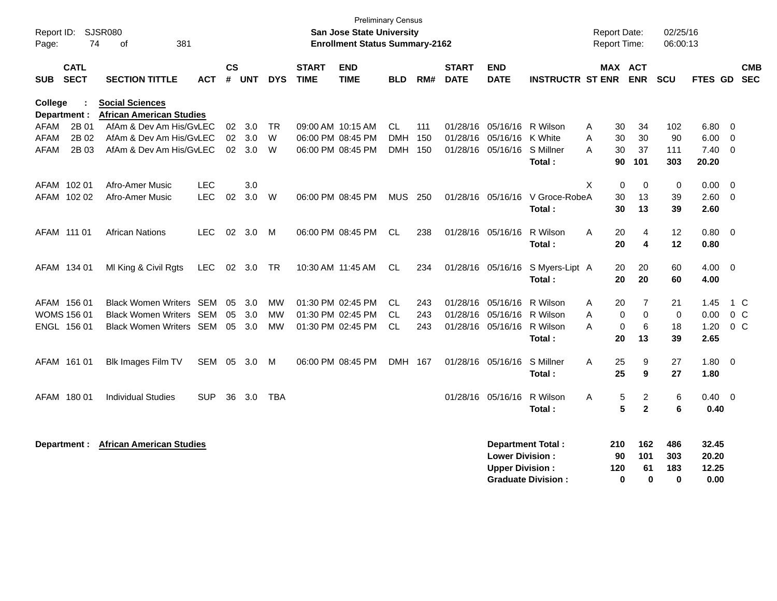| Report ID:<br>Page:            | 74                         | SJSR080<br>381<br>0f                                      |            |           |       |            |                             | <b>Preliminary Census</b><br><b>San Jose State University</b><br><b>Enrollment Status Summary-2162</b> |            |     |                             |                                                  |                                                       |   | <b>Report Date:</b><br><b>Report Time:</b> |                              | 02/25/16<br>06:00:13          |                                 |                          |
|--------------------------------|----------------------------|-----------------------------------------------------------|------------|-----------|-------|------------|-----------------------------|--------------------------------------------------------------------------------------------------------|------------|-----|-----------------------------|--------------------------------------------------|-------------------------------------------------------|---|--------------------------------------------|------------------------------|-------------------------------|---------------------------------|--------------------------|
| <b>SUB</b>                     | <b>CATL</b><br><b>SECT</b> | <b>SECTION TITTLE</b>                                     | ACT        | <b>CS</b> | # UNT | <b>DYS</b> | <b>START</b><br><b>TIME</b> | <b>END</b><br><b>TIME</b>                                                                              | <b>BLD</b> | RM# | <b>START</b><br><b>DATE</b> | <b>END</b><br><b>DATE</b>                        | <b>INSTRUCTR ST ENR</b>                               |   |                                            | <b>MAX ACT</b><br><b>ENR</b> | <b>SCU</b>                    | FTES GD                         | <b>CMB</b><br><b>SEC</b> |
| <b>College</b><br>Department : |                            | <b>Social Sciences</b><br><b>African American Studies</b> |            |           |       |            |                             |                                                                                                        |            |     |                             |                                                  |                                                       |   |                                            |                              |                               |                                 |                          |
| AFAM                           | 2B 01                      | AfAm & Dev Am His/GvLEC                                   |            | 02        | 3.0   | <b>TR</b>  |                             | 09:00 AM 10:15 AM                                                                                      | CL.        | 111 | 01/28/16                    | 05/16/16                                         | R Wilson                                              | A | 30                                         | 34                           | 102                           | 6.80                            | - 0                      |
| <b>AFAM</b>                    | 2B 02                      | AfAm & Dev Am His/GyLEC                                   |            | 02        | 3.0   | W          |                             | 06:00 PM 08:45 PM                                                                                      | <b>DMH</b> | 150 | 01/28/16                    | 05/16/16                                         | K White                                               | A | 30                                         | 30                           | 90                            | 6.00                            | 0                        |
| AFAM                           | 2B 03                      | AfAm & Dev Am His/GvLEC                                   |            | 02        | 3.0   | W          |                             | 06:00 PM 08:45 PM                                                                                      | DMH 150    |     | 01/28/16                    | 05/16/16                                         | S Millner                                             | A | 30                                         | 37                           | 111                           | 7.40                            | 0                        |
|                                |                            |                                                           |            |           |       |            |                             |                                                                                                        |            |     |                             |                                                  | Total:                                                |   | 90                                         | 101                          | 303                           | 20.20                           |                          |
| AFAM 102 01                    |                            | Afro-Amer Music                                           | <b>LEC</b> |           | 3.0   |            |                             |                                                                                                        |            |     |                             |                                                  |                                                       | X | $\Omega$                                   | $\mathbf 0$                  | 0                             | 0.00                            | $\Omega$                 |
|                                | AFAM 102 02                | Afro-Amer Music                                           | <b>LEC</b> | 02        | 3.0   | W          |                             | 06:00 PM 08:45 PM                                                                                      | MUS 250    |     |                             | 01/28/16 05/16/16                                | V Groce-RobeA                                         |   | 30                                         | 13                           | 39                            | 2.60                            | $\Omega$                 |
|                                |                            |                                                           |            |           |       |            |                             |                                                                                                        |            |     |                             |                                                  | Total:                                                |   | 30                                         | 13                           | 39                            | 2.60                            |                          |
| AFAM 111 01                    |                            | <b>African Nations</b>                                    | <b>LEC</b> | 02        | 3.0   | M          |                             | 06:00 PM 08:45 PM                                                                                      | CL.        | 238 | 01/28/16                    | 05/16/16                                         | R Wilson                                              | A | 20                                         | $\overline{4}$               | 12                            | 0.80                            | $\overline{0}$           |
|                                |                            |                                                           |            |           |       |            |                             |                                                                                                        |            |     |                             |                                                  | Total:                                                |   | 20                                         | $\overline{\mathbf{4}}$      | 12                            | 0.80                            |                          |
| AFAM 134 01                    |                            | MI King & Civil Rgts                                      | LEC        | $02\,$    | 3.0   | <b>TR</b>  |                             | 10:30 AM 11:45 AM                                                                                      | CL.        | 234 |                             | 01/28/16 05/16/16                                | S Myers-Lipt A                                        |   | 20                                         | 20                           | 60                            | 4.00                            | $\overline{0}$           |
|                                |                            |                                                           |            |           |       |            |                             |                                                                                                        |            |     |                             |                                                  | Total:                                                |   | 20                                         | 20                           | 60                            | 4.00                            |                          |
|                                | AFAM 156 01                | <b>Black Women Writers SEM</b>                            |            | 05        | 3.0   | MW         |                             | 01:30 PM 02:45 PM                                                                                      | CL.        | 243 | 01/28/16                    | 05/16/16                                         | R Wilson                                              | A | 20                                         | 7                            | 21                            | 1.45                            | 1 C                      |
|                                | <b>WOMS 156 01</b>         | <b>Black Women Writers</b>                                | SEM        | 05        | 3.0   | <b>MW</b>  |                             | 01:30 PM 02:45 PM                                                                                      | CL.        | 243 | 01/28/16                    | 05/16/16                                         | R Wilson                                              | A | $\Omega$                                   | $\mathbf 0$                  | $\mathbf 0$                   | 0.00                            | $0\quad C$               |
|                                | ENGL 156 01                | <b>Black Women Writers SEM</b>                            |            | 05        | 3.0   | MW         |                             | 01:30 PM 02:45 PM                                                                                      | CL.        | 243 | 01/28/16                    | 05/16/16                                         | R Wilson                                              | A | 0                                          | 6                            | 18                            | 1.20                            | $0\,C$                   |
|                                |                            |                                                           |            |           |       |            |                             |                                                                                                        |            |     |                             |                                                  | Total:                                                |   | 20                                         | 13                           | 39                            | 2.65                            |                          |
|                                | AFAM 161 01                | Blk Images Film TV                                        | SEM 05     |           | 3.0   | M          |                             | 06:00 PM 08:45 PM                                                                                      | DMH 167    |     | 01/28/16 05/16/16           |                                                  | S Millner                                             | A | 25                                         | 9                            | 27                            | 1.80                            | $\overline{0}$           |
|                                |                            |                                                           |            |           |       |            |                             |                                                                                                        |            |     |                             |                                                  | Total:                                                |   | 25                                         | 9                            | 27                            | 1.80                            |                          |
| AFAM 180 01                    |                            | <b>Individual Studies</b>                                 | SUP        | 36        | 3.0   | TBA        |                             |                                                                                                        |            |     |                             | 01/28/16 05/16/16                                | R Wilson                                              | A | 5                                          | $\overline{2}$               | 6                             | 0.40                            | $\overline{\mathbf{0}}$  |
|                                |                            |                                                           |            |           |       |            |                             |                                                                                                        |            |     |                             |                                                  | Total:                                                |   | 5                                          | $\overline{2}$               | 6                             | 0.40                            |                          |
|                                | Department :               | <b>African American Studies</b>                           |            |           |       |            |                             |                                                                                                        |            |     |                             | <b>Lower Division:</b><br><b>Upper Division:</b> | <b>Department Total:</b><br><b>Graduate Division:</b> |   | 210<br>90<br>120<br>$\bf{0}$               | 162<br>101<br>61<br>$\bf{0}$ | 486<br>303<br>183<br>$\bf{0}$ | 32.45<br>20.20<br>12.25<br>0.00 |                          |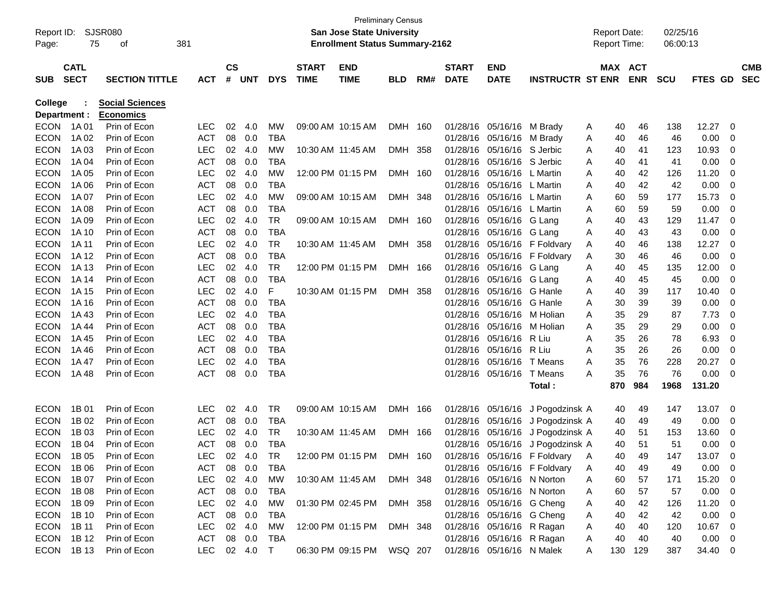|                |             |                        |              |               |            |            |              |                                       | <b>Preliminary Census</b> |         |                           |                            |                                  |                     |            |             |            |                          |            |
|----------------|-------------|------------------------|--------------|---------------|------------|------------|--------------|---------------------------------------|---------------------------|---------|---------------------------|----------------------------|----------------------------------|---------------------|------------|-------------|------------|--------------------------|------------|
| Report ID:     |             | SJSR080                |              |               |            |            |              | <b>San Jose State University</b>      |                           |         |                           |                            |                                  | <b>Report Date:</b> |            |             | 02/25/16   |                          |            |
| Page:          | 75          | 381<br>οf              |              |               |            |            |              | <b>Enrollment Status Summary-2162</b> |                           |         |                           |                            |                                  | <b>Report Time:</b> |            |             | 06:00:13   |                          |            |
|                |             |                        |              |               |            |            |              |                                       |                           |         |                           |                            |                                  |                     |            |             |            |                          |            |
|                | <b>CATL</b> |                        |              | $\mathsf{cs}$ |            |            | <b>START</b> | <b>END</b>                            |                           |         | <b>START</b>              | <b>END</b>                 |                                  |                     | MAX ACT    |             |            |                          | <b>CMB</b> |
| <b>SUB</b>     | <b>SECT</b> | <b>SECTION TITTLE</b>  | <b>ACT</b>   | #             | <b>UNT</b> | <b>DYS</b> | <b>TIME</b>  | <b>TIME</b>                           | <b>BLD</b>                | RM#     | <b>DATE</b>               | <b>DATE</b>                | <b>INSTRUCTR ST ENR</b>          |                     | <b>ENR</b> | <b>SCU</b>  | FTES GD    |                          | <b>SEC</b> |
| <b>College</b> |             | <b>Social Sciences</b> |              |               |            |            |              |                                       |                           |         |                           |                            |                                  |                     |            |             |            |                          |            |
| Department :   |             | <b>Economics</b>       |              |               |            |            |              |                                       |                           |         |                           |                            |                                  |                     |            |             |            |                          |            |
| <b>ECON</b>    | 1A 01       | Prin of Econ           | <b>LEC</b>   | 02            | 4.0        | MW         |              | 09:00 AM 10:15 AM                     | <b>DMH</b>                | 160     | 01/28/16                  | 05/16/16                   | M Brady                          | A                   | 40         | 138<br>46   | 12.27      | 0                        |            |
| <b>ECON</b>    | 1A 02       | Prin of Econ           | <b>ACT</b>   | 08            | 0.0        | <b>TBA</b> |              |                                       |                           |         | 01/28/16                  | 05/16/16                   | M Brady                          | A                   | 40         | 46          | 0.00<br>46 | 0                        |            |
| <b>ECON</b>    | 1A 03       | Prin of Econ           | <b>LEC</b>   | 02            | 4.0        | <b>MW</b>  |              | 10:30 AM 11:45 AM                     | <b>DMH</b>                | 358     | 01/28/16                  | 05/16/16                   | S Jerbic                         | A                   | 40         | 41<br>123   | 10.93      | 0                        |            |
| <b>ECON</b>    | 1A 04       | Prin of Econ           | <b>ACT</b>   | 08            | 0.0        | <b>TBA</b> |              |                                       |                           |         | 01/28/16                  | 05/16/16                   | S Jerbic                         | Α                   | 40         | 41          | 0.00<br>41 | 0                        |            |
| <b>ECON</b>    | 1A 05       | Prin of Econ           | <b>LEC</b>   | 02            | 4.0        | <b>MW</b>  |              | 12:00 PM 01:15 PM                     | <b>DMH</b>                | 160     | 01/28/16                  | 05/16/16                   | L Martin                         | Α                   | 40         | 42<br>126   | 11.20      | 0                        |            |
| <b>ECON</b>    | 1A 06       | Prin of Econ           | <b>ACT</b>   | 08            | 0.0        | <b>TBA</b> |              |                                       |                           |         | 01/28/16                  | 05/16/16                   | L Martin                         | Α                   | 40         | 42          | 42<br>0.00 | 0                        |            |
| <b>ECON</b>    | 1A 07       | Prin of Econ           | <b>LEC</b>   | 02            | 4.0        | <b>MW</b>  |              | 09:00 AM 10:15 AM                     | <b>DMH</b>                | 348     | 01/28/16                  | 05/16/16                   | L Martin                         | A                   | 60         | 59<br>177   | 15.73      | 0                        |            |
| <b>ECON</b>    | 1A 08       | Prin of Econ           | <b>ACT</b>   | 08            | 0.0        | <b>TBA</b> |              |                                       |                           |         | 01/28/16                  | 05/16/16                   | L Martin                         | A                   | 60         | 59          | 59<br>0.00 | 0                        |            |
| <b>ECON</b>    | 1A 09       | Prin of Econ           | <b>LEC</b>   | 02            | 4.0        | <b>TR</b>  |              | 09:00 AM 10:15 AM                     | <b>DMH</b>                | 160     | 01/28/16                  | 05/16/16                   | G Lang                           | A                   | 40         | 43<br>129   | 11.47      | 0                        |            |
| <b>ECON</b>    | 1A 10       | Prin of Econ           | <b>ACT</b>   | 08            | 0.0        | <b>TBA</b> |              |                                       |                           |         | 01/28/16                  | 05/16/16                   | G Lang                           | A                   | 40         | 43          | 0.00<br>43 | 0                        |            |
| <b>ECON</b>    | 1A 11       | Prin of Econ           | LEC          | 02            | 4.0        | <b>TR</b>  |              | 10:30 AM 11:45 AM                     | <b>DMH</b>                | 358     | 01/28/16                  |                            | 05/16/16 F Foldvary              | A                   | 40         | 138<br>46   | 12.27      | 0                        |            |
| <b>ECON</b>    | 1A 12       | Prin of Econ           | <b>ACT</b>   | 08            | 0.0        | <b>TBA</b> |              |                                       |                           |         | 01/28/16                  | 05/16/16                   | F Foldvary                       | A                   | 30         | 46          | 0.00<br>46 | 0                        |            |
| <b>ECON</b>    | 1A 13       | Prin of Econ           | <b>LEC</b>   | 02            | 4.0        | <b>TR</b>  |              | 12:00 PM 01:15 PM                     | <b>DMH</b>                | 166     | 01/28/16                  | 05/16/16                   | G Lang                           | A                   | 40         | 45<br>135   | 12.00      | 0                        |            |
| <b>ECON</b>    | 1A 14       | Prin of Econ           | <b>ACT</b>   | 08            | 0.0        | <b>TBA</b> |              |                                       |                           |         | 01/28/16                  | 05/16/16                   | G Lang                           | A                   | 40         | 45          | 0.00<br>45 | 0                        |            |
| <b>ECON</b>    | 1A 15       | Prin of Econ           | <b>LEC</b>   | 02            | 4.0        | F          |              | 10:30 AM 01:15 PM                     | DMH                       | 358     | 01/28/16                  | 05/16/16                   | G Hanle                          | A                   | 40         | 39<br>117   | 10.40      | 0                        |            |
| <b>ECON</b>    | 1A 16       | Prin of Econ           | <b>ACT</b>   | 08            | 0.0        | <b>TBA</b> |              |                                       |                           |         | 01/28/16                  | 05/16/16                   | G Hanle                          | Α                   | 30         | 39          | 39<br>0.00 | 0                        |            |
| <b>ECON</b>    | 1A43        | Prin of Econ           | <b>LEC</b>   | 02            | 4.0        | <b>TBA</b> |              |                                       |                           |         | 01/28/16                  | 05/16/16                   | M Holian                         | A                   | 35         | 29          | 87<br>7.73 | 0                        |            |
| <b>ECON</b>    | 1A 44       | Prin of Econ           | <b>ACT</b>   | 08            | 0.0        | <b>TBA</b> |              |                                       |                           |         | 01/28/16                  | 05/16/16                   | M Holian                         | A                   | 35         | 29          | 0.00<br>29 | 0                        |            |
| <b>ECON</b>    | 1A 45       | Prin of Econ           | <b>LEC</b>   | 02            | 4.0        | <b>TBA</b> |              |                                       |                           |         | 01/28/16                  | 05/16/16                   | R Liu                            | A                   | 35         | 26          | 6.93<br>78 | 0                        |            |
| <b>ECON</b>    | 1A46        | Prin of Econ           | <b>ACT</b>   | 08            | 0.0        | <b>TBA</b> |              |                                       |                           |         | 01/28/16                  | 05/16/16                   | R Liu                            | A                   | 35         | 26          | 0.00<br>26 | 0                        |            |
| <b>ECON</b>    | 1A 47       | Prin of Econ           | <b>LEC</b>   | 02            | 4.0        | <b>TBA</b> |              |                                       |                           |         | 01/28/16                  | 05/16/16                   | T Means                          | A                   | 35         | 76<br>228   | 20.27      | 0                        |            |
| <b>ECON</b>    | 1A48        | Prin of Econ           | <b>ACT</b>   | 08            | 0.0        | <b>TBA</b> |              |                                       |                           |         | 01/28/16                  | 05/16/16                   | T Means                          | A                   | 35         | 76          | 76<br>0.00 | 0                        |            |
|                |             |                        |              |               |            |            |              |                                       |                           |         |                           |                            | Total:                           |                     | 870        | 984<br>1968 | 131.20     |                          |            |
| <b>ECON</b>    | 1B 01       | Prin of Econ           | <b>LEC</b>   | 02            | 4.0        | <b>TR</b>  |              | 09:00 AM 10:15 AM                     | <b>DMH</b>                | 166     | 01/28/16                  | 05/16/16                   | J Pogodzinsk A                   |                     | 40         | 49<br>147   | 13.07      | 0                        |            |
| <b>ECON</b>    | 1B 02       | Prin of Econ           | <b>ACT</b>   | 08            | 0.0        | <b>TBA</b> |              |                                       |                           |         | 01/28/16                  | 05/16/16                   | J Pogodzinsk A                   |                     | 40         | 49          | 49<br>0.00 | 0                        |            |
| <b>ECON</b>    | 1B 03       | Prin of Econ           | <b>LEC</b>   | 02            | 4.0        | <b>TR</b>  |              | 10:30 AM 11:45 AM                     | <b>DMH</b>                | 166     | 01/28/16                  | 05/16/16                   | J Pogodzinsk A                   |                     | 40         | 51<br>153   | 13.60      | 0                        |            |
| <b>ECON</b>    | 1B 04       | Prin of Econ           | <b>ACT</b>   | 08            | 0.0        | <b>TBA</b> |              |                                       |                           |         |                           |                            | 01/28/16 05/16/16 J Pogodzinsk A |                     | 40         | 51          | 0.00<br>51 | 0                        |            |
| <b>ECON</b>    | 1B 05       | Prin of Econ           | <b>LEC</b>   |               | 02 4.0     | <b>TR</b>  |              | 12:00 PM 01:15 PM                     |                           | DMH 160 |                           |                            | 01/28/16 05/16/16 F Foldvary A   |                     | 40         | 49<br>147   | 13.07      | 0                        |            |
| ECON           | 1B 06       | Prin of Econ           | ACT          |               | 08 0.0     | TBA        |              |                                       |                           |         |                           |                            | 01/28/16 05/16/16 F Foldvary     | A                   | 40         | 49          | 0.00<br>49 | $\overline{\mathbf{0}}$  |            |
| <b>ECON</b>    | 1B 07       | Prin of Econ           | LEC          |               | 02 4.0     | MW         |              | 10:30 AM_11:45 AM                     | DMH 348                   |         |                           | 01/28/16 05/16/16 N Norton |                                  | A                   | 60         | 57<br>171   | 15.20      | $\overline{\mathbf{0}}$  |            |
| <b>ECON</b>    | 1B 08       | Prin of Econ           | ACT          |               | 08 0.0     | TBA        |              |                                       |                           |         |                           | 01/28/16 05/16/16 N Norton |                                  | A                   | 60         | 57          | 0.00<br>57 | $\overline{\mathbf{0}}$  |            |
| <b>ECON</b>    | 1B 09       | Prin of Econ           | LEC          |               | 02 4.0     | MW         |              | 01:30 PM 02:45 PM                     | DMH 358                   |         |                           | 01/28/16 05/16/16 G Cheng  |                                  | A                   | 40         | 42<br>126   | 11.20      | $\overline{\phantom{0}}$ |            |
| <b>ECON</b>    | 1B 10       | Prin of Econ           | ACT          |               | 08 0.0     | TBA        |              |                                       |                           |         |                           | 01/28/16 05/16/16 G Cheng  |                                  | A                   | 40         | 42          | 42<br>0.00 | $\overline{\phantom{0}}$ |            |
| <b>ECON</b>    | 1B 11       | Prin of Econ           | LEC          |               | 02 4.0     | MW         |              | 12:00 PM 01:15 PM                     | DMH 348                   |         |                           | 01/28/16 05/16/16 R Ragan  |                                  | A                   | 40         | 40<br>120   | 10.67 0    |                          |            |
| <b>ECON</b>    | 1B 12       | Prin of Econ           | ACT          |               | 08 0.0     | TBA        |              |                                       |                           |         |                           | 01/28/16 05/16/16 R Ragan  |                                  | A                   | 40         | 40          | 0.00<br>40 | $\overline{\phantom{0}}$ |            |
| <b>ECON</b>    | 1B 13       | Prin of Econ           | LEC 02 4.0 T |               |            |            |              | 06:30 PM 09:15 PM WSQ 207             |                           |         | 01/28/16 05/16/16 N Malek |                            |                                  | A                   | 130        | 129<br>387  | 34.40 0    |                          |            |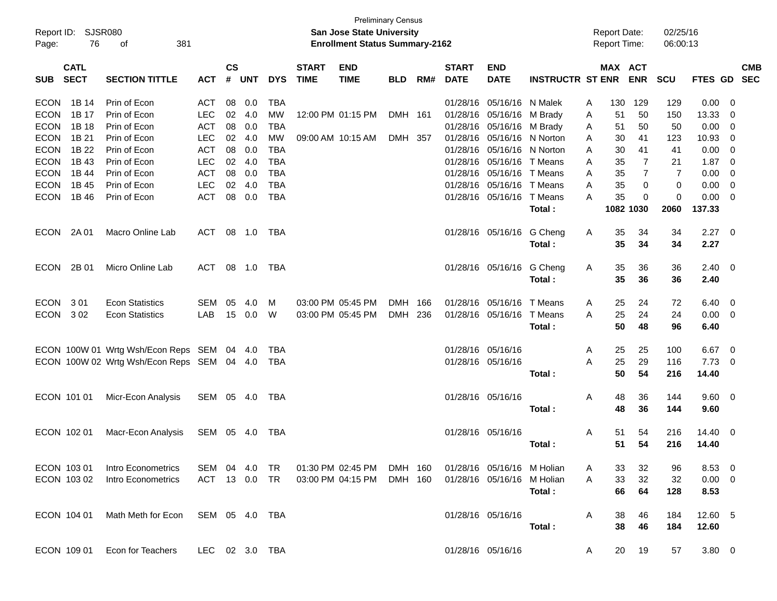| Page:       | Report ID: SJSR080<br>76   | 381<br>οf                           |                |                |            |            |                             | <b>Preliminary Census</b><br>San Jose State University<br><b>Enrollment Status Summary-2162</b> |            |     |                             |                            |                         |   | <b>Report Date:</b><br><b>Report Time:</b> |                | 02/25/16<br>06:00:13 |                |                          |            |
|-------------|----------------------------|-------------------------------------|----------------|----------------|------------|------------|-----------------------------|-------------------------------------------------------------------------------------------------|------------|-----|-----------------------------|----------------------------|-------------------------|---|--------------------------------------------|----------------|----------------------|----------------|--------------------------|------------|
| <b>SUB</b>  | <b>CATL</b><br><b>SECT</b> | <b>SECTION TITTLE</b>               | <b>ACT</b>     | <b>CS</b><br># | <b>UNT</b> | <b>DYS</b> | <b>START</b><br><b>TIME</b> | <b>END</b><br><b>TIME</b>                                                                       | <b>BLD</b> | RM# | <b>START</b><br><b>DATE</b> | <b>END</b><br><b>DATE</b>  | <b>INSTRUCTR ST ENR</b> |   | MAX ACT                                    | <b>ENR</b>     | <b>SCU</b>           | FTES GD SEC    |                          | <b>CMB</b> |
| <b>ECON</b> | 1B 14                      | Prin of Econ                        | <b>ACT</b>     | 08             | 0.0        | <b>TBA</b> |                             |                                                                                                 |            |     | 01/28/16                    | 05/16/16 N Malek           |                         | A | 130                                        | 129            | 129                  | 0.00           | - 0                      |            |
| <b>ECON</b> | 1B 17                      | Prin of Econ                        | <b>LEC</b>     | 02             | 4.0        | MW         |                             | 12:00 PM 01:15 PM                                                                               | DMH 161    |     | 01/28/16                    | 05/16/16 M Brady           |                         | A | 51                                         | 50             | 150                  | 13.33          | - 0                      |            |
| <b>ECON</b> | 1B 18                      | Prin of Econ                        | ACT            | 08             | 0.0        | <b>TBA</b> |                             |                                                                                                 |            |     | 01/28/16                    | 05/16/16 M Brady           |                         | A | 51                                         | 50             | 50                   | 0.00           | 0                        |            |
| <b>ECON</b> | 1B 21                      | Prin of Econ                        | <b>LEC</b>     | 02             | 4.0        | <b>MW</b>  |                             | 09:00 AM 10:15 AM                                                                               | DMH 357    |     |                             | 01/28/16 05/16/16 N Norton |                         | Α | 30                                         | 41             | 123                  | 10.93          | 0                        |            |
| <b>ECON</b> | 1B 22                      | Prin of Econ                        | <b>ACT</b>     | 08             | 0.0        | <b>TBA</b> |                             |                                                                                                 |            |     |                             | 01/28/16 05/16/16 N Norton |                         | A | 30                                         | 41             | 41                   | 0.00           | - 0                      |            |
| <b>ECON</b> | 1B 43                      | Prin of Econ                        | <b>LEC</b>     | 02             | 4.0        | <b>TBA</b> |                             |                                                                                                 |            |     |                             | 01/28/16 05/16/16 T Means  |                         | A | 35                                         | 7              | 21                   | 1.87           | - 0                      |            |
| <b>ECON</b> | 1B 44                      | Prin of Econ                        | <b>ACT</b>     | 08             | 0.0        | <b>TBA</b> |                             |                                                                                                 |            |     |                             | 01/28/16 05/16/16 T Means  |                         | A | 35                                         | $\overline{7}$ | $\overline{7}$       | 0.00           | 0                        |            |
| <b>ECON</b> | 1B 45                      | Prin of Econ                        | <b>LEC</b>     | 02             | 4.0        | <b>TBA</b> |                             |                                                                                                 |            |     |                             | 01/28/16 05/16/16 T Means  |                         | A | 35                                         | 0              | $\mathbf 0$          | 0.00           | $\overline{\mathbf{0}}$  |            |
| <b>ECON</b> | 1B 46                      | Prin of Econ                        | <b>ACT</b>     | 08             | 0.0        | <b>TBA</b> |                             |                                                                                                 |            |     |                             | 01/28/16 05/16/16 T Means  |                         | A | 35                                         | 0              | 0                    | 0.00           | $\overline{\mathbf{0}}$  |            |
|             |                            |                                     |                |                |            |            |                             |                                                                                                 |            |     |                             |                            | Total:                  |   |                                            | 1082 1030      | 2060                 | 137.33         |                          |            |
| <b>ECON</b> | 2A 01                      | Macro Online Lab                    | ACT            | 08             | 1.0        | TBA        |                             |                                                                                                 |            |     |                             | 01/28/16 05/16/16 G Cheng  |                         | A | 35                                         | 34             | 34                   | 2.27           | - 0                      |            |
|             |                            |                                     |                |                |            |            |                             |                                                                                                 |            |     |                             |                            | Total:                  |   | 35                                         | 34             | 34                   | 2.27           |                          |            |
| <b>ECON</b> | 2B 01                      | Micro Online Lab                    | ACT            | 08             | 1.0        | TBA        |                             |                                                                                                 |            |     |                             | 01/28/16 05/16/16 G Cheng  |                         | Α | 35                                         | 36             | 36                   | $2.40 \quad 0$ |                          |            |
|             |                            |                                     |                |                |            |            |                             |                                                                                                 |            |     |                             |                            | Total:                  |   | 35                                         | 36             | 36                   | 2.40           |                          |            |
| <b>ECON</b> | 301                        | <b>Econ Statistics</b>              | <b>SEM</b>     | 05             | 4.0        | м          |                             | 03:00 PM 05:45 PM                                                                               | <b>DMH</b> | 166 | 01/28/16                    | 05/16/16                   | T Means                 | A | 25                                         | 24             | 72                   | 6.40           | $\overline{\mathbf{0}}$  |            |
| <b>ECON</b> | 302                        | <b>Econ Statistics</b>              | LAB            | 15             | 0.0        | W          |                             | 03:00 PM 05:45 PM                                                                               | DMH        | 236 |                             | 01/28/16 05/16/16          | T Means                 | A | 25                                         | 24             | 24                   | 0.00           | $\overline{\mathbf{0}}$  |            |
|             |                            |                                     |                |                |            |            |                             |                                                                                                 |            |     |                             |                            | Total:                  |   | 50                                         | 48             | 96                   | 6.40           |                          |            |
|             |                            | ECON 100W 01 Wrtg Wsh/Econ Reps SEM |                |                | 04 4.0     | <b>TBA</b> |                             |                                                                                                 |            |     |                             | 01/28/16 05/16/16          |                         | Α | 25                                         | 25             | 100                  | 6.67           | $\overline{\mathbf{0}}$  |            |
|             |                            | ECON 100W 02 Wrtg Wsh/Econ Reps SEM |                |                | 04 4.0     | TBA        |                             |                                                                                                 |            |     |                             | 01/28/16 05/16/16          |                         | A | 25                                         | 29             | 116                  | 7.73           | - 0                      |            |
|             |                            |                                     |                |                |            |            |                             |                                                                                                 |            |     |                             |                            | Total:                  |   | 50                                         | 54             | 216                  | 14.40          |                          |            |
|             | ECON 101 01                | Micr-Econ Analysis                  | SEM 05 4.0     |                |            | TBA        |                             |                                                                                                 |            |     |                             | 01/28/16 05/16/16          |                         | A | 48                                         | 36             | 144                  | $9.60 \quad 0$ |                          |            |
|             |                            |                                     |                |                |            |            |                             |                                                                                                 |            |     |                             |                            | Total:                  |   | 48                                         | 36             | 144                  | 9.60           |                          |            |
| ECON 102 01 |                            | Macr-Econ Analysis                  | SEM            | 05             | - 4.0      | TBA        |                             |                                                                                                 |            |     |                             | 01/28/16 05/16/16          |                         | A | 51                                         | 54             | 216                  | 14.40          | $\overline{\phantom{0}}$ |            |
|             |                            |                                     |                |                |            |            |                             |                                                                                                 |            |     |                             |                            | Total:                  |   | 51                                         | 54             | 216                  | 14.40          |                          |            |
|             | ECON 103 01                | Intro Econometrics                  | SEM 04 4.0     |                |            | TR         |                             | 01:30 PM 02:45 PM                                                                               | DMH 160    |     |                             | 01/28/16 05/16/16 M Holian |                         | A | 33                                         | 32             | 96                   | 8.53 0         |                          |            |
|             | ECON 103 02                | Intro Econometrics                  | ACT 13 0.0     |                |            | TR         |                             | 03:00 PM 04:15 PM                                                                               | DMH 160    |     |                             | 01/28/16 05/16/16 M Holian |                         | A | 33                                         | 32             | 32                   | $0.00 \t 0$    |                          |            |
|             |                            |                                     |                |                |            |            |                             |                                                                                                 |            |     |                             |                            | Total:                  |   | 66                                         | 64             | 128                  | 8.53           |                          |            |
|             | ECON 104 01                | Math Meth for Econ                  | SEM 05 4.0 TBA |                |            |            |                             |                                                                                                 |            |     |                             | 01/28/16 05/16/16          |                         | A | 38                                         | 46             | 184                  | 12.60 5        |                          |            |
|             |                            |                                     |                |                |            |            |                             |                                                                                                 |            |     |                             |                            | Total:                  |   | 38                                         | 46             | 184                  | 12.60          |                          |            |
|             | ECON 109 01                | Econ for Teachers                   | LEC 02 3.0 TBA |                |            |            |                             |                                                                                                 |            |     |                             | 01/28/16 05/16/16          |                         | A | 20                                         | 19             | 57                   | $3.80\ 0$      |                          |            |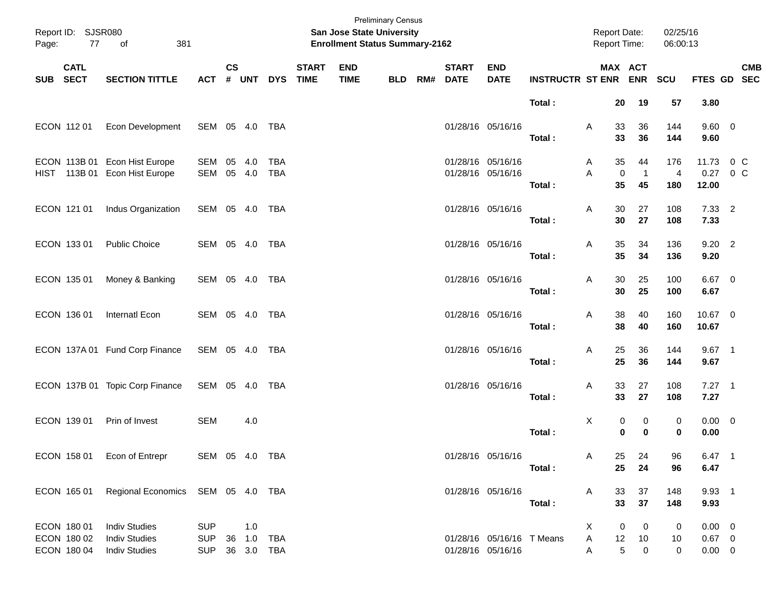| Page:    | Report ID: SJSR080<br>77                  | of<br>381                                                            |                                        |               |                             |                          |                             | <b>San Jose State University</b><br><b>Enrollment Status Summary-2162</b> | <b>Preliminary Census</b> |     |                             |                                                |                             | <b>Report Date:</b><br>Report Time: |                            | 02/25/16<br>06:00:13         |                                        |                           |
|----------|-------------------------------------------|----------------------------------------------------------------------|----------------------------------------|---------------|-----------------------------|--------------------------|-----------------------------|---------------------------------------------------------------------------|---------------------------|-----|-----------------------------|------------------------------------------------|-----------------------------|-------------------------------------|----------------------------|------------------------------|----------------------------------------|---------------------------|
| SUB SECT | <b>CATL</b>                               | <b>SECTION TITTLE</b>                                                | <b>ACT</b>                             | $\mathsf{cs}$ | # UNT                       | <b>DYS</b>               | <b>START</b><br><b>TIME</b> | <b>END</b><br><b>TIME</b>                                                 | <b>BLD</b>                | RM# | <b>START</b><br><b>DATE</b> | <b>END</b><br><b>DATE</b>                      | <b>INSTRUCTR ST ENR ENR</b> | MAX ACT                             |                            | SCU                          |                                        | <b>CMB</b><br>FTES GD SEC |
|          |                                           |                                                                      |                                        |               |                             |                          |                             |                                                                           |                           |     |                             |                                                | Total:                      | 20                                  | 19                         | 57                           | 3.80                                   |                           |
|          | ECON 112 01                               | Econ Development                                                     | SEM 05 4.0 TBA                         |               |                             |                          |                             |                                                                           |                           |     |                             | 01/28/16 05/16/16                              | Total:                      | 33<br>Α<br>33                       | 36<br>36                   | 144<br>144                   | $9.60 \quad 0$<br>9.60                 |                           |
|          |                                           | ECON 113B 01 Econ Hist Europe<br>HIST 113B 01 Econ Hist Europe       | SEM 05<br>SEM 05 4.0                   |               | 4.0                         | <b>TBA</b><br><b>TBA</b> |                             |                                                                           |                           |     |                             | 01/28/16 05/16/16<br>01/28/16 05/16/16         | Total:                      | 35<br>A<br>A<br>0<br>35             | 44<br>$\overline{1}$<br>45 | 176<br>$\overline{4}$<br>180 | 11.73<br>0.27<br>12.00                 | $0\,C$<br>$0\,$ C         |
|          | ECON 121 01                               | Indus Organization                                                   | SEM 05 4.0 TBA                         |               |                             |                          |                             |                                                                           |                           |     |                             | 01/28/16 05/16/16                              | Total:                      | A<br>30<br>30                       | 27<br>27                   | 108<br>108                   | $7.33$ 2<br>7.33                       |                           |
|          | ECON 133 01                               | <b>Public Choice</b>                                                 | SEM 05 4.0 TBA                         |               |                             |                          |                             |                                                                           |                           |     |                             | 01/28/16 05/16/16                              | Total:                      | 35<br>Α<br>35                       | 34<br>34                   | 136<br>136                   | $9.20$ 2<br>9.20                       |                           |
|          | ECON 135 01                               | Money & Banking                                                      | SEM 05 4.0 TBA                         |               |                             |                          |                             |                                                                           |                           |     |                             | 01/28/16 05/16/16                              | Total:                      | 30<br>Α<br>30                       | 25<br>25                   | 100<br>100                   | 6.67 0<br>6.67                         |                           |
|          | ECON 136 01                               | Internatl Econ                                                       | SEM 05 4.0 TBA                         |               |                             |                          |                             |                                                                           |                           |     |                             | 01/28/16 05/16/16                              | Total:                      | 38<br>Α<br>38                       | 40<br>40                   | 160<br>160                   | 10.67 0<br>10.67                       |                           |
|          |                                           | ECON 137A 01 Fund Corp Finance                                       | SEM 05 4.0 TBA                         |               |                             |                          |                             |                                                                           |                           |     |                             | 01/28/16 05/16/16                              | Total:                      | 25<br>Α<br>25                       | 36<br>36                   | 144<br>144                   | $9.67$ 1<br>9.67                       |                           |
|          |                                           | ECON 137B 01 Topic Corp Finance                                      | SEM 05 4.0 TBA                         |               |                             |                          |                             |                                                                           |                           |     |                             | 01/28/16 05/16/16                              | Total:                      | 33<br>Α<br>33                       | 27<br>27                   | 108<br>108                   | $7.27$ 1<br>7.27                       |                           |
|          | ECON 139 01                               | Prin of Invest                                                       | <b>SEM</b>                             |               | 4.0                         |                          |                             |                                                                           |                           |     |                             |                                                | Total:                      | X<br>0<br>0                         | 0<br>$\bf{0}$              | 0<br>$\bf{0}$                | $0.00 \t 0$<br>0.00                    |                           |
|          |                                           | ECON 158 01 Econ of Entrepr                                          | SEM 05 4.0 TBA                         |               |                             |                          |                             |                                                                           |                           |     |                             | 01/28/16 05/16/16                              | Total:                      | 25<br>Α<br>25                       | 24<br>24                   | 96<br>96                     | $6.47$ 1<br>6.47                       |                           |
|          | ECON 165 01                               | Regional Economics SEM 05 4.0 TBA                                    |                                        |               |                             |                          |                             |                                                                           |                           |     |                             | 01/28/16 05/16/16                              | Total:                      | 33<br>A<br>33                       | 37<br>37                   | 148<br>148                   | 9.93 1<br>9.93                         |                           |
|          | ECON 180 01<br>ECON 180 02<br>ECON 180 04 | <b>Indiv Studies</b><br><b>Indiv Studies</b><br><b>Indiv Studies</b> | <b>SUP</b><br><b>SUP</b><br><b>SUP</b> |               | 1.0<br>36 1.0<br>36 3.0 TBA | TBA                      |                             |                                                                           |                           |     |                             | 01/28/16 05/16/16 T Means<br>01/28/16 05/16/16 |                             | X<br>0<br>A<br>12<br>5<br>Α         | 0<br>10<br>$\mathbf 0$     | 0<br>10<br>0                 | $0.00 \t 0$<br>$0.67$ 0<br>$0.00 \t 0$ |                           |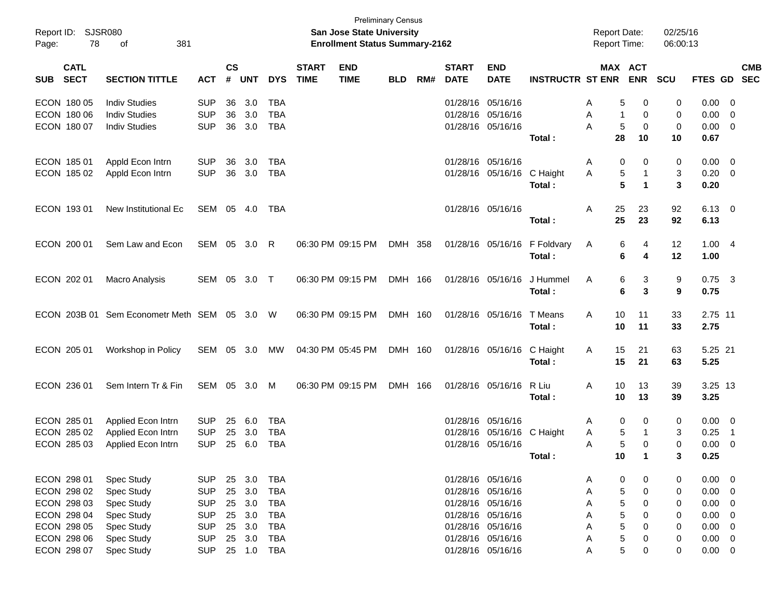| Report ID:<br>78<br>Page:                | SJSR080<br>381<br>оf                         |                          |                    |            |                          |                             | <b>Preliminary Census</b><br><b>San Jose State University</b><br><b>Enrollment Status Summary-2162</b> |            |     |                             |                           |                         | <b>Report Date:</b><br><b>Report Time:</b> |                              | 02/25/16<br>06:00:13 |              |                               |                          |
|------------------------------------------|----------------------------------------------|--------------------------|--------------------|------------|--------------------------|-----------------------------|--------------------------------------------------------------------------------------------------------|------------|-----|-----------------------------|---------------------------|-------------------------|--------------------------------------------|------------------------------|----------------------|--------------|-------------------------------|--------------------------|
| <b>CATL</b><br><b>SECT</b><br><b>SUB</b> | <b>SECTION TITTLE</b>                        | <b>ACT</b>               | $\mathsf{cs}$<br># | <b>UNT</b> | <b>DYS</b>               | <b>START</b><br><b>TIME</b> | <b>END</b><br><b>TIME</b>                                                                              | <b>BLD</b> | RM# | <b>START</b><br><b>DATE</b> | <b>END</b><br><b>DATE</b> | <b>INSTRUCTR ST ENR</b> |                                            | <b>MAX ACT</b><br><b>ENR</b> | <b>SCU</b>           | FTES GD      |                               | <b>CMB</b><br><b>SEC</b> |
| ECON 180 05<br>ECON 180 06               | <b>Indiv Studies</b><br><b>Indiv Studies</b> | <b>SUP</b><br><b>SUP</b> | 36<br>36           | 3.0<br>3.0 | <b>TBA</b><br><b>TBA</b> |                             |                                                                                                        |            |     | 01/28/16<br>01/28/16        | 05/16/16<br>05/16/16      |                         | A<br>Α                                     | 0<br>5<br>0<br>1             | 0<br>0               | 0.00<br>0.00 | - 0<br>- 0                    |                          |
| ECON 180 07                              | <b>Indiv Studies</b>                         | <b>SUP</b>               | 36                 | 3.0        | <b>TBA</b>               |                             |                                                                                                        |            |     | 01/28/16 05/16/16           |                           |                         | A                                          | 5<br>0                       | 0                    | 0.00         | 0                             |                          |
|                                          |                                              |                          |                    |            |                          |                             |                                                                                                        |            |     |                             |                           | Total:                  | 28                                         | 10                           | 10                   | 0.67         |                               |                          |
| ECON 185 01                              | Appld Econ Intrn                             | <b>SUP</b>               | 36                 | 3.0        | <b>TBA</b>               |                             |                                                                                                        |            |     | 01/28/16                    | 05/16/16                  |                         | Α                                          | 0<br>0                       | 0                    | 0.00         | - 0                           |                          |
| ECON 185 02                              | Appld Econ Intrn                             | <b>SUP</b>               |                    | 36 3.0     | <b>TBA</b>               |                             |                                                                                                        |            |     | 01/28/16                    | 05/16/16                  | C Haight                | Α                                          | 5<br>$\mathbf 1$             | 3                    | 0.20         | $\overline{\mathbf{0}}$       |                          |
|                                          |                                              |                          |                    |            |                          |                             |                                                                                                        |            |     |                             |                           | Total:                  |                                            | 5<br>$\mathbf 1$             | 3                    | 0.20         |                               |                          |
| ECON 193 01                              | New Institutional Ec                         | SEM                      | 05                 | 4.0        | TBA                      |                             |                                                                                                        |            |     | 01/28/16 05/16/16           |                           |                         | Α<br>25                                    | 23                           | 92                   | 6.13         | $\overline{\phantom{0}}$      |                          |
|                                          |                                              |                          |                    |            |                          |                             |                                                                                                        |            |     |                             |                           | Total:                  | 25                                         | 23                           | 92                   | 6.13         |                               |                          |
| ECON 200 01                              | Sem Law and Econ                             | SEM                      | 05                 | 3.0        | R                        |                             | 06:30 PM 09:15 PM                                                                                      | DMH 358    |     |                             | 01/28/16 05/16/16         | F Foldvary              | A                                          | 4<br>6                       | 12                   | 1.004        |                               |                          |
|                                          |                                              |                          |                    |            |                          |                             |                                                                                                        |            |     |                             |                           | Total:                  |                                            | 6<br>4                       | 12                   | 1.00         |                               |                          |
| ECON 202 01                              | <b>Macro Analysis</b>                        | SEM                      | 05                 | 3.0        | $\top$                   |                             | 06:30 PM 09:15 PM                                                                                      | DMH 166    |     |                             | 01/28/16 05/16/16         | J Hummel                | Α                                          | 6<br>3                       | 9                    | 0.75         | $_{3}$                        |                          |
|                                          |                                              |                          |                    |            |                          |                             |                                                                                                        |            |     |                             |                           | Total:                  |                                            | 6<br>3                       | 9                    | 0.75         |                               |                          |
| ECON 203B 01                             | Sem Econometr Meth SEM                       |                          |                    | 05 3.0     | W                        |                             | 06:30 PM 09:15 PM                                                                                      | DMH 160    |     |                             | 01/28/16 05/16/16         | T Means                 | A<br>10                                    | 11                           | 33                   | 2.75 11      |                               |                          |
|                                          |                                              |                          |                    |            |                          |                             |                                                                                                        |            |     |                             |                           | Total:                  | 10                                         | 11                           | 33                   | 2.75         |                               |                          |
| ECON 205 01                              | Workshop in Policy                           | SEM                      |                    | 05 3.0     | МW                       |                             | 04:30 PM 05:45 PM                                                                                      | DMH 160    |     |                             | 01/28/16 05/16/16         | C Haight                | Α<br>15                                    | 21                           | 63                   | 5.25 21      |                               |                          |
|                                          |                                              |                          |                    |            |                          |                             |                                                                                                        |            |     |                             |                           | Total:                  | 15                                         | 21                           | 63                   | 5.25         |                               |                          |
| ECON 236 01                              | Sem Intern Tr & Fin                          | SEM                      |                    | 05 3.0     | M                        |                             | 06:30 PM 09:15 PM                                                                                      | DMH 166    |     |                             | 01/28/16 05/16/16         | R Liu                   | Α<br>10                                    | 13                           | 39                   | $3.25$ 13    |                               |                          |
|                                          |                                              |                          |                    |            |                          |                             |                                                                                                        |            |     |                             |                           | Total:                  | 10                                         | 13                           | 39                   | 3.25         |                               |                          |
| ECON 285 01                              | Applied Econ Intrn                           | <b>SUP</b>               | 25                 | 6.0        | <b>TBA</b>               |                             |                                                                                                        |            |     | 01/28/16                    | 05/16/16                  |                         | A                                          | 0<br>0                       | 0                    | 0.00         | - 0                           |                          |
| ECON 285 02                              | Applied Econ Intrn                           | <b>SUP</b>               | 25                 | 3.0        | <b>TBA</b>               |                             |                                                                                                        |            |     | 01/28/16                    | 05/16/16                  | C Haight                | A                                          | 5<br>-1                      | 3                    | 0.25         | $\overline{\phantom{1}}$      |                          |
| ECON 285 03                              | Applied Econ Intrn                           | <b>SUP</b>               | 25                 | 6.0        | <b>TBA</b>               |                             |                                                                                                        |            |     |                             | 01/28/16 05/16/16         |                         | A                                          | 5<br>0                       | 0                    | 0.00         | 0                             |                          |
|                                          |                                              |                          |                    |            |                          |                             |                                                                                                        |            |     |                             |                           | Total:                  | 10                                         | -1                           | 3                    | 0.25         |                               |                          |
| ECON 298 01                              | Spec Study                                   | <b>SUP</b>               |                    | 25 3.0     | <b>TBA</b>               |                             |                                                                                                        |            |     |                             | 01/28/16 05/16/16         |                         | A                                          | 0<br>0                       | 0                    | 0.00         | - 0                           |                          |
| ECON 298 02                              | Spec Study                                   | <b>SUP</b>               | 25                 | 3.0        | <b>TBA</b>               |                             |                                                                                                        |            |     | 01/28/16 05/16/16           |                           |                         | Α                                          | 5<br>0                       | 0                    | 0.00         | 0                             |                          |
| ECON 298 03                              | Spec Study                                   | <b>SUP</b>               | 25                 | 3.0        | <b>TBA</b>               |                             |                                                                                                        |            |     |                             | 01/28/16 05/16/16         |                         | Α                                          | 5<br>0                       | 0                    | 0.00         | 0                             |                          |
| ECON 298 04                              | Spec Study                                   | <b>SUP</b>               | 25                 | 3.0        | <b>TBA</b>               |                             |                                                                                                        |            |     |                             | 01/28/16 05/16/16         |                         | Α                                          | 5<br>0                       | 0                    | 0.00         | 0                             |                          |
| ECON 298 05<br>ECON 298 06               | Spec Study                                   | <b>SUP</b><br><b>SUP</b> | 25<br>25           | 3.0<br>3.0 | <b>TBA</b><br><b>TBA</b> |                             |                                                                                                        |            |     | 01/28/16 05/16/16           | 01/28/16 05/16/16         |                         | Α                                          | 5<br>0                       | 0                    | 0.00<br>0.00 | 0                             |                          |
| ECON 298 07                              | Spec Study<br>Spec Study                     | <b>SUP</b>               |                    | 25 1.0     | <b>TBA</b>               |                             |                                                                                                        |            |     |                             | 01/28/16 05/16/16         |                         | Α<br>Α                                     | 5<br>0<br>5<br>0             | 0<br>0               | 0.00         | 0<br>$\overline{\phantom{0}}$ |                          |
|                                          |                                              |                          |                    |            |                          |                             |                                                                                                        |            |     |                             |                           |                         |                                            |                              |                      |              |                               |                          |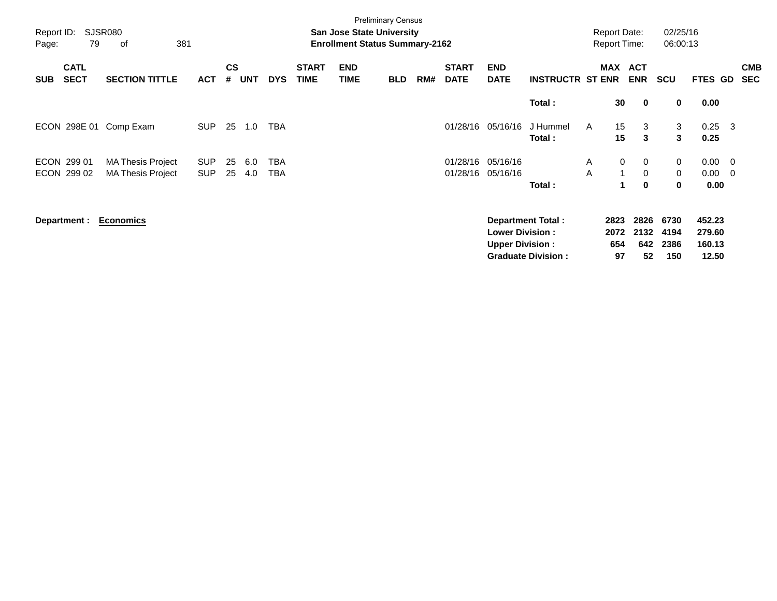| Report ID:<br>Page: | 79                         | <b>SJSR080</b><br>οf                                 | 381                      |                    |            |            |                             | <b>San Jose State University</b><br><b>Enrollment Status Summary-2162</b> | <b>Preliminary Census</b> |     |                             |                                                  |                                                       |              | <b>Report Date:</b><br><b>Report Time:</b> |                                              | 02/25/16<br>06:00:13        |                                       |     |                          |
|---------------------|----------------------------|------------------------------------------------------|--------------------------|--------------------|------------|------------|-----------------------------|---------------------------------------------------------------------------|---------------------------|-----|-----------------------------|--------------------------------------------------|-------------------------------------------------------|--------------|--------------------------------------------|----------------------------------------------|-----------------------------|---------------------------------------|-----|--------------------------|
| <b>SUB</b>          | <b>CATL</b><br><b>SECT</b> | <b>SECTION TITTLE</b>                                | <b>ACT</b>               | $\mathsf{cs}$<br># | <b>UNT</b> | <b>DYS</b> | <b>START</b><br><b>TIME</b> | <b>END</b><br><b>TIME</b>                                                 | <b>BLD</b>                | RM# | <b>START</b><br><b>DATE</b> | <b>END</b><br><b>DATE</b>                        | <b>INSTRUCTR ST ENR</b>                               |              | MAX                                        | <b>ACT</b><br><b>ENR</b>                     | <b>SCU</b>                  | <b>FTES GD</b>                        |     | <b>CMB</b><br><b>SEC</b> |
|                     |                            |                                                      |                          |                    |            |            |                             |                                                                           |                           |     |                             |                                                  | Total:                                                |              | 30                                         | $\mathbf 0$                                  | 0                           | 0.00                                  |     |                          |
|                     | ECON 298E 01               | Comp Exam                                            | <b>SUP</b>               | 25                 | 1.0        | <b>TBA</b> |                             |                                                                           |                           |     | 01/28/16                    | 05/16/16                                         | J Hummel<br>Total:                                    | $\mathsf{A}$ | 15<br>15                                   | 3<br>3                                       | 3<br>3                      | 0.25<br>0.25                          | - 3 |                          |
|                     | ECON 299 01<br>ECON 299 02 | <b>MA Thesis Project</b><br><b>MA Thesis Project</b> | <b>SUP</b><br><b>SUP</b> | 25<br>25           | 6.0<br>4.0 | TBA<br>TBA |                             |                                                                           |                           |     | 01/28/16<br>01/28/16        | 05/16/16<br>05/16/16                             | Total:                                                | A<br>A       | $\mathbf 0$<br>$\mathbf 1$<br>1.           | $\mathbf 0$<br>$\overline{0}$<br>$\mathbf 0$ | 0<br>0<br>0                 | $0.00 \t 0$<br>$0.00 \quad 0$<br>0.00 |     |                          |
|                     | Department :               | <b>Economics</b>                                     |                          |                    |            |            |                             |                                                                           |                           |     |                             | <b>Lower Division:</b><br><b>Upper Division:</b> | <b>Department Total:</b><br><b>Graduate Division:</b> |              | 2823<br>2072<br>654<br>97                  | 2826<br>2132<br>642<br>52                    | 6730<br>4194<br>2386<br>150 | 452.23<br>279.60<br>160.13<br>12.50   |     |                          |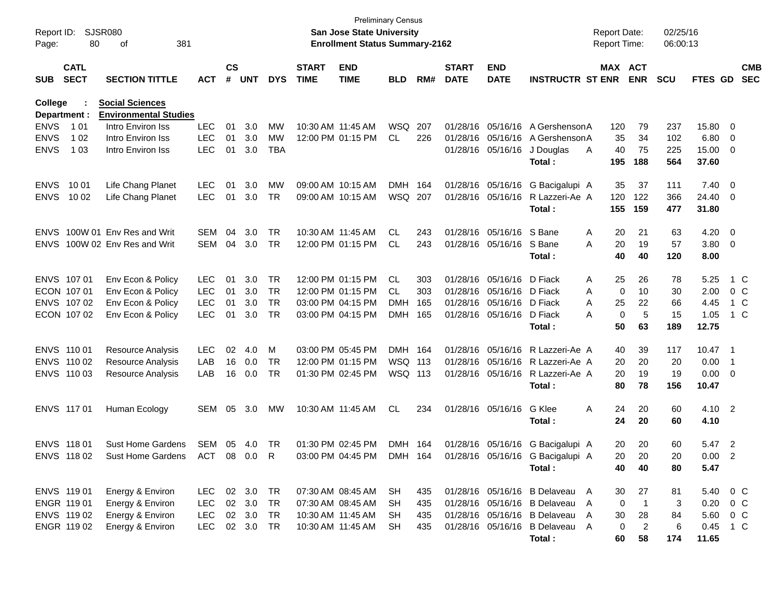| Report ID:<br>Page:     | 80                         | SJSR080<br>381<br>of                                   |            |                    |            |            |                             | <b>San Jose State University</b><br><b>Enrollment Status Summary-2162</b> | <b>Preliminary Census</b> |       |                             |                           |                                  | <b>Report Date:</b><br>Report Time: |                | 02/25/16<br>06:00:13 |                  |                          |                          |
|-------------------------|----------------------------|--------------------------------------------------------|------------|--------------------|------------|------------|-----------------------------|---------------------------------------------------------------------------|---------------------------|-------|-----------------------------|---------------------------|----------------------------------|-------------------------------------|----------------|----------------------|------------------|--------------------------|--------------------------|
| <b>SUB</b>              | <b>CATL</b><br><b>SECT</b> | <b>SECTION TITTLE</b>                                  | <b>ACT</b> | $\mathsf{cs}$<br># | <b>UNT</b> | <b>DYS</b> | <b>START</b><br><b>TIME</b> | <b>END</b><br><b>TIME</b>                                                 | <b>BLD</b>                | RM#   | <b>START</b><br><b>DATE</b> | <b>END</b><br><b>DATE</b> | <b>INSTRUCTR ST ENR</b>          | MAX ACT                             | <b>ENR</b>     | <b>SCU</b>           | <b>FTES GD</b>   |                          | <b>CMB</b><br><b>SEC</b> |
| College<br>Department : |                            | <b>Social Sciences</b><br><b>Environmental Studies</b> |            |                    |            |            |                             |                                                                           |                           |       |                             |                           |                                  |                                     |                |                      |                  |                          |                          |
| <b>ENVS</b>             | 1 0 1                      | Intro Environ Iss                                      | <b>LEC</b> | 01                 | 3.0        | MW         | 10:30 AM 11:45 AM           |                                                                           | WSQ 207                   |       |                             | 01/28/16 05/16/16         | A Gershenson A                   | 120                                 | 79             | 237                  | 15.80 0          |                          |                          |
| <b>ENVS</b>             | 1 0 2                      | Intro Environ Iss                                      | <b>LEC</b> | 01                 | 3.0        | MW         |                             | 12:00 PM 01:15 PM                                                         | CL                        | 226   |                             | 01/28/16 05/16/16         | A Gershenson A                   | 35                                  | 34             | 102                  | 6.80             | $\overline{\mathbf{0}}$  |                          |
| <b>ENVS</b>             | 1 0 3                      | Intro Environ Iss                                      | <b>LEC</b> | 01                 | 3.0        | TBA        |                             |                                                                           |                           |       |                             | 01/28/16 05/16/16         | J Douglas<br>Total:              | 40<br>A<br>195                      | 75<br>188      | 225<br>564           | 15.00<br>37.60   | $\overline{\phantom{0}}$ |                          |
| <b>ENVS</b>             | 10 01                      | Life Chang Planet                                      | <b>LEC</b> | 01                 | 3.0        | MW         |                             | 09:00 AM 10:15 AM                                                         | <b>DMH</b>                | - 164 |                             | 01/28/16 05/16/16         | G Bacigalupi A                   | 35                                  | 37             | 111                  | $7.40 \quad 0$   |                          |                          |
| <b>ENVS</b>             | 10 02                      | Life Chang Planet                                      | <b>LEC</b> | 01                 | 3.0        | TR         |                             | 09:00 AM 10:15 AM                                                         | WSQ 207                   |       |                             | 01/28/16 05/16/16         | R Lazzeri-Ae A<br>Total:         | 120<br>155                          | 122<br>159     | 366<br>477           | 24.40 0<br>31.80 |                          |                          |
| <b>ENVS</b>             |                            | 100W 01 Env Res and Writ                               | <b>SEM</b> | 04                 | 3.0        | TR         |                             | 10:30 AM 11:45 AM                                                         | <b>CL</b>                 | 243   |                             | 01/28/16 05/16/16         | S Bane                           | 20<br>Α                             | 21             | 63                   | 4.20             | $\overline{\phantom{0}}$ |                          |
| <b>ENVS</b>             |                            | 100W 02 Env Res and Writ                               | SEM        | 04                 | 3.0        | <b>TR</b>  |                             | 12:00 PM 01:15 PM                                                         | CL.                       | 243   |                             | 01/28/16 05/16/16         | S Bane<br>Total:                 | A<br>20<br>40                       | 19<br>40       | 57<br>120            | 3.80<br>8.00     | $\overline{\phantom{0}}$ |                          |
| ENVS 107 01             |                            | Env Econ & Policy                                      | <b>LEC</b> | 01                 | 3.0        | <b>TR</b>  |                             | 12:00 PM 01:15 PM                                                         | CL                        | 303   |                             | 01/28/16 05/16/16         | D Fiack                          | 25<br>Α                             | 26             | 78                   | 5.25             | 1 C                      |                          |
|                         | ECON 107 01                | Env Econ & Policy                                      | <b>LEC</b> | 01                 | 3.0        | <b>TR</b>  |                             | 12:00 PM 01:15 PM                                                         | CL.                       | 303   |                             | 01/28/16 05/16/16         | D Fiack                          | 0<br>A                              | 10             | 30                   | 2.00             | $0\,$ C                  |                          |
|                         | ENVS 107 02                | Env Econ & Policy                                      | <b>LEC</b> | 01                 | 3.0        | <b>TR</b>  |                             | 03:00 PM 04:15 PM                                                         | DMH                       | 165   |                             | 01/28/16 05/16/16         | D Fiack                          | A<br>25                             | 22             | 66                   | 4.45             | 1 C                      |                          |
|                         | ECON 107 02                | Env Econ & Policy                                      | <b>LEC</b> | 01                 | 3.0        | <b>TR</b>  |                             | 03:00 PM 04:15 PM                                                         | <b>DMH</b>                | 165   |                             | 01/28/16 05/16/16         | D Fiack                          | $\mathbf 0$<br>A                    | 5              | 15                   | 1.05             | 1 C                      |                          |
|                         |                            |                                                        |            |                    |            |            |                             |                                                                           |                           |       |                             |                           | Total:                           | 50                                  | 63             | 189                  | 12.75            |                          |                          |
| ENVS 110 01             |                            | Resource Analysis                                      | <b>LEC</b> | 02                 | 4.0        | M          |                             | 03:00 PM 05:45 PM                                                         | DMH 164                   |       |                             | 01/28/16 05/16/16         | R Lazzeri-Ae A                   | 40                                  | 39             | 117                  | 10.47            | $\overline{\phantom{1}}$ |                          |
|                         | ENVS 110 02                | Resource Analysis                                      | LAB        | 16                 | 0.0        | TR         |                             | 12:00 PM 01:15 PM                                                         | WSQ 113                   |       |                             | 01/28/16 05/16/16         | R Lazzeri-Ae A                   | 20                                  | 20             | 20                   | 0.00             | $\overline{1}$           |                          |
|                         | ENVS 110 03                | Resource Analysis                                      | LAB        | 16                 | 0.0        | TR         |                             | 01:30 PM 02:45 PM                                                         | WSQ 113                   |       |                             | 01/28/16 05/16/16         | R Lazzeri-Ae A<br>Total:         | 20<br>80                            | 19<br>78       | 19<br>156            | 0.00<br>10.47    | $\overline{\mathbf{0}}$  |                          |
| ENVS 117 01             |                            | Human Ecology                                          | SEM        | 05                 | 3.0        | МW         |                             | 10:30 AM 11:45 AM                                                         | CL                        | 234   |                             | 01/28/16 05/16/16         | G Klee<br>Total:                 | 24<br>Α<br>24                       | 20<br>20       | 60<br>60             | 4.10 2<br>4.10   |                          |                          |
| ENVS 118 01             |                            | <b>Sust Home Gardens</b>                               | SEM        | 05                 | 4.0        | TR         |                             | 01:30 PM 02:45 PM                                                         | DMH 164                   |       |                             |                           | 01/28/16 05/16/16 G Bacigalupi A | 20                                  | 20             | 60                   | 5.47             | $\overline{\phantom{0}}$ |                          |
|                         | ENVS 118 02                | Sust Home Gardens                                      | ACT 08 0.0 |                    |            | R          |                             | 03:00 PM 04:45 PM                                                         | DMH 164                   |       |                             |                           | 01/28/16 05/16/16 G Bacigalupi A | 20.                                 | 20             | 20.                  | 0.00             | 2                        |                          |
|                         |                            |                                                        |            |                    |            |            |                             |                                                                           |                           |       |                             |                           | Total:                           | 40                                  | 40             | 80                   | 5.47             |                          |                          |
| ENVS 119 01             |                            | Energy & Environ                                       | <b>LEC</b> |                    | 02 3.0     | TR         |                             | 07:30 AM 08:45 AM                                                         | <b>SH</b>                 | 435   |                             |                           | 01/28/16 05/16/16 B Delaveau A   | 30                                  | 27             | 81                   | 5.40 0 C         |                          |                          |
| ENGR 119 01             |                            | Energy & Environ                                       | LEC        |                    | 02 3.0     | <b>TR</b>  |                             | 07:30 AM 08:45 AM                                                         | <b>SH</b>                 | 435   |                             |                           | 01/28/16 05/16/16 B Delaveau     | A<br>0                              | $\overline{1}$ | 3                    | 0.20             | $0\,C$                   |                          |
|                         | ENVS 119 02                | Energy & Environ                                       | <b>LEC</b> |                    | 02 3.0     | <b>TR</b>  |                             | 10:30 AM 11:45 AM                                                         | SH.                       | 435   |                             |                           | 01/28/16 05/16/16 B Delaveau     | 30<br>A                             | 28             | 84                   | 5.60             | $0\,C$                   |                          |
|                         | ENGR 119 02                | Energy & Environ                                       | <b>LEC</b> |                    | 02 3.0     | <b>TR</b>  |                             | 10:30 AM 11:45 AM                                                         | SH.                       | 435   |                             |                           | 01/28/16 05/16/16 B Delaveau A   | 0                                   | 2              | 6                    | 0.45 1 C         |                          |                          |
|                         |                            |                                                        |            |                    |            |            |                             |                                                                           |                           |       |                             |                           | Total:                           | 60                                  | 58             | 174                  | 11.65            |                          |                          |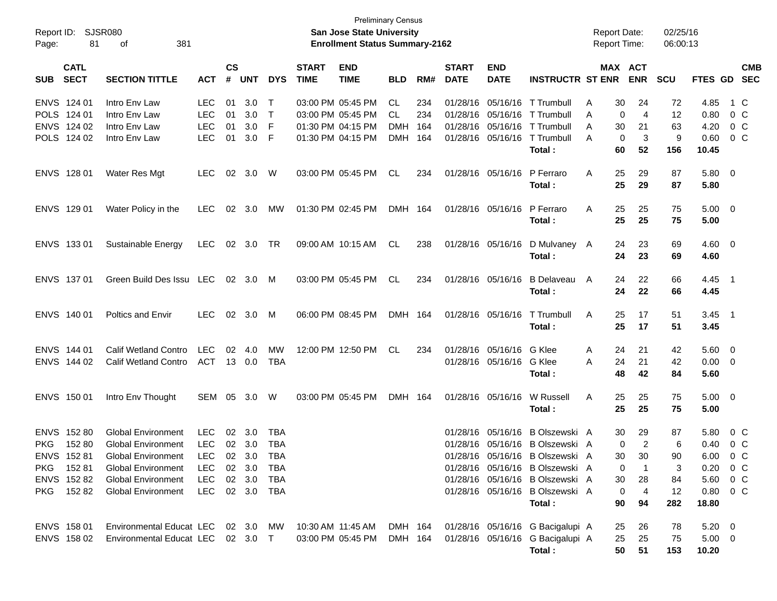| Report ID:<br>Page: | 81                         | <b>SJSR080</b><br>381<br>οf        |                |                    |            |            |                             | <b>Preliminary Census</b><br>San Jose State University<br><b>Enrollment Status Summary-2162</b> |            |     |                             |                           |                                          |   |                   | <b>Report Date:</b><br><b>Report Time:</b> | 02/25/16<br>06:00:13 |                        |                          |                          |
|---------------------|----------------------------|------------------------------------|----------------|--------------------|------------|------------|-----------------------------|-------------------------------------------------------------------------------------------------|------------|-----|-----------------------------|---------------------------|------------------------------------------|---|-------------------|--------------------------------------------|----------------------|------------------------|--------------------------|--------------------------|
| <b>SUB</b>          | <b>CATL</b><br><b>SECT</b> | <b>SECTION TITTLE</b>              | <b>ACT</b>     | $\mathsf{cs}$<br># | <b>UNT</b> | <b>DYS</b> | <b>START</b><br><b>TIME</b> | <b>END</b><br><b>TIME</b>                                                                       | <b>BLD</b> | RM# | <b>START</b><br><b>DATE</b> | <b>END</b><br><b>DATE</b> | <b>INSTRUCTR ST ENR</b>                  |   |                   | MAX ACT<br><b>ENR</b>                      | <b>SCU</b>           | FTES GD                |                          | <b>CMB</b><br><b>SEC</b> |
| ENVS 124 01         |                            | Intro Env Law                      | <b>LEC</b>     | 01                 | 3.0        | $\top$     |                             | 03:00 PM 05:45 PM                                                                               | CL         | 234 |                             |                           | 01/28/16 05/16/16 T Trumbull             | A | 30                | 24                                         | 72                   | 4.85                   | 1 C                      |                          |
| POLS 124 01         |                            | Intro Env Law                      | <b>LEC</b>     | 01                 | 3.0        | $\top$     |                             | 03:00 PM 05:45 PM                                                                               | <b>CL</b>  | 234 |                             | 01/28/16 05/16/16         | T Trumbull                               | A | 0                 | 4                                          | 12                   | 0.80                   | 0 <sup>o</sup>           |                          |
|                     | ENVS 124 02                | Intro Env Law                      | <b>LEC</b>     | 01                 | 3.0        | F          |                             | 01:30 PM 04:15 PM                                                                               | <b>DMH</b> | 164 |                             | 01/28/16 05/16/16         | T Trumbull                               | A | 30                | 21                                         | 63                   | 4.20                   | 0 <sup>o</sup>           |                          |
|                     | POLS 124 02                | Intro Env Law                      | <b>LEC</b>     | 01                 | 3.0        | F          |                             | 01:30 PM 04:15 PM                                                                               | DMH 164    |     |                             | 01/28/16 05/16/16         | T Trumbull<br>Total:                     | A | $\mathbf 0$<br>60 | 3<br>52                                    | 9<br>156             | 0.60<br>10.45          | $0\,C$                   |                          |
| ENVS 128 01         |                            | Water Res Mgt                      | <b>LEC</b>     | 02                 | 3.0        | W          |                             | 03:00 PM 05:45 PM                                                                               | CL         | 234 |                             | 01/28/16 05/16/16         | P Ferraro<br>Total:                      | A | 25<br>25          | 29<br>29                                   | 87<br>87             | $5.80 \quad 0$<br>5.80 |                          |                          |
| ENVS 129 01         |                            | Water Policy in the                | <b>LEC</b>     | $02\,$             | 3.0        | MW         |                             | 01:30 PM 02:45 PM                                                                               | DMH 164    |     |                             | 01/28/16 05/16/16         | P Ferraro<br>Total:                      | A | 25<br>25          | 25<br>25                                   | 75<br>75             | $5.00 \quad 0$<br>5.00 |                          |                          |
|                     | ENVS 133 01                | Sustainable Energy                 | <b>LEC</b>     |                    | 02 3.0     | TR         |                             | 09:00 AM 10:15 AM                                                                               | CL         | 238 |                             |                           | 01/28/16 05/16/16 D Mulvaney A<br>Total: |   | 24<br>24          | 23<br>23                                   | 69<br>69             | $4.60 \quad 0$<br>4.60 |                          |                          |
| ENVS 137 01         |                            | Green Build Des Issu LEC           |                | 02                 | 3.0        | M          |                             | 03:00 PM 05:45 PM                                                                               | CL.        | 234 |                             | 01/28/16 05/16/16         | <b>B</b> Delaveau<br>Total:              | A | 24<br>24          | 22<br>22                                   | 66<br>66             | 4.45 1<br>4.45         |                          |                          |
| ENVS 140 01         |                            | <b>Poltics and Envir</b>           | <b>LEC</b>     |                    | 02 3.0     | M          |                             | 06:00 PM 08:45 PM                                                                               | DMH 164    |     |                             | 01/28/16 05/16/16         | T Trumbull<br>Total:                     | A | 25<br>25          | 17<br>17                                   | 51<br>51             | $3.45$ 1<br>3.45       |                          |                          |
| ENVS 144 01         |                            | <b>Calif Wetland Contro</b>        | <b>LEC</b>     | 02                 | -4.0       | <b>MW</b>  |                             | 12:00 PM 12:50 PM                                                                               | CL         | 234 |                             | 01/28/16 05/16/16         | G Klee                                   | A | 24                | 21                                         | 42                   | 5.60                   | $\overline{\phantom{0}}$ |                          |
|                     | ENVS 144 02                | <b>Calif Wetland Contro</b>        | ACT 13 0.0     |                    |            | <b>TBA</b> |                             |                                                                                                 |            |     |                             | 01/28/16 05/16/16         | G Klee                                   | Α | 24                | 21                                         | 42                   | $0.00 \t 0$            |                          |                          |
|                     |                            |                                    |                |                    |            |            |                             |                                                                                                 |            |     |                             |                           | Total:                                   |   | 48                | 42                                         | 84                   | 5.60                   |                          |                          |
| ENVS 150 01         |                            | Intro Env Thought                  | SEM 05         |                    | 3.0        | W          |                             | 03:00 PM 05:45 PM                                                                               | DMH 164    |     |                             | 01/28/16 05/16/16         | W Russell                                | A | 25                | 25                                         | 75                   | $5.00 \quad 0$         |                          |                          |
|                     |                            |                                    |                |                    |            |            |                             |                                                                                                 |            |     |                             |                           | Total:                                   |   | 25                | 25                                         | 75                   | 5.00                   |                          |                          |
|                     | ENVS 152 80                | <b>Global Environment</b>          | <b>LEC</b>     | 02                 | 3.0        | <b>TBA</b> |                             |                                                                                                 |            |     |                             |                           | 01/28/16 05/16/16 B Olszewski A          |   | 30                | 29                                         | 87                   | 5.80                   | $0\,$ C                  |                          |
| <b>PKG</b>          | 15280                      | <b>Global Environment</b>          | LEC            |                    | 02 3.0     | <b>TBA</b> |                             |                                                                                                 |            |     |                             |                           | 01/28/16 05/16/16 B Olszewski A          |   | 0                 | $\overline{c}$                             | 6                    | 0.40                   | 0 <sup>o</sup>           |                          |
|                     | ENVS 152 81                | <b>Global Environment</b>          | LEC 02 3.0 TBA |                    |            |            |                             |                                                                                                 |            |     |                             |                           | 01/28/16 05/16/16 B Olszewski A          |   | 30                | 30                                         | 90                   | 6.00 0 C               |                          |                          |
|                     | PKG 15281                  | <b>Global Environment</b>          | LEC.           |                    | 02 3.0     | TBA        |                             |                                                                                                 |            |     |                             |                           | 01/28/16 05/16/16 B Olszewski A          |   | 0                 | -1                                         | 3                    | $0.20 \t 0 C$          |                          |                          |
|                     | ENVS 152 82                | <b>Global Environment</b>          | <b>LEC</b>     |                    | 02 3.0     | TBA        |                             |                                                                                                 |            |     |                             |                           | 01/28/16 05/16/16 B Olszewski A          |   | 30                | 28                                         | 84                   | 5.60 0 C               |                          |                          |
|                     | PKG 15282                  | <b>Global Environment</b>          | LEC 02 3.0 TBA |                    |            |            |                             |                                                                                                 |            |     |                             |                           | 01/28/16 05/16/16 B Olszewski A          |   | 0                 | 4                                          | 12                   | $0.80 \t 0 \t C$       |                          |                          |
|                     |                            |                                    |                |                    |            |            |                             |                                                                                                 |            |     |                             |                           | Total:                                   |   | 90                | 94                                         | 282                  | 18.80                  |                          |                          |
|                     | ENVS 158 01                | Environmental Educat LEC 02 3.0 MW |                |                    |            |            |                             | 10:30 AM  11:45 AM                                                                              | DMH 164    |     |                             |                           | 01/28/16 05/16/16 G Bacigalupi A         |   | 25                | 26                                         | 78                   | $5.20 \ 0$             |                          |                          |
|                     | ENVS 158 02                | Environmental Educat LEC 02 3.0 T  |                |                    |            |            |                             | 03:00 PM 05:45 PM                                                                               | DMH 164    |     |                             |                           | 01/28/16 05/16/16 G Bacigalupi A         |   | 25                | 25                                         | 75                   | $5.00 \t 0$            |                          |                          |
|                     |                            |                                    |                |                    |            |            |                             |                                                                                                 |            |     |                             |                           | Total:                                   |   | 50                | 51                                         | 153                  | 10.20                  |                          |                          |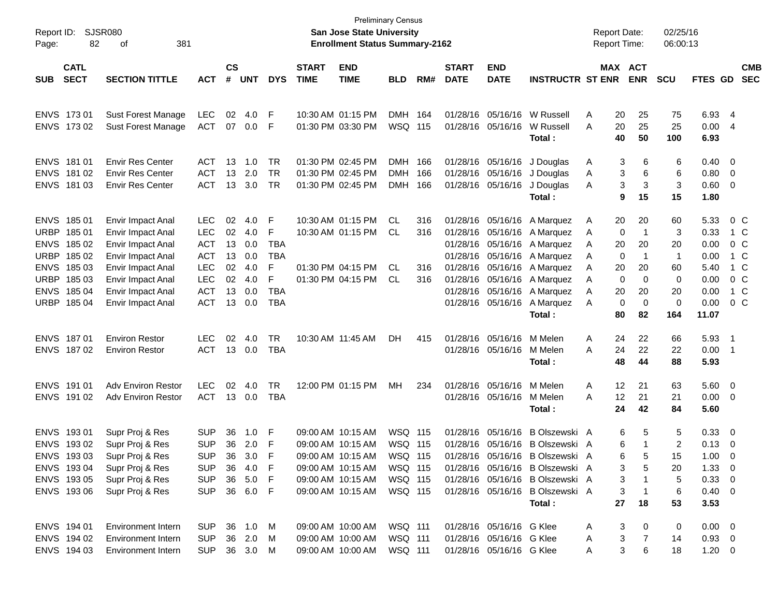| Report ID:<br>Page: | 82                         | SJSR080<br>381<br>οf                                   |                            |                    |               |            |                             | San Jose State University<br><b>Enrollment Status Summary-2162</b> | <b>Preliminary Census</b> |       |                             |                                                      |                                 |        | <b>Report Date:</b><br><b>Report Time:</b> |                | 02/25/16<br>06:00:13 |                           |                          |                          |
|---------------------|----------------------------|--------------------------------------------------------|----------------------------|--------------------|---------------|------------|-----------------------------|--------------------------------------------------------------------|---------------------------|-------|-----------------------------|------------------------------------------------------|---------------------------------|--------|--------------------------------------------|----------------|----------------------|---------------------------|--------------------------|--------------------------|
| <b>SUB</b>          | <b>CATL</b><br><b>SECT</b> | <b>SECTION TITTLE</b>                                  | <b>ACT</b>                 | $\mathsf{cs}$<br># | <b>UNT</b>    | <b>DYS</b> | <b>START</b><br><b>TIME</b> | <b>END</b><br><b>TIME</b>                                          | <b>BLD</b>                | RM#   | <b>START</b><br><b>DATE</b> | <b>END</b><br><b>DATE</b>                            | <b>INSTRUCTR ST ENR</b>         |        | MAX ACT                                    | <b>ENR</b>     | <b>SCU</b>           | FTES GD                   |                          | <b>CMB</b><br><b>SEC</b> |
|                     |                            |                                                        |                            |                    |               |            |                             |                                                                    |                           |       |                             |                                                      |                                 |        |                                            |                |                      |                           |                          |                          |
| ENVS 173 01         |                            | <b>Sust Forest Manage</b>                              | LEC                        | 02                 | 4.0           | F          |                             | 10:30 AM 01:15 PM                                                  | <b>DMH</b>                | - 164 |                             |                                                      | 01/28/16 05/16/16 W Russell     | A      | 20                                         | 25             | 75                   | 6.93                      | - 4                      |                          |
|                     | ENVS 173 02                | <b>Sust Forest Manage</b>                              | <b>ACT</b>                 | 07                 | $0.0\,$       | F          |                             | 01:30 PM 03:30 PM                                                  | WSQ 115                   |       |                             | 01/28/16 05/16/16                                    | W Russell                       | A      | 20                                         | 25<br>50       | 25                   | 0.00                      | 4                        |                          |
|                     |                            |                                                        |                            |                    |               |            |                             |                                                                    |                           |       |                             |                                                      | Total:                          |        | 40                                         |                | 100                  | 6.93                      |                          |                          |
| ENVS 181 01         |                            | <b>Envir Res Center</b>                                | ACT.                       | 13                 | 1.0           | <b>TR</b>  |                             | 01:30 PM 02:45 PM                                                  | DMH 166                   |       |                             | 01/28/16 05/16/16                                    | J Douglas                       | A      | 3                                          | 6              | 6                    | 0.40                      | - 0                      |                          |
|                     | ENVS 181 02                | <b>Envir Res Center</b>                                | <b>ACT</b>                 | 13                 | 2.0           | <b>TR</b>  |                             | 01:30 PM 02:45 PM                                                  | <b>DMH</b>                | 166   |                             | 01/28/16 05/16/16                                    | J Douglas                       | A      | 3                                          | 6              | 6                    | $0.80 \ 0$                |                          |                          |
|                     | ENVS 181 03                | <b>Envir Res Center</b>                                | <b>ACT</b>                 | 13                 | 3.0           | TR         |                             | 01:30 PM 02:45 PM                                                  | <b>DMH</b>                | 166   |                             | 01/28/16 05/16/16                                    | J Douglas                       | A      | 3                                          | 3              | 3                    | 0.60                      | $\overline{\mathbf{0}}$  |                          |
|                     |                            |                                                        |                            |                    |               |            |                             |                                                                    |                           |       |                             |                                                      | Total:                          |        | 9                                          | 15             | 15                   | 1.80                      |                          |                          |
| ENVS 185 01         |                            | Envir Impact Anal                                      | <b>LEC</b>                 | 02                 | 4.0           | F          |                             | 10:30 AM 01:15 PM                                                  | CL                        | 316   |                             |                                                      | 01/28/16 05/16/16 A Marquez     | A      | 20                                         | 20             | 60                   | 5.33                      | $0\,C$                   |                          |
| URBP 185 01         |                            | Envir Impact Anal                                      | <b>LEC</b>                 | 02                 | 4.0           | F          |                             | 10:30 AM 01:15 PM                                                  | CL.                       | 316   |                             |                                                      | 01/28/16 05/16/16 A Marquez     | A      | 0                                          | $\overline{1}$ | 3                    | 0.33                      | 1 C                      |                          |
|                     | ENVS 185 02                | Envir Impact Anal                                      | <b>ACT</b>                 | 13                 | 0.0           | <b>TBA</b> |                             |                                                                    |                           |       |                             |                                                      | 01/28/16 05/16/16 A Marquez     | A      | 20                                         | 20             | 20                   | 0.00                      | $0\,$ C                  |                          |
|                     | URBP 185 02                | Envir Impact Anal                                      | <b>ACT</b>                 | 13                 | 0.0           | <b>TBA</b> |                             |                                                                    |                           |       |                             |                                                      | 01/28/16 05/16/16 A Marquez     | A      | 0                                          | -1             | 1                    | 0.00                      | 1 C                      |                          |
|                     | ENVS 185 03                | Envir Impact Anal                                      | <b>LEC</b>                 | 02                 | 4.0           | F          |                             | 01:30 PM 04:15 PM                                                  | CL                        | 316   |                             | 01/28/16 05/16/16                                    | A Marquez                       | A      | 20                                         | 20             | 60                   | 5.40                      | 1 C                      |                          |
|                     | URBP 185 03                | Envir Impact Anal                                      | <b>LEC</b>                 | 02                 | 4.0           | F          |                             | 01:30 PM 04:15 PM                                                  | CL.                       | 316   |                             | 01/28/16 05/16/16                                    | A Marquez                       | A      | 0                                          | 0              | 0                    | 0.00                      | $0\,$ C                  |                          |
|                     | ENVS 185 04                | Envir Impact Anal                                      | <b>ACT</b>                 | 13                 | 0.0           | <b>TBA</b> |                             |                                                                    |                           |       |                             | 01/28/16 05/16/16                                    | A Marquez                       | A      | 20                                         | 20             | 20                   | 0.00                      | 1 C                      |                          |
|                     | URBP 185 04                | Envir Impact Anal                                      | <b>ACT</b>                 | 13                 | 0.0           | <b>TBA</b> |                             |                                                                    |                           |       |                             | 01/28/16 05/16/16                                    | A Marquez                       | A      | 0                                          | 0              | $\mathbf 0$          | 0.00                      | $0\,C$                   |                          |
|                     |                            |                                                        |                            |                    |               |            |                             |                                                                    |                           |       |                             |                                                      | Total:                          |        | 80                                         | 82             | 164                  | 11.07                     |                          |                          |
| ENVS 187 01         |                            | <b>Environ Restor</b>                                  | <b>LEC</b>                 | 02                 | 4.0           | <b>TR</b>  |                             | 10:30 AM 11:45 AM                                                  | DH.                       | 415   |                             | 01/28/16 05/16/16                                    | M Melen                         | Α      | 24                                         | 22             | 66                   | 5.93                      | $\overline{\phantom{1}}$ |                          |
|                     | ENVS 187 02                | <b>Environ Restor</b>                                  | <b>ACT</b>                 |                    | 13 0.0        | <b>TBA</b> |                             |                                                                    |                           |       |                             | 01/28/16 05/16/16                                    | M Melen                         | A      | 24                                         | 22             | 22                   | 0.00                      | - 1                      |                          |
|                     |                            |                                                        |                            |                    |               |            |                             |                                                                    |                           |       |                             |                                                      | Total:                          |        | 48                                         | 44             | 88                   | 5.93                      |                          |                          |
| ENVS 191 01         |                            | <b>Adv Environ Restor</b>                              | <b>LEC</b>                 | 02                 | 4.0           | <b>TR</b>  |                             | 12:00 PM 01:15 PM                                                  | МH                        | 234   |                             | 01/28/16 05/16/16                                    | M Melen                         | Α      | 12                                         | 21             | 63                   | 5.60 0                    |                          |                          |
|                     | ENVS 191 02                | <b>Adv Environ Restor</b>                              | <b>ACT</b>                 |                    | 13 0.0        | <b>TBA</b> |                             |                                                                    |                           |       |                             | 01/28/16 05/16/16                                    | M Melen                         | A      | 12                                         | 21             | 21                   | 0.00                      | - 0                      |                          |
|                     |                            |                                                        |                            |                    |               |            |                             |                                                                    |                           |       |                             |                                                      | Total:                          |        | 24                                         | 42             | 84                   | 5.60                      |                          |                          |
|                     |                            |                                                        |                            |                    |               |            |                             |                                                                    |                           |       |                             |                                                      |                                 |        |                                            |                |                      |                           |                          |                          |
| ENVS 193 01         |                            | Supr Proj & Res                                        | <b>SUP</b>                 | 36                 | 1.0           | F          |                             | 09:00 AM 10:15 AM                                                  | WSQ 115                   |       |                             | 01/28/16 05/16/16                                    | B Olszewski A                   |        | 6                                          | 5              | 5                    | 0.33                      | $\overline{\mathbf{0}}$  |                          |
|                     | ENVS 193 02<br>ENVS 19303  | Supr Proj & Res                                        | <b>SUP</b>                 | 36                 | 2.0<br>36 3.0 | F          |                             | 09:00 AM 10:15 AM<br>09:00 AM 10:15 AM                             | <b>WSQ 115</b><br>WSQ 115 |       |                             |                                                      | 01/28/16 05/16/16 B Olszewski A |        | 6<br>6                                     | -1<br>5        | $\overline{2}$<br>15 | 0.13                      | - 0<br>- 0               |                          |
|                     | ENVS 193 04                | Supr Proj & Res<br>Supr Proj & Res                     | <b>SUP</b><br><b>SUP</b>   |                    | 36 4.0 F      | F          |                             | 09:00 AM 10:15 AM                                                  | WSQ 115                   |       |                             |                                                      | 01/28/16 05/16/16 B Olszewski A |        | 3                                          | 5              | 20                   | 1.00<br>$1.33 \ 0$        |                          |                          |
|                     | ENVS 193 05                | Supr Proj & Res                                        | <b>SUP</b>                 |                    | 36 5.0        | - F        |                             | 09:00 AM 10:15 AM                                                  | WSQ 115                   |       |                             |                                                      | 01/28/16 05/16/16 B Olszewski A |        | 3                                          |                | 5                    | $0.33 \ 0$                |                          |                          |
|                     | ENVS 193 06                | Supr Proj & Res                                        | SUP 36 6.0 F               |                    |               |            |                             | 09:00 AM 10:15 AM                                                  | WSQ 115                   |       |                             |                                                      | 01/28/16 05/16/16 B Olszewski A |        | 3                                          | $\mathbf 1$    | 6                    | $0.40 \quad 0$            |                          |                          |
|                     |                            |                                                        |                            |                    |               |            |                             |                                                                    |                           |       |                             |                                                      | Total:                          |        | 27                                         | 18             | 53                   | 3.53                      |                          |                          |
|                     |                            |                                                        |                            |                    |               |            |                             |                                                                    |                           |       |                             |                                                      |                                 |        |                                            |                |                      |                           |                          |                          |
| ENVS 194 01         |                            | <b>Environment Intern</b>                              | SUP 36 1.0 M               |                    |               |            |                             | 09:00 AM 10:00 AM                                                  | WSQ 111                   |       |                             | 01/28/16 05/16/16 G Klee                             |                                 | A      | 3                                          | 0              | 0                    | $0.00 \quad 0$            |                          |                          |
|                     | ENVS 194 02<br>ENVS 194 03 | <b>Environment Intern</b><br><b>Environment Intern</b> | <b>SUP</b><br>SUP 36 3.0 M |                    | 36 2.0        | M          |                             | 09:00 AM 10:00 AM<br>09:00 AM 10:00 AM                             | WSQ 111<br>WSQ 111        |       |                             | 01/28/16 05/16/16 G Klee<br>01/28/16 05/16/16 G Klee |                                 | A<br>A | 3<br>3                                     | 7<br>6         | 14<br>18             | $0.93 \ 0$<br>$1.20 \t 0$ |                          |                          |
|                     |                            |                                                        |                            |                    |               |            |                             |                                                                    |                           |       |                             |                                                      |                                 |        |                                            |                |                      |                           |                          |                          |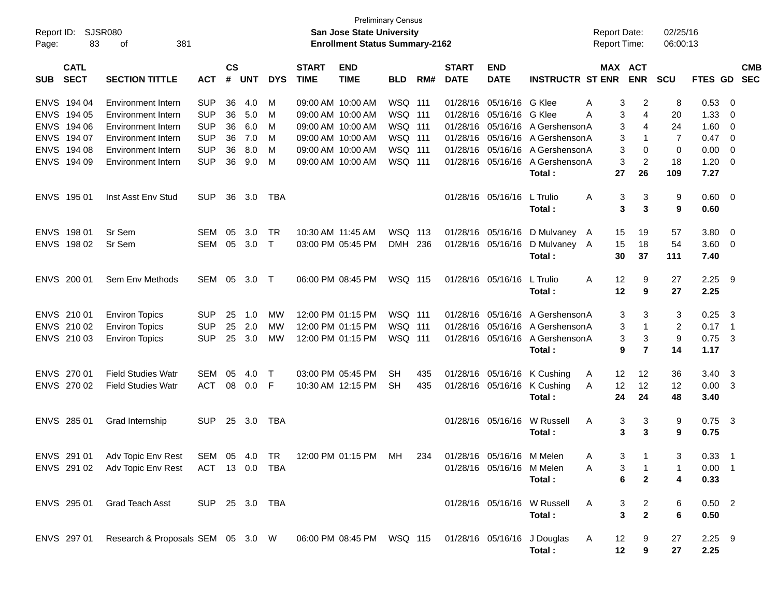| Report ID:<br>Page: | <b>SJSR080</b><br>83       | 381<br>οf                                                                                           |                |                    |            |              |                             | <b>Preliminary Census</b><br><b>San Jose State University</b><br><b>Enrollment Status Summary-2162</b> |                |     |                             |                           |                             | <b>Report Date:</b><br><b>Report Time:</b> |                                  | 02/25/16<br>06:00:13 |              |                            |            |
|---------------------|----------------------------|-----------------------------------------------------------------------------------------------------|----------------|--------------------|------------|--------------|-----------------------------|--------------------------------------------------------------------------------------------------------|----------------|-----|-----------------------------|---------------------------|-----------------------------|--------------------------------------------|----------------------------------|----------------------|--------------|----------------------------|------------|
| <b>SUB</b>          | <b>CATL</b><br><b>SECT</b> | <b>SECTION TITTLE</b>                                                                               | <b>ACT</b>     | $\mathsf{cs}$<br># | <b>UNT</b> | <b>DYS</b>   | <b>START</b><br><b>TIME</b> | <b>END</b><br><b>TIME</b>                                                                              | <b>BLD</b>     | RM# | <b>START</b><br><b>DATE</b> | <b>END</b><br><b>DATE</b> | <b>INSTRUCTR ST ENR</b>     | MAX ACT                                    | <b>ENR</b>                       | <b>SCU</b>           | FTES GD SEC  |                            | <b>CMB</b> |
| <b>ENVS</b>         | 194 04                     | <b>Environment Intern</b>                                                                           | <b>SUP</b>     | 36                 | 4.0        | M            |                             | 09:00 AM 10:00 AM                                                                                      | WSQ 111        |     | 01/28/16                    | 05/16/16                  | G Klee                      | 3<br>A                                     | 2                                | 8                    | 0.53         | - 0                        |            |
| <b>ENVS</b>         | 194 05                     | <b>Environment Intern</b>                                                                           | <b>SUP</b>     | 36                 | 5.0        | м            | 09:00 AM 10:00 AM           |                                                                                                        | <b>WSQ 111</b> |     | 01/28/16                    | 05/16/16                  | G Klee                      | 3<br>A                                     | $\overline{4}$                   | 20                   | 1.33         | $\overline{0}$             |            |
| <b>ENVS</b>         | 194 06                     | <b>Environment Intern</b>                                                                           | <b>SUP</b>     | 36                 | 6.0        | M            | 09:00 AM 10:00 AM           |                                                                                                        | WSQ 111        |     | 01/28/16                    | 05/16/16                  | A Gershenson A              | 3                                          | $\overline{4}$                   | 24                   | 1.60         | $\overline{0}$             |            |
| <b>ENVS</b>         | 194 07                     | <b>Environment Intern</b>                                                                           | <b>SUP</b>     | 36                 | 7.0        | м            | 09:00 AM 10:00 AM           |                                                                                                        | WSQ 111        |     | 01/28/16                    | 05/16/16                  | A Gershenson A              | 3                                          | $\mathbf{1}$                     | 7                    | 0.47         | $\overline{\mathbf{0}}$    |            |
| <b>ENVS</b>         | 194 08                     | <b>Environment Intern</b>                                                                           | <b>SUP</b>     | 36                 | 8.0        | м            | 09:00 AM 10:00 AM           |                                                                                                        | WSQ 111        |     | 01/28/16                    | 05/16/16                  | A Gershenson A              | 3                                          | 0                                | $\mathbf 0$          | 0.00         | $\overline{0}$             |            |
|                     | ENVS 194 09                | Environment Intern                                                                                  | <b>SUP</b>     | 36                 | 9.0        | M            | 09:00 AM 10:00 AM           |                                                                                                        | WSQ 111        |     | 01/28/16                    | 05/16/16                  | A Gershenson A<br>Total:    | 3<br>27                                    | $\overline{c}$<br>26             | 18<br>109            | 1.20<br>7.27 | $\overline{\mathbf{0}}$    |            |
|                     | ENVS 195 01                | Inst Asst Env Stud                                                                                  | <b>SUP</b>     | 36                 | 3.0        | TBA          |                             |                                                                                                        |                |     |                             | 01/28/16 05/16/16         | L Trulio<br>Total:          | 3<br>A<br>3                                | 3<br>3                           | 9<br>9               | 0.60<br>0.60 | $\overline{\phantom{0}}$   |            |
| <b>ENVS</b>         | 198 01                     | Sr Sem                                                                                              | <b>SEM</b>     | 05                 | 3.0        | <b>TR</b>    | 10:30 AM 11:45 AM           |                                                                                                        | WSQ 113        |     | 01/28/16                    | 05/16/16                  | D Mulvaney A                | 15                                         | 19                               | 57                   | 3.80         | $\overline{\mathbf{0}}$    |            |
|                     | ENVS 198 02                | Sr Sem                                                                                              | <b>SEM</b>     | 05                 | 3.0        | $\mathsf{T}$ |                             | 03:00 PM 05:45 PM                                                                                      | DMH 236        |     | 01/28/16 05/16/16           |                           | D Mulvaney A                | 15                                         | 18                               | 54                   | 3.60         | $\overline{\mathbf{0}}$    |            |
|                     |                            |                                                                                                     |                |                    |            |              |                             |                                                                                                        |                |     |                             |                           | Total:                      | 30                                         | 37                               | 111                  | 7.40         |                            |            |
|                     | ENVS 200 01                | Sem Env Methods                                                                                     | SEM            | 05                 | 3.0        | $\top$       |                             | 06:00 PM 08:45 PM                                                                                      | WSQ 115        |     | 01/28/16 05/16/16           |                           | L Trulio                    | 12<br>A                                    | 9                                | 27                   | 2.25         | - 9                        |            |
|                     |                            |                                                                                                     |                |                    |            |              |                             |                                                                                                        |                |     |                             |                           | Total:                      | 12                                         | 9                                | 27                   | 2.25         |                            |            |
|                     | ENVS 210 01                | <b>Environ Topics</b>                                                                               | <b>SUP</b>     | 25                 | 1.0        | MW           | 12:00 PM 01:15 PM           |                                                                                                        | <b>WSQ 111</b> |     | 01/28/16                    | 05/16/16                  | A Gershenson A              | 3                                          | 3                                | 3                    | 0.25         | $\mathbf{3}$               |            |
|                     | ENVS 210 02                | <b>Environ Topics</b>                                                                               | <b>SUP</b>     | 25                 | 2.0        | MW           | 12:00 PM 01:15 PM           |                                                                                                        | WSQ 111        |     | 01/28/16                    | 05/16/16                  | A Gershenson A              | 3                                          | $\mathbf{1}$                     | 2                    | 0.17         | $\overline{\phantom{0}}$ 1 |            |
|                     | ENVS 210 03                | <b>Environ Topics</b>                                                                               | <b>SUP</b>     | 25                 | 3.0        | MW           | 12:00 PM 01:15 PM           |                                                                                                        | WSQ 111        |     | 01/28/16                    | 05/16/16                  | A Gershenson A              | 3                                          | 3                                | $\boldsymbol{9}$     | 0.75         | $\mathbf{3}$               |            |
|                     |                            |                                                                                                     |                |                    |            |              |                             |                                                                                                        |                |     |                             |                           | Total:                      | 9                                          | $\overline{7}$                   | 14                   | 1.17         |                            |            |
|                     | ENVS 270 01                | <b>Field Studies Watr</b>                                                                           | <b>SEM</b>     | 05                 | 4.0        | $\mathsf{T}$ | 03:00 PM 05:45 PM           |                                                                                                        | SH             | 435 | 01/28/16                    | 05/16/16                  | K Cushing                   | 12<br>A                                    | 12                               | 36                   | 3.40         | $\overline{\mathbf{3}}$    |            |
|                     | ENVS 270 02                | <b>Field Studies Watr</b>                                                                           | <b>ACT</b>     | 08                 | 0.0        | F            | 10:30 AM 12:15 PM           |                                                                                                        | SH             | 435 |                             | 01/28/16 05/16/16         | K Cushing                   | 12<br>A                                    | 12                               | 12                   | 0.00         | $\overline{\mathbf{3}}$    |            |
|                     |                            |                                                                                                     |                |                    |            |              |                             |                                                                                                        |                |     |                             |                           | Total:                      | 24                                         | 24                               | 48                   | 3.40         |                            |            |
|                     | ENVS 285 01                | Grad Internship                                                                                     | <b>SUP</b>     | 25                 | 3.0        | TBA          |                             |                                                                                                        |                |     |                             | 01/28/16 05/16/16         | W Russell                   | 3<br>A                                     | 3                                | 9                    | 0.75         | $\overline{\mathbf{3}}$    |            |
|                     |                            |                                                                                                     |                |                    |            |              |                             |                                                                                                        |                |     |                             |                           | Total:                      | 3                                          | 3                                | 9                    | 0.75         |                            |            |
|                     |                            | ENVS 291 01 Adv Topic Env Rest SEM 05 4.0 TR 12:00 PM 01:15 PM MH 234                               |                |                    |            |              |                             |                                                                                                        |                |     |                             | 01/28/16 05/16/16 M Melen |                             | Α                                          | 3 <sup>7</sup><br>$\overline{1}$ |                      | $0.33$ 1     |                            |            |
|                     |                            | ENVS 291 02 Adv Topic Env Rest ACT 13 0.0 TBA                                                       |                |                    |            |              |                             |                                                                                                        |                |     |                             | 01/28/16 05/16/16 M Melen |                             | 3<br>A                                     | $\mathbf{1}$                     | -1                   | $0.00$ 1     |                            |            |
|                     |                            |                                                                                                     |                |                    |            |              |                             |                                                                                                        |                |     |                             |                           | Total:                      | 6                                          | $\mathbf{2}$                     | 4                    | 0.33         |                            |            |
|                     | ENVS 295 01                | Grad Teach Asst                                                                                     | SUP 25 3.0 TBA |                    |            |              |                             |                                                                                                        |                |     |                             |                           | 01/28/16 05/16/16 W Russell | 3<br>A                                     | $\overline{a}$                   | 6                    | $0.50$ 2     |                            |            |
|                     |                            |                                                                                                     |                |                    |            |              |                             |                                                                                                        |                |     |                             |                           | Total:                      | $\mathbf{3}$                               | $\overline{2}$                   | 6                    | 0.50         |                            |            |
|                     |                            | ENVS 297 01 Research & Proposals SEM 05 3.0 W 06:00 PM 08:45 PM WSQ 115 01/28/16 05/16/16 J Douglas |                |                    |            |              |                             |                                                                                                        |                |     |                             |                           |                             | 12<br>$\mathsf{A}$                         | 9                                | 27                   | $2.25$ 9     |                            |            |
|                     |                            |                                                                                                     |                |                    |            |              |                             |                                                                                                        |                |     |                             |                           | Total:                      | 12                                         | 9                                | 27                   | 2.25         |                            |            |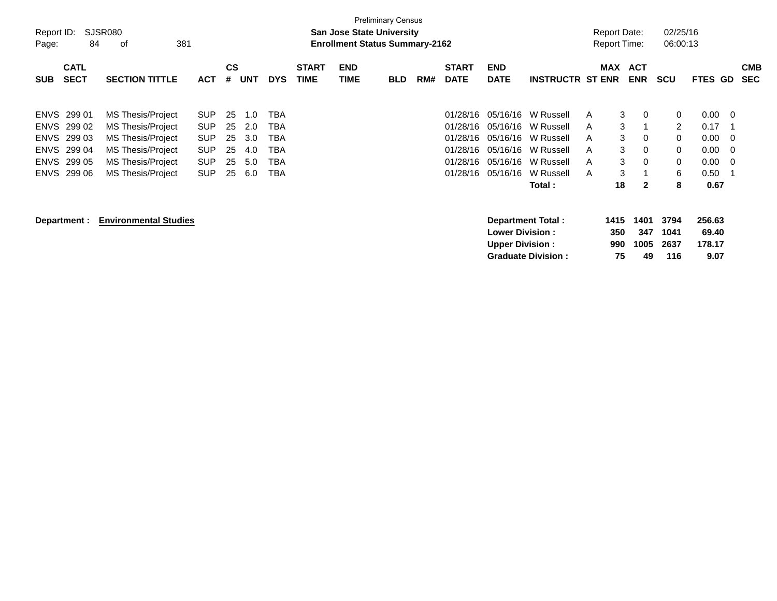| Report ID:<br>Page: | 84                         | SJSR080<br>381<br>οf         |            |                    |            |            |                             |                           | <b>Preliminary Census</b><br><b>San Jose State University</b><br><b>Enrollment Status Summary-2162</b> |     |                             |                           |                           |   | Report Date:<br><b>Report Time:</b> |                          | 02/25/16<br>06:00:13 |                |                |                          |
|---------------------|----------------------------|------------------------------|------------|--------------------|------------|------------|-----------------------------|---------------------------|--------------------------------------------------------------------------------------------------------|-----|-----------------------------|---------------------------|---------------------------|---|-------------------------------------|--------------------------|----------------------|----------------|----------------|--------------------------|
| <b>SUB</b>          | <b>CATL</b><br><b>SECT</b> | <b>SECTION TITTLE</b>        | <b>ACT</b> | $\mathsf{cs}$<br># | <b>UNT</b> | <b>DYS</b> | <b>START</b><br><b>TIME</b> | <b>END</b><br><b>TIME</b> | <b>BLD</b>                                                                                             | RM# | <b>START</b><br><b>DATE</b> | <b>END</b><br><b>DATE</b> | <b>INSTRUCTR ST ENR</b>   |   | MAX                                 | <b>ACT</b><br><b>ENR</b> | <b>SCU</b>           | <b>FTES GD</b> |                | <b>CMB</b><br><b>SEC</b> |
|                     |                            |                              |            |                    |            |            |                             |                           |                                                                                                        |     |                             |                           |                           |   |                                     |                          |                      |                |                |                          |
|                     | ENVS 299 01                | MS Thesis/Project            | <b>SUP</b> | 25                 | 1.0        | TBA        |                             |                           |                                                                                                        |     | 01/28/16                    |                           | 05/16/16 W Russell        | A | 3                                   | $\overline{0}$           | 0                    | $0.00 \quad 0$ |                |                          |
| <b>ENVS</b>         | 299 02                     | <b>MS Thesis/Project</b>     | <b>SUP</b> | 25                 | 2.0        | TBA        |                             |                           |                                                                                                        |     | 01/28/16                    | 05/16/16                  | W Russell                 | A | 3                                   |                          | 2                    | 0.17           | - 1            |                          |
| <b>ENVS</b>         | 299 03                     | MS Thesis/Project            | <b>SUP</b> | 25                 | 3.0        | TBA        |                             |                           |                                                                                                        |     | 01/28/16                    |                           | 05/16/16 W Russell        | A | 3                                   | $\mathbf 0$              | 0                    | 0.00           | - 0            |                          |
| <b>ENVS</b>         | 299 04                     | <b>MS Thesis/Project</b>     | <b>SUP</b> | 25                 | 4.0        | TBA        |                             |                           |                                                                                                        |     | 01/28/16                    | 05/16/16                  | W Russell                 | A | 3                                   | $\Omega$                 | 0                    | 0.00           | $\overline{0}$ |                          |
| <b>ENVS</b>         | 299 05                     | <b>MS Thesis/Project</b>     | <b>SUP</b> | 25                 | 5.0        | <b>TBA</b> |                             |                           |                                                                                                        |     | 01/28/16                    | 05/16/16                  | W Russell                 | A | 3                                   | 0                        | 0                    | 0.00           | - 0            |                          |
| <b>ENVS</b>         | 299 06                     | <b>MS Thesis/Project</b>     | <b>SUP</b> | 25                 | 6.0        | <b>TBA</b> |                             |                           |                                                                                                        |     | 01/28/16                    | 05/16/16                  | W Russell                 | A | 3                                   |                          | 6                    | 0.50           | - 1            |                          |
|                     |                            |                              |            |                    |            |            |                             |                           |                                                                                                        |     |                             |                           | Total:                    |   | 18                                  | $\mathbf{2}$             | 8                    | 0.67           |                |                          |
|                     | Department :               | <b>Environmental Studies</b> |            |                    |            |            |                             |                           |                                                                                                        |     |                             |                           | Department Total:         |   | 1415                                | 1401                     | 3794                 | 256.63         |                |                          |
|                     |                            |                              |            |                    |            |            |                             |                           |                                                                                                        |     |                             | <b>Lower Division:</b>    |                           |   | 350                                 | 347                      | 1041                 | 69.40          |                |                          |
|                     |                            |                              |            |                    |            |            |                             |                           |                                                                                                        |     |                             | <b>Upper Division:</b>    |                           |   | 990                                 | 1005                     | 2637                 | 178.17         |                |                          |
|                     |                            |                              |            |                    |            |            |                             |                           |                                                                                                        |     |                             |                           | <b>Graduate Division:</b> |   | 75                                  | 49                       | 116                  | 9.07           |                |                          |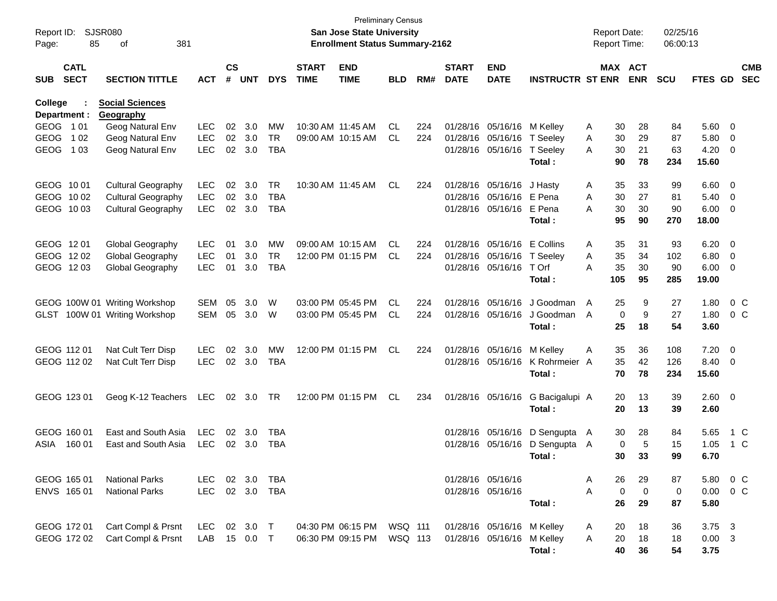| Report ID:<br>Page:     | 85                         | SJSR080<br>381<br>οf                |            |                    |                |            |                             | <b>Preliminary Census</b><br><b>San Jose State University</b><br><b>Enrollment Status Summary-2162</b> |            |     |                             |                            |                         |   | <b>Report Date:</b><br><b>Report Time:</b> |                       | 02/25/16<br>06:00:13 |                |                         |                          |
|-------------------------|----------------------------|-------------------------------------|------------|--------------------|----------------|------------|-----------------------------|--------------------------------------------------------------------------------------------------------|------------|-----|-----------------------------|----------------------------|-------------------------|---|--------------------------------------------|-----------------------|----------------------|----------------|-------------------------|--------------------------|
| <b>SUB</b>              | <b>CATL</b><br><b>SECT</b> | <b>SECTION TITTLE</b>               | <b>ACT</b> | $\mathsf{cs}$<br># | <b>UNT</b>     | <b>DYS</b> | <b>START</b><br><b>TIME</b> | <b>END</b><br><b>TIME</b>                                                                              | <b>BLD</b> | RM# | <b>START</b><br><b>DATE</b> | <b>END</b><br><b>DATE</b>  | <b>INSTRUCTR ST ENR</b> |   |                                            | MAX ACT<br><b>ENR</b> | <b>SCU</b>           | <b>FTES GD</b> |                         | <b>CMB</b><br><b>SEC</b> |
| College<br>Department : |                            | <b>Social Sciences</b><br>Geography |            |                    |                |            |                             |                                                                                                        |            |     |                             |                            |                         |   |                                            |                       |                      |                |                         |                          |
| GEOG 101                |                            | Geog Natural Env                    | <b>LEC</b> | 02                 | 3.0            | MW         |                             | 10:30 AM 11:45 AM                                                                                      | CL         | 224 | 01/28/16                    | 05/16/16                   | M Kelley                | A | 30                                         | 28                    | 84                   | 5.60           | - 0                     |                          |
| <b>GEOG</b>             | 1 0 2                      | Geog Natural Env                    | LEC        |                    | 02 3.0         | TR         |                             | 09:00 AM 10:15 AM                                                                                      | CL         | 224 | 01/28/16                    | 05/16/16                   | T Seeley                | Α | 30                                         | 29                    | 87                   | 5.80           | $\overline{0}$          |                          |
| <b>GEOG</b>             | 1 0 3                      | Geog Natural Env                    | <b>LEC</b> | 02                 | 3.0            | <b>TBA</b> |                             |                                                                                                        |            |     | 01/28/16                    | 05/16/16                   | T Seeley<br>Total:      | A | 30<br>90                                   | 21<br>78              | 63<br>234            | 4.20<br>15.60  | $\overline{0}$          |                          |
| GEOG 1001               |                            | <b>Cultural Geography</b>           | <b>LEC</b> | 02                 | 3.0            | TR         |                             | 10:30 AM 11:45 AM                                                                                      | CL         | 224 | 01/28/16                    | 05/16/16                   | J Hasty                 | A | 35                                         | 33                    | 99                   | 6.60           | $\overline{0}$          |                          |
| GEOG 1002               |                            | <b>Cultural Geography</b>           | <b>LEC</b> | $02\,$             | 3.0            | TBA        |                             |                                                                                                        |            |     | 01/28/16                    | 05/16/16                   | E Pena                  | Α | 30                                         | 27                    | 81                   | 5.40           | - 0                     |                          |
| GEOG 1003               |                            | <b>Cultural Geography</b>           | <b>LEC</b> |                    | 02 3.0         | <b>TBA</b> |                             |                                                                                                        |            |     | 01/28/16                    | 05/16/16                   | E Pena                  | A | 30                                         | 30                    | 90                   | 6.00           | $\overline{0}$          |                          |
|                         |                            |                                     |            |                    |                |            |                             |                                                                                                        |            |     |                             |                            | Total:                  |   | 95                                         | 90                    | 270                  | 18.00          |                         |                          |
| GEOG 1201               |                            | Global Geography                    | <b>LEC</b> | 01                 | 3.0            | MW         |                             | 09:00 AM 10:15 AM                                                                                      | CL         | 224 | 01/28/16                    | 05/16/16                   | E Collins               | A | 35                                         | 31                    | 93                   | 6.20           | $\overline{\mathbf{0}}$ |                          |
| GEOG 1202               |                            | Global Geography                    | <b>LEC</b> | 01                 | 3.0            | TR         |                             | 12:00 PM 01:15 PM                                                                                      | CL         | 224 | 01/28/16                    | 05/16/16                   | T Seeley                | Α | 35                                         | 34                    | 102                  | 6.80           | $\overline{0}$          |                          |
| GEOG 1203               |                            | Global Geography                    | <b>LEC</b> | 01                 | 3.0            | <b>TBA</b> |                             |                                                                                                        |            |     | 01/28/16                    | 05/16/16                   | T Orf                   | A | 35                                         | 30                    | 90                   | 6.00           | $\overline{0}$          |                          |
|                         |                            |                                     |            |                    |                |            |                             |                                                                                                        |            |     |                             |                            | Total:                  |   | 105                                        | 95                    | 285                  | 19.00          |                         |                          |
|                         |                            | GEOG 100W 01 Writing Workshop       | SEM        | 05                 | 3.0            | W          |                             | 03:00 PM 05:45 PM                                                                                      | CL         | 224 | 01/28/16                    | 05/16/16                   | J Goodman               | A | 25                                         | 9                     | 27                   | 1.80           | 0 <sup>o</sup>          |                          |
|                         |                            | GLST 100W 01 Writing Workshop       | SEM        | 05                 | 3.0            | W          |                             | 03:00 PM 05:45 PM                                                                                      | CL         | 224 | 01/28/16                    | 05/16/16                   | J Goodman<br>Total:     | A | 0<br>25                                    | 9<br>18               | 27<br>54             | 1.80<br>3.60   | 0 <sup>C</sup>          |                          |
|                         |                            |                                     |            |                    |                |            |                             |                                                                                                        |            |     |                             |                            |                         |   |                                            |                       |                      |                |                         |                          |
| GEOG 112 01             |                            | Nat Cult Terr Disp                  | <b>LEC</b> | 02                 | 3.0            | MW         |                             | 12:00 PM 01:15 PM                                                                                      | CL         | 224 | 01/28/16                    | 05/16/16                   | M Kellev                | A | 35                                         | 36                    | 108                  | 7.20           | $\overline{0}$          |                          |
| GEOG 112 02             |                            | Nat Cult Terr Disp                  | <b>LEC</b> |                    | 02 3.0         | TBA        |                             |                                                                                                        |            |     | 01/28/16                    | 05/16/16                   | K Rohrmeier A           |   | 35                                         | 42                    | 126                  | 8.40           | $\overline{0}$          |                          |
|                         |                            |                                     |            |                    |                |            |                             |                                                                                                        |            |     |                             |                            | Total:                  |   | 70                                         | 78                    | 234                  | 15.60          |                         |                          |
| GEOG 123 01             |                            | Geog K-12 Teachers                  | LEC        |                    | 02 3.0         | TR         |                             | 12:00 PM 01:15 PM                                                                                      | CL         | 234 |                             | 01/28/16 05/16/16          | G Bacigalupi A          |   | 20                                         | 13                    | 39                   | $2.60 \t 0$    |                         |                          |
|                         |                            |                                     |            |                    |                |            |                             |                                                                                                        |            |     |                             |                            | Total:                  |   | 20                                         | 13                    | 39                   | 2.60           |                         |                          |
| GEOG 160 01             |                            | East and South Asia                 | <b>LEC</b> | 02                 | 3.0            | <b>TBA</b> |                             |                                                                                                        |            |     | 01/28/16                    | 05/16/16                   | D Sengupta A            |   | 30                                         | 28                    | 84                   | 5.65           | 1 C                     |                          |
| ASIA                    | 160 01                     | East and South Asia                 | LEC        |                    | $02 \quad 3.0$ | <b>TBA</b> |                             |                                                                                                        |            |     | 01/28/16                    | 05/16/16                   | D Sengupta A            |   | 0                                          | 5                     | 15                   | 1.05           | 1 C                     |                          |
|                         |                            |                                     |            |                    |                |            |                             |                                                                                                        |            |     |                             |                            | Total:                  |   | 30                                         | 33                    | 99                   | 6.70           |                         |                          |
| GEOG 165 01             |                            | <b>National Parks</b>               | LEC        |                    | 02 3.0         | TBA        |                             |                                                                                                        |            |     | 01/28/16 05/16/16           |                            |                         | A | 26                                         | 29                    | 87                   | 5.80           | 0 C                     |                          |
|                         | ENVS 165 01                | <b>National Parks</b>               | <b>LEC</b> |                    | 02 3.0         | TBA        |                             |                                                                                                        |            |     | 01/28/16 05/16/16           |                            |                         | A | $\mathbf 0$                                | $\mathbf 0$           | 0                    | 0.00           | $0\,C$                  |                          |
|                         |                            |                                     |            |                    |                |            |                             |                                                                                                        |            |     |                             |                            | Total:                  |   | 26                                         | 29                    | 87                   | 5.80           |                         |                          |
| GEOG 172 01             |                            | Cart Compl & Prsnt                  | LEC 02 3.0 |                    |                | $\top$     |                             | 04:30 PM 06:15 PM                                                                                      | WSQ 111    |     |                             | 01/28/16 05/16/16 M Kelley |                         | A | 20                                         | 18                    | 36                   | 3.75 3         |                         |                          |
|                         | GEOG 172 02                | Cart Compl & Prsnt                  | LAB        |                    | 15 0.0         | $\top$     |                             | 06:30 PM 09:15 PM                                                                                      | WSQ 113    |     |                             | 01/28/16 05/16/16 M Kelley |                         | A | 20                                         | 18                    | 18                   | $0.00 \t3$     |                         |                          |
|                         |                            |                                     |            |                    |                |            |                             |                                                                                                        |            |     |                             |                            | Total:                  |   | 40                                         | 36                    | 54                   | 3.75           |                         |                          |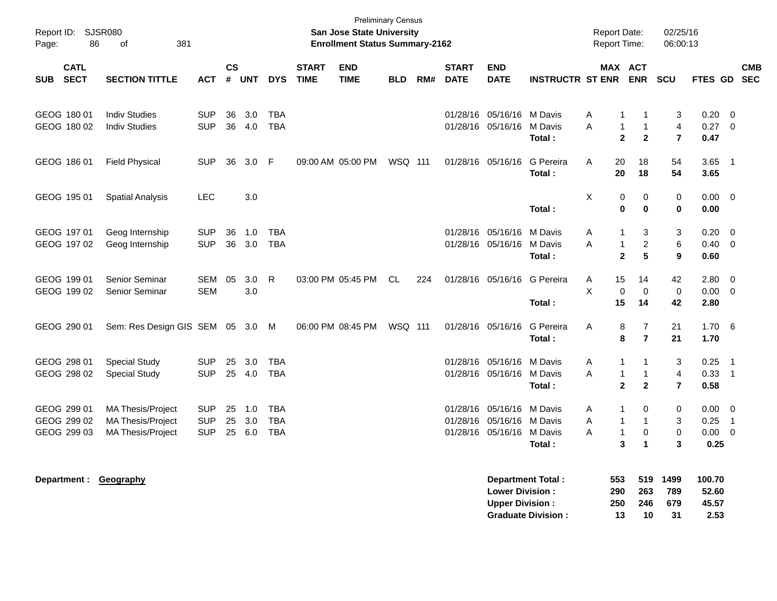| Report ID: SJSR080<br>86<br>Page:         | 381<br>of                                                                        |                                        |                         |                   |                                        |                             | <b>Preliminary Census</b><br>San Jose State University<br><b>Enrollment Status Summary-2162</b> |           |     |                             |                                                   |                              |             | <b>Report Date:</b><br>Report Time:              |                                                          | 02/25/16<br>06:00:13                           |                                     |                                                          |                          |
|-------------------------------------------|----------------------------------------------------------------------------------|----------------------------------------|-------------------------|-------------------|----------------------------------------|-----------------------------|-------------------------------------------------------------------------------------------------|-----------|-----|-----------------------------|---------------------------------------------------|------------------------------|-------------|--------------------------------------------------|----------------------------------------------------------|------------------------------------------------|-------------------------------------|----------------------------------------------------------|--------------------------|
| <b>CATL</b><br><b>SECT</b><br><b>SUB</b>  | <b>SECTION TITTLE</b>                                                            | <b>ACT</b>                             | <b>CS</b><br>$\pmb{\#}$ | <b>UNT</b>        | <b>DYS</b>                             | <b>START</b><br><b>TIME</b> | <b>END</b><br><b>TIME</b>                                                                       | BLD       | RM# | <b>START</b><br><b>DATE</b> | <b>END</b><br><b>DATE</b>                         | <b>INSTRUCTR ST ENR</b>      |             | MAX ACT                                          | <b>ENR</b>                                               | SCU                                            | <b>FTES GD</b>                      |                                                          | <b>CMB</b><br><b>SEC</b> |
| GEOG 180 01<br>GEOG 180 02                | <b>Indiv Studies</b><br><b>Indiv Studies</b>                                     | <b>SUP</b><br><b>SUP</b>               | 36                      | 3.0<br>36 4.0     | <b>TBA</b><br><b>TBA</b>               |                             |                                                                                                 |           |     | 01/28/16                    | 05/16/16<br>01/28/16 05/16/16                     | M Davis<br>M Davis<br>Total: | Α<br>A      | 1<br>$\mathbf{1}$<br>$\overline{2}$              | -1<br>$\mathbf{1}$<br>$\mathbf{2}$                       | 3<br>$\overline{4}$<br>$\overline{7}$          | 0.20<br>0.27<br>0.47                | $\overline{0}$<br>$\overline{0}$                         |                          |
| GEOG 186 01                               | <b>Field Physical</b>                                                            | <b>SUP</b>                             | 36                      | 3.0               | -F                                     |                             | 09:00 AM 05:00 PM                                                                               | WSQ 111   |     |                             | 01/28/16 05/16/16                                 | G Pereira<br>Total:          | A           | 20<br>20                                         | 18<br>18                                                 | 54<br>54                                       | 3.65<br>3.65                        | $\overline{\phantom{0}}$ 1                               |                          |
| GEOG 195 01                               | <b>Spatial Analysis</b>                                                          | <b>LEC</b>                             |                         | 3.0               |                                        |                             |                                                                                                 |           |     |                             |                                                   | Total:                       | X           | 0<br>$\bf{0}$                                    | 0<br>$\bf{0}$                                            | $\mathbf 0$<br>$\bf{0}$                        | $0.00 \quad 0$<br>0.00              |                                                          |                          |
| GEOG 197 01<br>GEOG 197 02                | Geog Internship<br>Geog Internship                                               | <b>SUP</b><br><b>SUP</b>               | 36                      | 1.0<br>36 3.0     | <b>TBA</b><br><b>TBA</b>               |                             |                                                                                                 |           |     | 01/28/16                    | 05/16/16<br>01/28/16 05/16/16                     | M Davis<br>M Davis<br>Total: | A<br>A      | 1<br>$\mathbf{1}$<br>$\overline{2}$              | 3<br>$\boldsymbol{2}$<br>5                               | 3<br>$\,6$<br>9                                | 0.20<br>0.40<br>0.60                | $\overline{0}$<br>$\overline{\mathbf{0}}$                |                          |
| GEOG 199 01<br>GEOG 199 02                | Senior Seminar<br><b>Senior Seminar</b>                                          | <b>SEM</b><br><b>SEM</b>               | 05                      | 3.0<br>3.0        | R                                      |                             | 03:00 PM 05:45 PM                                                                               | <b>CL</b> | 224 |                             | 01/28/16 05/16/16                                 | G Pereira<br>Total:          | Α<br>X      | 15<br>$\pmb{0}$<br>15                            | 14<br>$\mathbf 0$<br>14                                  | 42<br>$\mathbf 0$<br>42                        | 2.80<br>$0.00 \t 0$<br>2.80         | $\overline{0}$                                           |                          |
| GEOG 290 01                               | Sem: Res Design GIS SEM 05 3.0 M                                                 |                                        |                         |                   |                                        |                             | 06:00 PM 08:45 PM                                                                               | WSQ 111   |     |                             | 01/28/16 05/16/16                                 | G Pereira<br>Total:          | Α           | 8<br>8                                           | $\overline{7}$<br>$\overline{7}$                         | 21<br>21                                       | $1.70\quad 6$<br>1.70               |                                                          |                          |
| GEOG 298 01<br>GEOG 298 02                | <b>Special Study</b><br><b>Special Study</b>                                     | <b>SUP</b><br><b>SUP</b>               | 25                      | 3.0<br>25 4.0     | <b>TBA</b><br><b>TBA</b>               |                             |                                                                                                 |           |     |                             | 01/28/16 05/16/16<br>01/28/16 05/16/16            | M Davis<br>M Davis<br>Total: | Α<br>A      | $\mathbf{1}$<br>$\mathbf{1}$<br>$\mathbf{2}$     | $\mathbf 1$<br>$\mathbf{1}$<br>$\mathbf{2}$              | 3<br>$\overline{\mathbf{4}}$<br>$\overline{7}$ | 0.25<br>0.33<br>0.58                | $\overline{\phantom{0}}$ 1<br>$\overline{\phantom{0}}$ 1 |                          |
| GEOG 299 01<br>GEOG 299 02<br>GEOG 299 03 | <b>MA Thesis/Project</b><br><b>MA Thesis/Project</b><br><b>MA Thesis/Project</b> | <b>SUP</b><br><b>SUP</b><br><b>SUP</b> | 25<br>25<br>25          | 1.0<br>3.0<br>6.0 | <b>TBA</b><br><b>TBA</b><br><b>TBA</b> |                             |                                                                                                 |           |     | 01/28/16<br>01/28/16        | 05/16/16<br>05/16/16<br>01/28/16 05/16/16 M Davis | M Davis<br>M Davis<br>Total: | A<br>A<br>A | $\mathbf{1}$<br>$\mathbf{1}$<br>$\mathbf 1$<br>3 | 0<br>$\mathbf{1}$<br>$\mathbf 0$<br>$\blacktriangleleft$ | $\mathbf 0$<br>$\mathbf{3}$<br>$\pmb{0}$<br>3  | 0.00<br>0.25<br>$0.00 \t 0$<br>0.25 | $\overline{\mathbf{0}}$<br>$\overline{\phantom{0}}$ 1    |                          |
| Department :                              | Geography                                                                        |                                        |                         |                   |                                        |                             |                                                                                                 |           |     |                             | <b>Lower Division:</b><br><b>Upper Division:</b>  | <b>Department Total:</b>     |             | 553<br>290<br>250                                | 519<br>263<br>246                                        | 1499<br>789<br>679                             | 100.70<br>52.60<br>45.57            |                                                          |                          |

**Graduate Division : 13 10 31 2.53**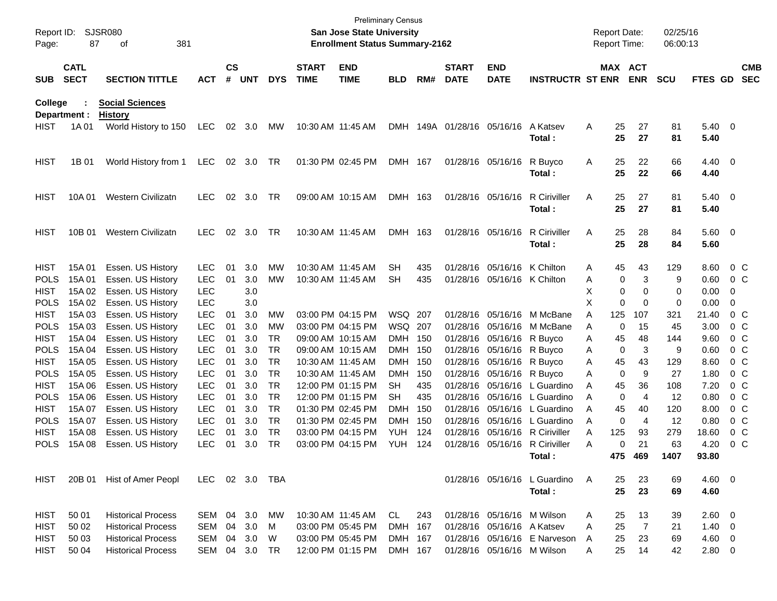| Report ID:<br>Page:         | 87                         | SJSR080<br>381<br>оf                   |                          |               |            |                 |                             | <b>Preliminary Census</b><br><b>San Jose State University</b><br><b>Enrollment Status Summary-2162</b> |                          |            |                             |                            |                                        |        | <b>Report Date:</b><br>Report Time: |                | 02/25/16<br>06:00:13 |                        |                  |                          |
|-----------------------------|----------------------------|----------------------------------------|--------------------------|---------------|------------|-----------------|-----------------------------|--------------------------------------------------------------------------------------------------------|--------------------------|------------|-----------------------------|----------------------------|----------------------------------------|--------|-------------------------------------|----------------|----------------------|------------------------|------------------|--------------------------|
| <b>SUB</b>                  | <b>CATL</b><br><b>SECT</b> | <b>SECTION TITTLE</b>                  | <b>ACT</b>               | $\mathsf{cs}$ | # UNT      | <b>DYS</b>      | <b>START</b><br><b>TIME</b> | <b>END</b><br><b>TIME</b>                                                                              | <b>BLD</b>               | RM#        | <b>START</b><br><b>DATE</b> | <b>END</b><br><b>DATE</b>  | <b>INSTRUCTR ST ENR</b>                |        | MAX ACT                             | <b>ENR</b>     | <b>SCU</b>           | FTES GD                |                  | <b>CMB</b><br><b>SEC</b> |
| College                     |                            | <b>Social Sciences</b>                 |                          |               |            |                 |                             |                                                                                                        |                          |            |                             |                            |                                        |        |                                     |                |                      |                        |                  |                          |
| Department :<br><b>HIST</b> | 1A 01                      | <b>History</b><br>World History to 150 | LEC                      |               | 02 3.0     | МW              | 10:30 AM 11:45 AM           |                                                                                                        |                          |            | DMH 149A 01/28/16 05/16/16  |                            | A Katsev<br>Total:                     | A      | 25<br>25                            | 27<br>27       | 81<br>81             | $5.40 \quad 0$<br>5.40 |                  |                          |
| <b>HIST</b>                 | 1B 01                      | World History from 1                   | LEC                      |               | 02 3.0     | TR              |                             | 01:30 PM 02:45 PM                                                                                      | DMH 167                  |            |                             | 01/28/16 05/16/16          | R Buyco<br>Total:                      | Α      | 25<br>25                            | 22<br>22       | 66<br>66             | 4.40 0<br>4.40         |                  |                          |
| <b>HIST</b>                 | 10A 01                     | Western Civilizatn                     | <b>LEC</b>               | 02            | 3.0        | TR              |                             | 09:00 AM 10:15 AM                                                                                      | DMH 163                  |            |                             | 01/28/16 05/16/16          | <b>R</b> Ciriviller<br>Total:          | Α      | 25<br>25                            | 27<br>27       | 81<br>81             | $5.40 \quad 0$<br>5.40 |                  |                          |
| <b>HIST</b>                 | 10B 01                     | <b>Western Civilizatn</b>              | <b>LEC</b>               | 02            | 3.0        | TR              |                             | 10:30 AM 11:45 AM                                                                                      | DMH 163                  |            |                             | 01/28/16 05/16/16          | <b>R</b> Ciriviller<br>Total:          | Α      | 25<br>25                            | 28<br>28       | 84<br>84             | 5.60 0<br>5.60         |                  |                          |
| <b>HIST</b>                 | 15A 01                     | Essen. US History                      | <b>LEC</b>               | 01            | 3.0        | МW              |                             | 10:30 AM 11:45 AM                                                                                      | <b>SH</b>                | 435        | 01/28/16                    |                            | 05/16/16 K Chilton                     | A      | 45                                  | 43             | 129                  | 8.60                   | $0\,$ C          |                          |
| <b>POLS</b>                 | 15A 01                     | Essen. US History                      | <b>LEC</b>               | 01            | 3.0        | <b>MW</b>       |                             | 10:30 AM 11:45 AM                                                                                      | <b>SH</b>                | 435        | 01/28/16                    | 05/16/16 K Chilton         |                                        | Α      | 0                                   | 3              | 9                    | 0.60                   | $0\,$ C          |                          |
| <b>HIST</b>                 | 15A 02                     | Essen. US History                      | <b>LEC</b>               |               | 3.0        |                 |                             |                                                                                                        |                          |            |                             |                            |                                        | х      | 0                                   | 0              | 0                    | 0.00                   | 0                |                          |
| <b>POLS</b>                 | 15A 02                     | Essen. US History                      | <b>LEC</b>               |               | 3.0        |                 |                             |                                                                                                        |                          |            |                             |                            |                                        | X      | $\mathbf 0$                         | $\mathbf 0$    | $\mathbf 0$          | 0.00                   | 0                |                          |
| <b>HIST</b>                 | 15A 03                     | Essen. US History                      | <b>LEC</b>               | 01            | 3.0        | МW              |                             | 03:00 PM 04:15 PM                                                                                      | WSQ 207                  |            | 01/28/16                    |                            | 05/16/16 M McBane                      | A      | 125                                 | 107            | 321                  | 21.40                  | $0\,$ C          |                          |
| <b>POLS</b>                 | 15A 03                     | Essen. US History                      | <b>LEC</b>               | 01            | 3.0        | МW              |                             | 03:00 PM 04:15 PM                                                                                      | WSQ 207                  |            | 01/28/16                    |                            | 05/16/16 M McBane                      | A      | 0                                   | 15             | 45                   | 3.00                   | $0\,$ C          |                          |
| <b>HIST</b>                 | 15A 04                     | Essen. US History                      | <b>LEC</b>               | 01            | 3.0        | TR              |                             | 09:00 AM 10:15 AM                                                                                      | DMH 150                  |            | 01/28/16                    | 05/16/16 R Buyco           |                                        | Α      | 45                                  | 48             | 144                  | 9.60                   | $0\,$ C          |                          |
| <b>POLS</b>                 | 15A 04                     | Essen. US History                      | <b>LEC</b>               | 01            | 3.0        | <b>TR</b>       |                             | 09:00 AM 10:15 AM                                                                                      | DMH                      | 150        | 01/28/16                    | 05/16/16 R Buyco           |                                        | Α      | 0                                   | 3              | 9                    | 0.60                   | $0\,C$           |                          |
| <b>HIST</b>                 | 15A 05                     | Essen. US History                      | <b>LEC</b>               | 01            | 3.0        | <b>TR</b>       |                             | 10:30 AM 11:45 AM                                                                                      | DMH                      | 150        | 01/28/16                    | 05/16/16 R Buyco           |                                        | Α      | 45                                  | 43             | 129                  | 8.60                   | $0\,C$           |                          |
| <b>POLS</b>                 | 15A 05                     | Essen. US History                      | <b>LEC</b>               | 01            | 3.0        | <b>TR</b>       |                             | 10:30 AM 11:45 AM                                                                                      | <b>DMH</b>               | 150        | 01/28/16                    | 05/16/16 R Buyco           |                                        | Α      | 0                                   | 9              | 27                   | 1.80                   | $0\,C$           |                          |
| <b>HIST</b>                 | 15A 06                     | Essen. US History                      | <b>LEC</b>               | 01            | 3.0        | <b>TR</b>       |                             | 12:00 PM 01:15 PM                                                                                      | <b>SH</b>                | 435        | 01/28/16                    |                            | 05/16/16 L Guardino                    | A      | 45                                  | 36             | 108                  | 7.20                   | $0\,C$           |                          |
| <b>POLS</b>                 | 15A 06                     | Essen. US History                      | <b>LEC</b>               | 01            | 3.0        | <b>TR</b>       |                             | 12:00 PM 01:15 PM                                                                                      | SH                       | 435        | 01/28/16                    |                            | 05/16/16 L Guardino                    | A      | 0                                   | 4              | 12                   | 0.80                   | $0\,C$           |                          |
| <b>HIST</b><br><b>POLS</b>  | 15A 07                     | Essen. US History                      | <b>LEC</b><br><b>LEC</b> | 01<br>01      | 3.0<br>3.0 | TR<br><b>TR</b> |                             | 01:30 PM 02:45 PM<br>01:30 PM 02:45 PM                                                                 | <b>DMH</b><br><b>DMH</b> | 150<br>150 | 01/28/16<br>01/28/16        | 05/16/16<br>05/16/16       | L Guardino<br>L Guardino               | A      | 45                                  | 40<br>4        | 120<br>12            | 8.00                   | $0\,C$<br>$0\,C$ |                          |
| <b>HIST</b>                 | 15A 07<br>15A 08           | Essen. US History<br>Essen. US History | <b>LEC</b>               | 01            | 3.0        | <b>TR</b>       |                             | 03:00 PM 04:15 PM                                                                                      | YUH                      | 124        | 01/28/16                    | 05/16/16                   | R Ciriviller                           | A<br>A | 0<br>125                            | 93             | 279                  | 0.80<br>18.60          | $0\,C$           |                          |
| <b>POLS</b>                 | 15A 08                     | Essen. US History                      | <b>LEC</b>               | 01            | 3.0        | TR              |                             | 03:00 PM 04:15 PM                                                                                      | YUH.                     | 124        | 01/28/16                    |                            | 05/16/16 R Ciriviller                  | A      | 0                                   | 21             | 63                   | 4.20                   | 0 <sup>o</sup>   |                          |
|                             |                            |                                        |                          |               |            |                 |                             |                                                                                                        |                          |            |                             |                            | Total:                                 |        |                                     | 475 469        | 1407                 | 93.80                  |                  |                          |
|                             |                            |                                        |                          |               |            |                 |                             |                                                                                                        |                          |            |                             |                            |                                        |        |                                     |                |                      |                        |                  |                          |
| <b>HIST</b>                 | 20B 01                     | Hist of Amer Peopl                     | LEC 02 3.0 TBA           |               |            |                 |                             |                                                                                                        |                          |            |                             |                            | 01/28/16 05/16/16 L Guardino<br>Total: | A      | 25<br>25                            | 23<br>23       | 69<br>69             | 4.60 0<br>4.60         |                  |                          |
| HIST                        | 50 01                      | <b>Historical Process</b>              | SEM 04 3.0               |               |            | МW              |                             | 10:30 AM 11:45 AM                                                                                      | CL                       | 243        |                             | 01/28/16 05/16/16 M Wilson |                                        | A      | 25                                  | 13             | 39                   | 2.60 0                 |                  |                          |
| HIST                        | 50 02                      | <b>Historical Process</b>              | SEM                      | 04            | 3.0        | M               |                             | 03:00 PM 05:45 PM                                                                                      | DMH 167                  |            |                             | 01/28/16 05/16/16 A Katsev |                                        | Α      | 25                                  | $\overline{7}$ | 21                   | $1.40 \ 0$             |                  |                          |
| HIST                        | 50 03                      | <b>Historical Process</b>              | SEM 04 3.0               |               |            | W               |                             | 03:00 PM 05:45 PM                                                                                      | DMH 167                  |            |                             |                            | 01/28/16 05/16/16 E Narveson           | A      | 25                                  | 23             | 69                   | 4.60 0                 |                  |                          |
| HIST                        | 50 04                      | <b>Historical Process</b>              | SEM 04 3.0               |               |            | TR              |                             | 12:00 PM 01:15 PM                                                                                      | DMH 167                  |            |                             | 01/28/16 05/16/16 M Wilson |                                        | A      | 25                                  | 14             | 42                   | 2.80 0                 |                  |                          |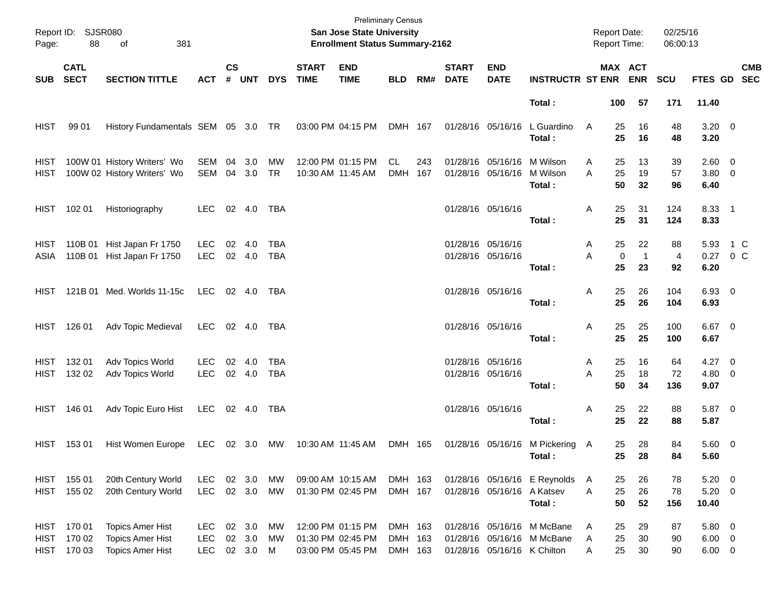| Page:        | Report ID: SJSR080<br>88             | 381<br>of                                                                     |                                  |               |                            |                   |                             | <b>Preliminary Census</b><br><b>San Jose State University</b><br><b>Enrollment Status Summary-2162</b> |                               |            |                             |                                                          |                                                          | <b>Report Date:</b><br>Report Time: |                          | 02/25/16<br>06:00:13       |                                         |                           |
|--------------|--------------------------------------|-------------------------------------------------------------------------------|----------------------------------|---------------|----------------------------|-------------------|-----------------------------|--------------------------------------------------------------------------------------------------------|-------------------------------|------------|-----------------------------|----------------------------------------------------------|----------------------------------------------------------|-------------------------------------|--------------------------|----------------------------|-----------------------------------------|---------------------------|
| SUB          | <b>CATL</b><br><b>SECT</b>           | <b>SECTION TITTLE</b>                                                         | <b>ACT</b>                       | $\mathsf{cs}$ | # UNT                      | <b>DYS</b>        | <b>START</b><br><b>TIME</b> | <b>END</b><br><b>TIME</b>                                                                              | <b>BLD</b>                    | RM#        | <b>START</b><br><b>DATE</b> | <b>END</b><br><b>DATE</b>                                | <b>INSTRUCTR ST ENR ENR</b>                              |                                     | MAX ACT                  | <b>SCU</b>                 |                                         | <b>CMB</b><br>FTES GD SEC |
|              |                                      |                                                                               |                                  |               |                            |                   |                             |                                                                                                        |                               |            |                             |                                                          | Total:                                                   | 100                                 | 57                       | 171                        | 11.40                                   |                           |
| <b>HIST</b>  | 99 01                                | History Fundamentals SEM 05 3.0 TR                                            |                                  |               |                            |                   |                             | 03:00 PM 04:15 PM                                                                                      | DMH 167                       |            |                             | 01/28/16 05/16/16                                        | L Guardino<br>Total:                                     | 25<br>A<br>25                       | 16<br>16                 | 48<br>48                   | $3.20 \ 0$<br>3.20                      |                           |
| HIST<br>HIST |                                      | 100W 01 History Writers' Wo<br>100W 02 History Writers' Wo                    | SEM<br>SEM                       | 04            | 3.0<br>04 3.0              | МW<br><b>TR</b>   |                             | 12:00 PM 01:15 PM<br>10:30 AM 11:45 AM                                                                 | CL<br>DMH                     | 243<br>167 |                             | 01/28/16 05/16/16 M Wilson<br>01/28/16 05/16/16 M Wilson | Total:                                                   | 25<br>Α<br>A<br>25<br>50            | 13<br>19<br>32           | 39<br>57<br>96             | 2.60 0<br>3.80 0<br>6.40                |                           |
|              | HIST 102 01                          | Historiography                                                                | <b>LEC</b>                       |               | 02 4.0                     | TBA               |                             |                                                                                                        |                               |            |                             | 01/28/16 05/16/16                                        | Total:                                                   | 25<br>Α<br>25                       | 31<br>31                 | 124<br>124                 | 8.33 1<br>8.33                          |                           |
| HIST<br>ASIA | 110B 01<br>110B 01                   | Hist Japan Fr 1750<br>Hist Japan Fr 1750                                      | <b>LEC</b><br><b>LEC</b>         | 02            | -4.0<br>02 4.0             | TBA<br><b>TBA</b> |                             |                                                                                                        |                               |            |                             | 01/28/16 05/16/16<br>01/28/16 05/16/16                   | Total:                                                   | 25<br>Α<br>A<br>$\mathbf 0$<br>25   | 22<br>$\mathbf{1}$<br>23 | 88<br>$\overline{4}$<br>92 | 5.93<br>$0.27 \t 0 C$<br>6.20           | 1 C                       |
|              |                                      | HIST 121B 01 Med. Worlds 11-15c                                               | LEC                              |               | 02 4.0                     | TBA               |                             |                                                                                                        |                               |            |                             | 01/28/16 05/16/16                                        | Total:                                                   | 25<br>Α<br>25                       | 26<br>26                 | 104<br>104                 | 6.93 0<br>6.93                          |                           |
|              | HIST 126 01                          | Adv Topic Medieval                                                            | LEC                              |               | 02 4.0                     | TBA               |                             |                                                                                                        |                               |            |                             | 01/28/16 05/16/16                                        | Total:                                                   | Α<br>25<br>25                       | 25<br>25                 | 100<br>100                 | $6.67$ 0<br>6.67                        |                           |
| HIST<br>HIST | 132 01<br>132 02                     | Adv Topics World<br>Adv Topics World                                          | <b>LEC</b><br><b>LEC</b>         | 02            | -4.0<br>02 4.0             | TBA<br>TBA        |                             |                                                                                                        |                               |            |                             | 01/28/16 05/16/16<br>01/28/16 05/16/16                   | Total:                                                   | 25<br>Α<br>A<br>25<br>50            | 16<br>18<br>34           | 64<br>72<br>136            | $4.27 \t 0$<br>4.80 0<br>9.07           |                           |
| HIST         | 146 01                               | Adv Topic Euro Hist                                                           | <b>LEC</b>                       |               | 02 4.0                     | TBA               |                             |                                                                                                        |                               |            |                             | 01/28/16 05/16/16                                        | Total:                                                   | Α<br>25<br>25                       | 22<br>22                 | 88<br>88                   | 5.87 0<br>5.87                          |                           |
|              | HIST 153 01                          | Hist Women Europe LEC 02 3.0 MW                                               |                                  |               |                            |                   |                             | 10:30 AM 11:45 AM                                                                                      | DMH 165                       |            |                             |                                                          | 01/28/16 05/16/16 M Pickering A<br>Total:                | 25<br>25                            | 28<br>28                 | 84<br>84                   | 5.60 0<br>5.60                          |                           |
| HIST         | HIST 155 01<br>155 02                | 20th Century World<br>20th Century World                                      | <b>LEC</b><br><b>LEC</b>         |               | 02 3.0<br>02 3.0           | МW<br>MW          |                             | 09:00 AM 10:15 AM<br>01:30 PM 02:45 PM                                                                 | DMH 163<br>DMH 167            |            |                             | 01/28/16 05/16/16 A Katsev                               | 01/28/16 05/16/16 E Reynolds<br>Total:                   | 25<br>A<br>25<br>A<br>50            | 26<br>26<br>52           | 78<br>78<br>156            | $5.20 \ 0$<br>$5.20 \ 0$<br>10.40       |                           |
| HIST         | HIST 170 01<br>170 02<br>HIST 170 03 | <b>Topics Amer Hist</b><br><b>Topics Amer Hist</b><br><b>Topics Amer Hist</b> | LEC.<br><b>LEC</b><br><b>LEC</b> |               | 02 3.0<br>02 3.0<br>02 3.0 | МW<br>МW<br>M     |                             | 12:00 PM 01:15 PM<br>01:30 PM 02:45 PM<br>03:00 PM 05:45 PM                                            | DMH 163<br>DMH 163<br>DMH 163 |            |                             | 01/28/16 05/16/16 K Chilton                              | 01/28/16 05/16/16 M McBane<br>01/28/16 05/16/16 M McBane | 25<br>Α<br>25<br>Α<br>25<br>Α       | 29<br>30<br>30           | 87<br>90<br>90             | 5.80 0<br>$6.00 \quad 0$<br>$6.00 \t 0$ |                           |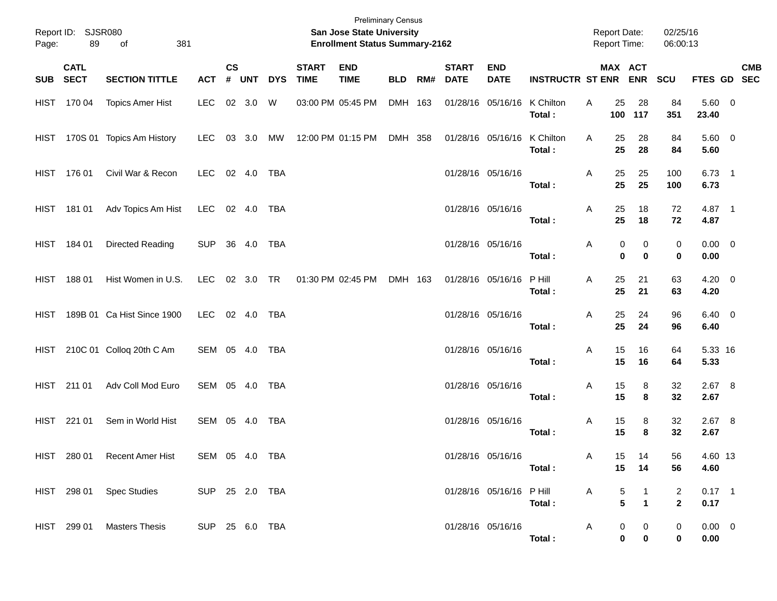| Page:    | Report ID: SJSR080<br>89 | 381<br>of                                  |                |           |           |            |                             | <b>Preliminary Census</b><br><b>San Jose State University</b><br><b>Enrollment Status Summary-2162</b> |            |     |                             |                             |                             |    |          | <b>Report Date:</b><br><b>Report Time:</b> | 02/25/16<br>06:00:13 |                       |            |
|----------|--------------------------|--------------------------------------------|----------------|-----------|-----------|------------|-----------------------------|--------------------------------------------------------------------------------------------------------|------------|-----|-----------------------------|-----------------------------|-----------------------------|----|----------|--------------------------------------------|----------------------|-----------------------|------------|
| SUB SECT | <b>CATL</b>              | <b>SECTION TITTLE</b>                      | <b>ACT</b>     | <b>CS</b> | # UNT     | <b>DYS</b> | <b>START</b><br><b>TIME</b> | <b>END</b><br><b>TIME</b>                                                                              | <b>BLD</b> | RM# | <b>START</b><br><b>DATE</b> | <b>END</b><br><b>DATE</b>   | <b>INSTRUCTR ST ENR ENR</b> |    |          | MAX ACT                                    | <b>SCU</b>           | FTES GD SEC           | <b>CMB</b> |
|          | HIST 170 04              | <b>Topics Amer Hist</b>                    | LEC            |           | 02 3.0 W  |            |                             | 03:00 PM 05:45 PM                                                                                      | DMH 163    |     |                             | 01/28/16 05/16/16 K Chilton | Total:                      | Α  | 25       | 28<br>100 117                              | 84<br>351            | 5.60 0<br>23.40       |            |
|          |                          | HIST 170S 01 Topics Am History             | LEC.           |           | 03 3.0 MW |            |                             | 12:00 PM 01:15 PM                                                                                      | DMH 358    |     |                             | 01/28/16 05/16/16           | K Chilton<br>Total:         | A  | 25<br>25 | 28<br>28                                   | 84<br>84             | 5.60 0<br>5.60        |            |
|          | HIST 176 01              | Civil War & Recon                          | LEC 02 4.0 TBA |           |           |            |                             |                                                                                                        |            |     |                             | 01/28/16 05/16/16           | Total:                      | A  | 25<br>25 | 25<br>25                                   | 100<br>100           | $6.73$ 1<br>6.73      |            |
|          | HIST 181 01              | Adv Topics Am Hist                         | LEC 02 4.0 TBA |           |           |            |                             |                                                                                                        |            |     |                             | 01/28/16 05/16/16           | Total:                      | A  | 25<br>25 | 18<br>18                                   | 72<br>72             | 4.87 1<br>4.87        |            |
|          | HIST 184 01              | Directed Reading                           | SUP 36 4.0 TBA |           |           |            |                             |                                                                                                        |            |     |                             | 01/28/16 05/16/16           | Total:                      | A  | 0<br>0   | 0<br>$\mathbf 0$                           | 0<br>0               | $0.00 \t 0$<br>0.00   |            |
|          | HIST 188 01              | Hist Women in U.S.                         | LEC 02 3.0 TR  |           |           |            | 01:30 PM 02:45 PM           |                                                                                                        | DMH 163    |     |                             | 01/28/16 05/16/16           | P Hill<br>Total:            | Α  | 25<br>25 | 21<br>21                                   | 63<br>63             | $4.20 \ 0$<br>4.20    |            |
| HIST     |                          | 189B 01 Ca Hist Since 1900                 | LEC 02 4.0 TBA |           |           |            |                             |                                                                                                        |            |     |                             | 01/28/16 05/16/16           | Total:                      | A  | 25<br>25 | 24<br>24                                   | 96<br>96             | $6.40\quad 0$<br>6.40 |            |
|          |                          | HIST 210C 01 Colloq 20th C Am              | SEM 05 4.0 TBA |           |           |            |                             |                                                                                                        |            |     |                             | 01/28/16 05/16/16           | Total:                      | A  | 15<br>15 | 16<br>16                                   | 64<br>64             | 5.33 16<br>5.33       |            |
|          | HIST 211 01              | Adv Coll Mod Euro                          | SEM 05 4.0 TBA |           |           |            |                             |                                                                                                        |            |     |                             | 01/28/16 05/16/16           | Total:                      | A  | 15<br>15 | 8<br>8                                     | 32<br>32             | 2.67 8<br>2.67        |            |
|          | HIST 221 01              | Sem in World Hist                          | SEM 05 4.0 TBA |           |           |            |                             |                                                                                                        |            |     |                             | 01/28/16 05/16/16           | Total:                      | A  | 15<br>15 | 8<br>8                                     | 32<br>32             | $2.67$ 8<br>2.67      |            |
|          | HIST 280 01              | Recent Amer Hist                           | SEM 05 4.0 TBA |           |           |            |                             |                                                                                                        |            |     |                             | 01/28/16 05/16/16           | Total :                     | A. | 15       | 14<br>15 14                                | 56<br>56             | 4.60 13<br>4.60       |            |
|          |                          | HIST 298 01 Spec Studies<br>SUP 25 2.0 TBA |                |           |           |            |                             |                                                                                                        |            |     |                             | 01/28/16 05/16/16 P Hill    | Total:                      | A  | 5<br>5   | $\mathbf 1$                                | 2<br>$\mathbf{2}$    | $0.17$ 1<br>0.17      |            |
|          |                          | HIST 299 01 Masters Thesis                 | SUP 25 6.0 TBA |           |           |            |                             |                                                                                                        |            |     |                             | 01/28/16 05/16/16           | Total:                      | A  | 0<br>0   | 0<br>0                                     | 0<br>0               | $0.00 \t 0$<br>0.00   |            |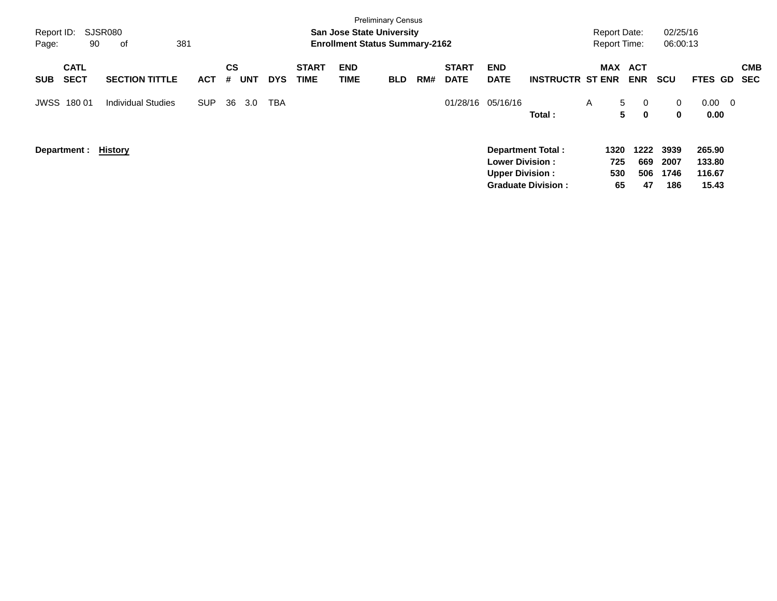| Report ID:<br>Page:                      | SJSR080<br>90<br>381<br>of |            |                              |            |                             |                           | <b>Preliminary Census</b><br><b>San Jose State University</b><br><b>Enrollment Status Summary-2162</b> |     |                             |                                                  |                                                       |   | <b>Report Date:</b><br><b>Report Time:</b> |                          | 02/25/16<br>06:00:13        |                                              |                          |
|------------------------------------------|----------------------------|------------|------------------------------|------------|-----------------------------|---------------------------|--------------------------------------------------------------------------------------------------------|-----|-----------------------------|--------------------------------------------------|-------------------------------------------------------|---|--------------------------------------------|--------------------------|-----------------------------|----------------------------------------------|--------------------------|
| <b>CATL</b><br><b>SECT</b><br><b>SUB</b> | <b>SECTION TITTLE</b>      | <b>ACT</b> | <b>CS</b><br><b>UNT</b><br># | <b>DYS</b> | <b>START</b><br><b>TIME</b> | <b>END</b><br><b>TIME</b> | <b>BLD</b>                                                                                             | RM# | <b>START</b><br><b>DATE</b> | <b>END</b><br><b>DATE</b>                        | <b>INSTRUCTR ST ENR</b>                               |   | MAX ACT                                    | <b>ENR</b>               | <b>SCU</b>                  | <b>FTES GD</b>                               | <b>CMB</b><br><b>SEC</b> |
| <b>JWSS 180 01</b>                       | <b>Individual Studies</b>  | <b>SUP</b> | 36<br>3.0                    | TBA        |                             |                           |                                                                                                        |     |                             | 01/28/16 05/16/16                                | Total:                                                | A | 5 <sup>5</sup><br>5                        | $\mathbf 0$<br>$\bf{0}$  | $\mathbf{0}$<br>$\mathbf 0$ | $0.00\,$<br>$\overline{\phantom{0}}$<br>0.00 |                          |
| Department :                             | History                    |            |                              |            |                             |                           |                                                                                                        |     |                             | <b>Lower Division:</b><br><b>Upper Division:</b> | <b>Department Total:</b><br><b>Graduate Division:</b> |   | 1320<br>725<br>530<br>65                   | 1222<br>669<br>506<br>47 | 3939<br>2007<br>1746<br>186 | 265.90<br>133.80<br>116.67<br>15.43          |                          |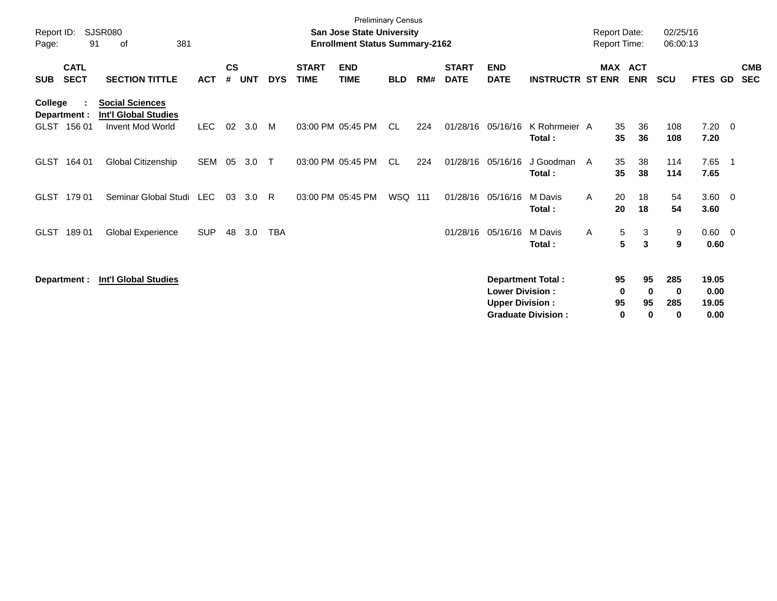| Report ID:<br>Page: | 91                          | <b>SJSR080</b><br>381<br>οf                                                      |            |                    |            |            |                             | <b>Preliminary Census</b><br><b>San Jose State University</b><br><b>Enrollment Status Summary-2162</b> |            |     |                             |                                                  |                                                       | <b>Report Date:</b><br><b>Report Time:</b> |                    |                                     | 02/25/16<br>06:00:13 |                                |                |                          |
|---------------------|-----------------------------|----------------------------------------------------------------------------------|------------|--------------------|------------|------------|-----------------------------|--------------------------------------------------------------------------------------------------------|------------|-----|-----------------------------|--------------------------------------------------|-------------------------------------------------------|--------------------------------------------|--------------------|-------------------------------------|----------------------|--------------------------------|----------------|--------------------------|
| <b>SUB</b>          | <b>CATL</b><br><b>SECT</b>  | <b>SECTION TITTLE</b>                                                            | <b>ACT</b> | $\mathsf{cs}$<br># | <b>UNT</b> | <b>DYS</b> | <b>START</b><br><b>TIME</b> | <b>END</b><br><b>TIME</b>                                                                              | <b>BLD</b> | RM# | <b>START</b><br><b>DATE</b> | <b>END</b><br><b>DATE</b>                        | <b>INSTRUCTR ST ENR</b>                               | <b>MAX</b>                                 | <b>ACT</b>         | <b>ENR</b>                          | <b>SCU</b>           | FTES GD                        |                | <b>CMB</b><br><b>SEC</b> |
| College             | Department :<br>GLST 156 01 | <b>Social Sciences</b><br><b>Int'l Global Studies</b><br><b>Invent Mod World</b> | <b>LEC</b> | 02                 | 3.0        | M          |                             | 03:00 PM 05:45 PM                                                                                      | CL         | 224 | 01/28/16                    | 05/16/16                                         | K Rohrmeier A<br>Total:                               |                                            | 35<br>35           | 36<br>36                            | 108<br>108           | 7.20<br>7.20                   | $\overline{0}$ |                          |
| <b>GLST</b>         | 164 01                      | Global Citizenship                                                               | <b>SEM</b> | 05                 | 3.0        | $\top$     |                             | 03:00 PM 05:45 PM                                                                                      | CL         | 224 | 01/28/16                    | 05/16/16                                         | J Goodman<br>Total:                                   | A                                          | 35<br>35           | 38<br>38                            | 114<br>114           | 7.65<br>7.65                   | - 1            |                          |
| <b>GLST</b>         | 179 01                      | Seminar Global Studi                                                             | LEC        | 03                 | 3.0        | R.         |                             | 03:00 PM 05:45 PM                                                                                      | WSQ 111    |     | 01/28/16                    | 05/16/16                                         | M Davis<br>Total:                                     | A                                          | 20<br>20           | 18<br>18                            | 54<br>54             | $3.60 \ 0$<br>3.60             |                |                          |
| <b>GLST</b>         | 18901                       | Global Experience                                                                | <b>SUP</b> | 48                 | 3.0        | TBA        |                             |                                                                                                        |            |     | 01/28/16                    | 05/16/16                                         | M Davis<br>Total:                                     | A                                          | 5<br>5             | 3<br>$\mathbf{3}$                   | 9<br>9               | $0.60 \t 0$<br>0.60            |                |                          |
|                     | Department :                | <b>Int'l Global Studies</b>                                                      |            |                    |            |            |                             |                                                                                                        |            |     |                             | <b>Lower Division:</b><br><b>Upper Division:</b> | <b>Department Total:</b><br><b>Graduate Division:</b> |                                            | 95<br>0<br>95<br>0 | 95<br>$\mathbf 0$<br>95<br>$\bf{0}$ | 285<br>0<br>285<br>0 | 19.05<br>0.00<br>19.05<br>0.00 |                |                          |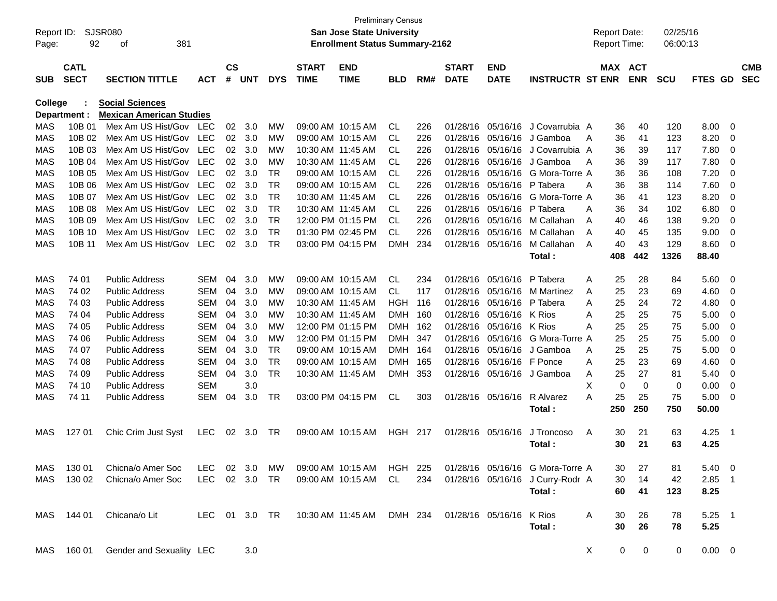| Report ID:<br>Page: | 92                         | <b>SJSR080</b><br>381<br>оf     |               |                    |                |            |                             | <b>Preliminary Census</b><br><b>San Jose State University</b><br><b>Enrollment Status Summary-2162</b> |                |     |                             |                           |                                  |     | <b>Report Date:</b><br>Report Time: | 02/25/16<br>06:00:13 |             |     |                          |
|---------------------|----------------------------|---------------------------------|---------------|--------------------|----------------|------------|-----------------------------|--------------------------------------------------------------------------------------------------------|----------------|-----|-----------------------------|---------------------------|----------------------------------|-----|-------------------------------------|----------------------|-------------|-----|--------------------------|
| <b>SUB</b>          | <b>CATL</b><br><b>SECT</b> | <b>SECTION TITTLE</b>           | АСТ           | $\mathsf{cs}$<br># | <b>UNT</b>     | <b>DYS</b> | <b>START</b><br><b>TIME</b> | <b>END</b><br><b>TIME</b>                                                                              | <b>BLD</b>     | RM# | <b>START</b><br><b>DATE</b> | <b>END</b><br><b>DATE</b> | <b>INSTRUCTR ST ENR</b>          |     | MAX ACT<br><b>ENR</b>               | <b>SCU</b>           | FTES GD     |     | <b>CMB</b><br><b>SEC</b> |
| College             |                            | <b>Social Sciences</b>          |               |                    |                |            |                             |                                                                                                        |                |     |                             |                           |                                  |     |                                     |                      |             |     |                          |
|                     | Department :               | <b>Mexican American Studies</b> |               |                    |                |            |                             |                                                                                                        |                |     |                             |                           |                                  |     |                                     |                      |             |     |                          |
| MAS                 | 10B 01                     | Mex Am US Hist/Gov              | LEC           | 02                 | 3.0            | МW         |                             | 09:00 AM 10:15 AM                                                                                      | CL             | 226 | 01/28/16                    | 05/16/16                  | J Covarrubia A                   |     | 40<br>36                            | 120                  | 8.00        | 0   |                          |
| MAS                 | 10B 02                     | Mex Am US Hist/Gov              | LEC           | 02                 | 3.0            | МW         |                             | 09:00 AM 10:15 AM                                                                                      | CL             | 226 | 01/28/16                    | 05/16/16                  | J Gamboa                         | A   | 36<br>41                            | 123                  | 8.20        | 0   |                          |
| MAS                 | 10B 03                     | Mex Am US Hist/Gov              | <b>LEC</b>    | 02                 | 3.0            | МW         |                             | 10:30 AM 11:45 AM                                                                                      | CL             | 226 | 01/28/16                    | 05/16/16                  | J Covarrubia A                   |     | 36<br>39                            | 117                  | 7.80        | 0   |                          |
| MAS                 | 10B 04                     | Mex Am US Hist/Gov              | <b>LEC</b>    | 02                 | 3.0            | МW         |                             | 10:30 AM 11:45 AM                                                                                      | CL             | 226 | 01/28/16                    | 05/16/16                  | J Gamboa                         | A   | 36<br>39                            | 117                  | 7.80        | 0   |                          |
| <b>MAS</b>          | 10B 05                     | Mex Am US Hist/Gov              | <b>LEC</b>    | 02                 | 3.0            | <b>TR</b>  |                             | 09:00 AM 10:15 AM                                                                                      | CL             | 226 | 01/28/16                    | 05/16/16                  | G Mora-Torre A                   |     | 36<br>36                            | 108                  | 7.20        | 0   |                          |
| MAS                 | 10B 06                     | Mex Am US Hist/Gov              | <b>LEC</b>    | 02                 | 3.0            | <b>TR</b>  |                             | 09:00 AM 10:15 AM                                                                                      | CL             | 226 | 01/28/16                    | 05/16/16                  | P Tabera                         | A   | 36<br>38                            | 114                  | 7.60        | 0   |                          |
| MAS                 | 10B 07                     | Mex Am US Hist/Gov              | <b>LEC</b>    | 02                 | 3.0            | <b>TR</b>  |                             | 10:30 AM 11:45 AM                                                                                      | CL             | 226 | 01/28/16                    | 05/16/16                  | G Mora-Torre A                   |     | 36<br>41                            | 123                  | 8.20        | 0   |                          |
| MAS                 | 10B 08                     | Mex Am US Hist/Gov              | <b>LEC</b>    | 02                 | 3.0            | <b>TR</b>  |                             | 10:30 AM 11:45 AM                                                                                      | CL             | 226 | 01/28/16                    | 05/16/16                  | P Tabera                         | Α   | 36<br>34                            | 102                  | 6.80        | 0   |                          |
| MAS                 | 10B 09                     | Mex Am US Hist/Gov              | LEC           | 02                 | 3.0            | <b>TR</b>  |                             | 12:00 PM 01:15 PM                                                                                      | <b>CL</b>      | 226 | 01/28/16                    | 05/16/16                  | M Callahan                       | A   | 40<br>46                            | 138                  | 9.20        | 0   |                          |
| <b>MAS</b>          | 10B 10                     | Mex Am US Hist/Gov              | <b>LEC</b>    | 02                 | 3.0            | <b>TR</b>  |                             | 01:30 PM 02:45 PM                                                                                      | <b>CL</b>      | 226 | 01/28/16                    | 05/16/16                  | M Callahan                       | A   | 40<br>45                            | 135                  | 9.00        | 0   |                          |
| MAS                 | 10B 11                     | Mex Am US Hist/Gov              | LEC           | 02                 | 3.0            | <b>TR</b>  |                             | 03:00 PM 04:15 PM                                                                                      | <b>DMH</b>     | 234 | 01/28/16                    | 05/16/16                  | M Callahan                       | A   | 40<br>43                            | 129                  | 8.60        | 0   |                          |
|                     |                            |                                 |               |                    |                |            |                             |                                                                                                        |                |     |                             |                           | Total:                           | 408 | 442                                 | 1326                 | 88.40       |     |                          |
| MAS                 | 74 01                      | <b>Public Address</b>           | <b>SEM</b>    | 04                 | 3.0            | МW         |                             | 09:00 AM 10:15 AM                                                                                      | <b>CL</b>      | 234 | 01/28/16                    | 05/16/16                  | P Tabera                         | Α   | 25<br>28                            | 84                   | 5.60        | 0   |                          |
| MAS                 | 74 02                      | <b>Public Address</b>           | <b>SEM</b>    | 04                 | 3.0            | мw         |                             | 09:00 AM 10:15 AM                                                                                      | CL.            | 117 | 01/28/16                    | 05/16/16                  | <b>M</b> Martinez                | A   | 25<br>23                            | 69                   | 4.60        | 0   |                          |
| MAS                 | 74 03                      | <b>Public Address</b>           | <b>SEM</b>    | 04                 | 3.0            | мw         |                             | 10:30 AM 11:45 AM                                                                                      | HGH            | 116 | 01/28/16                    | 05/16/16                  | P Tabera                         | A   | 25<br>24                            | 72                   | 4.80        | 0   |                          |
| MAS                 | 74 04                      | <b>Public Address</b>           | <b>SEM</b>    | 04                 | 3.0            | мw         |                             | 10:30 AM 11:45 AM                                                                                      | <b>DMH</b>     | 160 | 01/28/16                    | 05/16/16                  | K Rios                           | Α   | 25<br>25                            | 75                   | 5.00        | 0   |                          |
| MAS                 | 74 05                      | <b>Public Address</b>           | <b>SEM</b>    | 04                 | 3.0            | МW         |                             | 12:00 PM 01:15 PM                                                                                      | <b>DMH</b>     | 162 | 01/28/16                    | 05/16/16                  | K Rios                           | Α   | 25<br>25                            | 75                   | 5.00        | 0   |                          |
| <b>MAS</b>          | 74 06                      | <b>Public Address</b>           | <b>SEM</b>    | 04                 | 3.0            | МW         |                             | 12:00 PM 01:15 PM                                                                                      | <b>DMH</b>     | 347 | 01/28/16                    | 05/16/16                  | G Mora-Torre A                   |     | 25<br>25                            | 75                   | 5.00        | 0   |                          |
| MAS                 | 74 07                      | <b>Public Address</b>           | <b>SEM</b>    | 04                 | 3.0            | TR.        |                             | 09:00 AM 10:15 AM                                                                                      | <b>DMH</b>     | 164 | 01/28/16                    | 05/16/16                  | J Gamboa                         | A   | 25<br>25                            | 75                   | 5.00        | 0   |                          |
| <b>MAS</b>          | 74 08                      | <b>Public Address</b>           | <b>SEM</b>    | 04                 | 3.0            | <b>TR</b>  |                             | 09:00 AM 10:15 AM                                                                                      | <b>DMH</b>     | 165 | 01/28/16                    | 05/16/16                  | F Ponce                          | Α   | 25<br>23                            | 69                   | 4.60        | 0   |                          |
| <b>MAS</b>          | 74 09                      | <b>Public Address</b>           | <b>SEM</b>    | 04                 | 3.0            | <b>TR</b>  |                             | 10:30 AM 11:45 AM                                                                                      | <b>DMH</b>     | 353 | 01/28/16                    | 05/16/16                  | J Gamboa                         | Α   | 27<br>25                            | 81                   | 5.40        | 0   |                          |
| MAS                 | 74 10                      | <b>Public Address</b>           | <b>SEM</b>    |                    | 3.0            |            |                             |                                                                                                        |                |     |                             |                           |                                  | X   | $\mathbf 0$<br>0                    | 0                    | 0.00        | 0   |                          |
| <b>MAS</b>          | 74 11                      | <b>Public Address</b>           | <b>SEM</b>    | 04                 | 3.0            | TR.        |                             | 03:00 PM 04:15 PM                                                                                      | <b>CL</b>      | 303 | 01/28/16                    | 05/16/16                  | R Alvarez                        | A   | 25<br>25                            | 75                   | 5.00        | 0   |                          |
|                     |                            |                                 |               |                    |                |            |                             |                                                                                                        |                |     |                             |                           | Total:                           | 250 | 250                                 | 750                  | 50.00       |     |                          |
| MAS                 | 127 01                     | Chic Crim Just Syst             | <b>LEC</b>    | 02                 | 3.0            | TR         |                             | 09:00 AM 10:15 AM                                                                                      | <b>HGH 217</b> |     | 01/28/16                    | 05/16/16                  | J Troncoso                       | A   | 30<br>21                            | 63                   | 4.25        | - 1 |                          |
|                     |                            |                                 |               |                    |                |            |                             |                                                                                                        |                |     |                             |                           | Total :                          |     | 30<br>21                            | 63                   | 4.25        |     |                          |
| MAS                 | 130 01                     | Chicna/o Amer Soc               | LEC.          |                    | $02 \quad 3.0$ | МW         |                             | 09:00 AM 10:15 AM                                                                                      | HGH 225        |     |                             |                           | 01/28/16 05/16/16 G Mora-Torre A |     | 27<br>30                            | 81                   | $5.40 \ 0$  |     |                          |
| MAS                 | 130 02                     | Chicna/o Amer Soc               | LEC           |                    | 02 3.0         | TR         |                             | 09:00 AM 10:15 AM                                                                                      | CL             | 234 |                             | 01/28/16 05/16/16         | J Curry-Rodr A                   |     | 30<br>14                            | 42                   | $2.85$ 1    |     |                          |
|                     |                            |                                 |               |                    |                |            |                             |                                                                                                        |                |     |                             |                           | Total:                           |     | 60<br>41                            | 123                  | 8.25        |     |                          |
| MAS                 | 144 01                     | Chicana/o Lit                   | LEC 01 3.0 TR |                    |                |            |                             | 10:30 AM 11:45 AM                                                                                      | DMH 234        |     | 01/28/16 05/16/16           |                           | K Rios                           | A   | 26<br>30                            | 78                   | $5.25$ 1    |     |                          |
|                     |                            |                                 |               |                    |                |            |                             |                                                                                                        |                |     |                             |                           | Total:                           |     | 30<br>26                            | 78                   | 5.25        |     |                          |
| MAS                 | 160 01                     | Gender and Sexuality LEC        |               |                    | 3.0            |            |                             |                                                                                                        |                |     |                             |                           |                                  | X   | 0                                   | 0<br>0               | $0.00 \t 0$ |     |                          |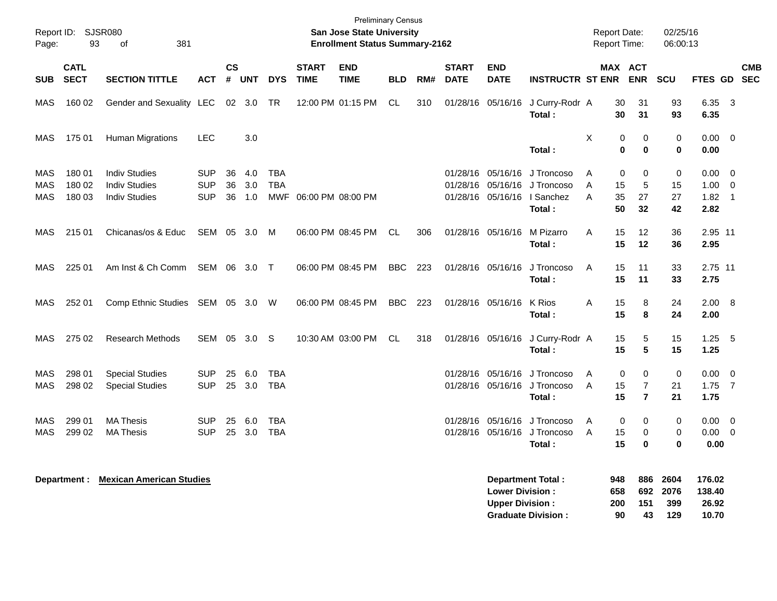| Page:                    | Report ID: SJSR080<br>93   | 381<br>of                                                            |                                        |                |                   |                          |                             | <b>Preliminary Census</b><br><b>San Jose State University</b><br><b>Enrollment Status Summary-2162</b> |            |     |                             |                                                  |                                                                   | <b>Report Date:</b><br><b>Report Time:</b> |                         |                          | 02/25/16<br>06:00:13          |                                  |                                                                         |            |
|--------------------------|----------------------------|----------------------------------------------------------------------|----------------------------------------|----------------|-------------------|--------------------------|-----------------------------|--------------------------------------------------------------------------------------------------------|------------|-----|-----------------------------|--------------------------------------------------|-------------------------------------------------------------------|--------------------------------------------|-------------------------|--------------------------|-------------------------------|----------------------------------|-------------------------------------------------------------------------|------------|
| <b>SUB</b>               | <b>CATL</b><br><b>SECT</b> | <b>SECTION TITTLE</b>                                                | <b>ACT</b>                             | <b>CS</b><br># | UNT               | <b>DYS</b>               | <b>START</b><br><b>TIME</b> | <b>END</b><br><b>TIME</b>                                                                              | <b>BLD</b> | RM# | <b>START</b><br><b>DATE</b> | <b>END</b><br><b>DATE</b>                        | <b>INSTRUCTR ST ENR</b>                                           |                                            | MAX ACT                 | <b>ENR</b>               | <b>SCU</b>                    | FTES GD SEC                      |                                                                         | <b>CMB</b> |
| MAS                      | 160 02                     | Gender and Sexuality LEC                                             |                                        |                | 02 3.0            | TR                       |                             | 12:00 PM 01:15 PM                                                                                      | CL         | 310 |                             | 01/28/16 05/16/16                                | J Curry-Rodr A<br>Total:                                          |                                            | 30<br>30                | 31<br>31                 | 93<br>93                      | 6.35<br>6.35                     | $\overline{\mathbf{3}}$                                                 |            |
| MAS                      | 175 01                     | <b>Human Migrations</b>                                              | <b>LEC</b>                             |                | 3.0               |                          |                             |                                                                                                        |            |     |                             |                                                  | Total:                                                            | х                                          | 0<br>$\bf{0}$           | 0<br>0                   | 0<br>0                        | $0.00 \quad 0$<br>0.00           |                                                                         |            |
| MAS<br><b>MAS</b><br>MAS | 180 01<br>180 02<br>180 03 | <b>Indiv Studies</b><br><b>Indiv Studies</b><br><b>Indiv Studies</b> | <b>SUP</b><br><b>SUP</b><br><b>SUP</b> | 36<br>36<br>36 | 4.0<br>3.0<br>1.0 | <b>TBA</b><br><b>TBA</b> | MWF 06:00 PM 08:00 PM       |                                                                                                        |            |     |                             | 01/28/16 05/16/16<br>01/28/16 05/16/16           | J Troncoso<br>J Troncoso<br>01/28/16 05/16/16   Sanchez<br>Total: | A<br>A<br>A                                | 0<br>15<br>35<br>50     | 0<br>5<br>27<br>32       | $\mathbf 0$<br>15<br>27<br>42 | $0.00\,$<br>1.00<br>1.82<br>2.82 | $\overline{\mathbf{0}}$<br>$\overline{0}$<br>$\overline{\phantom{0}}$ 1 |            |
| MAS                      | 215 01                     | Chicanas/os & Educ                                                   | SEM 05                                 |                | 3.0               | M                        |                             | 06:00 PM 08:45 PM                                                                                      | CL         | 306 |                             | 01/28/16 05/16/16                                | M Pizarro<br>Total:                                               | Α                                          | 15<br>15                | 12<br>12                 | 36<br>36                      | 2.95 11<br>2.95                  |                                                                         |            |
| MAS                      | 225 01                     | Am Inst & Ch Comm                                                    | SEM 06 3.0                             |                |                   | $\top$                   |                             | 06:00 PM 08:45 PM                                                                                      | <b>BBC</b> | 223 |                             | 01/28/16 05/16/16                                | J Troncoso<br>Total:                                              | Α                                          | 15<br>15                | 11<br>11                 | 33<br>33                      | 2.75 11<br>2.75                  |                                                                         |            |
| MAS                      | 252 01                     | Comp Ethnic Studies SEM 05 3.0 W                                     |                                        |                |                   |                          |                             | 06:00 PM 08:45 PM                                                                                      | <b>BBC</b> | 223 |                             | 01/28/16 05/16/16                                | K Rios<br>Total:                                                  | Α                                          | 15<br>15                | 8<br>8                   | 24<br>24                      | 2.00 8<br>2.00                   |                                                                         |            |
| MAS                      | 275 02                     | <b>Research Methods</b>                                              | SEM 05                                 |                | 3.0               | -S                       |                             | 10:30 AM 03:00 PM                                                                                      | CL         | 318 |                             |                                                  | 01/28/16 05/16/16 J Curry-Rodr A<br>Total:                        |                                            | 15<br>15                | 5<br>5                   | 15<br>15                      | 1.25<br>1.25                     | - 5                                                                     |            |
| MAS<br><b>MAS</b>        | 298 01<br>298 02           | <b>Special Studies</b><br><b>Special Studies</b>                     | <b>SUP</b><br><b>SUP</b>               | 25<br>25       | 6.0<br>3.0        | TBA<br><b>TBA</b>        |                             |                                                                                                        |            |     |                             | 01/28/16 05/16/16                                | J Troncoso<br>01/28/16 05/16/16 J Troncoso<br>Total:              | A<br>A                                     | $\mathbf 0$<br>15<br>15 | 0<br>7<br>$\overline{7}$ | $\mathbf 0$<br>21<br>21       | 0.00<br>1.75<br>1.75             | - 0<br>$\overline{7}$                                                   |            |
| MAS<br>MAS               | 299 01<br>299 02           | <b>MA Thesis</b><br><b>MA Thesis</b>                                 | <b>SUP</b><br><b>SUP</b>               | 25             | 6.0<br>25 3.0     | TBA<br><b>TBA</b>        |                             |                                                                                                        |            |     |                             | 01/28/16 05/16/16                                | J Troncoso<br>01/28/16 05/16/16 J Troncoso<br>Total:              | A<br>A                                     | 0<br>15<br>15           | 0<br>0<br>$\bf{0}$       | 0<br>0<br>$\bf{0}$            | 0.00<br>0.00<br>0.00             | $\overline{\mathbf{0}}$<br>$\overline{0}$                               |            |
|                          |                            | <b>Department: Mexican American Studies</b>                          |                                        |                |                   |                          |                             |                                                                                                        |            |     |                             | <b>Lower Division:</b><br><b>Upper Division:</b> | <b>Department Total:</b>                                          |                                            | 948<br>658<br>200       | 886<br>692<br>151        | 2604<br>2076<br>399           | 176.02<br>138.40<br>26.92        |                                                                         |            |

**Graduate Division : 90 43 129 10.70**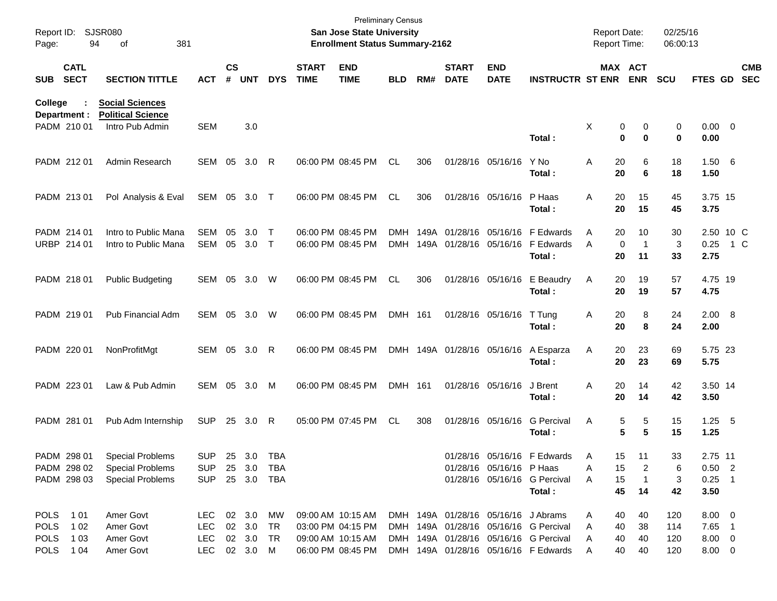| Report ID:<br>Page:        |                             | <b>SJSR080</b><br>94<br>381<br>of                                     |                          |                    |                    |                  |                             | <b>Preliminary Census</b><br>San Jose State University<br><b>Enrollment Status Summary-2162</b> |            |      |                             |                                     |                                                                               | <b>Report Date:</b><br><b>Report Time:</b> |                         |                          | 02/25/16<br>06:00:13 |                            |     |                          |
|----------------------------|-----------------------------|-----------------------------------------------------------------------|--------------------------|--------------------|--------------------|------------------|-----------------------------|-------------------------------------------------------------------------------------------------|------------|------|-----------------------------|-------------------------------------|-------------------------------------------------------------------------------|--------------------------------------------|-------------------------|--------------------------|----------------------|----------------------------|-----|--------------------------|
| <b>SUB</b>                 | <b>CATL</b><br><b>SECT</b>  | <b>SECTION TITTLE</b>                                                 | <b>ACT</b>               | $\mathsf{cs}$<br># | <b>UNT</b>         | <b>DYS</b>       | <b>START</b><br><b>TIME</b> | <b>END</b><br><b>TIME</b>                                                                       | <b>BLD</b> | RM#  | <b>START</b><br><b>DATE</b> | <b>END</b><br><b>DATE</b>           | <b>INSTRUCTR ST ENR</b>                                                       | MAX ACT                                    |                         | <b>ENR</b>               | SCU                  | FTES GD                    |     | <b>CMB</b><br><b>SEC</b> |
| <b>College</b>             | Department :<br>PADM 210 01 | <b>Social Sciences</b><br><b>Political Science</b><br>Intro Pub Admin | <b>SEM</b>               |                    | 3.0                |                  |                             |                                                                                                 |            |      |                             |                                     | Total:                                                                        | Χ                                          | 0<br>$\mathbf 0$        | 0<br>$\bf{0}$            | 0<br>0               | $0.00 \t 0$<br>0.00        |     |                          |
|                            | PADM 212 01                 | Admin Research                                                        |                          |                    | SEM 05 3.0 R       |                  |                             | 06:00 PM 08:45 PM                                                                               | CL         | 306  |                             | 01/28/16 05/16/16                   | Y No<br>Total:                                                                | A                                          | 20<br>20                | 6<br>6                   | 18<br>18             | 1.506<br>1.50              |     |                          |
|                            | PADM 213 01                 | Pol Analysis & Eval                                                   | SEM 05 3.0 T             |                    |                    |                  |                             | 06:00 PM 08:45 PM                                                                               | CL         | 306  |                             | 01/28/16 05/16/16                   | P Haas<br>Total:                                                              | A                                          | 20<br>20                | 15<br>15                 | 45<br>45             | 3.75 15<br>3.75            |     |                          |
|                            | PADM 214 01<br>URBP 214 01  | Intro to Public Mana<br>Intro to Public Mana                          | SEM<br><b>SEM</b>        | 05<br>05           | 3.0<br>3.0         | $\top$<br>$\top$ |                             | 06:00 PM 08:45 PM<br>06:00 PM 08:45 PM                                                          | DMH        | 149A | 01/28/16                    | 05/16/16                            | F Edwards<br>DMH 149A 01/28/16 05/16/16 F Edwards<br>Total:                   | A<br>A                                     | 20<br>$\mathbf 0$<br>20 | 10<br>$\mathbf{1}$<br>11 | 30<br>3<br>33        | 2.50 10 C<br>0.25<br>2.75  | 1 C |                          |
|                            | PADM 218 01                 | <b>Public Budgeting</b>                                               | SEM                      |                    | 05 3.0             | W                |                             | 06:00 PM 08:45 PM                                                                               | CL         | 306  |                             | 01/28/16 05/16/16                   | E Beaudry<br>Total:                                                           | A                                          | 20<br>20                | 19<br>19                 | 57<br>57             | 4.75 19<br>4.75            |     |                          |
|                            | PADM 219 01                 | Pub Financial Adm                                                     | SEM                      |                    | 05 3.0             | W                |                             | 06:00 PM 08:45 PM                                                                               | DMH 161    |      |                             | 01/28/16 05/16/16                   | T Tung<br>Total:                                                              | Α                                          | 20<br>20                | 8<br>8                   | 24<br>24             | 2.00 8<br>2.00             |     |                          |
|                            | PADM 220 01                 | NonProfitMgt                                                          |                          |                    | SEM 05 3.0         | R                |                             | 06:00 PM 08:45 PM                                                                               |            |      | DMH 149A 01/28/16 05/16/16  |                                     | A Esparza<br>Total:                                                           | Α                                          | 20<br>20                | 23<br>23                 | 69<br>69             | 5.75 23<br>5.75            |     |                          |
|                            | PADM 223 01                 | Law & Pub Admin                                                       | SEM                      |                    | 05 3.0             | M                |                             | 06:00 PM 08:45 PM                                                                               | DMH 161    |      |                             | 01/28/16 05/16/16                   | J Brent<br>Total:                                                             | A                                          | 20<br>20                | 14<br>14                 | 42<br>42             | 3.50 14<br>3.50            |     |                          |
|                            | PADM 281 01                 | Pub Adm Internship                                                    | <b>SUP</b>               |                    | 25 3.0             | R                |                             | 05:00 PM 07:45 PM                                                                               | CL         | 308  |                             | 01/28/16 05/16/16                   | <b>G</b> Percival<br>Total:                                                   | Α                                          | 5<br>5                  | 5<br>5                   | 15<br>15             | $1.25$ 5<br>1.25           |     |                          |
|                            | PADM 298 01                 | <b>Special Problems</b>                                               | <b>SUP</b>               |                    | 25 3.0             | TBA              |                             |                                                                                                 |            |      |                             |                                     | 01/28/16 05/16/16 F Edwards                                                   | Α                                          | 15                      | 11                       | 33                   | 2.75 11                    |     |                          |
|                            | PADM 298 02                 | <b>Special Problems</b>                                               | <b>SUP</b>               | 25                 | 3.0                | TBA              |                             |                                                                                                 |            |      |                             | 01/28/16 05/16/16 P Haas            |                                                                               | Α                                          | 15                      | 2                        | 6                    | $0.50$ 2                   |     |                          |
|                            | PADM 298 03                 | <b>Special Problems</b>                                               | <b>SUP</b>               |                    | 25 3.0 TBA         |                  |                             |                                                                                                 |            |      |                             |                                     | 01/28/16 05/16/16 G Percival<br>Total:                                        | Α                                          | 15<br>45                | $\mathbf{1}$<br>14       | 3<br>42              | $0.25$ 1<br>3.50           |     |                          |
|                            |                             |                                                                       |                          |                    |                    |                  |                             |                                                                                                 |            |      |                             |                                     |                                                                               |                                            |                         |                          |                      |                            |     |                          |
| <b>POLS</b>                | 1 0 1                       | Amer Govt                                                             | <b>LEC</b>               |                    | 02 3.0             | МW               |                             | 09:00 AM 10:15 AM                                                                               |            |      |                             | DMH 149A 01/28/16 05/16/16 J Abrams |                                                                               | Α                                          | 40                      | 40                       | 120                  | $8.00 \t 0$                |     |                          |
| <b>POLS</b>                | 1 0 2                       | Amer Govt                                                             | <b>LEC</b>               |                    | 02 3.0             | TR               |                             | 03:00 PM 04:15 PM                                                                               |            |      |                             |                                     | DMH 149A 01/28/16 05/16/16 G Percival                                         | Α                                          | 40                      | 38                       | 114                  | 7.65 1                     |     |                          |
| <b>POLS</b><br><b>POLS</b> | 1 0 3<br>1 04               | Amer Govt<br>Amer Govt                                                | <b>LEC</b><br><b>LEC</b> |                    | 02 3.0<br>02 3.0 M | TR               |                             | 09:00 AM 10:15 AM<br>06:00 PM 08:45 PM                                                          |            |      |                             |                                     | DMH 149A 01/28/16 05/16/16 G Percival<br>DMH 149A 01/28/16 05/16/16 F Edwards | Α<br>A                                     | 40<br>40                | 40<br>40                 | 120<br>120           | $8.00 \t 0$<br>$8.00 \t 0$ |     |                          |
|                            |                             |                                                                       |                          |                    |                    |                  |                             |                                                                                                 |            |      |                             |                                     |                                                                               |                                            |                         |                          |                      |                            |     |                          |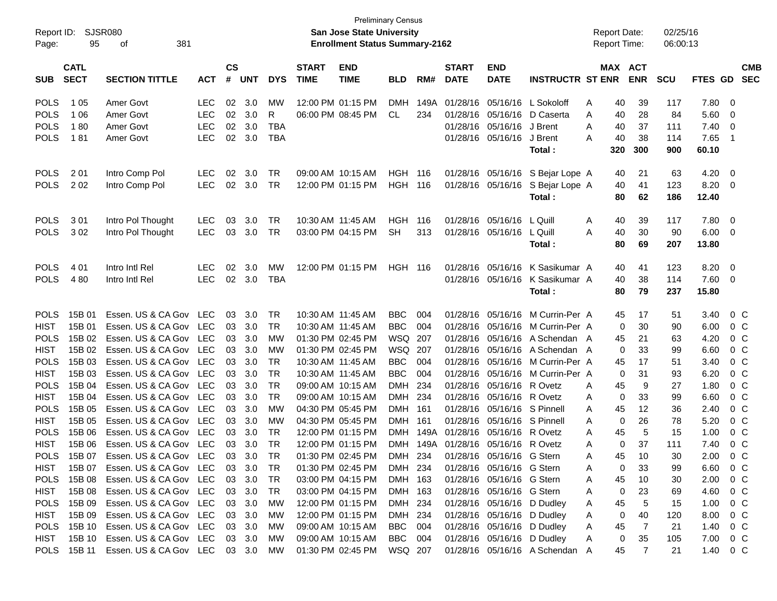| Report ID:  |                            | <b>SJSR080</b>                       |            |                    |            |            |                             | <b>Preliminary Census</b><br><b>San Jose State University</b> |                |      |                             |                                    |                                  | <b>Report Date:</b> |     |                       | 02/25/16   |          |                          |
|-------------|----------------------------|--------------------------------------|------------|--------------------|------------|------------|-----------------------------|---------------------------------------------------------------|----------------|------|-----------------------------|------------------------------------|----------------------------------|---------------------|-----|-----------------------|------------|----------|--------------------------|
| Page:       | 95                         | 381<br>οf                            |            |                    |            |            |                             | <b>Enrollment Status Summary-2162</b>                         |                |      |                             |                                    |                                  | <b>Report Time:</b> |     |                       | 06:00:13   |          |                          |
| <b>SUB</b>  | <b>CATL</b><br><b>SECT</b> | <b>SECTION TITTLE</b>                | <b>ACT</b> | $\mathsf{cs}$<br># | <b>UNT</b> | <b>DYS</b> | <b>START</b><br><b>TIME</b> | <b>END</b><br><b>TIME</b>                                     | <b>BLD</b>     | RM#  | <b>START</b><br><b>DATE</b> | <b>END</b><br><b>DATE</b>          | <b>INSTRUCTR ST ENR</b>          |                     |     | MAX ACT<br><b>ENR</b> | <b>SCU</b> | FTES GD  | <b>CMB</b><br><b>SEC</b> |
|             |                            |                                      |            |                    |            |            |                             |                                                               |                |      |                             |                                    |                                  |                     |     |                       |            |          |                          |
| <b>POLS</b> | 1 0 5                      | Amer Govt                            | <b>LEC</b> | 02                 | 3.0        | <b>MW</b>  |                             | 12:00 PM 01:15 PM                                             | DMH            | 149A | 01/28/16                    |                                    | 05/16/16 L Sokoloff              | Α                   | 40  | 39                    | 117        | 7.80     | - 0                      |
| <b>POLS</b> | 1 0 6                      | Amer Govt                            | <b>LEC</b> | 02                 | 3.0        | R          |                             | 06:00 PM 08:45 PM                                             | CL             | 234  | 01/28/16                    | 05/16/16                           | D Caserta                        | A                   | 40  | 28                    | 84         | 5.60     | - 0                      |
| <b>POLS</b> | 180                        | Amer Govt                            | <b>LEC</b> | 02                 | 3.0        | <b>TBA</b> |                             |                                                               |                |      | 01/28/16                    | 05/16/16                           | J Brent                          | A                   | 40  | 37                    | 111        | 7.40     | $\overline{0}$           |
| <b>POLS</b> | 181                        | Amer Govt                            | <b>LEC</b> | 02                 | 3.0        | <b>TBA</b> |                             |                                                               |                |      | 01/28/16                    | 05/16/16 J Brent                   |                                  | A                   | 40  | 38                    | 114        | 7.65     | - 1                      |
|             |                            |                                      |            |                    |            |            |                             |                                                               |                |      |                             |                                    | Total:                           |                     | 320 | 300                   | 900        | 60.10    |                          |
| <b>POLS</b> | 201                        | Intro Comp Pol                       | <b>LEC</b> | 02                 | 3.0        | TR         |                             | 09:00 AM 10:15 AM                                             | <b>HGH 116</b> |      |                             | 01/28/16 05/16/16                  | S Bejar Lope A                   |                     | 40  | 21                    | 63         | 4.20     | - 0                      |
| <b>POLS</b> | 202                        | Intro Comp Pol                       | <b>LEC</b> | 02 <sub>o</sub>    | 3.0        | <b>TR</b>  |                             | 12:00 PM 01:15 PM                                             | <b>HGH 116</b> |      |                             |                                    | 01/28/16 05/16/16 S Bejar Lope A |                     | 40  | 41                    | 123        | 8.20     | - 0                      |
|             |                            |                                      |            |                    |            |            |                             |                                                               |                |      |                             |                                    | Total:                           |                     | 80  | 62                    | 186        | 12.40    |                          |
|             |                            |                                      |            |                    |            |            |                             |                                                               |                |      |                             |                                    |                                  |                     |     |                       |            |          |                          |
| <b>POLS</b> | 301                        | Intro Pol Thought                    | <b>LEC</b> | 03                 | 3.0        | TR         | 10:30 AM 11:45 AM           |                                                               | HGH            | 116  | 01/28/16                    | 05/16/16                           | L Quill                          | A                   | 40  | 39                    | 117        | 7.80     | - 0                      |
| <b>POLS</b> | 302                        | Intro Pol Thought                    | <b>LEC</b> | 03                 | 3.0        | <b>TR</b>  |                             | 03:00 PM 04:15 PM                                             | <b>SH</b>      | 313  | 01/28/16                    | 05/16/16                           | L Quill                          | A                   | 40  | 30                    | 90         | 6.00     | - 0                      |
|             |                            |                                      |            |                    |            |            |                             |                                                               |                |      |                             |                                    | Total:                           |                     | 80  | 69                    | 207        | 13.80    |                          |
| <b>POLS</b> | 4 0 1                      | Intro Intl Rel                       | <b>LEC</b> | 02                 | 3.0        | MW         |                             | 12:00 PM 01:15 PM                                             | <b>HGH 116</b> |      | 01/28/16                    | 05/16/16                           | K Sasikumar A                    |                     | 40  | 41                    | 123        | 8.20     | - 0                      |
| <b>POLS</b> | 480                        | Intro Intl Rel                       | <b>LEC</b> | 02 <sub>o</sub>    | 3.0        | <b>TBA</b> |                             |                                                               |                |      |                             |                                    | 01/28/16 05/16/16 K Sasikumar A  |                     | 40  | 38                    | 114        | 7.60     | - 0                      |
|             |                            |                                      |            |                    |            |            |                             |                                                               |                |      |                             |                                    | Total :                          |                     | 80  | 79                    | 237        | 15.80    |                          |
| <b>POLS</b> | 15B 01                     | Essen, US & CA Gov LEC               |            | 03                 | 3.0        | TR         | 10:30 AM 11:45 AM           |                                                               | <b>BBC</b>     | 004  | 01/28/16                    |                                    | 05/16/16 M Currin-Per A          |                     | 45  | 17                    | 51         | 3.40     | $0\,$ C                  |
| <b>HIST</b> | 15B 01                     | Essen. US & CA Gov LEC               |            | 03                 | 3.0        | <b>TR</b>  |                             | 10:30 AM 11:45 AM                                             | <b>BBC</b>     | 004  | 01/28/16                    |                                    | 05/16/16 M Currin-Per A          |                     | 0   | 30                    | 90         | 6.00     | 0 <sup>o</sup>           |
| <b>POLS</b> | 15B 02                     | Essen. US & CA Gov LEC               |            | 03                 | 3.0        | МW         |                             | 01:30 PM 02:45 PM                                             | WSQ 207        |      | 01/28/16                    |                                    | 05/16/16 A Schendan A            |                     | 45  | 21                    | 63         | 4.20     | 0 <sup>C</sup>           |
| <b>HIST</b> | 15B 02                     | Essen. US & CA Gov LEC               |            | 03                 | 3.0        | МW         |                             | 01:30 PM 02:45 PM                                             | WSQ 207        |      | 01/28/16                    |                                    | 05/16/16 A Schendan A            |                     | 0   | 33                    | 99         | 6.60     | 0 <sup>C</sup>           |
| <b>POLS</b> | 15B 03                     | Essen, US & CA Gov LEC               |            | 03                 | 3.0        | <b>TR</b>  | 10:30 AM 11:45 AM           |                                                               | <b>BBC</b>     | 004  | 01/28/16                    |                                    | 05/16/16 M Currin-Per A          |                     | 45  | 17                    | 51         | 3.40     | 0 <sup>C</sup>           |
| <b>HIST</b> | 15B 03                     | Essen. US & CA Gov LEC               |            | 03                 | 3.0        | <b>TR</b>  | 10:30 AM 11:45 AM           |                                                               | <b>BBC</b>     | 004  | 01/28/16                    |                                    | 05/16/16 M Currin-Per A          |                     | 0   | 31                    | 93         | 6.20     | 0 <sup>C</sup>           |
| <b>POLS</b> | 15B 04                     | Essen. US & CA Gov LEC               |            | 03                 | 3.0        | <b>TR</b>  |                             | 09:00 AM 10:15 AM                                             | DMH 234        |      | 01/28/16                    | 05/16/16 R Ovetz                   |                                  | Α                   | 45  | 9                     | 27         | 1.80     | $0\,C$                   |
| <b>HIST</b> | 15B 04                     | Essen. US & CA Gov LEC               |            | 03                 | 3.0        | <b>TR</b>  |                             | 09:00 AM 10:15 AM                                             | DMH 234        |      | 01/28/16                    | 05/16/16 R Ovetz                   |                                  | Α                   | 0   | 33                    | 99         | 6.60     | $0\,C$                   |
| <b>POLS</b> | 15B 05                     | Essen, US & CA Gov LEC               |            | 03                 | 3.0        | <b>MW</b>  |                             | 04:30 PM 05:45 PM                                             | DMH 161        |      | 01/28/16                    | 05/16/16 S Pinnell                 |                                  | Α                   | 45  | 12                    | 36         | 2.40     | 0 <sup>C</sup>           |
| <b>HIST</b> | 15B 05                     | Essen. US & CA Gov LEC               |            | 03                 | 3.0        | MW         |                             | 04:30 PM 05:45 PM                                             | DMH 161        |      | 01/28/16                    | 05/16/16 S Pinnell                 |                                  | A                   | 0   | 26                    | 78         | 5.20     | 0 <sup>C</sup>           |
| <b>POLS</b> | 15B 06                     | Essen. US & CA Gov                   | <b>LEC</b> | 03                 | 3.0        | <b>TR</b>  |                             | 12:00 PM 01:15 PM                                             | DMH            |      | 149A 01/28/16               | 05/16/16                           | R Ovetz                          | Α                   | 45  | 5                     | 15         | 1.00     | 0 <sup>C</sup>           |
| <b>HIST</b> | 15B 06                     | Essen. US & CA Gov LEC               |            | 03                 | -3.0       | <b>TR</b>  |                             | 12:00 PM 01:15 PM                                             |                |      |                             | DMH 149A 01/28/16 05/16/16 R Ovetz |                                  | Α                   | 0   | 37                    | 111        | 7.40     | 0 <sup>o</sup>           |
| <b>POLS</b> |                            | 15B 07 Essen. US & CA Gov LEC 03 3.0 |            |                    |            | TR         |                             | 01:30 PM 02:45 PM                                             | DMH 234        |      |                             | 01/28/16 05/16/16 G Stern          |                                  | Α                   | 45  | 10                    | 30         | 2.00 0 C |                          |
| <b>HIST</b> | 15B 07                     | Essen. US & CA Gov LEC               |            |                    | 03 3.0     | TR         |                             | 01:30 PM 02:45 PM                                             | DMH 234        |      |                             | 01/28/16 05/16/16 G Stern          |                                  | Α                   | 0   | 33                    | 99         | 6.60     | $0\,$ C                  |
|             | POLS 15B 08                | Essen. US & CA Gov LEC               |            |                    | 03 3.0     | TR         |                             | 03:00 PM 04:15 PM                                             | DMH 163        |      |                             | 01/28/16 05/16/16 G Stern          |                                  | A                   | 45  | 10                    | 30         | 2.00     | $0\,$ C                  |
| HIST        | 15B 08                     | Essen. US & CA Gov LEC               |            |                    | 03 3.0     | TR         |                             | 03:00 PM 04:15 PM                                             | DMH 163        |      |                             | 01/28/16 05/16/16 G Stern          |                                  | A                   | 0   | 23                    | 69         | 4.60     | $0\,$ C                  |
|             | POLS 15B 09                | Essen. US & CA Gov LEC               |            |                    | 03 3.0     | МW         |                             | 12:00 PM 01:15 PM                                             | DMH 234        |      |                             | 01/28/16 05/16/16 D Dudley         |                                  | Α                   | 45  | 5                     | 15         | 1.00     | $0\,$ C                  |
| HIST        | 15B 09                     | Essen. US & CA Gov LEC               |            |                    | 03 3.0     | МW         |                             | 12:00 PM 01:15 PM                                             | DMH 234        |      |                             | 01/28/16 05/16/16 D Dudley         |                                  | Α                   | 0   | 40                    | 120        | 8.00     | $0\,$ C                  |
| POLS        | 15B 10                     | Essen. US & CA Gov LEC               |            |                    | 03 3.0     | МW         |                             | 09:00 AM 10:15 AM                                             | <b>BBC</b> 004 |      |                             | 01/28/16 05/16/16 D Dudley         |                                  | A                   | 45  | 7                     | 21         | 1.40     | $0\,$ C                  |
| HIST        |                            | 15B 10 Essen. US & CA Gov LEC        |            |                    | 03 3.0     | МW         |                             | 09:00 AM 10:15 AM                                             | <b>BBC</b> 004 |      |                             |                                    | 01/28/16 05/16/16 D Dudley       | A                   | 0   | 35                    | 105        | 7.00     | $0\,$ C                  |
|             | POLS 15B 11                | Essen. US & CA Gov LEC 03 3.0        |            |                    |            | MW         |                             | 01:30 PM 02:45 PM                                             | WSQ 207        |      |                             |                                    | 01/28/16 05/16/16 A Schendan A   |                     | 45  | 7                     | 21         | 1.40 0 C |                          |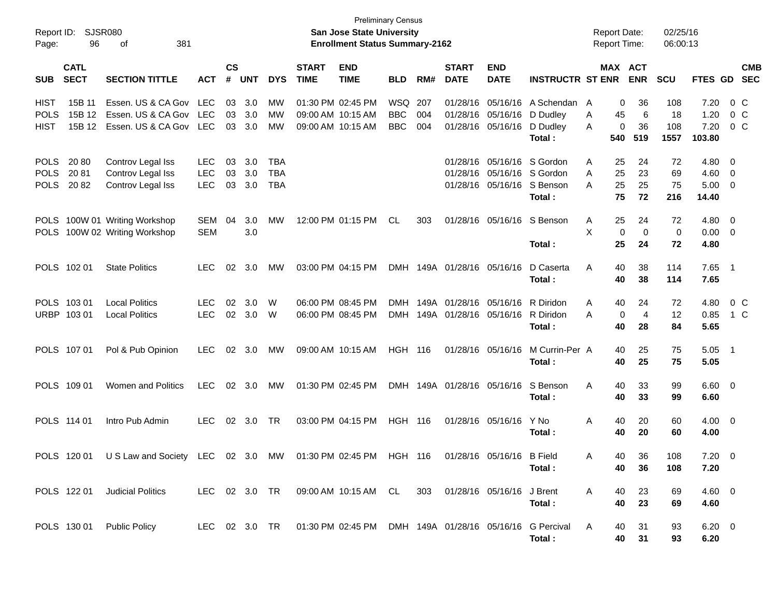| Report ID:<br>Page:                       | 96                         | SJSR080<br>381<br>οf                                           |                                        |                             |                   |                                 |                             | <b>Preliminary Census</b><br>San Jose State University<br><b>Enrollment Status Summary-2162</b> |                                 |                   |                                                  |                                                             |                                          | <b>Report Date:</b><br><b>Report Time:</b> |                                                     | 02/25/16<br>06:00:13          |                                         |                                                                                  |
|-------------------------------------------|----------------------------|----------------------------------------------------------------|----------------------------------------|-----------------------------|-------------------|---------------------------------|-----------------------------|-------------------------------------------------------------------------------------------------|---------------------------------|-------------------|--------------------------------------------------|-------------------------------------------------------------|------------------------------------------|--------------------------------------------|-----------------------------------------------------|-------------------------------|-----------------------------------------|----------------------------------------------------------------------------------|
| <b>SUB</b>                                | <b>CATL</b><br><b>SECT</b> | <b>SECTION TITTLE</b>                                          | <b>ACT</b>                             | $\mathsf{cs}$<br>$\pmb{\#}$ | <b>UNT</b>        | <b>DYS</b>                      | <b>START</b><br><b>TIME</b> | <b>END</b><br><b>TIME</b>                                                                       | <b>BLD</b>                      | RM#               | <b>START</b><br><b>DATE</b>                      | <b>END</b><br><b>DATE</b>                                   | <b>INSTRUCTR ST ENR</b>                  |                                            | MAX ACT<br><b>ENR</b>                               | <b>SCU</b>                    | <b>FTES GD</b>                          | <b>CMB</b><br><b>SEC</b>                                                         |
| <b>HIST</b><br><b>POLS</b><br><b>HIST</b> | 15B 11<br>15B 12<br>15B 12 | Essen. US & CA Gov<br>Essen. US & CA Gov<br>Essen. US & CA Gov | LEC<br>LEC<br>LEC                      | 03<br>03<br>03              | 3.0<br>3.0<br>3.0 | MW<br>MW<br>MW                  | 01:30 PM 02:45 PM           | 09:00 AM 10:15 AM<br>09:00 AM 10:15 AM                                                          | WSQ<br><b>BBC</b><br><b>BBC</b> | 207<br>004<br>004 | 01/28/16                                         | 05/16/16<br>01/28/16 05/16/16<br>01/28/16 05/16/16          | A Schendan<br>D Dudley<br>D Dudley       | A<br>A<br>A                                | 36<br>0<br>6<br>45<br>36<br>0                       | 108<br>18<br>108              | 7.20<br>1.20<br>7.20                    | 0 C<br>0 C<br>$0\,$ C                                                            |
| <b>POLS</b><br><b>POLS</b><br><b>POLS</b> | 2080<br>2081<br>2082       | Controv Legal Iss<br>Controv Legal Iss<br>Controv Legal Iss    | <b>LEC</b><br><b>LEC</b><br><b>LEC</b> | 03<br>03<br>03              | 3.0<br>3.0<br>3.0 | TBA<br><b>TBA</b><br><b>TBA</b> |                             |                                                                                                 |                                 |                   | 01/28/16                                         | 05/16/16<br>01/28/16 05/16/16 S Gordon<br>01/28/16 05/16/16 | Total:<br>S Gordon<br>S Benson<br>Total: | 540<br>A<br>A<br>A                         | 519<br>24<br>25<br>25<br>23<br>25<br>25<br>75<br>72 | 1557<br>72<br>69<br>75<br>216 | 103.80<br>4.80<br>4.60<br>5.00<br>14.40 | $\overline{\phantom{0}}$<br>$\overline{\phantom{0}}$<br>$\overline{\phantom{0}}$ |
| <b>POLS</b><br><b>POLS</b>                |                            | 100W 01 Writing Workshop<br>100W 02 Writing Workshop           | <b>SEM</b><br><b>SEM</b>               | 04                          | 3.0<br>3.0        | MW                              |                             | 12:00 PM 01:15 PM                                                                               | CL                              | 303               |                                                  | 01/28/16 05/16/16                                           | S Benson<br>Total:                       | A<br>X                                     | 25<br>24<br>0<br>$\mathbf 0$<br>25<br>24            | 72<br>0<br>72                 | 4.80 0<br>0.00<br>4.80                  | $\overline{\phantom{0}}$                                                         |
|                                           | POLS 102 01                | <b>State Politics</b>                                          | LEC                                    | 02                          | 3.0               | MW                              |                             | 03:00 PM 04:15 PM                                                                               |                                 |                   | DMH 149A 01/28/16 05/16/16                       |                                                             | D Caserta<br>Total:                      | Α                                          | 40<br>38<br>40<br>38                                | 114<br>114                    | 7.65<br>7.65                            | $\overline{\phantom{0}}$                                                         |
|                                           | POLS 103 01<br>URBP 103 01 | <b>Local Politics</b><br><b>Local Politics</b>                 | LEC.<br><b>LEC</b>                     | 02                          | 3.0<br>02 3.0     | W<br>W                          |                             | 06:00 PM 08:45 PM<br>06:00 PM 08:45 PM                                                          | <b>DMH</b><br><b>DMH</b>        |                   | 149A 01/28/16 05/16/16<br>149A 01/28/16 05/16/16 |                                                             | R Diridon<br>R Diridon<br>Total:         | A<br>A                                     | 24<br>40<br>$\overline{4}$<br>0<br>40<br>28         | 72<br>12<br>84                | 4.80<br>0.85<br>5.65                    | 0 <sup>o</sup><br>1 C                                                            |
|                                           | POLS 107 01                | Pol & Pub Opinion                                              | LEC.                                   |                             | 02 3.0            | МW                              | 09:00 AM 10:15 AM           |                                                                                                 | <b>HGH 116</b>                  |                   |                                                  | 01/28/16 05/16/16                                           | M Currin-Per A<br>Total:                 |                                            | 40<br>25<br>40<br>25                                | 75<br>75                      | 5.05<br>5.05                            | $\overline{\phantom{1}}$                                                         |
|                                           | POLS 109 01                | Women and Politics                                             | <b>LEC</b>                             |                             | 02 3.0            | МW                              |                             | 01:30 PM 02:45 PM                                                                               |                                 |                   | DMH 149A 01/28/16 05/16/16                       |                                                             | S Benson<br>Total:                       | Α                                          | 40<br>33<br>40<br>33                                | 99<br>99                      | $6.60 \quad 0$<br>6.60                  |                                                                                  |
|                                           | POLS 114 01                | Intro Pub Admin                                                | <b>LEC</b>                             |                             | 02 3.0            | TR                              |                             | 03:00 PM 04:15 PM                                                                               | <b>HGH 116</b>                  |                   |                                                  | 01/28/16 05/16/16                                           | Y No<br>Total :                          | Α                                          | 40<br>20<br>40<br>20                                | 60<br>60                      | $4.00 \ 0$<br>4.00                      |                                                                                  |
|                                           | POLS 120 01                | US Law and Society LEC 02 3.0 MW                               |                                        |                             |                   |                                 |                             | 01:30 PM 02:45 PM HGH 116                                                                       |                                 |                   |                                                  | 01/28/16 05/16/16 B Field                                   | Total:                                   | A                                          | 36<br>40.<br>40<br>36                               | 108<br>108                    | $7.20 \t 0$<br>7.20                     |                                                                                  |
|                                           | POLS 122 01                | <b>Judicial Politics</b>                                       |                                        |                             |                   |                                 |                             | LEC 02 3.0 TR  09:00 AM  10:15 AM  CL                                                           |                                 | 303               |                                                  | 01/28/16 05/16/16 J Brent                                   | Total:                                   | A                                          | 23<br>40<br>40<br>23                                | 69<br>69                      | $4.60 \quad 0$<br>4.60                  |                                                                                  |
|                                           |                            | POLS 130 01 Public Policy                                      |                                        |                             |                   |                                 |                             | LEC 02 3.0 TR  01:30 PM 02:45 PM  DMH  149A  01/28/16  05/16/16  G Percival                     |                                 |                   |                                                  |                                                             | Total:                                   | A                                          | 31<br>40<br>40<br>31                                | 93<br>93                      | $6.20 \quad 0$<br>6.20                  |                                                                                  |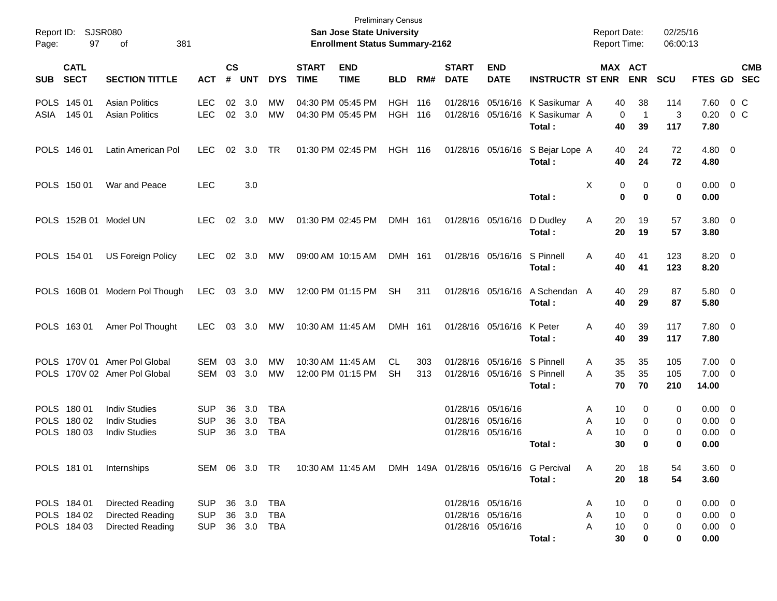| Report ID:<br>Page: | 97                                        | SJSR080<br>381<br>οf                                                 |                                        |                    |                   |                                        |                             | <b>Preliminary Census</b><br><b>San Jose State University</b><br><b>Enrollment Status Summary-2162</b> |                          |            |                             |                                                             |                                                   | <b>Report Date:</b><br><b>Report Time:</b> |                            | 02/25/16<br>06:00:13 |                                                   |                           |
|---------------------|-------------------------------------------|----------------------------------------------------------------------|----------------------------------------|--------------------|-------------------|----------------------------------------|-----------------------------|--------------------------------------------------------------------------------------------------------|--------------------------|------------|-----------------------------|-------------------------------------------------------------|---------------------------------------------------|--------------------------------------------|----------------------------|----------------------|---------------------------------------------------|---------------------------|
| <b>SUB</b>          | <b>CATL</b><br><b>SECT</b>                | <b>SECTION TITTLE</b>                                                | <b>ACT</b>                             | $\mathsf{cs}$<br># | <b>UNT</b>        | <b>DYS</b>                             | <b>START</b><br><b>TIME</b> | <b>END</b><br><b>TIME</b>                                                                              | <b>BLD</b>               | RM#        | <b>START</b><br><b>DATE</b> | <b>END</b><br><b>DATE</b>                                   | <b>INSTRUCTR ST ENR</b>                           | MAX ACT                                    | <b>ENR</b>                 | <b>SCU</b>           |                                                   | <b>CMB</b><br>FTES GD SEC |
| ASIA                | POLS 145 01<br>145 01                     | <b>Asian Politics</b><br><b>Asian Politics</b>                       | <b>LEC</b><br><b>LEC</b>               | 02                 | 3.0<br>02 3.0     | <b>MW</b><br><b>MW</b>                 |                             | 04:30 PM 05:45 PM<br>04:30 PM 05:45 PM                                                                 | <b>HGH</b><br><b>HGH</b> | 116<br>116 | 01/28/16<br>01/28/16        | 05/16/16                                                    | 05/16/16 K Sasikumar A<br>K Sasikumar A<br>Total: | 40<br>$\mathbf 0$<br>40                    | 38<br>$\overline{1}$<br>39 | 114<br>3<br>117      | 7.60<br>0.20<br>7.80                              | $0\,$ C<br>$0\,$ C        |
|                     | POLS 146 01                               | Latin American Pol                                                   | <b>LEC</b>                             | 02                 | 3.0               | TR                                     |                             | 01:30 PM 02:45 PM                                                                                      | HGH 116                  |            |                             |                                                             | 01/28/16 05/16/16 S Bejar Lope A<br>Total :       | 40<br>40                                   | 24<br>24                   | 72<br>72             | $4.80\ 0$<br>4.80                                 |                           |
|                     | POLS 150 01                               | War and Peace                                                        | <b>LEC</b>                             |                    | 3.0               |                                        |                             |                                                                                                        |                          |            |                             |                                                             | Total:                                            | X<br>0<br>$\bf{0}$                         | 0<br>0                     | 0<br>$\mathbf 0$     | $0.00 \t 0$<br>0.00                               |                           |
|                     |                                           | POLS 152B 01 Model UN                                                | <b>LEC</b>                             | 02                 | 3.0               | <b>MW</b>                              |                             | 01:30 PM 02:45 PM                                                                                      | DMH 161                  |            |                             | 01/28/16 05/16/16                                           | D Dudley<br>Total:                                | 20<br>Α<br>20                              | 19<br>19                   | 57<br>57             | 3.80 0<br>3.80                                    |                           |
|                     | POLS 154 01                               | <b>US Foreign Policy</b>                                             | <b>LEC</b>                             | 02                 | 3.0               | MW                                     |                             | 09:00 AM 10:15 AM                                                                                      | DMH 161                  |            |                             | 01/28/16 05/16/16                                           | S Pinnell<br>Total:                               | 40<br>A<br>40                              | 41<br>41                   | 123<br>123           | $8.20 \ 0$<br>8.20                                |                           |
|                     |                                           | POLS 160B 01 Modern Pol Though                                       | <b>LEC</b>                             | 03                 | 3.0               | MW                                     |                             | 12:00 PM 01:15 PM                                                                                      | <b>SH</b>                | 311        |                             | 01/28/16 05/16/16                                           | A Schendan A<br>Total:                            | 40<br>40                                   | 29<br>29                   | 87<br>87             | 5.80 0<br>5.80                                    |                           |
|                     | POLS 163 01                               | Amer Pol Thought                                                     | <b>LEC</b>                             | 03                 | 3.0               | MW                                     |                             | 10:30 AM 11:45 AM                                                                                      | DMH 161                  |            |                             | 01/28/16 05/16/16                                           | K Peter<br>Total:                                 | 40<br>A<br>40                              | 39<br>39                   | 117<br>117           | 7.80 0<br>7.80                                    |                           |
|                     |                                           | POLS 170V 01 Amer Pol Global<br>POLS 170V 02 Amer Pol Global         | SEM<br>SEM                             | 03<br>03           | 3.0<br>3.0        | <b>MW</b><br>MW                        |                             | 10:30 AM 11:45 AM<br>12:00 PM 01:15 PM                                                                 | CL.<br>SH                | 303<br>313 | 01/28/16                    | 05/16/16 S Pinnell<br>01/28/16 05/16/16 S Pinnell           | Total:                                            | 35<br>A<br>35<br>A<br>70                   | 35<br>35<br>70             | 105<br>105<br>210    | $7.00 \t 0$<br>$7.00 \t 0$<br>14.00               |                           |
|                     | POLS 180 01<br>POLS 180 02<br>POLS 180 03 | <b>Indiv Studies</b><br><b>Indiv Studies</b><br><b>Indiv Studies</b> | <b>SUP</b><br><b>SUP</b><br><b>SUP</b> | 36<br>36<br>36     | 3.0<br>3.0<br>3.0 | <b>TBA</b><br><b>TBA</b><br><b>TBA</b> |                             |                                                                                                        |                          |            |                             | 01/28/16 05/16/16<br>01/28/16 05/16/16<br>01/28/16 05/16/16 | Total :                                           | 10<br>Α<br>10<br>Α<br>10<br>Α<br>30        | 0<br>0<br>0<br>0           | 0<br>0<br>0<br>0     | $0.00 \t 0$<br>$0.00 \t 0$<br>$0.00 \t 0$<br>0.00 |                           |
|                     | POLS 181 01                               | Internships                                                          |                                        |                    |                   |                                        |                             | SEM 06 3.0 TR  10:30 AM 11:45 AM DMH 149A 01/28/16 05/16/16 G Percival                                 |                          |            |                             |                                                             | Total:                                            | 20<br>Α<br>20                              | 18<br>18                   | 54<br>54             | 3.60 0<br>3.60                                    |                           |
|                     | POLS 184 01<br>POLS 184 02<br>POLS 184 03 | Directed Reading<br>Directed Reading<br><b>Directed Reading</b>      | <b>SUP</b><br><b>SUP</b><br><b>SUP</b> | 36<br>36<br>36     | 3.0<br>3.0<br>3.0 | <b>TBA</b><br>TBA<br>TBA               |                             |                                                                                                        |                          |            |                             | 01/28/16 05/16/16<br>01/28/16 05/16/16<br>01/28/16 05/16/16 | Total:                                            | 10<br>Α<br>Α<br>10<br>10<br>Α<br>30        | 0<br>0<br>0<br>0           | 0<br>0<br>0<br>0     | $0.00 \t 0$<br>$0.00 \t 0$<br>$0.00 \t 0$<br>0.00 |                           |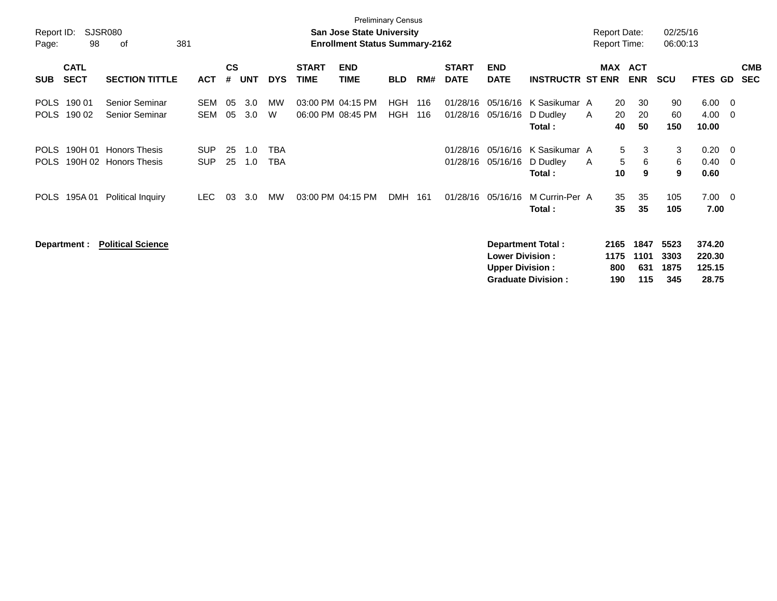|                            | <b>Preliminary Census</b><br><b>SJSR080</b><br><b>Report Date:</b><br>02/25/16<br><b>San Jose State University</b> |                                              |                          |                |            |            |                             |                                        |                   |            |                             |                                                  |                                                       |                            |                                  |                             |                                     |            |                          |
|----------------------------|--------------------------------------------------------------------------------------------------------------------|----------------------------------------------|--------------------------|----------------|------------|------------|-----------------------------|----------------------------------------|-------------------|------------|-----------------------------|--------------------------------------------------|-------------------------------------------------------|----------------------------|----------------------------------|-----------------------------|-------------------------------------|------------|--------------------------|
| Report ID:<br>Page:        | 98                                                                                                                 | οf                                           | 381                      |                |            |            |                             | <b>Enrollment Status Summary-2162</b>  |                   |            |                             |                                                  |                                                       | <b>Report Time:</b>        |                                  | 06:00:13                    |                                     |            |                          |
| <b>SUB</b>                 | <b>CATL</b><br><b>SECT</b>                                                                                         | <b>SECTION TITTLE</b>                        | <b>ACT</b>               | <b>CS</b><br># | <b>UNT</b> | <b>DYS</b> | <b>START</b><br><b>TIME</b> | <b>END</b><br><b>TIME</b>              | <b>BLD</b>        | RM#        | <b>START</b><br><b>DATE</b> | <b>END</b><br><b>DATE</b>                        | <b>INSTRUCTR ST ENR</b>                               |                            | MAX ACT<br><b>ENR</b>            | <b>SCU</b>                  | FTES GD                             |            | <b>CMB</b><br><b>SEC</b> |
| <b>POLS</b><br><b>POLS</b> | 190 01<br>190 02                                                                                                   | Senior Seminar<br>Senior Seminar             | <b>SEM</b><br><b>SEM</b> | 05<br>05       | 3.0<br>3.0 | МW<br>W    |                             | 03:00 PM 04:15 PM<br>06:00 PM 08:45 PM | HGH<br><b>HGH</b> | 116<br>116 | 01/28/16                    | 05/16/16<br>01/28/16 05/16/16                    | K Sasikumar A<br>D Dudley<br>Total:                   | $\mathsf{A}$               | 20<br>30<br>20<br>20<br>50<br>40 | 90<br>60<br>150             | 6.00<br>4.00<br>10.00               | - 0<br>- 0 |                          |
| <b>POLS</b><br><b>POLS</b> | 190H 01<br>190H 02                                                                                                 | <b>Honors Thesis</b><br><b>Honors Thesis</b> | <b>SUP</b><br><b>SUP</b> | 25<br>25       | 1.0<br>1.0 | TBA<br>TBA |                             |                                        |                   |            | 01/28/16<br>01/28/16        | 05/16/16<br>05/16/16                             | K Sasikumar A<br>D Dudley<br>Total:                   | A                          | 5<br>3<br>5<br>6<br>9<br>10      | 3<br>6<br>9                 | 0.20<br>0.40<br>0.60                | - 0<br>- 0 |                          |
| <b>POLS</b>                | 195A 01                                                                                                            | <b>Political Inquiry</b>                     | <b>LEC</b>               | 03             | 3.0        | MW         |                             | 03:00 PM 04:15 PM                      | <b>DMH</b>        | 161        | 01/28/16                    | 05/16/16                                         | M Currin-Per A<br>Total:                              |                            | 35<br>35<br>35<br>35             | 105<br>105                  | 7.00<br>7.00                        | - 0        |                          |
|                            | Department :                                                                                                       | <b>Political Science</b>                     |                          |                |            |            |                             |                                        |                   |            |                             | <b>Lower Division:</b><br><b>Upper Division:</b> | <b>Department Total:</b><br><b>Graduate Division:</b> | 2165<br>1175<br>800<br>190 | 1847<br>1101<br>631<br>115       | 5523<br>3303<br>1875<br>345 | 374.20<br>220.30<br>125.15<br>28.75 |            |                          |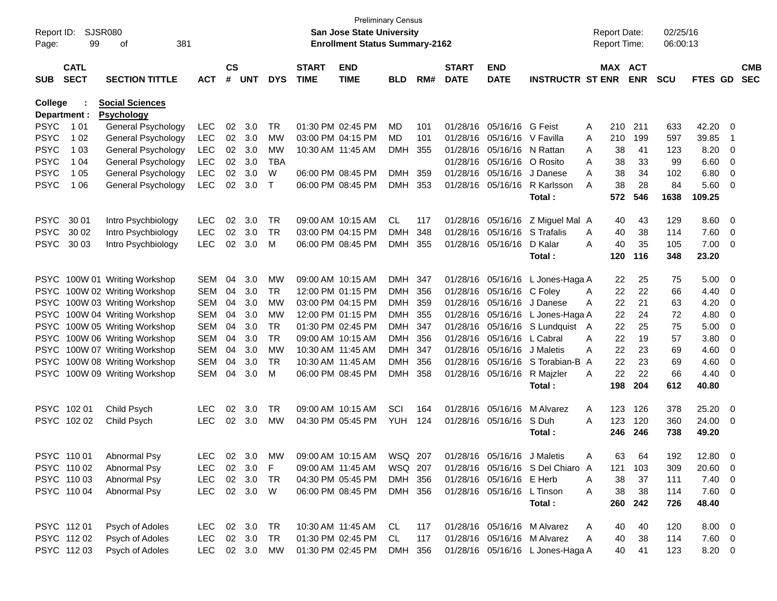| Report ID:<br>Page: | SJSR080<br>99              | 381<br>οf                     |            |                    |            |             |                             | <b>Preliminary Census</b><br>San Jose State University<br><b>Enrollment Status Summary-2162</b> |            |      |                             |                             |                                        |              | <b>Report Date:</b><br><b>Report Time:</b> |            | 02/25/16<br>06:00:13 |                |                         |                          |
|---------------------|----------------------------|-------------------------------|------------|--------------------|------------|-------------|-----------------------------|-------------------------------------------------------------------------------------------------|------------|------|-----------------------------|-----------------------------|----------------------------------------|--------------|--------------------------------------------|------------|----------------------|----------------|-------------------------|--------------------------|
| <b>SUB</b>          | <b>CATL</b><br><b>SECT</b> | <b>SECTION TITTLE</b>         | <b>ACT</b> | $\mathsf{cs}$<br># | <b>UNT</b> | <b>DYS</b>  | <b>START</b><br><b>TIME</b> | <b>END</b><br><b>TIME</b>                                                                       | <b>BLD</b> | RM#  | <b>START</b><br><b>DATE</b> | <b>END</b><br><b>DATE</b>   | <b>INSTRUCTR ST ENR</b>                |              | MAX ACT                                    | <b>ENR</b> | <b>SCU</b>           | <b>FTES GD</b> |                         | <b>CMB</b><br><b>SEC</b> |
| College             |                            | <b>Social Sciences</b>        |            |                    |            |             |                             |                                                                                                 |            |      |                             |                             |                                        |              |                                            |            |                      |                |                         |                          |
|                     | Department :               | <b>Psychology</b>             |            |                    |            |             |                             |                                                                                                 |            |      |                             |                             |                                        |              |                                            |            |                      |                |                         |                          |
| PSYC                | 1 0 1                      | General Psychology            | <b>LEC</b> | 02                 | 3.0        | TR          |                             | 01:30 PM 02:45 PM                                                                               | MD         | 101  | 01/28/16                    | 05/16/16 G Feist            |                                        | A            | 210                                        | 211        | 633                  | 42.20          | 0                       |                          |
| PSYC                | 1 0 2                      | General Psychology            | <b>LEC</b> | 02                 | 3.0        | МW          |                             | 03:00 PM 04:15 PM                                                                               | MD         | 101  | 01/28/16                    | 05/16/16 V Favilla          |                                        | A            | 210                                        | 199        | 597                  | 39.85          | -1                      |                          |
| PSYC                | 1 0 3                      | General Psychology            | <b>LEC</b> | 02                 | 3.0        | МW          |                             | 10:30 AM 11:45 AM                                                                               | <b>DMH</b> | 355  | 01/28/16                    |                             | 05/16/16 N Rattan                      | A            | 38                                         | 41         | 123                  | 8.20           | 0                       |                          |
| PSYC                | 1 04                       | General Psychology            | <b>LEC</b> | 02                 | 3.0        | <b>TBA</b>  |                             |                                                                                                 |            |      | 01/28/16                    | 05/16/16 O Rosito           |                                        | A            | 38                                         | 33         | 99                   | 6.60           | - 0                     |                          |
| PSYC                | 1 0 5                      | General Psychology            | <b>LEC</b> | 02                 | 3.0        | W           |                             | 06:00 PM 08:45 PM                                                                               | <b>DMH</b> | 359  | 01/28/16                    | 05/16/16                    | J Danese                               | A            | 38                                         | 34         | 102                  | 6.80           | 0                       |                          |
| <b>PSYC</b>         | 1 0 6                      | General Psychology            | <b>LEC</b> | 02                 | 3.0        | $\mathsf T$ |                             | 06:00 PM 08:45 PM                                                                               | <b>DMH</b> | 353  |                             |                             | 01/28/16 05/16/16 R Karlsson<br>Total: | A            | 38<br>572                                  | 28<br>546  | 84<br>1638           | 5.60<br>109.25 | - 0                     |                          |
| <b>PSYC</b>         | 30 01                      | Intro Psychbiology            | <b>LEC</b> | 02                 | 3.0        | TR.         |                             | 09:00 AM 10:15 AM                                                                               | CL         | 117  |                             |                             | 01/28/16 05/16/16 Z Miguel Mal A       |              | 40                                         | 43         | 129                  | 8.60           | - 0                     |                          |
| <b>PSYC</b>         | 30 02                      | Intro Psychbiology            | <b>LEC</b> | 02                 | 3.0        | <b>TR</b>   |                             | 03:00 PM 04:15 PM                                                                               | <b>DMH</b> | 348  | 01/28/16                    |                             | 05/16/16 S Trafalis                    | A            | 40                                         | 38         | 114                  | 7.60           | $\overline{0}$          |                          |
| <b>PSYC</b>         | 30 03                      | Intro Psychbiology            | <b>LEC</b> | 02                 | 3.0        | м           |                             | 06:00 PM 08:45 PM                                                                               | <b>DMH</b> | 355  |                             | 01/28/16 05/16/16           | D Kalar                                | A            | 40                                         | 35         | 105                  | 7.00           | - 0                     |                          |
|                     |                            |                               |            |                    |            |             |                             |                                                                                                 |            |      |                             |                             | Total:                                 |              | 120                                        | 116        | 348                  | 23.20          |                         |                          |
|                     |                            | PSYC 100W 01 Writing Workshop | <b>SEM</b> | 04                 | 3.0        | МW          |                             | 09:00 AM 10:15 AM                                                                               | DMH 347    |      | 01/28/16                    |                             | 05/16/16 L Jones-Haga A                |              | 22                                         | 25         | 75                   | 5.00           | - 0                     |                          |
| <b>PSYC</b>         |                            | 100W 02 Writing Workshop      | <b>SEM</b> | 04                 | 3.0        | TR          |                             | 12:00 PM 01:15 PM                                                                               | <b>DMH</b> | 356  | 01/28/16                    | 05/16/16 C Folev            |                                        | A            | 22                                         | 22         | 66                   | 4.40           | 0                       |                          |
| <b>PSYC</b>         |                            | 100W 03 Writing Workshop      | <b>SEM</b> | 04                 | 3.0        | МW          |                             | 03:00 PM 04:15 PM                                                                               | <b>DMH</b> | 359  | 01/28/16                    |                             | 05/16/16 J Danese                      | A            | 22                                         | 21         | 63                   | 4.20           | 0                       |                          |
| <b>PSYC</b>         |                            | 100W 04 Writing Workshop      | <b>SEM</b> | 04                 | 3.0        | МW          |                             | 12:00 PM 01:15 PM                                                                               | <b>DMH</b> | 355  | 01/28/16                    |                             | 05/16/16 L Jones-Haga A                |              | 22                                         | 24         | 72                   | 4.80           | 0                       |                          |
| <b>PSYC</b>         |                            | 100W 05 Writing Workshop      | <b>SEM</b> | 04                 | 3.0        | TR          |                             | 01:30 PM 02:45 PM                                                                               | DMH        | 347  | 01/28/16                    |                             | 05/16/16 S Lundquist                   | $\mathsf{A}$ | 22                                         | 25         | 75                   | 5.00           | 0                       |                          |
| <b>PSYC</b>         |                            | 100W 06 Writing Workshop      | <b>SEM</b> | 04                 | 3.0        | TR          |                             | 09:00 AM 10:15 AM                                                                               | <b>DMH</b> | -356 | 01/28/16                    | 05/16/16 L Cabral           |                                        | A            | 22                                         | 19         | 57                   | 3.80           | 0                       |                          |
| <b>PSYC</b>         |                            | 100W 07 Writing Workshop      | <b>SEM</b> | 04                 | 3.0        | МW          |                             | 10:30 AM 11:45 AM                                                                               | <b>DMH</b> | 347  | 01/28/16                    | 05/16/16 J Maletis          |                                        | A            | 22                                         | 23         | 69                   | 4.60           | 0                       |                          |
| <b>PSYC</b>         |                            | 100W 08 Writing Workshop      | <b>SEM</b> | 04                 | 3.0        | <b>TR</b>   |                             | 10:30 AM 11:45 AM                                                                               | <b>DMH</b> | 356  | 01/28/16                    |                             | 05/16/16 S Torabian-B                  | A            | 22                                         | 23         | 69                   | 4.60           | 0                       |                          |
| PSYC                |                            | 100W 09 Writing Workshop      | <b>SEM</b> | 04                 | 3.0        | м           |                             | 06:00 PM 08:45 PM                                                                               | <b>DMH</b> | 358  |                             | 01/28/16 05/16/16 R Majzler |                                        | A            | 22                                         | 22         | 66                   | 4.40           | 0                       |                          |
|                     |                            |                               |            |                    |            |             |                             |                                                                                                 |            |      |                             |                             | Total:                                 |              | 198                                        | 204        | 612                  | 40.80          |                         |                          |
|                     | PSYC 10201                 | Child Psych                   | <b>LEC</b> | 02                 | 3.0        | TR          |                             | 09:00 AM 10:15 AM                                                                               | SCI        | 164  | 01/28/16                    | 05/16/16                    | M Alvarez                              | A            | 123                                        | 126        | 378                  | 25.20          | - 0                     |                          |
|                     | PSYC 102 02                | Child Psych                   | <b>LEC</b> | 02                 | 3.0        | <b>MW</b>   |                             | 04:30 PM 05:45 PM                                                                               | YUH        | 124  |                             | 01/28/16 05/16/16 S Duh     |                                        | A            | 123                                        | 120        | 360                  | 24.00          | $\overline{\mathbf{0}}$ |                          |
|                     |                            |                               |            |                    |            |             |                             |                                                                                                 |            |      |                             |                             | Total:                                 |              | 246                                        | 246        | 738                  | 49.20          |                         |                          |
|                     | PSYC 110 01                | Abnormal Psy                  | <b>LEC</b> |                    | 02 3.0     | MW          |                             | 09:00 AM 10:15 AM                                                                               | WSQ 207    |      |                             | 01/28/16 05/16/16 J Maletis |                                        | Α            | 63                                         | 64         | 192                  | 12.80          | $\overline{\mathbf{0}}$ |                          |
|                     | PSYC 110 02                | Abnormal Psy                  | LEC.       |                    | 02 3.0     | F           |                             | 09:00 AM 11:45 AM                                                                               | WSQ 207    |      |                             |                             | 01/28/16 05/16/16 S Del Chiaro A       |              | 121                                        | 103        | 309                  | 20.60 0        |                         |                          |
|                     | PSYC 110 03                | Abnormal Psy                  | <b>LEC</b> |                    | 02 3.0     | TR          |                             | 04:30 PM 05:45 PM                                                                               | DMH 356    |      |                             | 01/28/16 05/16/16 E Herb    |                                        | A            | 38                                         | 37         | 111                  | $7.40 \ 0$     |                         |                          |
|                     | PSYC 110 04                | Abnormal Psy                  | <b>LEC</b> |                    | 02 3.0 W   |             |                             | 06:00 PM 08:45 PM                                                                               | DMH 356    |      |                             | 01/28/16 05/16/16 L Tinson  |                                        | A            | 38                                         | 38         | 114                  | $7.60$ 0       |                         |                          |
|                     |                            |                               |            |                    |            |             |                             |                                                                                                 |            |      |                             |                             | Total:                                 |              | 260                                        | 242        | 726                  | 48.40          |                         |                          |
|                     | PSYC 112 01                | Psych of Adoles               | <b>LEC</b> |                    | 02 3.0     | TR          |                             | 10:30 AM 11:45 AM                                                                               | CL         | 117  |                             |                             | 01/28/16 05/16/16 M Alvarez            | A            | 40                                         | 40         | 120                  | $8.00 \t 0$    |                         |                          |
|                     | PSYC 112 02                | Psych of Adoles               | <b>LEC</b> |                    | 02 3.0     | TR          |                             | 01:30 PM 02:45 PM                                                                               | CL         | 117  |                             |                             | 01/28/16 05/16/16 M Alvarez            | A            | 40                                         | 38         | 114                  | $7.60$ 0       |                         |                          |
|                     | PSYC 11203                 | Psych of Adoles               | <b>LEC</b> |                    | 02 3.0     | МW          |                             | 01:30 PM 02:45 PM                                                                               | DMH 356    |      |                             |                             | 01/28/16 05/16/16 L Jones-Haga A       |              | 40                                         | 41         | 123                  | 8.20 0         |                         |                          |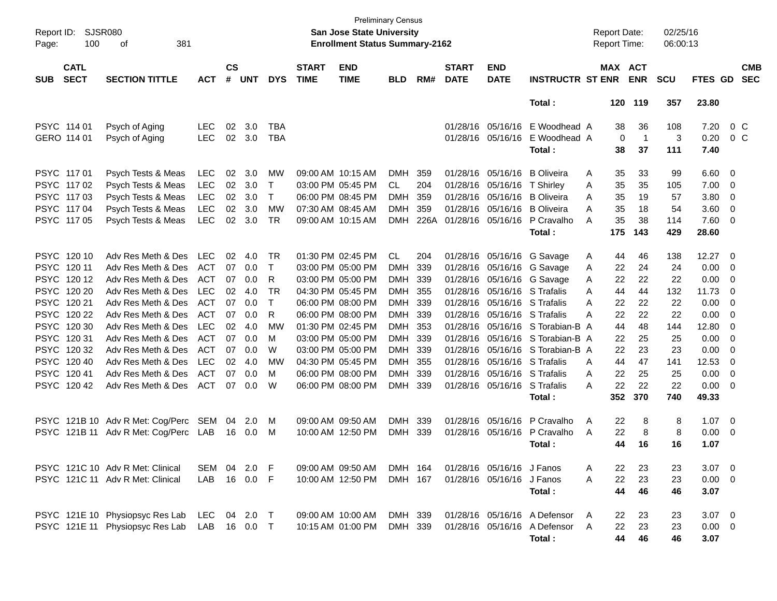| Report ID:<br>Page: | <b>SJSR080</b><br>100      |                                  |            |                    |            |              | <b>Preliminary Census</b><br>San Jose State University<br><b>Enrollment Status Summary-2162</b> |                           |            |      |                             |                           |                              | <b>Report Date:</b><br><b>Report Time:</b> |         | 02/25/16<br>06:00:13 |            |                |                          |                          |
|---------------------|----------------------------|----------------------------------|------------|--------------------|------------|--------------|-------------------------------------------------------------------------------------------------|---------------------------|------------|------|-----------------------------|---------------------------|------------------------------|--------------------------------------------|---------|----------------------|------------|----------------|--------------------------|--------------------------|
| <b>SUB</b>          | <b>CATL</b><br><b>SECT</b> | <b>SECTION TITTLE</b>            | <b>ACT</b> | $\mathsf{cs}$<br># | <b>UNT</b> | <b>DYS</b>   | <b>START</b><br><b>TIME</b>                                                                     | <b>END</b><br><b>TIME</b> | <b>BLD</b> | RM#  | <b>START</b><br><b>DATE</b> | <b>END</b><br><b>DATE</b> | <b>INSTRUCTR ST ENR</b>      |                                            | MAX ACT | <b>ENR</b>           | <b>SCU</b> | FTES GD        |                          | <b>CMB</b><br><b>SEC</b> |
|                     |                            |                                  |            |                    |            |              |                                                                                                 |                           |            |      |                             |                           | Total:                       |                                            |         | 120 119              | 357        | 23.80          |                          |                          |
|                     | PSYC 114 01                | Psych of Aging                   | <b>LEC</b> | 02                 | 3.0        | TBA          |                                                                                                 |                           |            |      |                             | 01/28/16 05/16/16         | E Woodhead A                 |                                            | 38      | 36                   | 108        | 7.20           | 0 C                      |                          |
|                     | GERO 114 01                | Psych of Aging                   | <b>LEC</b> | 02                 | 3.0        | <b>TBA</b>   |                                                                                                 |                           |            |      |                             | 01/28/16 05/16/16         | E Woodhead A                 |                                            | 0       | $\mathbf{1}$         | 3          | 0.20           | 0 <sup>o</sup>           |                          |
|                     |                            |                                  |            |                    |            |              |                                                                                                 |                           |            |      |                             |                           | Total:                       |                                            | 38      | 37                   | 111        | 7.40           |                          |                          |
| PSYC 117 01         |                            | Psych Tests & Meas               | <b>LEC</b> | 02                 | 3.0        | MW           |                                                                                                 | 09:00 AM 10:15 AM         | DMH        | 359  | 01/28/16                    | 05/16/16                  | <b>B</b> Oliveira            | A                                          | 35      | 33                   | 99         | 6.60           | $\overline{\phantom{0}}$ |                          |
|                     | PSYC 117 02                | Psych Tests & Meas               | <b>LEC</b> | 02                 | 3.0        | T            |                                                                                                 | 03:00 PM 05:45 PM         | CL.        | 204  | 01/28/16                    | 05/16/16                  | T Shirley                    | A                                          | 35      | 35                   | 105        | 7.00           | 0                        |                          |
|                     | PSYC 117 03                | Psych Tests & Meas               | <b>LEC</b> | 02                 | 3.0        | Τ            |                                                                                                 | 06:00 PM 08:45 PM         | <b>DMH</b> | 359  | 01/28/16                    | 05/16/16                  | <b>B</b> Oliveira            | A                                          | 35      | 19                   | 57         | 3.80           | 0                        |                          |
| <b>PSYC</b>         | 117 04                     | Psych Tests & Meas               | <b>LEC</b> | 02                 | 3.0        | <b>MW</b>    |                                                                                                 | 07:30 AM 08:45 AM         | <b>DMH</b> | 359  |                             | 01/28/16 05/16/16         | <b>B</b> Oliveira            | A                                          | 35      | 18                   | 54         | 3.60           | 0                        |                          |
| <b>PSYC</b>         | 117 05                     | Psych Tests & Meas               | <b>LEC</b> | 02                 | 3.0        | TR           |                                                                                                 | 09:00 AM 10:15 AM         | <b>DMH</b> | 226A |                             | 01/28/16 05/16/16         | P Cravalho                   | A                                          | 35      | 38                   | 114        | 7.60           | - 0                      |                          |
|                     |                            |                                  |            |                    |            |              |                                                                                                 |                           |            |      |                             |                           | Total:                       |                                            | 175     | 143                  | 429        | 28.60          |                          |                          |
|                     | PSYC 120 10                | Adv Res Meth & Des               | <b>LEC</b> | 02                 | 4.0        | TR           |                                                                                                 | 01:30 PM 02:45 PM         | <b>CL</b>  | 204  |                             |                           | 01/28/16 05/16/16 G Savage   | A                                          | 44      | 46                   | 138        | 12.27          | $\overline{\phantom{0}}$ |                          |
| <b>PSYC</b>         | 120 11                     | Adv Res Meth & Des               | <b>ACT</b> | 07                 | 0.0        | $\mathsf{T}$ |                                                                                                 | 03:00 PM 05:00 PM         | <b>DMH</b> | 339  | 01/28/16                    |                           | 05/16/16 G Savage            | A                                          | 22      | 24                   | 24         | 0.00           | $\overline{\mathbf{0}}$  |                          |
| <b>PSYC</b>         | 120 12                     | Adv Res Meth & Des               | ACT        | 07                 | 0.0        | R            |                                                                                                 | 03:00 PM 05:00 PM         | DMH        | 339  | 01/28/16                    |                           | 05/16/16 G Savage            | A                                          | 22      | 22                   | 22         | 0.00           | 0                        |                          |
| <b>PSYC</b>         | 120 20                     | Adv Res Meth & Des               | <b>LEC</b> | 02                 | 4.0        | <b>TR</b>    |                                                                                                 | 04:30 PM 05:45 PM         | DMH        | 355  | 01/28/16                    |                           | 05/16/16 S Trafalis          | A                                          | 44      | 44                   | 132        | 11.73          | 0                        |                          |
| <b>PSYC</b>         | 120 21                     | Adv Res Meth & Des               | ACT        | 07                 | 0.0        | $\mathsf{T}$ |                                                                                                 | 06:00 PM 08:00 PM         | <b>DMH</b> | 339  | 01/28/16                    |                           | 05/16/16 S Trafalis          | A                                          | 22      | 22                   | 22         | 0.00           | 0                        |                          |
| <b>PSYC</b>         | 120 22                     | Adv Res Meth & Des               | ACT        | 07                 | 0.0        | R            |                                                                                                 | 06:00 PM 08:00 PM         | <b>DMH</b> | 339  | 01/28/16                    |                           | 05/16/16 S Trafalis          | A                                          | 22      | 22                   | 22         | 0.00           | 0                        |                          |
| <b>PSYC</b>         | 120 30                     | Adv Res Meth & Des               | <b>LEC</b> | 02                 | 4.0        | MW           |                                                                                                 | 01:30 PM 02:45 PM         | DMH        | 353  | 01/28/16                    | 05/16/16                  | S Torabian-B A               |                                            | 44      | 48                   | 144        | 12.80          | 0                        |                          |
| <b>PSYC</b>         | 120 31                     | Adv Res Meth & Des               | ACT        | 07                 | 0.0        | M            |                                                                                                 | 03:00 PM 05:00 PM         | DMH        | 339  | 01/28/16                    | 05/16/16                  | S Torabian-B A               |                                            | 22      | 25                   | 25         | 0.00           | 0                        |                          |
| <b>PSYC</b>         | 120 32                     | Adv Res Meth & Des               | ACT        | 07                 | 0.0        | W            |                                                                                                 | 03:00 PM 05:00 PM         | <b>DMH</b> | 339  | 01/28/16                    | 05/16/16                  | S Torabian-B A               |                                            | 22      | 23                   | 23         | 0.00           | 0                        |                          |
| <b>PSYC</b>         | 120 40                     | Adv Res Meth & Des               | <b>LEC</b> | 02                 | 4.0        | MW           |                                                                                                 | 04:30 PM 05:45 PM         | DMH        | 355  | 01/28/16                    | 05/16/16                  | S Trafalis                   | A                                          | 44      | 47                   | 141        | 12.53          | 0                        |                          |
| <b>PSYC</b>         | 120 41                     | Adv Res Meth & Des               | <b>ACT</b> | 07                 | 0.0        | M            |                                                                                                 | 06:00 PM 08:00 PM         | <b>DMH</b> | 339  | 01/28/16                    |                           | 05/16/16 S Trafalis          | Α                                          | 22      | 25                   | 25         | 0.00           | 0                        |                          |
| <b>PSYC</b>         | 120 42                     | Adv Res Meth & Des               | ACT        | 07                 | 0.0        | W            |                                                                                                 | 06:00 PM 08:00 PM         | DMH 339    |      |                             | 01/28/16 05/16/16         | S Trafalis                   | A                                          | 22      | 22                   | 22         | 0.00           | - 0                      |                          |
|                     |                            |                                  |            |                    |            |              |                                                                                                 |                           |            |      |                             |                           | Total:                       |                                            | 352     | 370                  | 740        | 49.33          |                          |                          |
| <b>PSYC</b>         |                            | 121B 10 Adv R Met: Cog/Perc      | SEM        | 04                 | 2.0        | M            | 09:00 AM 09:50 AM                                                                               |                           | DMH 339    |      |                             | 01/28/16 05/16/16         | P Cravalho                   | A                                          | 22      | 8                    | 8          | 1.07           | $\overline{\phantom{0}}$ |                          |
| <b>PSYC</b>         |                            | 121B 11 Adv R Met: Cog/Perc LAB  |            | 16                 | 0.0        | M            |                                                                                                 | 10:00 AM 12:50 PM         | DMH 339    |      |                             | 01/28/16 05/16/16         | P Cravalho                   | A                                          | 22      | 8                    | 8          | 0.00           | $\overline{\mathbf{0}}$  |                          |
|                     |                            |                                  |            |                    |            |              |                                                                                                 |                           |            |      |                             |                           | Total:                       |                                            | 44      | 16                   | 16         | 1.07           |                          |                          |
|                     |                            | PSYC 121C 10 Adv R Met: Clinical | SEM        |                    | 04 2.0 F   |              |                                                                                                 | 09:00 AM 09:50 AM         | DMH 164    |      |                             | 01/28/16 05/16/16 J Fanos |                              | Α                                          | 22      | 23                   | 23         | $3.07\ 0$      |                          |                          |
|                     |                            | PSYC 121C 11 Adv R Met: Clinical | LAB        |                    | 16  0.0  F |              |                                                                                                 | 10:00 AM 12:50 PM         | DMH 167    |      |                             | 01/28/16 05/16/16 J Fanos |                              | A                                          | 22      | 23                   | 23         | $0.00 \t 0$    |                          |                          |
|                     |                            |                                  |            |                    |            |              |                                                                                                 |                           |            |      |                             |                           | Total:                       |                                            | 44      | 46                   | 46         | 3.07           |                          |                          |
|                     |                            | PSYC 121E 10 Physiopsyc Res Lab  | LEC        |                    | 04 2.0 T   |              |                                                                                                 | 09:00 AM 10:00 AM         | DMH 339    |      |                             |                           | 01/28/16 05/16/16 A Defensor | A                                          | 22      | 23                   | 23         | $3.07 \quad 0$ |                          |                          |
|                     |                            | PSYC 121E 11 Physiopsyc Res Lab  | LAB        |                    |            |              |                                                                                                 | 10:15 AM 01:00 PM         | DMH 339    |      |                             |                           | 01/28/16 05/16/16 A Defensor | A                                          | 22      | 23                   | 23         | $0.00 \t 0$    |                          |                          |
|                     |                            |                                  |            |                    |            |              |                                                                                                 |                           |            |      |                             |                           | Total:                       |                                            | 44      | 46                   | 46         | 3.07           |                          |                          |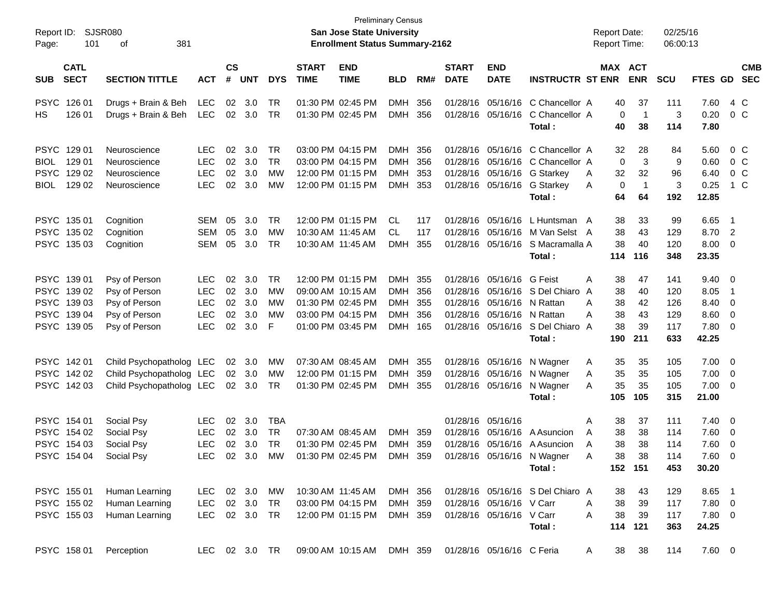| Report ID:<br>101<br>Page:                                              | SJSR080<br>381<br>οf                                                              |                                                             |                            |                                 |                                           |                             | <b>Preliminary Census</b><br><b>San Jose State University</b><br><b>Enrollment Status Summary-2162</b> |                                     |                          |                                  |                                                                     |                                                                                                                                      | <b>Report Date:</b><br><b>Report Time:</b>            |                                    | 02/25/16<br>06:00:13                   |                                                               |                                                      |                          |
|-------------------------------------------------------------------------|-----------------------------------------------------------------------------------|-------------------------------------------------------------|----------------------------|---------------------------------|-------------------------------------------|-----------------------------|--------------------------------------------------------------------------------------------------------|-------------------------------------|--------------------------|----------------------------------|---------------------------------------------------------------------|--------------------------------------------------------------------------------------------------------------------------------------|-------------------------------------------------------|------------------------------------|----------------------------------------|---------------------------------------------------------------|------------------------------------------------------|--------------------------|
| <b>CATL</b><br><b>SECT</b><br><b>SUB</b>                                | <b>SECTION TITTLE</b>                                                             | <b>ACT</b>                                                  | $\mathsf{cs}$<br>#         | UNT                             | <b>DYS</b>                                | <b>START</b><br><b>TIME</b> | <b>END</b><br><b>TIME</b>                                                                              | <b>BLD</b>                          | RM#                      | <b>START</b><br><b>DATE</b>      | <b>END</b><br><b>DATE</b>                                           | <b>INSTRUCTR ST ENR</b>                                                                                                              | MAX ACT                                               | <b>ENR</b>                         | <b>SCU</b>                             | <b>FTES GD</b>                                                |                                                      | <b>CMB</b><br><b>SEC</b> |
| PSYC 126 01<br>126 01<br>HS.                                            | Drugs + Brain & Beh<br>Drugs + Brain & Beh                                        | <b>LEC</b><br><b>LEC</b>                                    | 02<br>02                   | 3.0<br>3.0                      | <b>TR</b><br>TR                           |                             | 01:30 PM 02:45 PM<br>01:30 PM 02:45 PM                                                                 | <b>DMH</b><br><b>DMH</b>            | 356<br>356               | 01/28/16                         |                                                                     | 05/16/16 C Chancellor A<br>01/28/16 05/16/16 C Chancellor A<br>Total :                                                               | 40<br>$\mathbf 0$<br>40                               | 37<br>$\overline{1}$<br>38         | 111<br>3<br>114                        | 7.60<br>0.20<br>7.80                                          | 4 C<br>0 <sup>o</sup>                                |                          |
| PSYC 129 01<br>BIOL 129 01<br>PSYC 129 02<br>129 02<br>BIOL             | Neuroscience<br>Neuroscience<br>Neuroscience<br>Neuroscience                      | <b>LEC</b><br><b>LEC</b><br><b>LEC</b><br><b>LEC</b>        | 02<br>02<br>02<br>02       | 3.0<br>3.0<br>3.0<br>3.0        | <b>TR</b><br><b>TR</b><br><b>MW</b><br>MW |                             | 03:00 PM 04:15 PM<br>03:00 PM 04:15 PM<br>12:00 PM 01:15 PM<br>12:00 PM 01:15 PM                       | DMH<br>DMH<br>DMH<br>DMH            | 356<br>356<br>353<br>353 | 01/28/16                         |                                                                     | 01/28/16 05/16/16 C Chancellor A<br>05/16/16 C Chancellor A<br>01/28/16 05/16/16 G Starkey<br>01/28/16 05/16/16 G Starkey<br>Total : | 32<br>0<br>32<br>A<br>0<br>A<br>64                    | 28<br>3<br>32<br>$\mathbf 1$<br>64 | 84<br>9<br>96<br>3<br>192              | 5.60<br>0.60<br>6.40<br>0.25<br>12.85                         | 0 C<br>0 <sup>o</sup><br>0 <sup>o</sup>              | $1\,C$                   |
| PSYC 135 01<br>PSYC 135 02<br>PSYC 135 03                               | Cognition<br>Cognition<br>Cognition                                               | SEM<br>SEM<br>SEM                                           | 05<br>05<br>05             | 3.0<br>3.0<br>3.0               | <b>TR</b><br>MW<br>TR                     |                             | 12:00 PM 01:15 PM<br>10:30 AM 11:45 AM<br>10:30 AM 11:45 AM                                            | CL.<br>CL.<br><b>DMH</b>            | 117<br>117<br>355        | 01/28/16<br>01/28/16             |                                                                     | 05/16/16 L Huntsman A<br>05/16/16 M Van Selst A<br>01/28/16 05/16/16 S Macramalla A<br>Total :                                       | 38<br>38<br>38<br>114                                 | 33<br>43<br>40<br>116              | 99<br>129<br>120<br>348                | 6.65<br>8.70<br>$8.00 \t 0$<br>23.35                          | $\overline{\phantom{1}}$<br>$\overline{\phantom{0}}$ |                          |
| PSYC 139 01<br>PSYC 139 02<br>PSYC 139 03<br>PSYC 139 04<br>PSYC 139 05 | Psy of Person<br>Psy of Person<br>Psy of Person<br>Psy of Person<br>Psy of Person | <b>LEC</b><br><b>LEC</b><br><b>LEC</b><br><b>LEC</b><br>LEC | 02<br>02<br>02<br>02<br>02 | 3.0<br>3.0<br>3.0<br>3.0<br>3.0 | <b>TR</b><br>MW<br>MW<br>MW<br>F          |                             | 12:00 PM 01:15 PM<br>09:00 AM 10:15 AM<br>01:30 PM 02:45 PM<br>03:00 PM 04:15 PM<br>01:00 PM 03:45 PM  | DMH<br>DMH<br>DMH<br>DMH<br>DMH 165 | 355<br>356<br>355<br>356 | 01/28/16<br>01/28/16<br>01/28/16 | 01/28/16 05/16/16 G Feist<br>05/16/16 N Rattan<br>05/16/16 N Rattan | 05/16/16 S Del Chiaro<br>01/28/16 05/16/16 S Del Chiaro A<br>Total :                                                                 | 38<br>Α<br>38<br>A<br>38<br>A<br>38<br>A<br>38<br>190 | 47<br>40<br>42<br>43<br>39<br>211  | 141<br>120<br>126<br>129<br>117<br>633 | $9.40 \quad 0$<br>8.05<br>8.40<br>$8.60$ 0<br>7.80 0<br>42.25 | $\overline{1}$<br>$\overline{\phantom{0}}$           |                          |
| PSYC 14201<br>PSYC 142 02<br>PSYC 142 03                                | Child Psychopatholog LEC<br>Child Psychopatholog LEC<br>Child Psychopatholog LEC  |                                                             | 02                         | 3.0<br>02 3.0<br>02 3.0         | MW<br>MW<br>TR                            |                             | 07:30 AM 08:45 AM<br>12:00 PM 01:15 PM<br>01:30 PM 02:45 PM                                            | DMH<br>DMH<br>DMH 355               | 355<br>359               |                                  |                                                                     | 01/28/16 05/16/16 N Wagner<br>01/28/16 05/16/16 N Wagner<br>01/28/16 05/16/16 N Wagner<br>Total :                                    | 35<br>Α<br>35<br>Α<br>35<br>A<br>105                  | 35<br>35<br>35<br>105              | 105<br>105<br>105<br>315               | $7.00 \t 0$<br>$7.00 \t 0$<br>$7.00 \t 0$<br>21.00            |                                                      |                          |
| PSYC 154 01<br>PSYC 154 02<br>PSYC 154 03<br>PSYC 154 04                | Social Psy<br>Social Psy<br>Social Psy<br>Social Psy                              | <b>LEC</b><br><b>LEC</b><br><b>LEC</b><br><b>LEC</b>        | 02<br>02<br>02<br>02       | 3.0<br>3.0<br>3.0<br>3.0        | <b>TBA</b><br><b>TR</b><br>TR<br>MW       |                             | 07:30 AM 08:45 AM<br>01:30 PM 02:45 PM<br>01:30 PM 02:45 PM                                            | <b>DMH</b><br>DMH<br>DMH 359        | 359<br>359               | 01/28/16                         | 01/28/16 05/16/16                                                   | 05/16/16 A Asuncion<br>01/28/16 05/16/16 A Asuncion<br>01/28/16 05/16/16 N Wagner<br>Total:                                          | 38<br>Α<br>38<br>A<br>38<br>A<br>38<br>A              | 37<br>38<br>38<br>38<br>152 151    | 111<br>114<br>114<br>114<br>453        | $7.40 \quad 0$<br>7.60 0<br>7.60 0<br>7.60<br>30.20           | - 0                                                  |                          |
| PSYC 155 01<br>PSYC 155 02<br>PSYC 155 03                               | Human Learning<br>Human Learning<br>Human Learning                                | LEC 02 3.0 MW<br>LEC<br>LEC 02 3.0 TR                       |                            | 02 3.0 TR                       |                                           |                             | 10:30 AM 11:45 AM<br>03:00 PM 04:15 PM<br>12:00 PM 01:15 PM                                            | DMH 356<br>DMH 359<br>DMH 359       |                          |                                  | 01/28/16 05/16/16 V Carr<br>01/28/16 05/16/16 V Carr                | 01/28/16 05/16/16 S Del Chiaro A<br>Total:                                                                                           | 38<br>38<br>A<br>38<br>A                              | 43<br>39<br>39<br>114 121          | 129<br>117<br>117<br>363               | 8.65 1<br>$7.80\ 0$<br>7.80 0<br>24.25                        |                                                      |                          |
| PSYC 158 01                                                             | Perception                                                                        |                                                             |                            |                                 | LEC 02 3.0 TR                             |                             | 09:00 AM 10:15 AM DMH 359 01/28/16 05/16/16 C Feria                                                    |                                     |                          |                                  |                                                                     |                                                                                                                                      | 38<br>A                                               | 38                                 | 114                                    | $7.60\quad 0$                                                 |                                                      |                          |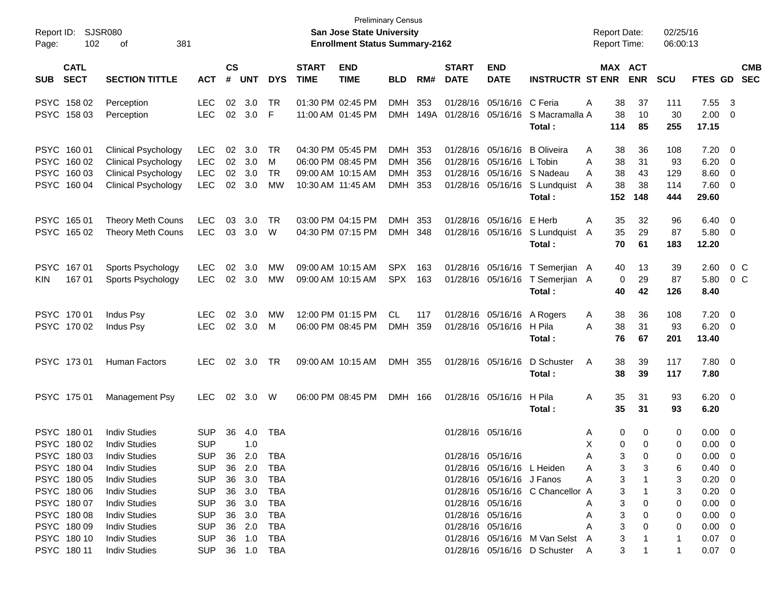| Report ID:<br>102<br>Page:               | <b>SJSR080</b><br>381<br>οf                              |                          |                             |                  |                |                             | <b>San Jose State University</b><br><b>Enrollment Status Summary-2162</b> | <b>Preliminary Census</b> |             |                             |                                        |                                  |        | <b>Report Date:</b><br><b>Report Time:</b> |            | 02/25/16<br>06:00:13 |                               |                              |                          |
|------------------------------------------|----------------------------------------------------------|--------------------------|-----------------------------|------------------|----------------|-----------------------------|---------------------------------------------------------------------------|---------------------------|-------------|-----------------------------|----------------------------------------|----------------------------------|--------|--------------------------------------------|------------|----------------------|-------------------------------|------------------------------|--------------------------|
| <b>CATL</b><br><b>SECT</b><br><b>SUB</b> | <b>SECTION TITTLE</b>                                    | <b>ACT</b>               | $\mathbf{c}\mathbf{s}$<br># | <b>UNT</b>       | <b>DYS</b>     | <b>START</b><br><b>TIME</b> | <b>END</b><br><b>TIME</b>                                                 | <b>BLD</b>                | RM#         | <b>START</b><br><b>DATE</b> | <b>END</b><br><b>DATE</b>              | <b>INSTRUCTR ST ENR</b>          |        | MAX ACT                                    | <b>ENR</b> | <b>SCU</b>           | FTES GD                       |                              | <b>CMB</b><br><b>SEC</b> |
| PSYC 158 02<br>PSYC 158 03               | Perception<br>Perception                                 | LEC<br>LEC               | 02<br>02                    | 3.0<br>3.0       | TR<br>F        |                             | 01:30 PM 02:45 PM<br>11:00 AM 01:45 PM                                    | <b>DMH</b><br><b>DMH</b>  | 353<br>149A |                             | 01/28/16 05/16/16<br>01/28/16 05/16/16 | C Feria<br>S Macramalla A        | Α      | 38<br>38                                   | 37<br>10   | 111<br>30            | 7.55<br>2.00                  | $\mathbf{3}$<br>0            |                          |
|                                          |                                                          |                          |                             |                  |                |                             |                                                                           |                           |             |                             |                                        | Total:                           |        | 114                                        | 85         | 255                  | 17.15                         |                              |                          |
| PSYC 160 01<br>PSYC 160 02               | <b>Clinical Psychology</b><br><b>Clinical Psychology</b> | <b>LEC</b><br><b>LEC</b> | 02<br>02                    | 3.0<br>3.0       | TR<br>M        |                             | 04:30 PM 05:45 PM<br>06:00 PM 08:45 PM                                    | <b>DMH</b><br><b>DMH</b>  | 353<br>356  |                             | 01/28/16 05/16/16<br>01/28/16 05/16/16 | <b>B</b> Oliveira<br>L Tobin     | Α<br>A | 38<br>38                                   | 36<br>31   | 108<br>93            | 7.20<br>6.20                  | $\overline{\mathbf{0}}$<br>0 |                          |
| PSYC 160 03                              | <b>Clinical Psychology</b>                               | <b>LEC</b>               | 02                          | 3.0              | TR             |                             | 09:00 AM 10:15 AM                                                         | <b>DMH</b>                | 353         |                             | 01/28/16 05/16/16                      | S Nadeau                         | A      | 38                                         | 43         | 129                  | 8.60                          | 0                            |                          |
| PSYC 160 04                              | <b>Clinical Psychology</b>                               | <b>LEC</b>               | 02                          | 3.0              | МW             |                             | 10:30 AM 11:45 AM                                                         | <b>DMH</b>                | 353         |                             | 01/28/16 05/16/16                      | S Lundquist                      | A      | 38                                         | 38         | 114                  | 7.60                          | $\overline{\mathbf{0}}$      |                          |
|                                          |                                                          |                          |                             |                  |                |                             |                                                                           |                           |             |                             |                                        | Total:                           |        | 152                                        | 148        | 444                  | 29.60                         |                              |                          |
| PSYC 165 01                              | Theory Meth Couns                                        | <b>LEC</b>               | 03                          | 3.0              | TR             |                             | 03:00 PM 04:15 PM                                                         | <b>DMH</b>                | 353         |                             | 01/28/16 05/16/16                      | E Herb                           | Α      | 35                                         | 32         | 96                   | 6.40                          | $\overline{\mathbf{0}}$      |                          |
| PSYC 165 02                              | <b>Theory Meth Couns</b>                                 | <b>LEC</b>               | 03                          | 3.0              | W              |                             | 04:30 PM 07:15 PM                                                         | DMH 348                   |             |                             | 01/28/16 05/16/16                      | S Lundquist<br>Total:            | A      | 35<br>70                                   | 29<br>61   | 87<br>183            | 5.80                          | $\overline{\mathbf{0}}$      |                          |
|                                          |                                                          |                          |                             |                  |                |                             |                                                                           |                           |             |                             |                                        |                                  |        |                                            |            |                      | 12.20                         |                              |                          |
| PSYC 16701                               | Sports Psychology                                        | <b>LEC</b>               | 02                          | 3.0              | MW             |                             | 09:00 AM 10:15 AM                                                         | <b>SPX</b>                | 163         |                             | 01/28/16 05/16/16                      | T Semerjian A                    |        | 40                                         | 13         | 39                   | 2.60                          | 0 C                          |                          |
| 167 01<br><b>KIN</b>                     | Sports Psychology                                        | <b>LEC</b>               |                             | 02 3.0           | MW             |                             | 09:00 AM 10:15 AM                                                         | <b>SPX</b>                | 163         |                             | 01/28/16 05/16/16                      | T Semerjian A                    |        | 0                                          | 29         | 87                   | 5.80                          | $0\,$ C                      |                          |
|                                          |                                                          |                          |                             |                  |                |                             |                                                                           |                           |             |                             |                                        | Total:                           |        | 40                                         | 42         | 126                  | 8.40                          |                              |                          |
| PSYC 170 01                              | Indus Psy                                                | <b>LEC</b>               | 02                          | 3.0              | МW             |                             | 12:00 PM 01:15 PM                                                         | CL.                       | 117         |                             | 01/28/16 05/16/16                      | A Rogers                         | A      | 38                                         | 36         | 108                  | 7.20                          | $\overline{\mathbf{0}}$      |                          |
| PSYC 170 02                              | Indus Psy                                                | LEC                      | 02                          | 3.0              | M              |                             | 06:00 PM 08:45 PM                                                         | <b>DMH</b>                | 359         |                             | 01/28/16 05/16/16                      | H Pila                           | A      | 38                                         | 31         | 93                   | 6.20                          | $\overline{\mathbf{0}}$      |                          |
|                                          |                                                          |                          |                             |                  |                |                             |                                                                           |                           |             |                             |                                        | Total:                           |        | 76                                         | 67         | 201                  | 13.40                         |                              |                          |
| PSYC 17301                               | <b>Human Factors</b>                                     | <b>LEC</b>               | 02                          | 3.0              | TR             |                             | 09:00 AM 10:15 AM                                                         | DMH 355                   |             |                             | 01/28/16 05/16/16                      | D Schuster                       | Α      | 38                                         | 39         | 117                  | 7.80 0                        |                              |                          |
|                                          |                                                          |                          |                             |                  |                |                             |                                                                           |                           |             |                             |                                        | Total:                           |        | 38                                         | 39         | 117                  | 7.80                          |                              |                          |
| PSYC 175 01                              | Management Psy                                           | <b>LEC</b>               | 02                          | 3.0              | W              |                             | 06:00 PM 08:45 PM                                                         | DMH 166                   |             |                             | 01/28/16 05/16/16                      | H Pila                           | Α      | 35                                         | 31         | 93                   | $6.20 \quad 0$                |                              |                          |
|                                          |                                                          |                          |                             |                  |                |                             |                                                                           |                           |             |                             |                                        | Total:                           |        | 35                                         | 31         | 93                   | 6.20                          |                              |                          |
| PSYC 180 01                              | <b>Indiv Studies</b>                                     | <b>SUP</b>               | 36                          | 4.0              | <b>TBA</b>     |                             |                                                                           |                           |             |                             | 01/28/16 05/16/16                      |                                  | A      | 0                                          | 0          | 0                    | 0.00                          | - 0                          |                          |
| PSYC 180 02                              | <b>Indiv Studies</b>                                     | <b>SUP</b>               |                             | 1.0              |                |                             |                                                                           |                           |             |                             |                                        |                                  | Х      | 0                                          | 0          | 0                    | 0.00                          | 0                            |                          |
| PSYC 18003                               | <b>Indiv Studies</b>                                     | <b>SUP</b>               | 36                          | 2.0              | <b>TBA</b>     |                             |                                                                           |                           |             |                             | 01/28/16 05/16/16                      |                                  | A      | 3                                          | 0          | $\Omega$             | $0.00 \t 0$                   |                              |                          |
| PSYC 18004                               | <b>Indiv Studies</b>                                     | <b>SUP</b>               |                             | 36 2.0           | TBA            |                             |                                                                           |                           |             |                             |                                        | 01/28/16 05/16/16 L Heiden       | A      | 3                                          | 3          | 6                    | $0.40 \quad 0$                |                              |                          |
| PSYC 180 05                              | <b>Indiv Studies</b>                                     | <b>SUP</b>               |                             | 36 3.0           | TBA            |                             |                                                                           |                           |             |                             | 01/28/16 05/16/16 J Fanos              |                                  | A      | 3                                          |            | 3                    | $0.20 \ 0$                    |                              |                          |
| PSYC 180 06                              | <b>Indiv Studies</b>                                     | <b>SUP</b>               |                             | 36 3.0           | TBA            |                             |                                                                           |                           |             |                             |                                        | 01/28/16 05/16/16 C Chancellor A |        | 3                                          |            | 3                    | $0.20 \ 0$                    |                              |                          |
| PSYC 180 07                              | <b>Indiv Studies</b>                                     | <b>SUP</b>               | 36                          | 3.0              | TBA            |                             |                                                                           |                           |             |                             | 01/28/16 05/16/16                      |                                  | A      | 3                                          | 0          | 0                    | $0.00 \t 0$                   |                              |                          |
| PSYC 18008                               | <b>Indiv Studies</b>                                     | <b>SUP</b>               | 36                          | 3.0              | TBA            |                             |                                                                           |                           |             |                             | 01/28/16 05/16/16                      |                                  | A      | 3                                          | 0          | 0                    | $0.00 \t 0$                   |                              |                          |
| PSYC 180 09<br>PSYC 180 10               | <b>Indiv Studies</b><br><b>Indiv Studies</b>             | <b>SUP</b><br><b>SUP</b> |                             | 36 2.0<br>36 1.0 | TBA<br>TBA     |                             |                                                                           |                           |             |                             | 01/28/16 05/16/16                      | 01/28/16 05/16/16 M Van Selst A  | A      | 3<br>3                                     | 0          | 0<br>-1              | $0.00 \t 0$<br>$0.07 \quad 0$ |                              |                          |
| PSYC 180 11                              | <b>Indiv Studies</b>                                     |                          |                             |                  | SUP 36 1.0 TBA |                             |                                                                           |                           |             |                             |                                        | 01/28/16 05/16/16 D Schuster A   |        | 3                                          |            | $\mathbf{1}$         | $0.07 \t 0$                   |                              |                          |
|                                          |                                                          |                          |                             |                  |                |                             |                                                                           |                           |             |                             |                                        |                                  |        |                                            |            |                      |                               |                              |                          |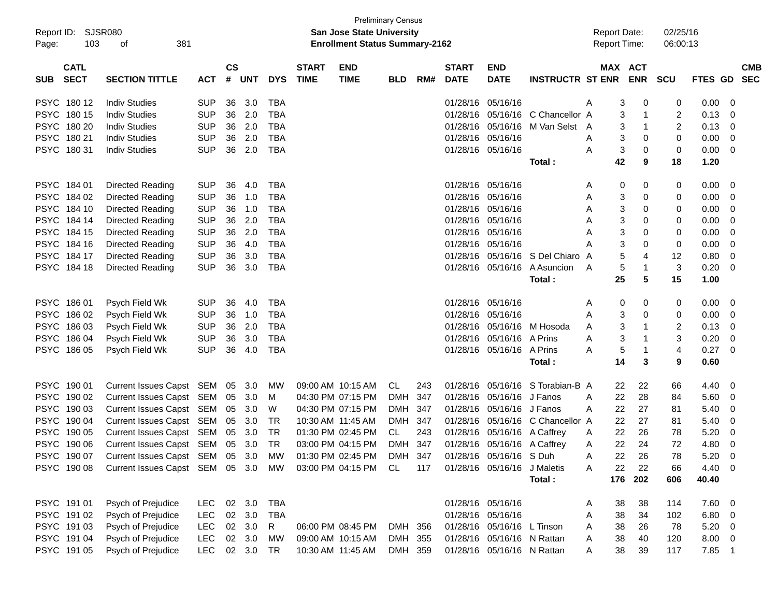|            | <b>Preliminary Census</b><br>SJSR080<br><b>San Jose State University</b><br><b>Report Date:</b><br>Report ID: |                                    |            |                    |            |            |                             |                                       |            |     |                             |                             |                         |                     |     |                       |                      |                |                          |
|------------|---------------------------------------------------------------------------------------------------------------|------------------------------------|------------|--------------------|------------|------------|-----------------------------|---------------------------------------|------------|-----|-----------------------------|-----------------------------|-------------------------|---------------------|-----|-----------------------|----------------------|----------------|--------------------------|
| Page:      | 103                                                                                                           | 381<br>of                          |            |                    |            |            |                             | <b>Enrollment Status Summary-2162</b> |            |     |                             |                             |                         | <b>Report Time:</b> |     |                       | 02/25/16<br>06:00:13 |                |                          |
| <b>SUB</b> | <b>CATL</b><br><b>SECT</b>                                                                                    | <b>SECTION TITTLE</b>              | ACT        | $\mathsf{cs}$<br># | <b>UNT</b> | <b>DYS</b> | <b>START</b><br><b>TIME</b> | <b>END</b><br><b>TIME</b>             | <b>BLD</b> | RM# | <b>START</b><br><b>DATE</b> | <b>END</b><br><b>DATE</b>   | <b>INSTRUCTR ST ENR</b> |                     |     | MAX ACT<br><b>ENR</b> | SCU                  | <b>FTES GD</b> | <b>CMB</b><br><b>SEC</b> |
|            |                                                                                                               |                                    |            |                    |            |            |                             |                                       |            |     |                             |                             |                         |                     |     |                       |                      |                |                          |
|            | PSYC 18012                                                                                                    | <b>Indiv Studies</b>               | <b>SUP</b> | 36                 | 3.0        | <b>TBA</b> |                             |                                       |            |     | 01/28/16                    | 05/16/16                    |                         | A                   | 3   | 0                     | 0                    | 0.00           | 0                        |
|            | PSYC 180 15                                                                                                   | <b>Indiv Studies</b>               | <b>SUP</b> | 36                 | 2.0        | <b>TBA</b> |                             |                                       |            |     | 01/28/16                    | 05/16/16                    | C Chancellor A          |                     | 3   | 1                     | 2                    | 0.13           | 0                        |
|            | PSYC 180 20                                                                                                   | <b>Indiv Studies</b>               | <b>SUP</b> | 36                 | 2.0        | <b>TBA</b> |                             |                                       |            |     | 01/28/16                    | 05/16/16                    | M Van Selst A           |                     | 3   | $\mathbf{1}$          | 2                    | 0.13           | 0                        |
|            | PSYC 180 21                                                                                                   | <b>Indiv Studies</b>               | <b>SUP</b> | 36                 | 2.0        | <b>TBA</b> |                             |                                       |            |     | 01/28/16                    | 05/16/16                    |                         | A                   | 3   | 0                     | 0                    | 0.00           | 0                        |
|            | PSYC 180 31                                                                                                   | <b>Indiv Studies</b>               | <b>SUP</b> | 36                 | 2.0        | <b>TBA</b> |                             |                                       |            |     |                             | 01/28/16 05/16/16           |                         | A                   | 3   | 0                     | 0                    | 0.00           | 0                        |
|            |                                                                                                               |                                    |            |                    |            |            |                             |                                       |            |     |                             |                             | Total:                  |                     | 42  | 9                     | 18                   | 1.20           |                          |
|            | PSYC 184 01                                                                                                   | Directed Reading                   | <b>SUP</b> | 36                 | 4.0        | <b>TBA</b> |                             |                                       |            |     | 01/28/16                    | 05/16/16                    |                         | A                   | 0   | 0                     | 0                    | 0.00           | 0                        |
|            | PSYC 184 02                                                                                                   | Directed Reading                   | <b>SUP</b> | 36                 | 1.0        | <b>TBA</b> |                             |                                       |            |     | 01/28/16                    | 05/16/16                    |                         | A                   | 3   | 0                     | 0                    | 0.00           | 0                        |
|            | PSYC 184 10                                                                                                   | Directed Reading                   | <b>SUP</b> | 36                 | 1.0        | <b>TBA</b> |                             |                                       |            |     | 01/28/16                    | 05/16/16                    |                         | A                   | 3   | 0                     | 0                    | 0.00           | 0                        |
|            | PSYC 184 14                                                                                                   | Directed Reading                   | <b>SUP</b> | 36                 | 2.0        | <b>TBA</b> |                             |                                       |            |     | 01/28/16                    | 05/16/16                    |                         | A                   | 3   | 0                     | 0                    | 0.00           | 0                        |
|            | PSYC 184 15                                                                                                   | Directed Reading                   | <b>SUP</b> | 36                 | 2.0        | <b>TBA</b> |                             |                                       |            |     | 01/28/16                    | 05/16/16                    |                         | Α                   | 3   | 0                     | 0                    | 0.00           | 0                        |
|            | PSYC 184 16                                                                                                   | Directed Reading                   | <b>SUP</b> | 36                 | 4.0        | <b>TBA</b> |                             |                                       |            |     | 01/28/16                    | 05/16/16                    |                         | Α                   | 3   | 0                     | 0                    | 0.00           | 0                        |
|            | PSYC 184 17                                                                                                   | Directed Reading                   | <b>SUP</b> | 36                 | 3.0        | <b>TBA</b> |                             |                                       |            |     | 01/28/16                    | 05/16/16                    | S Del Chiaro A          |                     | 5   | 4                     | 12                   | 0.80           | 0                        |
|            | PSYC 184 18                                                                                                   | Directed Reading                   | <b>SUP</b> | 36                 | 3.0        | <b>TBA</b> |                             |                                       |            |     | 01/28/16                    | 05/16/16                    | A Asuncion              | A                   | 5   | 1                     | 3                    | 0.20           | 0                        |
|            |                                                                                                               |                                    |            |                    |            |            |                             |                                       |            |     |                             |                             | Total:                  |                     | 25  | 5                     | 15                   | 1.00           |                          |
|            | PSYC 186 01                                                                                                   | Psych Field Wk                     | <b>SUP</b> | 36                 | 4.0        | <b>TBA</b> |                             |                                       |            |     |                             | 01/28/16 05/16/16           |                         | A                   | 0   | 0                     | 0                    | 0.00           | 0                        |
|            | PSYC 186 02                                                                                                   | Psych Field Wk                     | <b>SUP</b> | 36                 | 1.0        | <b>TBA</b> |                             |                                       |            |     | 01/28/16                    | 05/16/16                    |                         | A                   | 3   | 0                     | 0                    | 0.00           | 0                        |
|            | PSYC 186 03                                                                                                   | Psych Field Wk                     | <b>SUP</b> | 36                 | 2.0        | <b>TBA</b> |                             |                                       |            |     | 01/28/16                    | 05/16/16                    | M Hosoda                | Α                   | 3   | 1                     | 2                    | 0.13           | 0                        |
|            | PSYC 186 04                                                                                                   | Psych Field Wk                     | <b>SUP</b> | 36                 | 3.0        | <b>TBA</b> |                             |                                       |            |     | 01/28/16                    | 05/16/16                    | A Prins                 | A                   | 3   | 1                     | 3                    | 0.20           | 0                        |
|            | PSYC 186 05                                                                                                   | Psych Field Wk                     | <b>SUP</b> | 36                 | 4.0        | <b>TBA</b> |                             |                                       |            |     |                             | 01/28/16 05/16/16 A Prins   |                         | A                   | 5   | 1                     | 4                    | 0.27           | 0                        |
|            |                                                                                                               |                                    |            |                    |            |            |                             |                                       |            |     |                             |                             | Total:                  |                     | 14  | 3                     | 9                    | 0.60           |                          |
|            | PSYC 190 01                                                                                                   | Current Issues Capst SEM 05        |            |                    | 3.0        | MW         |                             | 09:00 AM 10:15 AM                     | CL         | 243 | 01/28/16                    | 05/16/16                    | S Torabian-B A          |                     | 22  | 22                    | 66                   | 4.40           | 0                        |
|            | PSYC 190 02                                                                                                   | Current Issues Capst SEM           |            | 05                 | 3.0        | M          |                             | 04:30 PM 07:15 PM                     | DMH        | 347 | 01/28/16                    | 05/16/16 J Fanos            |                         | A                   | 22  | 28                    | 84                   | 5.60           | 0                        |
|            | PSYC 190 03                                                                                                   | Current Issues Capst SEM           |            | 05                 | 3.0        | W          |                             | 04:30 PM 07:15 PM                     | DMH 347    |     | 01/28/16                    | 05/16/16 J Fanos            |                         | A                   | 22  | 27                    | 81                   | 5.40           | 0                        |
|            | PSYC 190 04                                                                                                   | Current Issues Capst SEM           |            | 05                 | 3.0        | TR         |                             | 10:30 AM 11:45 AM                     | DMH 347    |     | 01/28/16                    | 05/16/16                    | C Chancellor A          |                     | 22  | 27                    | 81                   | 5.40           | 0                        |
|            | PSYC 190 05                                                                                                   | Current Issues Capst SEM           |            | 05                 | 3.0        | TR         |                             | 01:30 PM 02:45 PM                     | CL         | 243 | 01/28/16                    | 05/16/16 A Caffrey          |                         | A                   | 22  | 26                    | 78                   | 5.20           | 0                        |
|            | PSYC 190 06                                                                                                   | Current Issues Capst SEM 05 3.0    |            |                    |            | TR         |                             | 03:00 PM 04:15 PM                     | DMH 347    |     |                             | 01/28/16 05/16/16 A Caffrey |                         | A                   | 22  | 24                    | 72                   | 4.80           | 0                        |
|            | PSYC 190 07                                                                                                   | Current Issues Capst SEM 05 3.0 MW |            |                    |            |            |                             | 01:30 PM 02:45 PM DMH 347             |            |     |                             | 01/28/16 05/16/16 S Duh     |                         | Α                   | 22  | 26                    | 78                   | 5.20           | $\mathbf 0$              |
|            | PSYC 190 08                                                                                                   | Current Issues Capst SEM 05 3.0 MW |            |                    |            |            |                             | 03:00 PM 04:15 PM CL                  |            | 117 |                             | 01/28/16 05/16/16 J Maletis |                         | A                   | 22  | 22                    | 66                   | 4.40           | - 0                      |
|            |                                                                                                               |                                    |            |                    |            |            |                             |                                       |            |     |                             |                             | Total:                  |                     | 176 | 202                   | 606                  | 40.40          |                          |
|            | PSYC 191 01                                                                                                   | Psych of Prejudice                 | LEC        |                    | 02 3.0     | TBA        |                             |                                       |            |     |                             | 01/28/16 05/16/16           |                         | A                   | 38  | 38                    | 114                  | 7.60           | - 0                      |
|            | PSYC 191 02                                                                                                   | Psych of Prejudice                 | <b>LEC</b> |                    | 02 3.0     | <b>TBA</b> |                             |                                       |            |     |                             | 01/28/16 05/16/16           |                         | Α                   | 38  | 34                    | 102                  | 6.80           | 0                        |
|            | PSYC 191 03                                                                                                   | Psych of Prejudice                 | <b>LEC</b> |                    | 02 3.0     | R          |                             | 06:00 PM 08:45 PM                     | DMH 356    |     |                             | 01/28/16 05/16/16 L Tinson  |                         | Α                   | 38  | 26                    | 78                   | 5.20           | 0                        |
|            | PSYC 191 04                                                                                                   | Psych of Prejudice                 | <b>LEC</b> |                    | 02 3.0     | МW         |                             | 09:00 AM 10:15 AM                     | DMH 355    |     |                             | 01/28/16 05/16/16 N Rattan  |                         | Α                   | 38  | 40                    | 120                  | 8.00           | 0                        |
|            | PSYC 191 05                                                                                                   | Psych of Prejudice                 | <b>LEC</b> |                    | 02 3.0     | TR         |                             | 10:30 AM 11:45 AM                     | DMH 359    |     |                             | 01/28/16 05/16/16 N Rattan  |                         | Α                   | 38  | 39                    | 117                  | 7.85           | $\overline{\mathbf{1}}$  |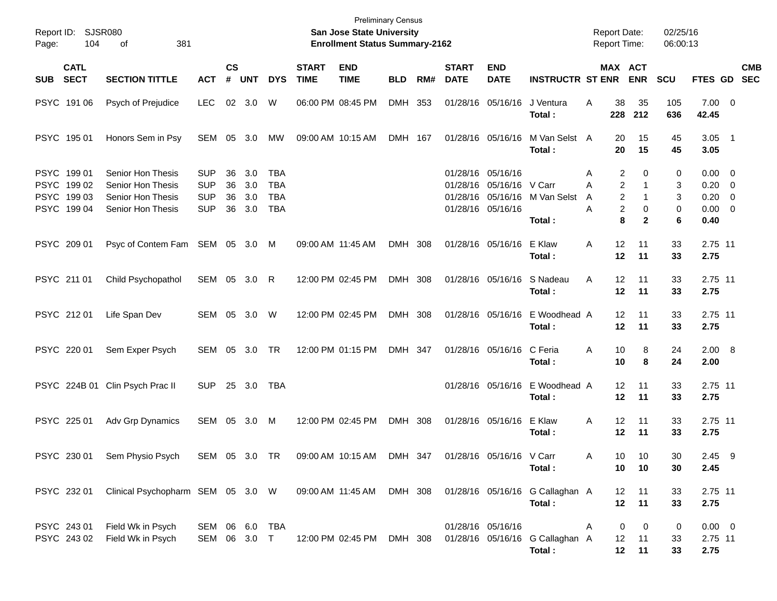| Page:       | Report ID: SJSR080<br>104                                | 381<br>of                                                                                     |                                                      |                      |                          |                                               |                             | <b>Preliminary Census</b><br>San Jose State University<br><b>Enrollment Status Summary-2162</b> |            |     |                             |                                                                    |                                                                     | <b>Report Date:</b><br><b>Report Time:</b>                          |                                                                           | 02/25/16<br>06:00:13  |                                                                |            |
|-------------|----------------------------------------------------------|-----------------------------------------------------------------------------------------------|------------------------------------------------------|----------------------|--------------------------|-----------------------------------------------|-----------------------------|-------------------------------------------------------------------------------------------------|------------|-----|-----------------------------|--------------------------------------------------------------------|---------------------------------------------------------------------|---------------------------------------------------------------------|---------------------------------------------------------------------------|-----------------------|----------------------------------------------------------------|------------|
| <b>SUB</b>  | <b>CATL</b><br><b>SECT</b>                               | <b>SECTION TITTLE</b>                                                                         | <b>ACT</b>                                           | $\mathsf{cs}$<br>#   | <b>UNT</b>               | <b>DYS</b>                                    | <b>START</b><br><b>TIME</b> | <b>END</b><br><b>TIME</b>                                                                       | <b>BLD</b> | RM# | <b>START</b><br><b>DATE</b> | <b>END</b><br><b>DATE</b>                                          | <b>INSTRUCTR ST ENR</b>                                             | MAX ACT                                                             | <b>ENR</b>                                                                | <b>SCU</b>            | FTES GD SEC                                                    | <b>CMB</b> |
|             | PSYC 191 06                                              | Psych of Prejudice                                                                            | <b>LEC</b>                                           | 02                   | 3.0                      | W                                             |                             | 06:00 PM 08:45 PM                                                                               | DMH 353    |     |                             | 01/28/16 05/16/16                                                  | J Ventura<br>Total:                                                 | A<br>38<br>228                                                      | 35<br>212                                                                 | 105<br>636            | $7.00 \t 0$<br>42.45                                           |            |
|             | PSYC 195 01                                              | Honors Sem in Psy                                                                             | SEM 05 3.0                                           |                      |                          | МW                                            |                             | 09:00 AM 10:15 AM                                                                               | DMH 167    |     |                             | 01/28/16 05/16/16                                                  | M Van Selst A<br>Total:                                             | 20<br>20                                                            | 15<br>15                                                                  | 45<br>45              | $3.05$ 1<br>3.05                                               |            |
|             | PSYC 199 01<br>PSYC 199 02<br>PSYC 199 03<br>PSYC 199 04 | Senior Hon Thesis<br>Senior Hon Thesis<br>Senior Hon Thesis<br>Senior Hon Thesis              | <b>SUP</b><br><b>SUP</b><br><b>SUP</b><br><b>SUP</b> | 36<br>36<br>36<br>36 | 3.0<br>3.0<br>3.0<br>3.0 | TBA<br><b>TBA</b><br><b>TBA</b><br><b>TBA</b> |                             |                                                                                                 |            |     | 01/28/16 05/16/16           | 01/28/16 05/16/16 V Carr<br>01/28/16 05/16/16<br>01/28/16 05/16/16 | M Van Selst<br>Total:                                               | 2<br>Α<br>$\overline{2}$<br>А<br>2<br>A<br>$\overline{c}$<br>Α<br>8 | $\Omega$<br>$\mathbf{1}$<br>$\mathbf{1}$<br>$\mathbf 0$<br>$\overline{2}$ | 0<br>3<br>3<br>0<br>6 | $0.00 \t 0$<br>$0.20 \ 0$<br>$0.20 \ 0$<br>$0.00 \t 0$<br>0.40 |            |
|             | PSYC 209 01                                              | Psyc of Contem Fam SEM 05 3.0 M                                                               |                                                      |                      |                          |                                               |                             | 09:00 AM 11:45 AM                                                                               | DMH 308    |     |                             | 01/28/16 05/16/16                                                  | E Klaw<br>Total:                                                    | 12<br>A<br>12                                                       | 11<br>11                                                                  | 33<br>33              | 2.75 11<br>2.75                                                |            |
| PSYC 211 01 |                                                          | Child Psychopathol                                                                            | SEM 05 3.0                                           |                      |                          | R                                             |                             | 12:00 PM 02:45 PM                                                                               | DMH 308    |     |                             | 01/28/16 05/16/16                                                  | S Nadeau<br>Total:                                                  | 12<br>A<br>12                                                       | 11<br>11                                                                  | 33<br>33              | 2.75 11<br>2.75                                                |            |
|             | PSYC 212 01                                              | Life Span Dev                                                                                 | SEM 05 3.0                                           |                      |                          | W                                             |                             | 12:00 PM 02:45 PM                                                                               | DMH 308    |     |                             | 01/28/16 05/16/16                                                  | E Woodhead A<br>Total:                                              | 12<br>12                                                            | 11<br>11                                                                  | 33<br>33              | 2.75 11<br>2.75                                                |            |
|             | PSYC 220 01                                              | Sem Exper Psych                                                                               | SEM 05 3.0                                           |                      |                          | <b>TR</b>                                     |                             | 12:00 PM 01:15 PM                                                                               | DMH 347    |     |                             | 01/28/16 05/16/16                                                  | C Feria<br>Total:                                                   | 10<br>A<br>10                                                       | 8<br>8                                                                    | 24<br>24              | 2.00 8<br>2.00                                                 |            |
|             | PSYC 224B 01                                             | Clin Psych Prac II                                                                            | <b>SUP</b>                                           | 25                   | 3.0                      | TBA                                           |                             |                                                                                                 |            |     |                             | 01/28/16 05/16/16                                                  | E Woodhead A<br>Total:                                              | 12<br>12                                                            | 11<br>11                                                                  | 33<br>33              | 2.75 11<br>2.75                                                |            |
|             | PSYC 225 01                                              | Adv Grp Dynamics                                                                              | SEM 05                                               |                      | 3.0                      | M                                             |                             | 12:00 PM 02:45 PM                                                                               | DMH 308    |     |                             | 01/28/16 05/16/16                                                  | E Klaw<br>Total:                                                    | 12<br>A<br>12                                                       | 11<br>11                                                                  | 33<br>33              | 2.75 11<br>2.75                                                |            |
|             |                                                          | PSYC 230 01 Sem Physio Psych SEM 05 3.0 TR 09:00 AM 10:15 AM DMH 347 01/28/16 05/16/16 V Carr |                                                      |                      |                          |                                               |                             |                                                                                                 |            |     |                             |                                                                    | Total:                                                              | Α<br>10<br>10                                                       | 10<br>10                                                                  | 30<br>30              | $2.45$ 9<br>2.45                                               |            |
|             | PSYC 232 01                                              | Clinical Psychopharm SEM 05 3.0 W                                                             |                                                      |                      |                          |                                               |                             |                                                                                                 |            |     |                             |                                                                    | 09:00 AM 11:45 AM DMH 308 01/28/16 05/16/16 G Callaghan A<br>Total: | 12 <sup>2</sup>                                                     | $-11$<br>12 11                                                            | 33<br>33              | 2.75 11<br>2.75                                                |            |
|             | PSYC 243 01<br>PSYC 243 02                               | Field Wk in Psych<br>Field Wk in Psych                                                        | SEM 06 6.0 TBA<br>SEM 06 3.0 T                       |                      |                          |                                               |                             | 12:00 PM 02:45 PM DMH 308                                                                       |            |     |                             | 01/28/16 05/16/16                                                  | 01/28/16 05/16/16 G Callaghan A<br>Total:                           | 0<br>A<br>12 <sup>°</sup>                                           | $\overline{0}$<br>11<br>12 11                                             | 0<br>33<br>33         | $0.00 \t 0$<br>2.75 11<br>2.75                                 |            |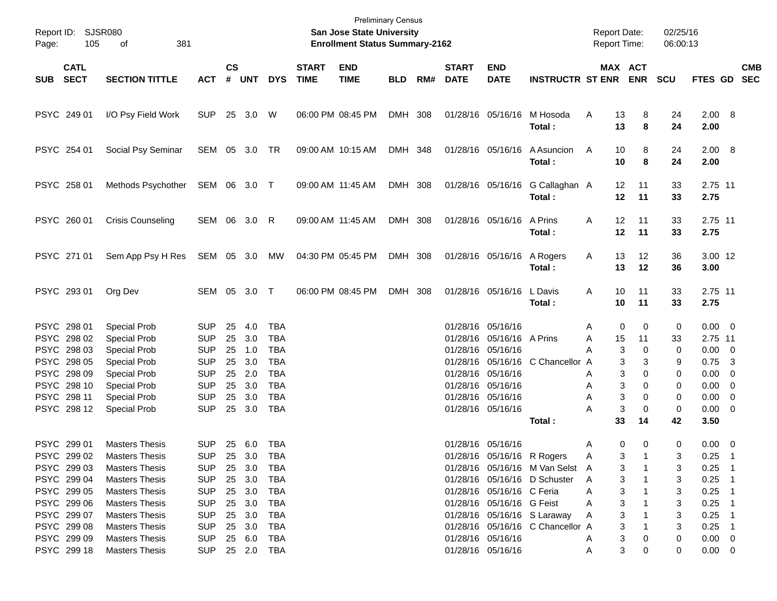| Report ID:<br>Page: | 105                        | SJSR080<br>381<br>οf     |                |               |            |            |                             | <b>Preliminary Census</b><br>San Jose State University<br><b>Enrollment Status Summary-2162</b> |            |     |                             |                            |                                           | <b>Report Date:</b><br><b>Report Time:</b> |                       | 02/25/16<br>06:00:13 |                 |                         |            |
|---------------------|----------------------------|--------------------------|----------------|---------------|------------|------------|-----------------------------|-------------------------------------------------------------------------------------------------|------------|-----|-----------------------------|----------------------------|-------------------------------------------|--------------------------------------------|-----------------------|----------------------|-----------------|-------------------------|------------|
| <b>SUB</b>          | <b>CATL</b><br><b>SECT</b> | <b>SECTION TITTLE</b>    | <b>ACT</b>     | $\mathsf{cs}$ | # UNT      | <b>DYS</b> | <b>START</b><br><b>TIME</b> | <b>END</b><br><b>TIME</b>                                                                       | <b>BLD</b> | RM# | <b>START</b><br><b>DATE</b> | <b>END</b><br><b>DATE</b>  | <b>INSTRUCTR ST ENR</b>                   |                                            | MAX ACT<br><b>ENR</b> | <b>SCU</b>           | FTES GD SEC     |                         | <b>CMB</b> |
| PSYC 249 01         |                            | I/O Psy Field Work       | <b>SUP</b>     |               | 25 3.0     | W          |                             | 06:00 PM 08:45 PM                                                                               | DMH 308    |     |                             |                            | 01/28/16 05/16/16 M Hosoda<br>Total:      | A                                          | 8<br>13<br>13<br>8    | 24<br>24             | 2.00 8<br>2.00  |                         |            |
| PSYC 254 01         |                            | Social Psy Seminar       | SEM 05 3.0     |               |            | TR         |                             | 09:00 AM 10:15 AM                                                                               | DMH 348    |     |                             | 01/28/16 05/16/16          | A Asuncion<br>Total:                      | A                                          | 10<br>8<br>10<br>8    | 24<br>24             | 2.00 8<br>2.00  |                         |            |
| PSYC 258 01         |                            | Methods Psychother       | SEM 06 3.0 T   |               |            |            | 09:00 AM 11:45 AM           |                                                                                                 | DMH 308    |     |                             |                            | 01/28/16 05/16/16 G Callaghan A<br>Total: |                                            | 12<br>11<br>12<br>11  | 33<br>33             | 2.75 11<br>2.75 |                         |            |
| PSYC 260 01         |                            | <b>Crisis Counseling</b> | SEM            |               | 06 3.0     | R          |                             | 09:00 AM 11:45 AM                                                                               | DMH 308    |     |                             | 01/28/16 05/16/16 A Prins  | Total:                                    | A                                          | 12<br>11<br>12<br>11  | 33<br>33             | 2.75 11<br>2.75 |                         |            |
| PSYC 271 01         |                            | Sem App Psy H Res        | SEM 05 3.0     |               |            | MW         |                             | 04:30 PM 05:45 PM                                                                               | DMH 308    |     |                             | 01/28/16 05/16/16 A Rogers | Total:                                    | A                                          | 13<br>12<br>13<br>12  | 36<br>36             | 3.00 12<br>3.00 |                         |            |
| PSYC 293 01         |                            | Org Dev                  | SEM 05 3.0     |               |            | $\top$     |                             | 06:00 PM 08:45 PM                                                                               | DMH 308    |     |                             | 01/28/16 05/16/16          | L Davis<br>Total :                        | A                                          | 10<br>11<br>10<br>11  | 33<br>33             | 2.75 11<br>2.75 |                         |            |
| PSYC 298 01         |                            | <b>Special Prob</b>      | <b>SUP</b>     | 25            | 4.0        | TBA        |                             |                                                                                                 |            |     |                             | 01/28/16 05/16/16          |                                           | Α                                          | 0<br>0                | 0                    | $0.00 \t 0$     |                         |            |
| PSYC 298 02         |                            | Special Prob             | <b>SUP</b>     | 25            | 3.0        | <b>TBA</b> |                             |                                                                                                 |            |     |                             | 01/28/16 05/16/16 A Prins  |                                           | A                                          | 15<br>11              | 33                   | 2.75 11         |                         |            |
| PSYC 298 03         |                            | Special Prob             | <b>SUP</b>     | 25            | 1.0        | <b>TBA</b> |                             |                                                                                                 |            |     |                             | 01/28/16 05/16/16          |                                           | A                                          | 3<br>0                | 0                    | $0.00 \t 0$     |                         |            |
| PSYC 298 05         |                            | Special Prob             | <b>SUP</b>     | 25            | 3.0        | <b>TBA</b> |                             |                                                                                                 |            |     |                             |                            | 01/28/16 05/16/16 C Chancellor A          |                                            | 3<br>3                | 9                    | 0.75            | $\overline{\mathbf{3}}$ |            |
| PSYC 298 09         |                            | Special Prob             | <b>SUP</b>     | 25            | 2.0        | <b>TBA</b> |                             |                                                                                                 |            |     |                             | 01/28/16 05/16/16          |                                           | Α                                          | 3<br>0                | 0                    | $0.00 \t 0$     |                         |            |
| PSYC 298 10         |                            | Special Prob             | <b>SUP</b>     | 25            | 3.0        | <b>TBA</b> |                             |                                                                                                 |            |     |                             | 01/28/16 05/16/16          |                                           | Α                                          | 3<br>0                | 0                    | $0.00 \t 0$     |                         |            |
| PSYC 298 11         |                            | Special Prob             | <b>SUP</b>     | 25            | 3.0        | <b>TBA</b> |                             |                                                                                                 |            |     |                             | 01/28/16 05/16/16          |                                           | A                                          | 3<br>0                | 0                    | $0.00 \t 0$     |                         |            |
| PSYC 298 12         |                            | <b>Special Prob</b>      | <b>SUP</b>     |               | 25 3.0     | <b>TBA</b> |                             |                                                                                                 |            |     |                             | 01/28/16 05/16/16          |                                           | Α                                          | 3<br>0                | 0                    | $0.00 \t 0$     |                         |            |
|                     |                            |                          |                |               |            |            |                             |                                                                                                 |            |     |                             |                            | Total :                                   |                                            | 33<br>14              | 42                   | 3.50            |                         |            |
| PSYC 299 01         |                            | <b>Masters Thesis</b>    | <b>SUP</b>     | 25            | 6.0        | <b>TBA</b> |                             |                                                                                                 |            |     |                             | 01/28/16 05/16/16          |                                           | A                                          | 0<br>0                | 0                    | $0.00 \t 0$     |                         |            |
|                     | PSYC 299 02                | <b>Masters Thesis</b>    | SUP            |               | 25 3.0 TBA |            |                             |                                                                                                 |            |     |                             | 01/28/16 05/16/16 R Rogers |                                           | A                                          | 3                     | 3                    | $0.25$ 1        |                         |            |
|                     | PSYC 299 03                | <b>Masters Thesis</b>    | <b>SUP</b>     |               | 25 3.0 TBA |            |                             |                                                                                                 |            |     |                             |                            | 01/28/16 05/16/16 M Van Selst A           |                                            | 3                     | 3                    | $0.25$ 1        |                         |            |
|                     | PSYC 299 04                | <b>Masters Thesis</b>    | <b>SUP</b>     |               | 25 3.0     | TBA        |                             |                                                                                                 |            |     |                             |                            | 01/28/16 05/16/16 D Schuster A            |                                            | 3                     | 3                    | $0.25$ 1        |                         |            |
| PSYC 299 05         |                            | <b>Masters Thesis</b>    | <b>SUP</b>     |               | 25 3.0     | TBA        |                             |                                                                                                 |            |     |                             | 01/28/16 05/16/16 C Feria  |                                           | A                                          | 3                     |                      | $0.25$ 1        |                         |            |
| PSYC 299 06         |                            | <b>Masters Thesis</b>    | <b>SUP</b>     |               | 25 3.0     | TBA        |                             |                                                                                                 |            |     |                             | 01/28/16 05/16/16 G Feist  |                                           | A                                          | 3                     |                      | $0.25$ 1        |                         |            |
| PSYC 299 07         |                            | <b>Masters Thesis</b>    | <b>SUP</b>     |               | 25 3.0     | TBA        |                             |                                                                                                 |            |     |                             |                            | 01/28/16 05/16/16 S Laraway               | A                                          | 3                     |                      | $0.25$ 1        |                         |            |
| PSYC 299 08         |                            | <b>Masters Thesis</b>    | <b>SUP</b>     |               | 25 3.0     | TBA        |                             |                                                                                                 |            |     |                             |                            | 01/28/16 05/16/16 C Chancellor A          |                                            | 3                     |                      | $0.25$ 1        |                         |            |
| PSYC 299 09         |                            | <b>Masters Thesis</b>    | <b>SUP</b>     |               | 25 6.0     | TBA        |                             |                                                                                                 |            |     |                             | 01/28/16 05/16/16          |                                           | A                                          | 3<br>0                | 0                    | $0.00 \t 0$     |                         |            |
|                     | PSYC 299 18                | <b>Masters Thesis</b>    | SUP 25 2.0 TBA |               |            |            |                             |                                                                                                 |            |     |                             | 01/28/16 05/16/16          |                                           | A                                          | 3<br>0                | 0                    | $0.00 \t 0$     |                         |            |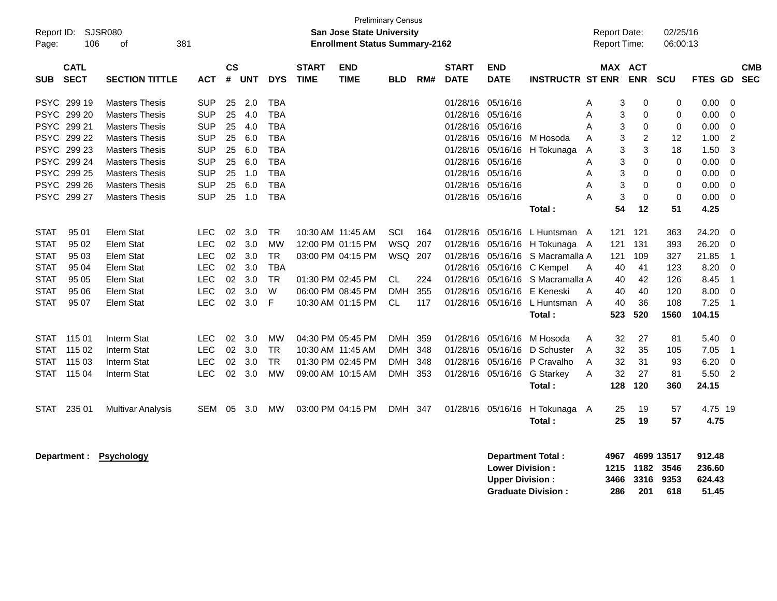| Report ID:<br>Page:         | 106                                       | <b>SJSR080</b><br>381<br>οf                                             |                                        |                |                   |                                 |                             | <b>San Jose State University</b><br><b>Enrollment Status Summary-2162</b> | <b>Preliminary Census</b>           |            |                                           |                                                  |                                                |             | Report Date:<br>Report Time: |                       | 02/25/16<br>06:00:13              |                                     |                                                 |  |
|-----------------------------|-------------------------------------------|-------------------------------------------------------------------------|----------------------------------------|----------------|-------------------|---------------------------------|-----------------------------|---------------------------------------------------------------------------|-------------------------------------|------------|-------------------------------------------|--------------------------------------------------|------------------------------------------------|-------------|------------------------------|-----------------------|-----------------------------------|-------------------------------------|-------------------------------------------------|--|
| <b>SUB</b>                  | <b>CATL</b><br><b>SECT</b>                | <b>SECTION TITTLE</b>                                                   | АСТ                                    | <b>CS</b><br># | <b>UNT</b>        | <b>DYS</b>                      | <b>START</b><br><b>TIME</b> | <b>END</b><br><b>TIME</b>                                                 | <b>BLD</b>                          | RM#        | <b>START</b><br><b>DATE</b>               | <b>END</b><br><b>DATE</b>                        | <b>INSTRUCTR ST ENR</b>                        |             | MAX ACT                      | <b>ENR</b>            | <b>SCU</b>                        | <b>FTES GD</b>                      | <b>CMB</b><br><b>SEC</b>                        |  |
| <b>PSYC</b>                 | PSYC 299 19<br>299 20                     | <b>Masters Thesis</b><br><b>Masters Thesis</b>                          | SUP<br><b>SUP</b>                      | 25<br>25       | 2.0<br>4.0        | <b>TBA</b><br><b>TBA</b>        |                             |                                                                           |                                     |            | 01/28/16<br>01/28/16                      | 05/16/16<br>05/16/16                             |                                                | Α<br>A      | 3<br>3                       | 0<br>0                | 0<br>0                            | 0.00<br>0.00                        | $\mathbf 0$<br>$\mathbf 0$                      |  |
| <b>PSYC</b><br><b>PSYC</b>  | 299 21<br>299 22                          | <b>Masters Thesis</b><br><b>Masters Thesis</b>                          | <b>SUP</b><br><b>SUP</b>               | 25<br>25       | 4.0<br>6.0        | <b>TBA</b><br><b>TBA</b>        |                             |                                                                           |                                     |            | 01/28/16<br>01/28/16                      | 05/16/16<br>05/16/16                             | M Hosoda                                       | A<br>A      | 3<br>3                       | 0<br>$\overline{c}$   | $\mathbf 0$<br>12                 | 0.00<br>1.00                        | $\mathbf 0$<br>$\overline{2}$                   |  |
|                             | PSYC 299 23<br>PSYC 299 24<br>PSYC 299 25 | <b>Masters Thesis</b><br><b>Masters Thesis</b><br><b>Masters Thesis</b> | SUP<br>SUP<br>SUP                      | 25<br>25<br>25 | 6.0<br>6.0<br>1.0 | <b>TBA</b><br><b>TBA</b><br>TBA |                             |                                                                           |                                     |            | 01/28/16<br>01/28/16<br>01/28/16 05/16/16 | 05/16/16<br>05/16/16                             | H Tokunaga                                     | A<br>A<br>A | 3<br>3<br>3                  | 3<br>0<br>$\mathbf 0$ | 18<br>0<br>0                      | 1.50<br>0.00<br>0.00                | 3<br>0<br>$\mathbf 0$                           |  |
|                             | PSYC 299 26<br>PSYC 299 27                | <b>Masters Thesis</b><br><b>Masters Thesis</b>                          | <b>SUP</b><br>SUP                      | 25<br>25       | 6.0<br>1.0        | <b>TBA</b><br>TBA               |                             |                                                                           |                                     |            | 01/28/16<br>01/28/16 05/16/16             | 05/16/16                                         |                                                | A<br>A      | 3<br>3                       | 0<br>$\mathbf 0$      | 0<br>$\mathbf 0$                  | 0.00<br>0.00                        | 0<br>$\mathbf 0$                                |  |
| <b>STAT</b>                 | 95 01                                     | Elem Stat                                                               | <b>LEC</b>                             | 02             | 3.0               | <b>TR</b>                       |                             | 10:30 AM 11:45 AM                                                         | SCI                                 | 164        | 01/28/16                                  | 05/16/16                                         | Total:<br>L Huntsman A                         |             | 54<br>121                    | 12<br>121             | 51<br>363                         | 4.25<br>24.20                       | $\Omega$                                        |  |
| <b>STAT</b><br><b>STAT</b>  | 95 02<br>95 03                            | Elem Stat<br>Elem Stat                                                  | <b>LEC</b><br><b>LEC</b>               | 02<br>02       | 3.0<br>3.0        | MW<br><b>TR</b>                 |                             | 12:00 PM 01:15 PM<br>03:00 PM 04:15 PM                                    | WSQ<br>WSQ 207                      | 207        | 01/28/16<br>01/28/16                      | 05/16/16<br>05/16/16                             | H Tokunaga A<br>S Macramalla A                 |             | 121<br>121                   | 131<br>109            | 393<br>327                        | 26.20<br>21.85                      | 0<br>$\overline{1}$                             |  |
| <b>STAT</b><br><b>STAT</b>  | 95 04<br>95 05                            | Elem Stat<br>Elem Stat                                                  | <b>LEC</b><br><b>LEC</b>               | 02<br>02       | 3.0<br>3.0        | <b>TBA</b><br><b>TR</b>         |                             | 01:30 PM 02:45 PM                                                         | CL.                                 | 224        | 01/28/16<br>01/28/16                      | 05/16/16<br>05/16/16                             | C Kempel<br>S Macramalla A                     | A           | 40<br>40                     | 41<br>42              | 123<br>126                        | 8.20<br>8.45                        | $\mathbf 0$<br>$\overline{1}$                   |  |
| STAT<br><b>STAT</b>         | 95 06<br>95 07                            | Elem Stat<br>Elem Stat                                                  | <b>LEC</b><br><b>LEC</b>               | 02<br>02       | 3.0<br>3.0        | W<br>F                          |                             | 06:00 PM 08:45 PM<br>10:30 AM 01:15 PM                                    | <b>DMH</b><br>CL.                   | 355<br>117 | 01/28/16                                  | 05/16/16<br>01/28/16 05/16/16                    | E Keneski<br>L Huntsman A<br>Total:            | A           | 40<br>40<br>523              | 40<br>36<br>520       | 120<br>108<br>1560                | 8.00<br>7.25<br>104.15              | $\mathbf 0$<br>$\overline{1}$                   |  |
| STAT                        | 115 01                                    | Interm Stat                                                             | <b>LEC</b>                             | 02             | 3.0               | <b>MW</b>                       |                             | 04:30 PM 05:45 PM                                                         | DMH                                 | 359        | 01/28/16                                  | 05/16/16                                         | M Hosoda                                       | A           | 32                           | 27                    | 81                                | 5.40                                | $\mathbf 0$                                     |  |
| <b>STAT</b><br>STAT<br>STAT | 115 02<br>115 03<br>115 04                | Interm Stat<br>Interm Stat<br><b>Interm Stat</b>                        | <b>LEC</b><br><b>LEC</b><br><b>LEC</b> | 02<br>02<br>02 | 3.0<br>3.0<br>3.0 | TR<br><b>TR</b><br><b>MW</b>    |                             | 10:30 AM 11:45 AM<br>01:30 PM 02:45 PM<br>09:00 AM 10:15 AM               | <b>DMH</b><br><b>DMH</b><br>DMH 353 | 348<br>348 | 01/28/16<br>01/28/16                      | 05/16/16<br>05/16/16<br>01/28/16 05/16/16        | D Schuster<br>P Cravalho<br><b>G</b> Starkey   | A<br>A<br>A | 32<br>32<br>32               | 35<br>31<br>27        | 105<br>93<br>81                   | 7.05<br>6.20<br>5.50                | $\overline{1}$<br>$\mathbf 0$<br>$\overline{2}$ |  |
|                             |                                           |                                                                         |                                        |                |                   |                                 |                             |                                                                           |                                     |            |                                           |                                                  | Total:                                         |             | 128                          | 120                   | 360                               | 24.15                               |                                                 |  |
| STAT                        | 235 01                                    | <b>Multivar Analysis</b>                                                | SEM                                    | 05             | 3.0               | MW                              |                             | 03:00 PM 04:15 PM                                                         | DMH 347                             |            | 01/28/16                                  | 05/16/16                                         | H Tokunaga A<br><b>Total :</b>                 |             | 25<br>25                     | 19<br>19              | 57<br>57                          | 4.75 19<br>4.75                     |                                                 |  |
|                             | <b>Department :</b>                       | <b>Psychology</b>                                                       |                                        |                |                   |                                 |                             |                                                                           |                                     |            |                                           | <b>Lower Division:</b><br><b>Upper Division:</b> | Department Total:<br><b>Graduate Division:</b> |             | 4967<br>1215<br>3466<br>286  | 1182<br>3316<br>201   | 4699 13517<br>3546<br>9353<br>618 | 912.48<br>236.60<br>624.43<br>51.45 |                                                 |  |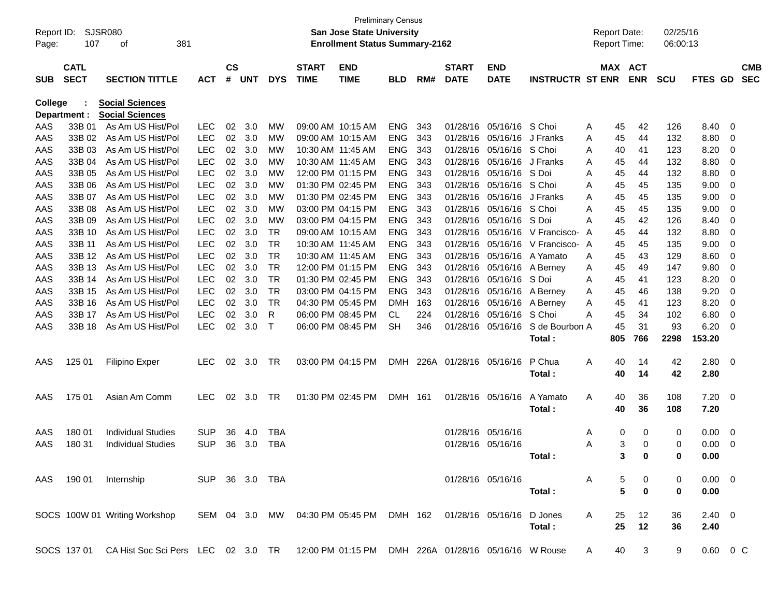| Report ID:     |                            | SJSR080                                                                                 |                |                    |            |            |                             | <b>Preliminary Census</b><br><b>San Jose State University</b> |            |     |                             |                           |                         |   | <b>Report Date:</b> |                       | 02/25/16     |                        |     |                          |
|----------------|----------------------------|-----------------------------------------------------------------------------------------|----------------|--------------------|------------|------------|-----------------------------|---------------------------------------------------------------|------------|-----|-----------------------------|---------------------------|-------------------------|---|---------------------|-----------------------|--------------|------------------------|-----|--------------------------|
| Page:          | 107                        | 381<br>οf                                                                               |                |                    |            |            |                             | <b>Enrollment Status Summary-2162</b>                         |            |     |                             |                           |                         |   | <b>Report Time:</b> |                       | 06:00:13     |                        |     |                          |
| <b>SUB</b>     | <b>CATL</b><br><b>SECT</b> | <b>SECTION TITTLE</b>                                                                   | <b>ACT</b>     | $\mathsf{cs}$<br># | <b>UNT</b> | <b>DYS</b> | <b>START</b><br><b>TIME</b> | <b>END</b><br><b>TIME</b>                                     | BLD        | RM# | <b>START</b><br><b>DATE</b> | <b>END</b><br><b>DATE</b> | <b>INSTRUCTR ST ENR</b> |   |                     | MAX ACT<br><b>ENR</b> | <b>SCU</b>   | FTES GD                |     | <b>CMB</b><br><b>SEC</b> |
| <b>College</b> |                            | <b>Social Sciences</b>                                                                  |                |                    |            |            |                             |                                                               |            |     |                             |                           |                         |   |                     |                       |              |                        |     |                          |
| Department :   |                            | <b>Social Sciences</b>                                                                  |                |                    |            |            |                             |                                                               |            |     |                             |                           |                         |   |                     |                       |              |                        |     |                          |
| AAS            | 33B 01                     | As Am US Hist/Pol                                                                       | LEC            | 02                 | 3.0        | МW         | 09:00 AM 10:15 AM           |                                                               | <b>ENG</b> | 343 | 01/28/16                    | 05/16/16                  | S Choi                  | Α | 45                  | 42                    | 126          | 8.40                   | 0   |                          |
| AAS            | 33B 02                     | As Am US Hist/Pol                                                                       | <b>LEC</b>     | 02                 | 3.0        | <b>MW</b>  | 09:00 AM 10:15 AM           |                                                               | <b>ENG</b> | 343 | 01/28/16                    | 05/16/16                  | J Franks                | A | 45                  | 44                    | 132          | 8.80                   | 0   |                          |
| AAS            | 33B 03                     | As Am US Hist/Pol                                                                       | <b>LEC</b>     | 02                 | 3.0        | МW         | 10:30 AM 11:45 AM           |                                                               | <b>ENG</b> | 343 | 01/28/16                    | 05/16/16                  | S Choi                  | A | 40                  | 41                    | 123          | 8.20                   | 0   |                          |
| AAS            | 33B 04                     | As Am US Hist/Pol                                                                       | <b>LEC</b>     | 02                 | 3.0        | МW         | 10:30 AM 11:45 AM           |                                                               | <b>ENG</b> | 343 | 01/28/16                    | 05/16/16                  | J Franks                | A | 45                  | 44                    | 132          | 8.80                   | 0   |                          |
| AAS            | 33B 05                     | As Am US Hist/Pol                                                                       | <b>LEC</b>     | 02                 | 3.0        | МW         |                             | 12:00 PM 01:15 PM                                             | <b>ENG</b> | 343 | 01/28/16                    | 05/16/16                  | S Doi                   | A | 45                  | 44                    | 132          | 8.80                   | 0   |                          |
| AAS            | 33B 06                     | As Am US Hist/Pol                                                                       | <b>LEC</b>     | 02                 | 3.0        | МW         |                             | 01:30 PM 02:45 PM                                             | <b>ENG</b> | 343 | 01/28/16                    | 05/16/16                  | S Choi                  | A | 45                  | 45                    | 135          | 9.00                   | 0   |                          |
| AAS            | 33B 07                     | As Am US Hist/Pol                                                                       | <b>LEC</b>     | 02                 | 3.0        | МW         |                             | 01:30 PM 02:45 PM                                             | <b>ENG</b> | 343 | 01/28/16                    | 05/16/16                  | J Franks                | A | 45                  | 45                    | 135          | 9.00                   | 0   |                          |
| AAS            | 33B 08                     | As Am US Hist/Pol                                                                       | <b>LEC</b>     | 02                 | 3.0        | МW         |                             | 03:00 PM 04:15 PM                                             | <b>ENG</b> | 343 | 01/28/16                    | 05/16/16                  | S Choi                  | A | 45                  | 45                    | 135          | 9.00                   | 0   |                          |
| AAS            | 33B 09                     | As Am US Hist/Pol                                                                       | <b>LEC</b>     | 02                 | 3.0        | МW         |                             | 03:00 PM 04:15 PM                                             | <b>ENG</b> | 343 | 01/28/16                    | 05/16/16                  | S Doi                   | A | 45                  | 42                    | 126          | 8.40                   | 0   |                          |
| AAS            | 33B 10                     | As Am US Hist/Pol                                                                       | <b>LEC</b>     | 02                 | 3.0        | <b>TR</b>  |                             | 09:00 AM 10:15 AM                                             | <b>ENG</b> | 343 | 01/28/16                    | 05/16/16                  | V Francisco-            | A | 45                  | 44                    | 132          | 8.80                   | 0   |                          |
| AAS            | 33B 11                     | As Am US Hist/Pol                                                                       | <b>LEC</b>     | 02                 | 3.0        | <b>TR</b>  | 10:30 AM 11:45 AM           |                                                               | <b>ENG</b> | 343 | 01/28/16                    | 05/16/16                  | V Francisco-            | A | 45                  | 45                    | 135          | 9.00                   | 0   |                          |
| AAS            | 33B 12                     | As Am US Hist/Pol                                                                       | <b>LEC</b>     | 02                 | 3.0        | <b>TR</b>  | 10:30 AM 11:45 AM           |                                                               | <b>ENG</b> | 343 | 01/28/16                    | 05/16/16                  | A Yamato                | A | 45                  | 43                    | 129          | 8.60                   | 0   |                          |
| AAS            | 33B 13                     | As Am US Hist/Pol                                                                       | <b>LEC</b>     | 02                 | 3.0        | <b>TR</b>  |                             | 12:00 PM 01:15 PM                                             | <b>ENG</b> | 343 | 01/28/16                    | 05/16/16                  | A Berney                | A | 45                  | 49                    | 147          | 9.80                   | 0   |                          |
| AAS            | 33B 14                     | As Am US Hist/Pol                                                                       | <b>LEC</b>     | 02                 | 3.0        | <b>TR</b>  |                             | 01:30 PM 02:45 PM                                             | <b>ENG</b> | 343 | 01/28/16                    | 05/16/16                  | S Doi                   | A | 45                  | 41                    | 123          | 8.20                   | 0   |                          |
| AAS            | 33B 15                     | As Am US Hist/Pol                                                                       | <b>LEC</b>     | 02                 | 3.0        | <b>TR</b>  |                             | 03:00 PM 04:15 PM                                             | <b>ENG</b> | 343 | 01/28/16                    | 05/16/16                  | A Berney                | A | 45                  | 46                    | 138          | 9.20                   | 0   |                          |
| AAS            | 33B 16                     | As Am US Hist/Pol                                                                       | <b>LEC</b>     | 02                 | 3.0        | <b>TR</b>  |                             | 04:30 PM 05:45 PM                                             | <b>DMH</b> | 163 | 01/28/16                    | 05/16/16                  | A Berney                | A | 45                  | 41                    | 123          | 8.20                   | 0   |                          |
| AAS            | 33B 17                     | As Am US Hist/Pol                                                                       | <b>LEC</b>     | 02                 | 3.0        | R          |                             | 06:00 PM 08:45 PM                                             | CL         | 224 | 01/28/16                    | 05/16/16                  | S Choi                  | A | 45                  | 34                    | 102          | 6.80                   | 0   |                          |
| AAS            | 33B 18                     | As Am US Hist/Pol                                                                       | <b>LEC</b>     | 02                 | 3.0        | Τ          |                             | 06:00 PM 08:45 PM                                             | <b>SH</b>  | 346 | 01/28/16                    | 05/16/16                  | S de Bourbon A          |   | 45                  | 31                    | 93           | 6.20                   | 0   |                          |
|                |                            |                                                                                         |                |                    |            |            |                             |                                                               |            |     |                             |                           | Total:                  |   | 805                 | 766                   | 2298         | 153.20                 |     |                          |
| AAS            | 125 01                     | <b>Filipino Exper</b>                                                                   | <b>LEC</b>     | 02                 | 3.0        | <b>TR</b>  |                             | 03:00 PM 04:15 PM                                             | <b>DMH</b> |     | 226A 01/28/16               | 05/16/16                  | P Chua                  | Α | 40                  | 14                    | 42           | 2.80                   | - 0 |                          |
|                |                            |                                                                                         |                |                    |            |            |                             |                                                               |            |     |                             |                           | Total:                  |   | 40                  | 14                    | 42           | 2.80                   |     |                          |
| AAS            | 175 01                     | Asian Am Comm                                                                           | <b>LEC</b>     | 02                 | 3.0        | <b>TR</b>  |                             | 01:30 PM 02:45 PM                                             | <b>DMH</b> | 161 | 01/28/16 05/16/16           |                           | A Yamato                | Α | 40                  | 36                    | 108          | 7.20                   | - 0 |                          |
|                |                            |                                                                                         |                |                    |            |            |                             |                                                               |            |     |                             |                           | Total:                  |   | 40                  | 36                    | 108          | 7.20                   |     |                          |
| AAS            | 180 01                     | <b>Individual Studies</b>                                                               | <b>SUP</b>     | 36                 | 4.0        | <b>TBA</b> |                             |                                                               |            |     | 01/28/16                    | 05/16/16                  |                         | A | 0                   | 0                     | 0            | 0.00                   | 0   |                          |
| AAS            | 180 31                     | <b>Individual Studies</b>                                                               | <b>SUP</b>     | 36                 | 3.0        | <b>TBA</b> |                             |                                                               |            |     | 01/28/16 05/16/16           |                           |                         | Α | 3                   | 0                     | 0            | 0.00                   | 0   |                          |
|                |                            |                                                                                         |                |                    |            |            |                             |                                                               |            |     |                             |                           | Total:                  |   | 3                   | <sup>0</sup>          | <sup>0</sup> | 0.00                   |     |                          |
|                |                            | AAS 190 01 Internship                                                                   | SUP 36 3.0 TBA |                    |            |            |                             |                                                               |            |     | 01/28/16 05/16/16           |                           |                         | A | 5                   | 0                     | 0            | $0.00 \quad 0$         |     |                          |
|                |                            |                                                                                         |                |                    |            |            |                             |                                                               |            |     |                             |                           | Total:                  |   | 5                   | $\bf{0}$              | 0            | 0.00                   |     |                          |
|                |                            |                                                                                         |                |                    |            |            |                             |                                                               |            |     |                             |                           |                         |   |                     |                       |              |                        |     |                          |
|                |                            | SOCS 100W 01 Writing Workshop                                                           |                |                    |            |            |                             | SEM 04 3.0 MW 04:30 PM 05:45 PM DMH 162 01/28/16 05/16/16     |            |     |                             |                           | D Jones<br>Total:       | A | 25<br>25            | 12<br>12              | 36<br>36     | $2.40 \quad 0$<br>2.40 |     |                          |
|                |                            |                                                                                         |                |                    |            |            |                             |                                                               |            |     |                             |                           |                         |   |                     |                       |              |                        |     |                          |
|                | SOCS 137 01                | CA Hist Soc Sci Pers LEC 02 3.0 TR 12:00 PM 01:15 PM DMH 226A 01/28/16 05/16/16 W Rouse |                |                    |            |            |                             |                                                               |            |     |                             |                           |                         | A | 40                  | 3                     | 9            | $0.60 \t 0 C$          |     |                          |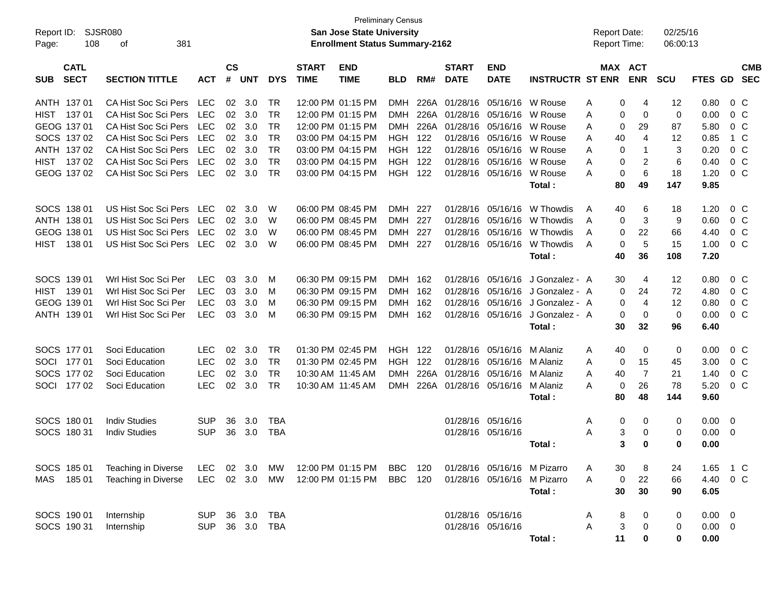| Report ID:<br>108<br>Page:               | SJSR080<br>381<br>οf                       |                   |                    |            |            |                             | <b>Preliminary Census</b><br><b>San Jose State University</b><br><b>Enrollment Status Summary-2162</b> |                |       |                             |                           |                             |   | <b>Report Date:</b><br>Report Time: |                         | 02/25/16<br>06:00:13 |                  |                         |
|------------------------------------------|--------------------------------------------|-------------------|--------------------|------------|------------|-----------------------------|--------------------------------------------------------------------------------------------------------|----------------|-------|-----------------------------|---------------------------|-----------------------------|---|-------------------------------------|-------------------------|----------------------|------------------|-------------------------|
| <b>CATL</b><br><b>SECT</b><br><b>SUB</b> | <b>SECTION TITTLE</b>                      | <b>ACT</b>        | $\mathsf{cs}$<br># | <b>UNT</b> | <b>DYS</b> | <b>START</b><br><b>TIME</b> | <b>END</b><br><b>TIME</b>                                                                              | <b>BLD</b>     | RM#   | <b>START</b><br><b>DATE</b> | <b>END</b><br><b>DATE</b> | <b>INSTRUCTR ST ENR</b>     |   | <b>MAX ACT</b>                      | <b>ENR</b>              | <b>SCU</b>           | FTES GD SEC      | <b>CMB</b>              |
| ANTH 137 01                              | CA Hist Soc Sci Pers                       | LEC               | 02                 | 3.0        | <b>TR</b>  |                             | 12:00 PM 01:15 PM                                                                                      | <b>DMH</b>     |       | 226A 01/28/16               |                           | 05/16/16 W Rouse            | A | 0                                   | 4                       | 12                   | 0.80             | $0\,C$                  |
| HIST 137 01                              | CA Hist Soc Sci Pers                       | <b>LEC</b>        | 02                 | 3.0        | <b>TR</b>  |                             | 12:00 PM 01:15 PM                                                                                      | <b>DMH</b>     |       | 226A 01/28/16               |                           | 05/16/16 W Rouse            | A | 0                                   | $\mathbf 0$             | 0                    | 0.00             | 0 <sup>C</sup>          |
| GEOG 137 01                              | CA Hist Soc Sci Pers                       | <b>LEC</b>        | 02                 | 3.0        | <b>TR</b>  |                             | 12:00 PM 01:15 PM                                                                                      | <b>DMH</b>     |       | 226A 01/28/16               | 05/16/16                  | W Rouse                     | A | 0                                   | 29                      | 87                   | 5.80             | 0 <sup>C</sup>          |
| SOCS 137 02                              | CA Hist Soc Sci Pers                       | <b>LEC</b>        | 02                 | 3.0        | <b>TR</b>  |                             | 03:00 PM 04:15 PM                                                                                      | <b>HGH</b>     | 122   | 01/28/16                    | 05/16/16                  | W Rouse                     | A | 40                                  | 4                       | 12                   | 0.85             | 1 C                     |
| ANTH 137 02                              | CA Hist Soc Sci Pers                       | <b>LEC</b>        | 02                 | 3.0        | <b>TR</b>  |                             | 03:00 PM 04:15 PM                                                                                      | <b>HGH 122</b> |       | 01/28/16                    |                           | 05/16/16 W Rouse            | A | $\mathbf 0$                         | $\mathbf{1}$            | 3                    | 0.20             | $0\,C$                  |
| HIST 137 02                              | CA Hist Soc Sci Pers                       | <b>LEC</b>        | 02                 | 3.0        | <b>TR</b>  |                             | 03:00 PM 04:15 PM                                                                                      | <b>HGH</b>     | 122   | 01/28/16                    | 05/16/16                  | W Rouse                     | Α | 0                                   | $\overline{\mathbf{c}}$ | 6                    | 0.40             | $0\,C$                  |
| GEOG 137 02                              | CA Hist Soc Sci Pers                       | LEC               | 02                 | 3.0        | <b>TR</b>  |                             | 03:00 PM 04:15 PM                                                                                      | <b>HGH 122</b> |       |                             | 01/28/16 05/16/16         | W Rouse                     | Α | 0                                   | 6                       | 18                   | 1.20             | 0 <sup>C</sup>          |
|                                          |                                            |                   |                    |            |            |                             |                                                                                                        |                |       |                             |                           | Total:                      |   | 80                                  | 49                      | 147                  | 9.85             |                         |
| SOCS 138 01                              | US Hist Soc Sci Pers                       | <b>LEC</b>        | 02                 | 3.0        | W          |                             | 06:00 PM 08:45 PM                                                                                      | <b>DMH</b>     | 227   | 01/28/16                    | 05/16/16                  | W Thowdis                   | A | 40                                  | 6                       | 18                   | 1.20             | $0\,C$                  |
| ANTH 138 01                              | US Hist Soc Sci Pers                       | <b>LEC</b>        | 02                 | 3.0        | W          |                             | 06:00 PM 08:45 PM                                                                                      | <b>DMH</b>     | 227   | 01/28/16                    | 05/16/16                  | W Thowdis                   | A | 0                                   | 3                       | 9                    | 0.60             | 0 <sup>C</sup>          |
| GEOG 138 01                              | US Hist Soc Sci Pers                       | <b>LEC</b>        | 02                 | 3.0        | W          |                             | 06:00 PM 08:45 PM                                                                                      | <b>DMH</b>     | 227   | 01/28/16                    | 05/16/16                  | W Thowdis                   | A | $\mathbf 0$                         | 22                      | 66                   | 4.40             | $0\,C$                  |
| 138 01<br><b>HIST</b>                    | US Hist Soc Sci Pers                       | LEC               | 02                 | 3.0        | W          |                             | 06:00 PM 08:45 PM                                                                                      | DMH 227        |       |                             | 01/28/16 05/16/16         | W Thowdis                   | A | 0                                   | 5                       | 15                   | 1.00             | 0 <sup>C</sup>          |
|                                          |                                            |                   |                    |            |            |                             |                                                                                                        |                |       |                             |                           | Total:                      |   | 40                                  | 36                      | 108                  | 7.20             |                         |
| SOCS 139 01                              | Wrl Hist Soc Sci Per                       | <b>LEC</b>        | 03                 | 3.0        | M          |                             | 06:30 PM 09:15 PM                                                                                      | DMH            | - 162 | 01/28/16                    | 05/16/16                  | J Gonzalez - A              |   | 30                                  | 4                       | 12                   | 0.80             | $0\,$ C                 |
| HIST 139 01                              | Wrl Hist Soc Sci Per                       | <b>LEC</b>        | 03                 | 3.0        | M          |                             | 06:30 PM 09:15 PM                                                                                      | <b>DMH</b>     | 162   | 01/28/16                    |                           | 05/16/16 J Gonzalez - A     |   | 0                                   | 24                      | 72                   | 4.80             | 0 <sup>C</sup>          |
| GEOG 139 01                              | Wrl Hist Soc Sci Per                       | <b>LEC</b>        | 03                 | 3.0        | M          |                             | 06:30 PM 09:15 PM                                                                                      | <b>DMH</b>     | 162   | 01/28/16                    |                           | 05/16/16 J Gonzalez - A     |   | 0                                   | $\overline{4}$          | 12                   | 0.80             | 0 <sup>C</sup>          |
| ANTH 139 01                              | Wrl Hist Soc Sci Per                       | <b>LEC</b>        | 03                 | 3.0        | M          |                             | 06:30 PM 09:15 PM                                                                                      | DMH 162        |       |                             | 01/28/16 05/16/16         | J Gonzalez - A              |   | 0                                   | 0                       | 0                    | 0.00             | 0 <sup>C</sup>          |
|                                          |                                            |                   |                    |            |            |                             |                                                                                                        |                |       |                             |                           | Total:                      |   | 30                                  | 32                      | 96                   | 6.40             |                         |
| SOCS 177 01                              | Soci Education                             | <b>LEC</b>        | 02                 | 3.0        | <b>TR</b>  |                             | 01:30 PM 02:45 PM                                                                                      | <b>HGH 122</b> |       |                             | 01/28/16 05/16/16         | M Alaniz                    | A | 40                                  | 0                       | 0                    | 0.00             | $0\,C$                  |
| 17701<br>SOCI                            | Soci Education                             | <b>LEC</b>        | 02                 | 3.0        | <b>TR</b>  |                             | 01:30 PM 02:45 PM                                                                                      | <b>HGH</b>     | 122   | 01/28/16                    | 05/16/16 M Alaniz         |                             | A | 0                                   | 15                      | 45                   | 3.00             | 0 <sup>C</sup>          |
| SOCS 177 02                              | Soci Education                             | <b>LEC</b>        | 02                 | 3.0        | <b>TR</b>  | 10:30 AM 11:45 AM           |                                                                                                        | DMH            | 226A  | 01/28/16                    | 05/16/16                  | M Alaniz                    | A | 40                                  | $\overline{7}$          | 21                   | 1.40             | 0 <sup>C</sup>          |
| SOCI<br>17702                            | Soci Education                             | <b>LEC</b>        | 02                 | 3.0        | <b>TR</b>  | 10:30 AM 11:45 AM           |                                                                                                        | <b>DMH</b>     |       |                             | 226A 01/28/16 05/16/16    | M Alaniz                    | A | 0                                   | 26                      | 78                   | 5.20             | 0 <sup>C</sup>          |
|                                          |                                            |                   |                    |            |            |                             |                                                                                                        |                |       |                             |                           | Total:                      |   | 80                                  | 48                      | 144                  | 9.60             |                         |
| SOCS 180 01                              | <b>Indiv Studies</b>                       | <b>SUP</b>        | 36                 | 3.0        | TBA        |                             |                                                                                                        |                |       |                             | 01/28/16 05/16/16         |                             | A | 0                                   | 0                       | 0                    | 0.00             | $\overline{\mathbf{0}}$ |
| SOCS 180 31                              | <b>Indiv Studies</b>                       | <b>SUP</b>        | 36                 | 3.0        | <b>TBA</b> |                             |                                                                                                        |                |       |                             | 01/28/16 05/16/16         |                             | Α | 3                                   | 0                       | 0                    | 0.00             | $\overline{\mathbf{0}}$ |
|                                          |                                            |                   |                    |            |            |                             |                                                                                                        |                |       |                             |                           | Total:                      |   | 3                                   | 0                       | 0                    | 0.00             |                         |
| SOCS 185 01                              |                                            |                   |                    | 02 3.0     |            |                             | 12:00 PM 01:15 PM                                                                                      |                |       |                             |                           |                             |   |                                     |                         |                      |                  |                         |
|                                          | Teaching in Diverse<br>Teaching in Diverse | LEC<br><b>LEC</b> |                    |            | МW         |                             |                                                                                                        | BBC            | 120   |                             |                           | 01/28/16 05/16/16 M Pizarro | Α | 30                                  | 8                       | 24                   | 1.65 1 C         |                         |
| 18501<br>MAS                             |                                            |                   |                    | 02 3.0     | MW         |                             | 12:00 PM 01:15 PM                                                                                      | <b>BBC</b> 120 |       |                             |                           | 01/28/16 05/16/16 M Pizarro | A | 0<br>30                             | 22<br>30                | 66<br>90             | 4.40 0 C<br>6.05 |                         |
|                                          |                                            |                   |                    |            |            |                             |                                                                                                        |                |       |                             |                           | Total:                      |   |                                     |                         |                      |                  |                         |
| SOCS 190 01                              | Internship                                 | SUP               |                    | 36 3.0 TBA |            |                             |                                                                                                        |                |       |                             | 01/28/16 05/16/16         |                             | A | 8                                   | 0                       | 0                    | $0.00 \t 0$      |                         |
| SOCS 190 31                              | Internship                                 | <b>SUP</b>        |                    | 36 3.0 TBA |            |                             |                                                                                                        |                |       |                             | 01/28/16 05/16/16         |                             | Α | 3                                   | 0                       | 0                    | $0.00 \t 0$      |                         |
|                                          |                                            |                   |                    |            |            |                             |                                                                                                        |                |       |                             |                           | Total:                      |   | 11                                  | 0                       | 0                    | 0.00             |                         |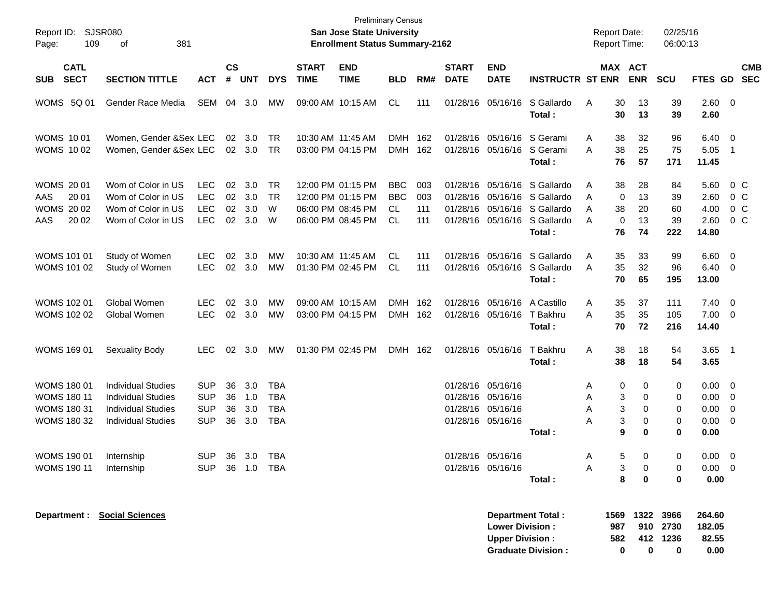| Report ID:<br>109<br>Page:                                                           | SJSR080<br>381<br>оf                                                                                             |                                                      |                      |                             |                                               |                             | <b>San Jose State University</b><br><b>Enrollment Status Summary-2162</b>        | <b>Preliminary Census</b>                    |                          |                                              |                                                                |                                                                                           |                  | <b>Report Date:</b><br><b>Report Time:</b>             | 02/25/16<br>06:00:13                                            |                                       |                                                                                     |                          |
|--------------------------------------------------------------------------------------|------------------------------------------------------------------------------------------------------------------|------------------------------------------------------|----------------------|-----------------------------|-----------------------------------------------|-----------------------------|----------------------------------------------------------------------------------|----------------------------------------------|--------------------------|----------------------------------------------|----------------------------------------------------------------|-------------------------------------------------------------------------------------------|------------------|--------------------------------------------------------|-----------------------------------------------------------------|---------------------------------------|-------------------------------------------------------------------------------------|--------------------------|
| <b>CATL</b><br><b>SECT</b><br><b>SUB</b>                                             | <b>SECTION TITTLE</b>                                                                                            | <b>ACT</b>                                           | $\mathsf{cs}$<br>#   | <b>UNT</b>                  | <b>DYS</b>                                    | <b>START</b><br><b>TIME</b> | <b>END</b><br><b>TIME</b>                                                        | <b>BLD</b>                                   | RM#                      | <b>START</b><br><b>DATE</b>                  | <b>END</b><br><b>DATE</b>                                      | <b>INSTRUCTR ST ENR</b>                                                                   |                  | MAX ACT<br><b>ENR</b>                                  | <b>SCU</b>                                                      | FTES GD                               |                                                                                     | <b>CMB</b><br><b>SEC</b> |
| WOMS 5Q 01                                                                           | Gender Race Media                                                                                                | <b>SEM</b>                                           | 04                   | 3.0                         | MW                                            |                             | 09:00 AM 10:15 AM                                                                | CL.                                          | 111                      | 01/28/16                                     | 05/16/16                                                       | S Gallardo<br>Total:                                                                      | Α                | 30<br>13<br>30<br>13                                   | 39<br>39                                                        | 2.60 0<br>2.60                        |                                                                                     |                          |
| <b>WOMS 1001</b><br><b>WOMS 1002</b>                                                 | Women, Gender &Sex LEC<br>Women, Gender & Sex LEC                                                                |                                                      | 02                   | 3.0<br>$02 \quad 3.0$       | TR<br>TR                                      |                             | 10:30 AM 11:45 AM<br>03:00 PM 04:15 PM                                           | <b>DMH</b><br><b>DMH</b>                     | 162<br>162               | 01/28/16<br>01/28/16                         | 05/16/16<br>05/16/16                                           | S Gerami<br>S Gerami<br>Total:                                                            | A<br>A           | 38<br>32<br>38<br>25<br>76<br>57                       | 96<br>75<br>171                                                 | $6.40 \quad 0$<br>5.05<br>11.45       | $\overline{1}$                                                                      |                          |
| <b>WOMS 2001</b><br>AAS<br>20 01<br><b>WOMS 2002</b><br>AAS<br>20 02                 | Wom of Color in US<br>Wom of Color in US<br>Wom of Color in US<br>Wom of Color in US                             | <b>LEC</b><br>LEC<br>LEC<br>LEC                      | 02<br>02<br>02       | 3.0<br>3.0<br>3.0<br>02 3.0 | <b>TR</b><br>TR<br>W<br>W                     |                             | 12:00 PM 01:15 PM<br>12:00 PM 01:15 PM<br>06:00 PM 08:45 PM<br>06:00 PM 08:45 PM | <b>BBC</b><br><b>BBC</b><br>CL.<br><b>CL</b> | 003<br>003<br>111<br>111 | 01/28/16<br>01/28/16<br>01/28/16<br>01/28/16 | 05/16/16                                                       | 05/16/16 S Gallardo<br>05/16/16 S Gallardo<br>05/16/16 S Gallardo<br>S Gallardo<br>Total: | A<br>A<br>Α<br>A | 38<br>28<br>0<br>13<br>38<br>20<br>0<br>13<br>74<br>76 | 84<br>39<br>60<br>39<br>222                                     | 5.60<br>2.60<br>4.00<br>2.60<br>14.80 | 0 C<br>$0\,$ C<br>$0\,$ C<br>$0\,$ C                                                |                          |
| <b>WOMS 101 01</b><br><b>WOMS 101 02</b>                                             | Study of Women<br>Study of Women                                                                                 | <b>LEC</b><br>LEC                                    | 02                   | 3.0<br>02 3.0               | МW<br>MW                                      |                             | 10:30 AM 11:45 AM<br>01:30 PM 02:45 PM                                           | CL<br><b>CL</b>                              | 111<br>111               | 01/28/16<br>01/28/16                         | 05/16/16<br>05/16/16                                           | S Gallardo<br>S Gallardo<br>Total:                                                        | Α<br>A           | 35<br>33<br>35<br>32<br>70<br>65                       | 99<br>96<br>195                                                 | 6.60<br>6.40<br>13.00                 | $\overline{\mathbf{0}}$<br>$\overline{\mathbf{0}}$                                  |                          |
| <b>WOMS 102 01</b><br><b>WOMS 102 02</b>                                             | Global Women<br>Global Women                                                                                     | <b>LEC</b><br>LEC                                    | 02                   | 3.0<br>02 3.0               | МW<br>МW                                      |                             | 09:00 AM 10:15 AM<br>03:00 PM 04:15 PM                                           | <b>DMH</b><br><b>DMH</b>                     | 162<br>162               | 01/28/16<br>01/28/16                         | 05/16/16                                                       | 05/16/16 A Castillo<br>T Bakhru<br>Total:                                                 | Α<br>A           | 35<br>37<br>35<br>35<br>72<br>70                       | 111<br>105<br>216                                               | $7.40 \quad 0$<br>7.00<br>14.40       | $\overline{\phantom{0}}$                                                            |                          |
| <b>WOMS 169 01</b>                                                                   | <b>Sexuality Body</b>                                                                                            | <b>LEC</b>                                           | 02                   | 3.0                         | МW                                            |                             | 01:30 PM 02:45 PM                                                                | DMH 162                                      |                          |                                              | 01/28/16 05/16/16                                              | T Bakhru<br>Total:                                                                        | Α                | 38<br>18<br>38<br>18                                   | 54<br>54                                                        | 3.65<br>3.65                          | $\overline{\phantom{0}}$                                                            |                          |
| <b>WOMS 180 01</b><br><b>WOMS 180 11</b><br><b>WOMS 180 31</b><br><b>WOMS 180 32</b> | <b>Individual Studies</b><br><b>Individual Studies</b><br><b>Individual Studies</b><br><b>Individual Studies</b> | <b>SUP</b><br><b>SUP</b><br><b>SUP</b><br><b>SUP</b> | 36<br>36<br>36<br>36 | 3.0<br>1.0<br>3.0<br>3.0    | <b>TBA</b><br>TBA<br><b>TBA</b><br><b>TBA</b> |                             |                                                                                  |                                              |                          | 01/28/16<br>01/28/16                         | 01/28/16 05/16/16<br>05/16/16<br>05/16/16<br>01/28/16 05/16/16 | Total :                                                                                   | A<br>Α<br>Α<br>Α | 0<br>0<br>3<br>0<br>3<br>0<br>3<br>0<br>9<br>0         | 0<br>0<br>0<br>0<br>0                                           | 0.00<br>0.00<br>0.00<br>0.00<br>0.00  | $\overline{\phantom{0}}$<br>$\overline{\mathbf{0}}$<br>0<br>$\overline{\mathbf{0}}$ |                          |
| WOMS 190 01<br><b>WOMS 190 11</b>                                                    | Internship<br>Internship                                                                                         | <b>SUP</b><br>SUP 36 1.0 TBA                         | 36                   | 3.0                         | <b>TBA</b>                                    |                             |                                                                                  |                                              |                          |                                              | 01/28/16 05/16/16<br>01/28/16 05/16/16                         | Total:                                                                                    | A<br>A           | 5.<br>0<br>0<br>3<br>8<br>0                            | $\Omega$<br>0<br>0                                              | $0.00 \quad 0$<br>$0.00 \t 0$<br>0.00 |                                                                                     |                          |
| <b>Department : Social Sciences</b>                                                  |                                                                                                                  |                                                      |                      |                             |                                               |                             |                                                                                  |                                              |                          |                                              | <b>Lower Division:</b><br><b>Upper Division:</b>               | <b>Department Total:</b><br><b>Graduate Division:</b>                                     |                  | 1569<br>987<br>582<br>0                                | 1322 3966<br>910 2730<br>412 1236<br>$\mathbf 0$<br>$\mathbf 0$ | 264.60<br>182.05<br>82.55<br>0.00     |                                                                                     |                          |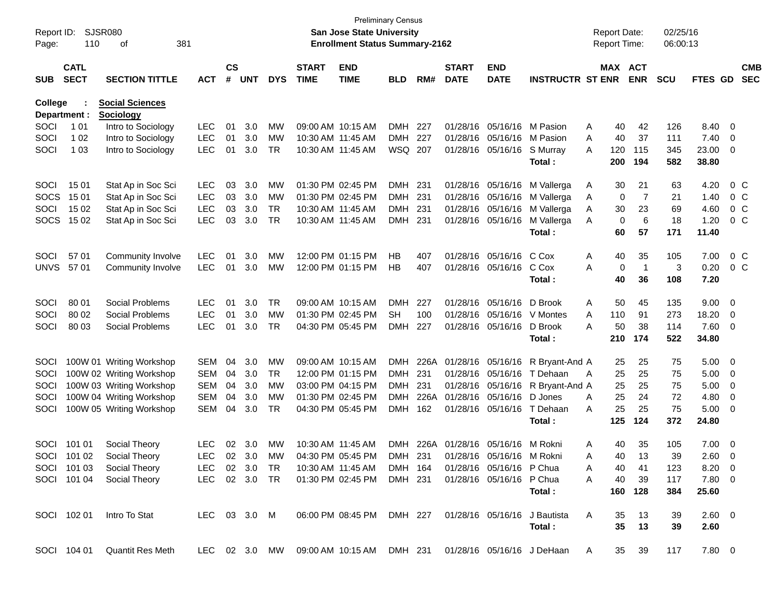| Report ID:<br>Page: | 110                        | SJSR080<br>381<br>оf                                                                  |               |                    |            |            |                             | San Jose State University<br><b>Enrollment Status Summary-2162</b> | <b>Preliminary Census</b> |      |                             |                           |                         | <b>Report Date:</b><br>Report Time: |                | 02/25/16<br>06:00:13 |                |                         |                          |
|---------------------|----------------------------|---------------------------------------------------------------------------------------|---------------|--------------------|------------|------------|-----------------------------|--------------------------------------------------------------------|---------------------------|------|-----------------------------|---------------------------|-------------------------|-------------------------------------|----------------|----------------------|----------------|-------------------------|--------------------------|
| <b>SUB</b>          | <b>CATL</b><br><b>SECT</b> | <b>SECTION TITTLE</b>                                                                 | <b>ACT</b>    | $\mathsf{cs}$<br># | <b>UNT</b> | <b>DYS</b> | <b>START</b><br><b>TIME</b> | <b>END</b><br><b>TIME</b>                                          | <b>BLD</b>                | RM#  | <b>START</b><br><b>DATE</b> | <b>END</b><br><b>DATE</b> | <b>INSTRUCTR ST ENR</b> | MAX ACT                             | <b>ENR</b>     | <b>SCU</b>           | FTES GD        |                         | <b>CMB</b><br><b>SEC</b> |
| <b>College</b>      |                            | <b>Social Sciences</b>                                                                |               |                    |            |            |                             |                                                                    |                           |      |                             |                           |                         |                                     |                |                      |                |                         |                          |
|                     | Department :               | <b>Sociology</b>                                                                      |               |                    |            |            |                             |                                                                    |                           |      |                             |                           |                         |                                     |                |                      |                |                         |                          |
| SOCI                | 1 0 1                      | Intro to Sociology                                                                    | <b>LEC</b>    | 01                 | 3.0        | MW         |                             | 09:00 AM 10:15 AM                                                  | <b>DMH</b>                | 227  |                             | 01/28/16 05/16/16         | M Pasion                | Α<br>40                             | 42             | 126                  | 8.40           | $\overline{0}$          |                          |
| SOCI                | 1 0 2                      | Intro to Sociology                                                                    | <b>LEC</b>    | 01                 | 3.0        | MW         | 10:30 AM 11:45 AM           |                                                                    | <b>DMH</b>                | 227  |                             | 01/28/16 05/16/16         | M Pasion                | Α<br>40                             | 37             | 111                  | 7.40           | 0                       |                          |
| SOCI                | 1 0 3                      | Intro to Sociology                                                                    | <b>LEC</b>    | 01                 | 3.0        | <b>TR</b>  |                             | 10:30 AM 11:45 AM                                                  | WSQ 207                   |      |                             | 01/28/16 05/16/16         | S Murray<br>Total:      | A<br>120<br>200                     | 115<br>194     | 345<br>582           | 23.00<br>38.80 | 0                       |                          |
|                     |                            |                                                                                       |               |                    |            |            |                             |                                                                    |                           |      |                             |                           |                         |                                     |                |                      |                |                         |                          |
| SOCI                | 15 01                      | Stat Ap in Soc Sci                                                                    | LEC           | 03                 | 3.0        | MW         |                             | 01:30 PM 02:45 PM                                                  | <b>DMH</b>                | 231  |                             | 01/28/16 05/16/16         | M Vallerga              | A<br>30                             | 21             | 63                   | 4.20           |                         | $0\,$ C                  |
| <b>SOCS</b>         | 15 01                      | Stat Ap in Soc Sci                                                                    | <b>LEC</b>    | 03                 | 3.0        | MW         |                             | 01:30 PM 02:45 PM                                                  | <b>DMH</b>                | 231  |                             | 01/28/16 05/16/16         | M Vallerga              | 0<br>A                              | 7              | 21                   | 1.40           |                         | $0\,$ C                  |
| SOCI                | 15 02                      | Stat Ap in Soc Sci                                                                    | <b>LEC</b>    | 03                 | 3.0        | <b>TR</b>  |                             | 10:30 AM 11:45 AM                                                  | DMH.                      | 231  |                             | 01/28/16 05/16/16         | M Vallerga              | Α<br>30                             | 23             | 69                   | 4.60           |                         | $0\,$ C                  |
| <b>SOCS</b>         | 15 02                      | Stat Ap in Soc Sci                                                                    | <b>LEC</b>    | 03                 | 3.0        | <b>TR</b>  |                             | 10:30 AM 11:45 AM                                                  | <b>DMH</b>                | 231  |                             | 01/28/16 05/16/16         | M Vallerga              | 0<br>A                              | 6              | 18                   | 1.20           |                         | $0\,$ C                  |
|                     |                            |                                                                                       |               |                    |            |            |                             |                                                                    |                           |      |                             |                           | Total:                  | 60                                  | 57             | 171                  | 11.40          |                         |                          |
| SOCI                | 57 01                      | Community Involve                                                                     | <b>LEC</b>    | 01                 | 3.0        | МW         |                             | 12:00 PM 01:15 PM                                                  | HВ                        | 407  |                             | 01/28/16 05/16/16         | C Cox                   | Α<br>40                             | 35             | 105                  | 7.00           |                         | $0\,$ C                  |
| <b>UNVS</b>         | 57 01                      | Community Involve                                                                     | <b>LEC</b>    | 01                 | 3.0        | MW         |                             | 12:00 PM 01:15 PM                                                  | НB                        | 407  |                             | 01/28/16 05/16/16         | C Cox                   | Α<br>0                              | $\overline{1}$ | 3                    | 0.20           |                         | $0\,$ C                  |
|                     |                            |                                                                                       |               |                    |            |            |                             |                                                                    |                           |      |                             |                           | Total:                  | 40                                  | 36             | 108                  | 7.20           |                         |                          |
| SOCI                | 80 01                      | Social Problems                                                                       | <b>LEC</b>    | 01                 | 3.0        | TR         |                             | 09:00 AM 10:15 AM                                                  | <b>DMH</b>                | 227  |                             | 01/28/16 05/16/16         | D Brook                 | A<br>50                             | 45             | 135                  | 9.00           | 0                       |                          |
| SOCI                | 80 02                      | Social Problems                                                                       | <b>LEC</b>    | 01                 | 3.0        | <b>MW</b>  |                             | 01:30 PM 02:45 PM                                                  | SН                        | 100  |                             | 01/28/16 05/16/16         | V Montes                | 110<br>A                            | 91             | 273                  | 18.20          | 0                       |                          |
| SOCI                | 80 03                      | Social Problems                                                                       | <b>LEC</b>    | 01                 | 3.0        | <b>TR</b>  |                             | 04:30 PM 05:45 PM                                                  | DMH.                      | 227  |                             | 01/28/16 05/16/16         | D Brook                 | 50<br>А                             | 38             | 114                  | 7.60           | 0                       |                          |
|                     |                            |                                                                                       |               |                    |            |            |                             |                                                                    |                           |      |                             |                           | Total:                  | 210                                 | 174            | 522                  | 34.80          |                         |                          |
| SOCI                |                            | 100W 01 Writing Workshop                                                              | <b>SEM</b>    | 04                 | 3.0        | MW         |                             | 09:00 AM 10:15 AM                                                  | <b>DMH</b>                | 226A |                             | 01/28/16 05/16/16         | R Bryant-And A          | 25                                  | 25             | 75                   | 5.00           | $\overline{0}$          |                          |
| SOCI                |                            | 100W 02 Writing Workshop                                                              | <b>SEM</b>    | 04                 | 3.0        | TR         |                             | 12:00 PM 01:15 PM                                                  | <b>DMH</b>                | 231  |                             | 01/28/16 05/16/16         | T Dehaan                | 25<br>A                             | 25             | 75                   | 5.00           | 0                       |                          |
| SOCI                |                            | 100W 03 Writing Workshop                                                              | <b>SEM</b>    | 04                 | 3.0        | MW         |                             | 03:00 PM 04:15 PM                                                  | DMH                       | 231  |                             | 01/28/16 05/16/16         | R Bryant-And A          | 25                                  | 25             | 75                   | 5.00           | 0                       |                          |
| SOCI                |                            | 100W 04 Writing Workshop                                                              | <b>SEM</b>    | 04                 | 3.0        | МW         |                             | 01:30 PM 02:45 PM                                                  | DMH                       | 226A |                             | 01/28/16 05/16/16         | D Jones                 | 25<br>Α                             | 24             | 72                   | 4.80           | 0                       |                          |
| SOCI                |                            | 100W 05 Writing Workshop                                                              | <b>SEM</b>    | 04                 | 3.0        | <b>TR</b>  |                             | 04:30 PM 05:45 PM                                                  | DMH.                      | 162  |                             | 01/28/16 05/16/16         | T Dehaan                | 25<br>Α                             | 25             | 75                   | 5.00           | 0                       |                          |
|                     |                            |                                                                                       |               |                    |            |            |                             |                                                                    |                           |      |                             |                           | Total:                  | 125                                 | 124            | 372                  | 24.80          |                         |                          |
| SOCI                | 101 01                     | Social Theory                                                                         | <b>LEC</b>    | 02                 | 3.0        | MW         | 10:30 AM 11:45 AM           |                                                                    | <b>DMH</b>                | 226A |                             | 01/28/16 05/16/16         | M Rokni                 | Α<br>40                             | 35             | 105                  | 7.00           | $\overline{\mathbf{0}}$ |                          |
|                     | SOCI 101 02                | Social Theory                                                                         | <b>LEC</b>    |                    | 02 3.0     | MW         |                             | 04:30 PM 05:45 PM                                                  | <b>DMH</b>                | 231  |                             | 01/28/16 05/16/16 M Rokni |                         | 40<br>А                             | 13             | 39                   | $2.60 \t 0$    |                         |                          |
|                     | SOCI 101 03                | Social Theory                                                                         | LEC 02 3.0 TR |                    |            |            |                             | 10:30 AM 11:45 AM                                                  | DMH 164                   |      |                             | 01/28/16 05/16/16 P Chua  |                         | A<br>40                             | 41             | 123                  | $8.20 \quad 0$ |                         |                          |
|                     | SOCI 101 04                | Social Theory                                                                         | LEC 02 3.0 TR |                    |            |            |                             | 01:30 PM 02:45 PM                                                  | DMH 231                   |      |                             | 01/28/16 05/16/16 P Chua  |                         | 40<br>A                             | 39             | 117                  | 7.80 0         |                         |                          |
|                     |                            |                                                                                       |               |                    |            |            |                             |                                                                    |                           |      |                             |                           | Total :                 |                                     | 160 128        | 384                  | 25.60          |                         |                          |
|                     |                            |                                                                                       |               |                    |            |            |                             |                                                                    |                           |      |                             |                           |                         |                                     |                |                      |                |                         |                          |
|                     | SOCI 102 01                | Intro To Stat                                                                         | LEC 03 3.0 M  |                    |            |            |                             | 06:00 PM 08:45 PM DMH 227 01/28/16 05/16/16 J Bautista             |                           |      |                             |                           |                         | A<br>35<br>35                       | 13             | 39                   | $2.60 \t 0$    |                         |                          |
|                     |                            |                                                                                       |               |                    |            |            |                             |                                                                    |                           |      |                             |                           | Total:                  |                                     | 13             | 39                   | 2.60           |                         |                          |
|                     | SOCI 104 01                | Quantit Res Meth LEC 02 3.0 MW 09:00 AM 10:15 AM DMH 231 01/28/16 05/16/16 J DeHaan A |               |                    |            |            |                             |                                                                    |                           |      |                             |                           |                         |                                     | 35 39          | 117                  | 7.80 0         |                         |                          |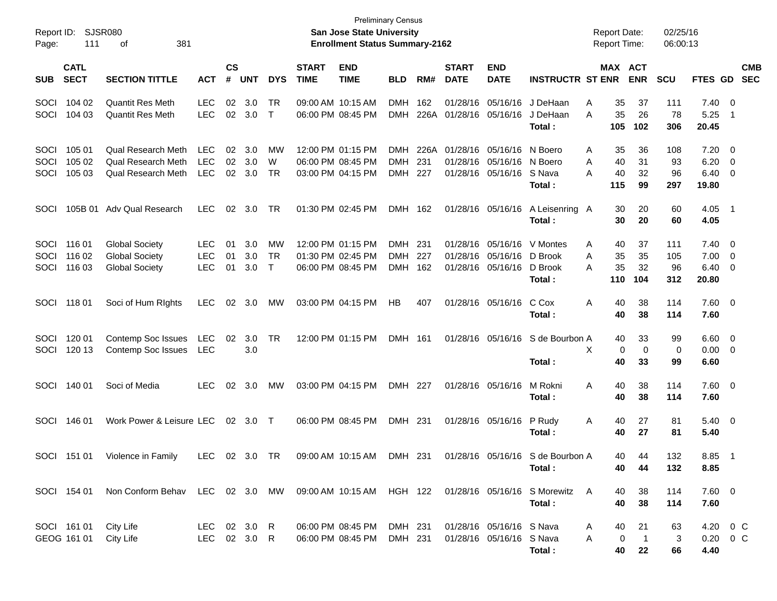| Report ID:<br>Page:  | 111                        | SJSR080<br>381<br>οf                                                                   |                                        |                    |                              |                    |                             | <b>San Jose State University</b><br><b>Enrollment Status Summary-2162</b> | <b>Preliminary Census</b>              |                    |                             |                                                                                    |                                             | <b>Report Date:</b><br><b>Report Time:</b> |                                             | 02/25/16<br>06:00:13    |                                                |                                                     |                          |
|----------------------|----------------------------|----------------------------------------------------------------------------------------|----------------------------------------|--------------------|------------------------------|--------------------|-----------------------------|---------------------------------------------------------------------------|----------------------------------------|--------------------|-----------------------------|------------------------------------------------------------------------------------|---------------------------------------------|--------------------------------------------|---------------------------------------------|-------------------------|------------------------------------------------|-----------------------------------------------------|--------------------------|
| <b>SUB</b>           | <b>CATL</b><br><b>SECT</b> | <b>SECTION TITTLE</b>                                                                  | <b>ACT</b>                             | $\mathsf{cs}$<br># | <b>UNT</b>                   | <b>DYS</b>         | <b>START</b><br><b>TIME</b> | <b>END</b><br><b>TIME</b>                                                 | <b>BLD</b>                             | RM#                | <b>START</b><br><b>DATE</b> | <b>END</b><br><b>DATE</b>                                                          | <b>INSTRUCTR ST ENR</b>                     |                                            | MAX ACT<br><b>ENR</b>                       | <b>SCU</b>              | FTES GD                                        |                                                     | <b>CMB</b><br><b>SEC</b> |
| SOCI<br>SOCI         | 104 02<br>104 03           | <b>Quantit Res Meth</b><br><b>Quantit Res Meth</b>                                     | <b>LEC</b><br><b>LEC</b>               | 02                 | 3.0<br>02 3.0                | TR<br>$\top$       |                             | 09:00 AM 10:15 AM<br>06:00 PM 08:45 PM                                    | <b>DMH</b><br><b>DMH</b>               | 162                | 01/28/16<br>226A 01/28/16   | 05/16/16                                                                           | 05/16/16 J DeHaan<br>J DeHaan<br>Total :    | 35<br>Α<br>35<br>A<br>105                  | 37<br>26<br>102                             | 111<br>78<br>306        | $7.40 \quad 0$<br>5.25<br>20.45                | - 1                                                 |                          |
| SOCI<br>SOCI<br>SOCI | 105 01<br>105 02<br>105 03 | Qual Research Meth<br>Qual Research Meth<br><b>Qual Research Meth</b>                  | LEC<br><b>LEC</b><br><b>LEC</b>        | 02<br>02           | 3.0<br>3.0<br>$02 \quad 3.0$ | MW<br>W<br>TR      |                             | 12:00 PM 01:15 PM<br>06:00 PM 08:45 PM<br>03:00 PM 04:15 PM               | <b>DMH</b><br><b>DMH</b><br><b>DMH</b> | 226A<br>231<br>227 |                             | 01/28/16 05/16/16 N Boero<br>01/28/16 05/16/16 N Boero<br>01/28/16 05/16/16 S Nava | Total :                                     | A<br>40<br>A<br>Α<br>40<br>115             | 35<br>36<br>31<br>32<br>99                  | 108<br>93<br>96<br>297  | $7.20 \ 0$<br>6.20<br>6.40<br>19.80            | $\overline{\phantom{0}}$<br>$\overline{\mathbf{0}}$ |                          |
| SOCI                 | 105B 01                    | Adv Qual Research                                                                      | <b>LEC</b>                             | 02                 | 3.0                          | TR                 |                             | 01:30 PM 02:45 PM                                                         | DMH 162                                |                    |                             | 01/28/16 05/16/16                                                                  | A Leisenring A<br>Total :                   |                                            | 30<br>20<br>30<br>20                        | 60<br>60                | $4.05$ 1<br>4.05                               |                                                     |                          |
| SOCI<br>SOCI<br>SOCI | 116 01<br>116 02<br>116 03 | <b>Global Society</b><br><b>Global Society</b><br><b>Global Society</b>                | <b>LEC</b><br><b>LEC</b><br><b>LEC</b> | 01<br>01<br>01     | 3.0<br>3.0<br>3.0            | MW<br>TR<br>$\top$ |                             | 12:00 PM 01:15 PM<br>01:30 PM 02:45 PM<br>06:00 PM 08:45 PM               | <b>DMH</b><br><b>DMH</b><br><b>DMH</b> | 231<br>227<br>162  | 01/28/16                    | 01/28/16 05/16/16 D Brook<br>01/28/16 05/16/16                                     | 05/16/16 V Montes<br>D Brook<br>Total :     | A<br>35<br>A<br>35<br>A<br>110             | 40<br>37<br>35<br>32<br>104                 | 111<br>105<br>96<br>312 | $7.40 \quad 0$<br>$7.00 \t 0$<br>6.40<br>20.80 | - 0                                                 |                          |
| SOCI                 | 11801                      | Soci of Hum Rights                                                                     | LEC                                    | $02\,$             | 3.0                          | MW                 |                             | 03:00 PM 04:15 PM                                                         | HB                                     | 407                |                             | 01/28/16 05/16/16                                                                  | C Cox<br>Total :                            | Α<br>40<br>40                              | 38<br>38                                    | 114<br>114              | 7.60 0<br>7.60                                 |                                                     |                          |
| SOCI<br>SOCI         | 120 01<br>120 13           | Contemp Soc Issues<br>Contemp Soc Issues                                               | LEC<br>LEC                             | 02                 | 3.0<br>3.0                   | TR                 |                             | 12:00 PM 01:15 PM                                                         | DMH 161                                |                    |                             |                                                                                    | 01/28/16 05/16/16 S de Bourbon A<br>Total:  | X<br>40                                    | 33<br>40<br>0<br>0<br>33                    | 99<br>0<br>99           | $6.60 \quad 0$<br>$0.00 \t 0$<br>6.60          |                                                     |                          |
| SOCI                 | 140 01                     | Soci of Media                                                                          | <b>LEC</b>                             | 02                 | 3.0                          | MW                 |                             | 03:00 PM 04:15 PM                                                         | DMH 227                                |                    |                             | 01/28/16 05/16/16                                                                  | M Rokni<br>Total :                          | Α<br>40<br>40                              | 38<br>38                                    | 114<br>114              | $7.60 \t 0$<br>7.60                            |                                                     |                          |
| SOCI                 | 146 01                     | Work Power & Leisure LEC                                                               |                                        |                    | 02 3.0 T                     |                    |                             | 06:00 PM 08:45 PM                                                         | DMH 231                                |                    |                             | 01/28/16 05/16/16                                                                  | P Rudy<br>Total :                           | A                                          | 40<br>27<br>27<br>40                        | 81<br>81                | $5.40 \ 0$<br>5.40                             |                                                     |                          |
| SOCI                 | 151 01                     | Violence in Family                                                                     | LEC 02 3.0 TR                          |                    |                              |                    |                             | 09:00 AM 10:15 AM                                                         | DMH 231                                |                    |                             |                                                                                    | 01/28/16 05/16/16 S de Bourbon A<br>Total : |                                            | 40<br>44<br>44<br>40                        | 132<br>132              | 8.85 1<br>8.85                                 |                                                     |                          |
|                      | SOCI 154 01                | Non Conform Behav LEC 02 3.0 MW 09:00 AM 10:15 AM HGH 122 01/28/16 05/16/16 S Morewitz |                                        |                    |                              |                    |                             |                                                                           |                                        |                    |                             |                                                                                    | Total:                                      | A                                          | 40<br>38<br>40<br>38                        | 114<br>114              | $7.60\quad 0$<br>7.60                          |                                                     |                          |
|                      | SOCI 161 01<br>GEOG 161 01 | City Life<br>City Life                                                                 | LEC 02 3.0 R<br>LEC 02 3.0 R           |                    |                              |                    |                             | 06:00 PM 08:45 PM<br>06:00 PM 08:45 PM                                    | DMH 231<br>DMH 231                     |                    |                             | 01/28/16 05/16/16 S Nava<br>01/28/16 05/16/16 S Nava                               | Total:                                      | A<br>A                                     | 40<br>21<br>0<br>$\overline{1}$<br>40<br>22 | 63<br>3<br>66           | 4.20 0 C<br>0.20 0 C<br>4.40                   |                                                     |                          |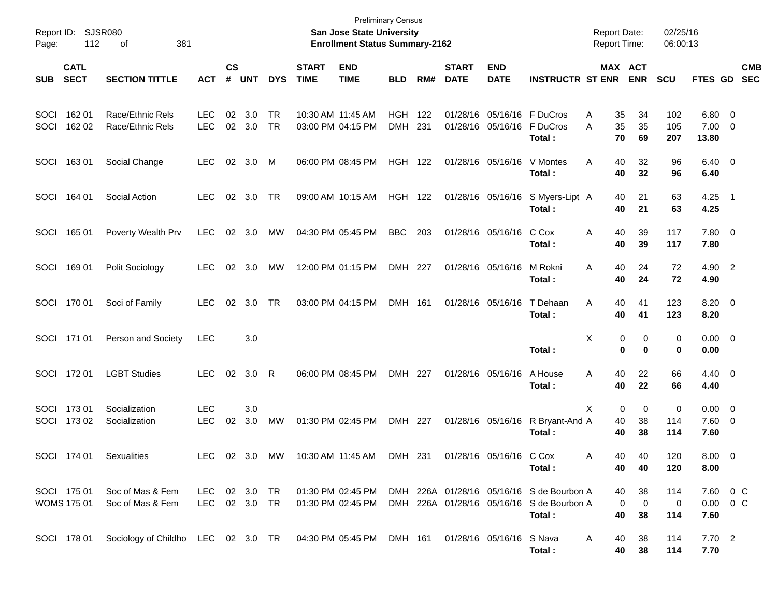| Report ID:<br>Page: | 112                               | <b>SJSR080</b><br>381<br>οf                                  |                             |                             |            |            |                             | <b>Preliminary Census</b><br><b>San Jose State University</b><br><b>Enrollment Status Summary-2162</b> |                          |            |                             |                                        |                                                                                                  | <b>Report Date:</b><br><b>Report Time:</b> |                              | 02/25/16<br>06:00:13 |                                   |                                                     |                          |
|---------------------|-----------------------------------|--------------------------------------------------------------|-----------------------------|-----------------------------|------------|------------|-----------------------------|--------------------------------------------------------------------------------------------------------|--------------------------|------------|-----------------------------|----------------------------------------|--------------------------------------------------------------------------------------------------|--------------------------------------------|------------------------------|----------------------|-----------------------------------|-----------------------------------------------------|--------------------------|
| <b>SUB</b>          | <b>CATL</b><br><b>SECT</b>        | <b>SECTION TITTLE</b>                                        | <b>ACT</b>                  | $\mathbf{c}\mathbf{s}$<br># | <b>UNT</b> | <b>DYS</b> | <b>START</b><br><b>TIME</b> | <b>END</b><br><b>TIME</b>                                                                              | <b>BLD</b>               | RM#        | <b>START</b><br><b>DATE</b> | <b>END</b><br><b>DATE</b>              | <b>INSTRUCTR ST ENR</b>                                                                          |                                            | MAX ACT<br><b>ENR</b>        | <b>SCU</b>           | FTES GD                           |                                                     | <b>CMB</b><br><b>SEC</b> |
| SOCI<br>SOCI        | 162 01<br>162 02                  | Race/Ethnic Rels<br>Race/Ethnic Rels                         | <b>LEC</b><br><b>LEC</b>    | 02<br>02                    | 3.0<br>3.0 | TR<br>TR   | 10:30 AM 11:45 AM           | 03:00 PM 04:15 PM                                                                                      | <b>HGH</b><br><b>DMH</b> | 122<br>231 |                             | 01/28/16 05/16/16<br>01/28/16 05/16/16 | F DuCros<br>F DuCros<br>Total:                                                                   | 35<br>Α<br>A<br>35<br>70                   | 34<br>35<br>69               | 102<br>105<br>207    | $6.80$ 0<br>7.00<br>13.80         | $\overline{\mathbf{0}}$                             |                          |
| SOCI                | 16301                             | Social Change                                                | <b>LEC</b>                  | 02                          | 3.0        | M          |                             | 06:00 PM 08:45 PM                                                                                      | <b>HGH 122</b>           |            |                             | 01/28/16 05/16/16                      | V Montes<br>Total:                                                                               | Α<br>40<br>40                              | 32<br>32                     | 96<br>96             | $6.40 \quad 0$<br>6.40            |                                                     |                          |
| SOCI                | 164 01                            | Social Action                                                | <b>LEC</b>                  | 02                          | 3.0        | TR         |                             | 09:00 AM 10:15 AM                                                                                      | HGH 122                  |            |                             | 01/28/16 05/16/16                      | S Myers-Lipt A<br>Total:                                                                         | 40<br>40                                   | 21<br>21                     | 63<br>63             | 4.25<br>4.25                      | $\overline{\phantom{0}}$                            |                          |
| SOCI                | 165 01                            | Poverty Wealth Prv                                           | <b>LEC</b>                  | 02                          | 3.0        | MW         |                             | 04:30 PM 05:45 PM                                                                                      | <b>BBC</b>               | 203        |                             | 01/28/16 05/16/16                      | C Cox<br>Total:                                                                                  | Α<br>40<br>40                              | 39<br>39                     | 117<br>117           | 7.80 0<br>7.80                    |                                                     |                          |
| SOCI                | 16901                             | Polit Sociology                                              | <b>LEC</b>                  | 02                          | 3.0        | MW         |                             | 12:00 PM 01:15 PM                                                                                      | DMH 227                  |            |                             | 01/28/16 05/16/16                      | M Rokni<br>Total:                                                                                | Α<br>40<br>40                              | 24<br>24                     | 72<br>72             | 4.90 2<br>4.90                    |                                                     |                          |
| SOCI                | 170 01                            | Soci of Family                                               | <b>LEC</b>                  | 02                          | 3.0        | TR         |                             | 03:00 PM 04:15 PM                                                                                      | DMH 161                  |            |                             | 01/28/16 05/16/16                      | T Dehaan<br>Total:                                                                               | Α<br>40<br>40                              | 41<br>41                     | 123<br>123           | 8.20 0<br>8.20                    |                                                     |                          |
| SOCI                | 171 01                            | Person and Society                                           | <b>LEC</b>                  |                             | 3.0        |            |                             |                                                                                                        |                          |            |                             |                                        | Total:                                                                                           | X                                          | 0<br>0<br>0<br>0             | 0<br>0               | $0.00 \t 0$<br>0.00               |                                                     |                          |
| SOCI                | 17201                             | <b>LGBT Studies</b>                                          | <b>LEC</b>                  | 02                          | 3.0        | R          |                             | 06:00 PM 08:45 PM                                                                                      | DMH 227                  |            |                             | 01/28/16 05/16/16                      | A House<br>Total:                                                                                | Α<br>40<br>40                              | 22<br>22                     | 66<br>66             | $4.40 \quad 0$<br>4.40            |                                                     |                          |
| SOCI<br>SOCI        | 17301<br>173 02                   | Socialization<br>Socialization                               | <b>LEC</b><br><b>LEC</b>    | 02                          | 3.0<br>3.0 | <b>MW</b>  |                             | 01:30 PM 02:45 PM                                                                                      | DMH 227                  |            |                             | 01/28/16 05/16/16                      | R Bryant-And A<br>Total:                                                                         | X<br>40<br>40                              | 0<br>0<br>38<br>38           | 0<br>114<br>114      | 0.00<br>7.60<br>7.60              | $\overline{\phantom{0}}$<br>$\overline{\mathbf{0}}$ |                          |
|                     | SOCI 174 01                       | Sexualities                                                  | LEC                         |                             | 02 3.0     | MW         |                             | 10:30 AM 11:45 AM                                                                                      | DMH 231                  |            |                             | 01/28/16 05/16/16 C Cox                | Total:                                                                                           | 40.<br>A<br>40                             | 40<br>40                     | 120<br>120           | 8.00 0<br>8.00                    |                                                     |                          |
|                     | SOCI 175 01<br><b>WOMS 175 01</b> | Soc of Mas & Fem<br>Soc of Mas & Fem                         | LEC 02 3.0<br>LEC 02 3.0 TR |                             |            | TR         |                             | 01:30 PM 02:45 PM<br>01:30 PM 02:45 PM                                                                 |                          |            |                             |                                        | DMH 226A 01/28/16 05/16/16 S de Bourbon A<br>DMH 226A 01/28/16 05/16/16 S de Bourbon A<br>Total: | 40<br>40                                   | 38<br>$\mathbf 0$<br>0<br>38 | 114<br>0<br>114      | 7.60 0 C<br>$0.00 \t 0 C$<br>7.60 |                                                     |                          |
|                     | SOCI 178 01                       | Sociology of Childho LEC 02 3.0 TR 04:30 PM 05:45 PM DMH 161 |                             |                             |            |            |                             |                                                                                                        |                          |            |                             | 01/28/16 05/16/16 S Nava               | Total:                                                                                           | 40<br>A<br>40                              | 38<br>38                     | 114<br>114           | 7.70 2<br>7.70                    |                                                     |                          |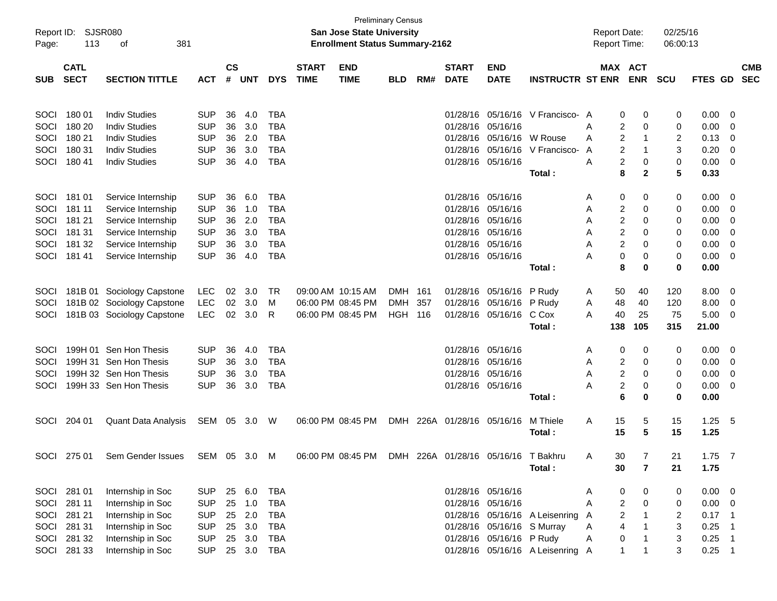| Report ID:<br>Page: | 113         | SJSR080<br>381<br>οf       |              |               |            |            |              | <b>San Jose State University</b><br><b>Enrollment Status Summary-2162</b> | <b>Preliminary Census</b> |     |                        |                                 |                                  | <b>Report Date:</b><br><b>Report Time:</b> |     |                | 02/25/16<br>06:00:13 |                |                          |            |
|---------------------|-------------|----------------------------|--------------|---------------|------------|------------|--------------|---------------------------------------------------------------------------|---------------------------|-----|------------------------|---------------------------------|----------------------------------|--------------------------------------------|-----|----------------|----------------------|----------------|--------------------------|------------|
|                     | <b>CATL</b> |                            |              | $\mathsf{cs}$ |            |            | <b>START</b> | <b>END</b>                                                                |                           |     | <b>START</b>           | <b>END</b>                      |                                  |                                            |     | MAX ACT        |                      |                |                          | <b>CMB</b> |
| <b>SUB</b>          | <b>SECT</b> | <b>SECTION TITTLE</b>      | <b>ACT</b>   | #             | <b>UNT</b> | <b>DYS</b> | <b>TIME</b>  | <b>TIME</b>                                                               | <b>BLD</b>                | RM# | <b>DATE</b>            | <b>DATE</b>                     | <b>INSTRUCTR ST ENR</b>          |                                            |     | <b>ENR</b>     | <b>SCU</b>           | <b>FTES GD</b> |                          | <b>SEC</b> |
| SOCI                | 180 01      | <b>Indiv Studies</b>       | <b>SUP</b>   | 36            | 4.0        | <b>TBA</b> |              |                                                                           |                           |     |                        |                                 | 01/28/16 05/16/16 V Francisco- A |                                            | 0   | 0              | 0                    | 0.00           | $\overline{0}$           |            |
| SOCI                | 180 20      | <b>Indiv Studies</b>       | <b>SUP</b>   | 36            | 3.0        | <b>TBA</b> |              |                                                                           |                           |     |                        | 01/28/16 05/16/16               |                                  | Α                                          | 2   | 0              | 0                    | 0.00           | 0                        |            |
| SOCI                | 180 21      | <b>Indiv Studies</b>       | <b>SUP</b>   | 36            | 2.0        | <b>TBA</b> |              |                                                                           |                           |     |                        | 01/28/16 05/16/16               | W Rouse                          | A                                          | 2   | -1             | 2                    | 0.13           | 0                        |            |
| SOCI                | 180 31      | <b>Indiv Studies</b>       | <b>SUP</b>   | 36            | 3.0        | <b>TBA</b> |              |                                                                           |                           |     |                        | 01/28/16 05/16/16               | V Francisco-                     | A                                          | 2   | -1             | 3                    | 0.20           | 0                        |            |
| SOCI                | 180 41      | <b>Indiv Studies</b>       | <b>SUP</b>   | 36            | 4.0        | <b>TBA</b> |              |                                                                           |                           |     |                        | 01/28/16 05/16/16               |                                  | A                                          | 2   | 0              | 0                    | 0.00           | 0                        |            |
|                     |             |                            |              |               |            |            |              |                                                                           |                           |     |                        |                                 | Total:                           |                                            | 8   | $\mathbf{2}$   | 5                    | 0.33           |                          |            |
| SOCI                | 181 01      | Service Internship         | <b>SUP</b>   | 36            | 6.0        | <b>TBA</b> |              |                                                                           |                           |     |                        | 01/28/16 05/16/16               |                                  | Α                                          | 0   | 0              | 0                    | 0.00           | 0                        |            |
| SOCI                | 181 11      | Service Internship         | <b>SUP</b>   | 36            | 1.0        | <b>TBA</b> |              |                                                                           |                           |     |                        | 01/28/16 05/16/16               |                                  | Α                                          | 2   | 0              | 0                    | 0.00           | 0                        |            |
| SOCI                | 181 21      | Service Internship         | <b>SUP</b>   | 36            | 2.0        | <b>TBA</b> |              |                                                                           |                           |     |                        | 01/28/16 05/16/16               |                                  | Α                                          | 2   | 0              | 0                    | 0.00           | 0                        |            |
| SOCI                | 181 31      | Service Internship         | <b>SUP</b>   | 36            | 3.0        | <b>TBA</b> |              |                                                                           |                           |     |                        | 01/28/16 05/16/16               |                                  | Α                                          | 2   | 0              | 0                    | 0.00           | 0                        |            |
| SOCI                | 181 32      | Service Internship         | <b>SUP</b>   | 36            | 3.0        | <b>TBA</b> |              |                                                                           |                           |     |                        | 01/28/16 05/16/16               |                                  | Α                                          | 2   | 0              | 0                    | 0.00           | 0                        |            |
| SOCI                | 18141       | Service Internship         | <b>SUP</b>   | 36            | 4.0        | <b>TBA</b> |              |                                                                           |                           |     |                        | 01/28/16 05/16/16               |                                  | A                                          | 0   | 0              | 0                    | 0.00           | 0                        |            |
|                     |             |                            |              |               |            |            |              |                                                                           |                           |     |                        |                                 | Total:                           |                                            | 8   | 0              | $\bf{0}$             | 0.00           |                          |            |
| SOCI                |             | 181B 01 Sociology Capstone | LEC          | 02            | 3.0        | TR         |              | 09:00 AM 10:15 AM                                                         | <b>DMH</b>                | 161 |                        | 01/28/16 05/16/16               | P Rudy                           | A                                          | 50  | 40             | 120                  | 8.00           | $\overline{0}$           |            |
| SOCI                |             | 181B 02 Sociology Capstone | <b>LEC</b>   | 02            | 3.0        | м          |              | 06:00 PM 08:45 PM                                                         | <b>DMH</b>                | 357 |                        | 01/28/16 05/16/16               | P Rudy                           | A                                          | 48  | 40             | 120                  | 8.00           | 0                        |            |
| SOCI                |             | 181B 03 Sociology Capstone | <b>LEC</b>   | 02            | 3.0        | R          |              | 06:00 PM 08:45 PM                                                         | HGH                       | 116 |                        | 01/28/16 05/16/16               | C Cox                            | A                                          | 40  | 25             | 75                   | 5.00           | 0                        |            |
|                     |             |                            |              |               |            |            |              |                                                                           |                           |     |                        |                                 | Total:                           |                                            | 138 | 105            | 315                  | 21.00          |                          |            |
| SOCI                |             | 199H 01 Sen Hon Thesis     | <b>SUP</b>   | 36            | 4.0        | <b>TBA</b> |              |                                                                           |                           |     |                        | 01/28/16 05/16/16               |                                  | Α                                          | 0   | 0              | 0                    | 0.00           | 0                        |            |
| SOCI                |             | 199H 31 Sen Hon Thesis     | <b>SUP</b>   | 36            | 3.0        | <b>TBA</b> |              |                                                                           |                           |     |                        | 01/28/16 05/16/16               |                                  | Α                                          | 2   | 0              | 0                    | 0.00           | 0                        |            |
| SOCI                |             | 199H 32 Sen Hon Thesis     | <b>SUP</b>   | 36            | 3.0        | <b>TBA</b> |              |                                                                           |                           |     |                        | 01/28/16 05/16/16               |                                  | Α                                          | 2   | 0              | 0                    | 0.00           | 0                        |            |
| SOCI                |             | 199H 33 Sen Hon Thesis     | <b>SUP</b>   | 36            | 3.0        | <b>TBA</b> |              |                                                                           |                           |     |                        | 01/28/16 05/16/16               |                                  | A                                          | 2   | 0              | 0                    | 0.00           | 0                        |            |
|                     |             |                            |              |               |            |            |              |                                                                           |                           |     |                        |                                 | Total:                           |                                            | 6   | 0              | 0                    | 0.00           |                          |            |
| SOCI                | 204 01      | Quant Data Analysis        | SEM          |               | 05 3.0     | W          |              | 06:00 PM 08:45 PM                                                         | <b>DMH</b>                |     | 226A 01/28/16 05/16/16 |                                 | M Thiele                         | Α                                          | 15  | 5              | 15                   | 1.25           | - 5                      |            |
|                     |             |                            |              |               |            |            |              |                                                                           |                           |     |                        |                                 | Total:                           |                                            | 15  | 5              | 15                   | 1.25           |                          |            |
| SOCI                | 275 01      | Sem Gender Issues          | SEM 05 3.0 M |               |            |            |              | 06:00 PM 08:45 PM                                                         | <b>DMH</b>                |     |                        | 226A 01/28/16 05/16/16 T Bakhru |                                  | A                                          | 30. | 7              | 21                   | $1.75$ 7       |                          |            |
|                     |             |                            |              |               |            |            |              |                                                                           |                           |     |                        |                                 | Total:                           |                                            | 30  | $\overline{7}$ | 21                   | 1.75           |                          |            |
| SOCI                | 281 01      | Internship in Soc          | <b>SUP</b>   |               | 25 6.0     | <b>TBA</b> |              |                                                                           |                           |     |                        | 01/28/16 05/16/16               |                                  | A                                          | 0   | 0              | 0                    | $0.00 \t 0$    |                          |            |
| SOCI                | 281 11      | Internship in Soc          | <b>SUP</b>   | 25            | 1.0        | <b>TBA</b> |              |                                                                           |                           |     |                        | 01/28/16 05/16/16               |                                  | A                                          | 2   | 0              | 0                    | 0.00           | $\overline{\mathbf{0}}$  |            |
| SOCI                | 281 21      | Internship in Soc          | <b>SUP</b>   | 25            | 2.0        | <b>TBA</b> |              |                                                                           |                           |     |                        |                                 | 01/28/16 05/16/16 A Leisenring A |                                            | 2   |                | 2                    | 0.17           | - 1                      |            |
| SOCI                | 281 31      | Internship in Soc          | <b>SUP</b>   | 25            | 3.0        | <b>TBA</b> |              |                                                                           |                           |     |                        | 01/28/16 05/16/16 S Murray      |                                  | Α                                          | 4   | -1             | 3                    | 0.25           | - 1                      |            |
| SOCI                | 281 32      | Internship in Soc          | <b>SUP</b>   | 25            | 3.0        | <b>TBA</b> |              |                                                                           |                           |     |                        | 01/28/16 05/16/16 P Rudy        |                                  | Α                                          | 0   | -1             | 3                    | 0.25           | $\overline{\phantom{0}}$ |            |
|                     | SOCI 281 33 | Internship in Soc          | <b>SUP</b>   |               | 25 3.0     | <b>TBA</b> |              |                                                                           |                           |     |                        |                                 | 01/28/16 05/16/16 A Leisenring A |                                            | 1   | 1              | 3                    | $0.25$ 1       |                          |            |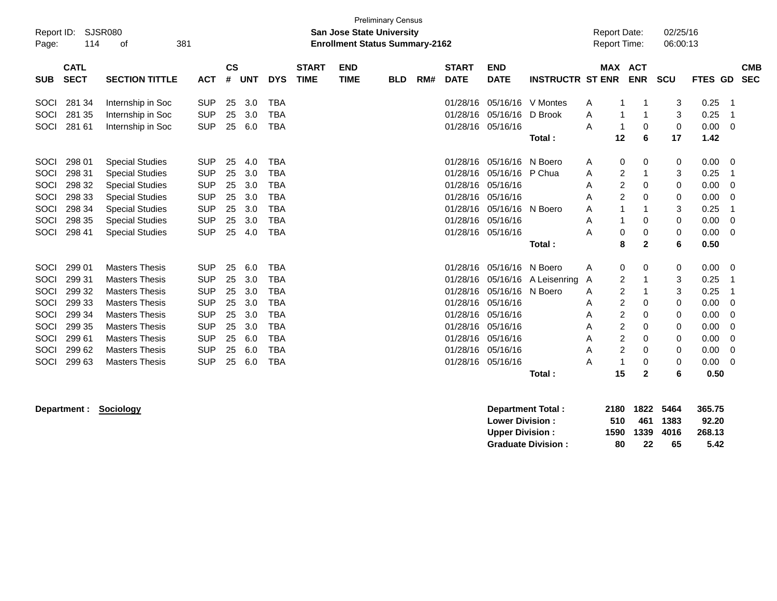| <b>Preliminary Census</b><br>SJSR080<br>Report ID:<br><b>San Jose State University</b><br>381<br><b>Enrollment Status Summary-2162</b><br>114<br>οf<br>Page: |                                                                                        |                                                                                                                                                                                                                               |                                                                                                                            |                                                    |                                                             |                                                                                                                            |                             |                           |            |     |                                                                                                          |                                                                                                          |                                              | <b>Report Date:</b><br><b>Report Time:</b>      |                                                                                                                                                                | 02/25/16<br>06:00:13                           |                                                                              |                                                   |
|--------------------------------------------------------------------------------------------------------------------------------------------------------------|----------------------------------------------------------------------------------------|-------------------------------------------------------------------------------------------------------------------------------------------------------------------------------------------------------------------------------|----------------------------------------------------------------------------------------------------------------------------|----------------------------------------------------|-------------------------------------------------------------|----------------------------------------------------------------------------------------------------------------------------|-----------------------------|---------------------------|------------|-----|----------------------------------------------------------------------------------------------------------|----------------------------------------------------------------------------------------------------------|----------------------------------------------|-------------------------------------------------|----------------------------------------------------------------------------------------------------------------------------------------------------------------|------------------------------------------------|------------------------------------------------------------------------------|---------------------------------------------------|
| <b>SUB</b>                                                                                                                                                   | <b>CATL</b><br><b>SECT</b>                                                             | <b>SECTION TITTLE</b>                                                                                                                                                                                                         | <b>ACT</b>                                                                                                                 | <b>CS</b><br>#                                     | <b>UNT</b>                                                  | <b>DYS</b>                                                                                                                 | <b>START</b><br><b>TIME</b> | <b>END</b><br><b>TIME</b> | <b>BLD</b> | RM# | <b>START</b><br><b>DATE</b>                                                                              | <b>END</b><br><b>DATE</b>                                                                                | <b>INSTRUCTR ST ENR</b>                      | <b>MAX</b>                                      | <b>ACT</b><br><b>ENR</b>                                                                                                                                       | <b>SCU</b>                                     | FTES GD                                                                      | <b>CMB</b><br><b>SEC</b>                          |
| SOCI<br>SOCI<br>SOCI                                                                                                                                         | 281 34<br>281 35                                                                       | Internship in Soc<br>Internship in Soc                                                                                                                                                                                        | <b>SUP</b><br><b>SUP</b><br><b>SUP</b>                                                                                     | 25<br>25                                           | 3.0<br>3.0                                                  | <b>TBA</b><br><b>TBA</b><br><b>TBA</b>                                                                                     |                             |                           |            |     | 01/28/16<br>01/28/16                                                                                     | 05/16/16<br>05/16/16                                                                                     | 05/16/16 V Montes<br>D Brook                 | A<br>A                                          | 1                                                                                                                                                              | 3<br>3                                         | 0.25<br>0.25                                                                 | 1<br>1                                            |
|                                                                                                                                                              | 281 61                                                                                 | Internship in Soc                                                                                                                                                                                                             |                                                                                                                            | 25                                                 | 6.0                                                         |                                                                                                                            |                             |                           |            |     | 01/28/16                                                                                                 |                                                                                                          | Total:                                       | A<br>12                                         | 0<br>6                                                                                                                                                         | 0<br>17                                        | 0.00<br>1.42                                                                 | 0                                                 |
| SOCI<br>SOCI<br>SOCI<br>SOCI<br>SOCI<br>SOCI<br>SOCI                                                                                                         | 298 01<br>298 31<br>298 32<br>298 33<br>298 34<br>298 35<br>298 41                     | <b>Special Studies</b><br><b>Special Studies</b><br><b>Special Studies</b><br><b>Special Studies</b><br><b>Special Studies</b><br><b>Special Studies</b><br><b>Special Studies</b>                                            | <b>SUP</b><br><b>SUP</b><br><b>SUP</b><br><b>SUP</b><br><b>SUP</b><br><b>SUP</b><br><b>SUP</b>                             | 25<br>25<br>25<br>25<br>25<br>25<br>25             | 4.0<br>3.0<br>3.0<br>3.0<br>3.0<br>3.0<br>4.0               | <b>TBA</b><br><b>TBA</b><br><b>TBA</b><br><b>TBA</b><br><b>TBA</b><br><b>TBA</b><br><b>TBA</b>                             |                             |                           |            |     | 01/28/16<br>01/28/16<br>01/28/16<br>01/28/16<br>01/28/16<br>01/28/16<br>01/28/16                         | 05/16/16<br>05/16/16<br>05/16/16<br>05/16/16<br>05/16/16<br>05/16/16<br>05/16/16                         | N Boero<br>P Chua<br>N Boero                 | A<br>A<br>Α<br>A<br>A<br>Α<br>A                 | 0<br>0<br>2<br>$\overline{2}$<br>0<br>$\overline{2}$<br>0<br>1<br>0<br>0<br>$\mathbf 0$                                                                        | 0<br>3<br>0<br>$\Omega$<br>3<br>0<br>0         | 0.00<br>0.25<br>0.00<br>0.00<br>0.25<br>0.00<br>0.00                         | 0<br>1<br>$\mathbf 0$<br>$\Omega$<br>-1<br>0<br>0 |
|                                                                                                                                                              |                                                                                        |                                                                                                                                                                                                                               |                                                                                                                            |                                                    |                                                             |                                                                                                                            |                             |                           |            |     |                                                                                                          |                                                                                                          | Total:                                       |                                                 | 8<br>$\mathbf{2}$                                                                                                                                              | 6                                              | 0.50                                                                         |                                                   |
| SOCI<br>SOCI<br>SOCI<br>SOCI<br>SOCI<br>SOCI<br>SOCI<br>SOCI<br>SOCI                                                                                         | 299 01<br>299 31<br>299 32<br>299 33<br>299 34<br>299 35<br>299 61<br>299 62<br>299 63 | <b>Masters Thesis</b><br><b>Masters Thesis</b><br><b>Masters Thesis</b><br><b>Masters Thesis</b><br><b>Masters Thesis</b><br><b>Masters Thesis</b><br><b>Masters Thesis</b><br><b>Masters Thesis</b><br><b>Masters Thesis</b> | <b>SUP</b><br><b>SUP</b><br><b>SUP</b><br><b>SUP</b><br><b>SUP</b><br><b>SUP</b><br><b>SUP</b><br><b>SUP</b><br><b>SUP</b> | 25<br>25<br>25<br>25<br>25<br>25<br>25<br>25<br>25 | 6.0<br>3.0<br>3.0<br>3.0<br>3.0<br>3.0<br>6.0<br>6.0<br>6.0 | <b>TBA</b><br><b>TBA</b><br><b>TBA</b><br><b>TBA</b><br><b>TBA</b><br><b>TBA</b><br><b>TBA</b><br><b>TBA</b><br><b>TBA</b> |                             |                           |            |     | 01/28/16<br>01/28/16<br>01/28/16<br>01/28/16<br>01/28/16<br>01/28/16<br>01/28/16<br>01/28/16<br>01/28/16 | 05/16/16<br>05/16/16<br>05/16/16<br>05/16/16<br>05/16/16<br>05/16/16<br>05/16/16<br>05/16/16<br>05/16/16 | N Boero<br>A Leisenring<br>N Boero<br>Total: | A<br>Α<br>A<br>A<br>A<br>Α<br>Α<br>Α<br>A<br>15 | 0<br>0<br>$\overline{c}$<br>$\overline{c}$<br>2<br>0<br>2<br>0<br>$\overline{c}$<br>0<br>$\overline{\mathbf{c}}$<br>0<br>2<br>0<br>$\mathbf 0$<br>$\mathbf{2}$ | 0<br>3<br>3<br>0<br>0<br>0<br>0<br>0<br>0<br>6 | 0.00<br>0.25<br>0.25<br>0.00<br>0.00<br>0.00<br>0.00<br>0.00<br>0.00<br>0.50 | 0<br>1<br>1<br>0<br>0<br>0<br>0<br>0<br>0         |

**Department : Sociology Department Total : 2180 1822 5464 365.75 Lower Division : 510 461 1383 92.20 Upper Division : 1590 1339 4016 268.13 Graduate Division : 80 22 65 5.42**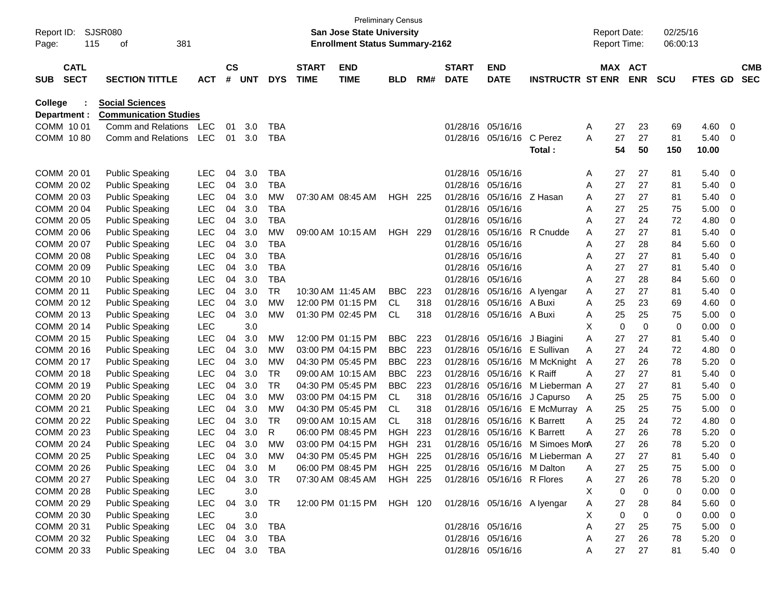| Report ID:<br>Page: |                            | 115 | SJSR080<br>381<br>οf         |            |                |            |            |                             | <b>Preliminary Census</b><br><b>San Jose State University</b><br><b>Enrollment Status Summary-2162</b> |                |     |                             |                             |                         | <b>Report Date:</b><br>Report Time: |                       |             | 02/25/16<br>06:00:13 |               |     |                          |
|---------------------|----------------------------|-----|------------------------------|------------|----------------|------------|------------|-----------------------------|--------------------------------------------------------------------------------------------------------|----------------|-----|-----------------------------|-----------------------------|-------------------------|-------------------------------------|-----------------------|-------------|----------------------|---------------|-----|--------------------------|
| <b>SUB</b>          | <b>CATL</b><br><b>SECT</b> |     | <b>SECTION TITTLE</b>        | <b>ACT</b> | <b>CS</b><br># | <b>UNT</b> | <b>DYS</b> | <b>START</b><br><b>TIME</b> | <b>END</b><br><b>TIME</b>                                                                              | <b>BLD</b>     | RM# | <b>START</b><br><b>DATE</b> | <b>END</b><br><b>DATE</b>   | <b>INSTRUCTR ST ENR</b> |                                     | MAX ACT<br><b>ENR</b> | <b>SCU</b>  |                      | FTES GD       |     | <b>CMB</b><br><b>SEC</b> |
| <b>College</b>      |                            |     | <b>Social Sciences</b>       |            |                |            |            |                             |                                                                                                        |                |     |                             |                             |                         |                                     |                       |             |                      |               |     |                          |
| Department :        |                            |     | <b>Communication Studies</b> |            |                |            |            |                             |                                                                                                        |                |     |                             |                             |                         |                                     |                       |             |                      |               |     |                          |
| COMM 1001           |                            |     | Comm and Relations           | <b>LEC</b> | 01             | 3.0        | <b>TBA</b> |                             |                                                                                                        |                |     | 01/28/16                    | 05/16/16                    |                         | A                                   | 27                    | 23          | 69                   | 4.60          | 0   |                          |
| COMM 1080           |                            |     | Comm and Relations           | <b>LEC</b> | 01             | 3.0        | <b>TBA</b> |                             |                                                                                                        |                |     |                             | 01/28/16 05/16/16           | C Perez<br>Total:       | A                                   | 27<br>54              | 27<br>50    | 81<br>150            | 5.40<br>10.00 | 0   |                          |
| COMM 20 01          |                            |     | <b>Public Speaking</b>       | LEC        | 04             | 3.0        | <b>TBA</b> |                             |                                                                                                        |                |     | 01/28/16                    | 05/16/16                    |                         | A                                   | 27                    | 27          | 81                   | 5.40          | 0   |                          |
| COMM 20 02          |                            |     | <b>Public Speaking</b>       | <b>LEC</b> | 04             | 3.0        | <b>TBA</b> |                             |                                                                                                        |                |     | 01/28/16                    | 05/16/16                    |                         | A                                   | 27                    | 27          | 81                   | 5.40          | 0   |                          |
| COMM 2003           |                            |     | <b>Public Speaking</b>       | <b>LEC</b> | 04             | 3.0        | <b>MW</b>  |                             | 07:30 AM 08:45 AM                                                                                      | <b>HGH 225</b> |     | 01/28/16                    | 05/16/16                    | Z Hasan                 | A                                   | 27                    | 27          | 81                   | 5.40          | 0   |                          |
| COMM 2004           |                            |     | <b>Public Speaking</b>       | <b>LEC</b> | 04             | 3.0        | <b>TBA</b> |                             |                                                                                                        |                |     | 01/28/16                    | 05/16/16                    |                         | A                                   | 27                    | 25          | 75                   | 5.00          | 0   |                          |
| COMM 20 05          |                            |     | <b>Public Speaking</b>       | <b>LEC</b> | 04             | 3.0        | <b>TBA</b> |                             |                                                                                                        |                |     | 01/28/16                    | 05/16/16                    |                         | Α                                   | 27                    | 24          | 72                   | 4.80          | 0   |                          |
| COMM 20 06          |                            |     | <b>Public Speaking</b>       | <b>LEC</b> | 04             | 3.0        | <b>MW</b>  |                             | 09:00 AM 10:15 AM                                                                                      | <b>HGH 229</b> |     | 01/28/16                    | 05/16/16                    | R Cnudde                | A                                   | 27                    | 27          | 81                   | 5.40          | 0   |                          |
| COMM 2007           |                            |     | <b>Public Speaking</b>       | <b>LEC</b> | 04             | 3.0        | <b>TBA</b> |                             |                                                                                                        |                |     | 01/28/16                    | 05/16/16                    |                         | A                                   | 27                    | 28          | 84                   | 5.60          | 0   |                          |
| COMM 2008           |                            |     | <b>Public Speaking</b>       | <b>LEC</b> | 04             | 3.0        | <b>TBA</b> |                             |                                                                                                        |                |     | 01/28/16                    | 05/16/16                    |                         | A                                   | 27                    | 27          | 81                   | 5.40          | 0   |                          |
| COMM 20 09          |                            |     | <b>Public Speaking</b>       | <b>LEC</b> | 04             | 3.0        | <b>TBA</b> |                             |                                                                                                        |                |     | 01/28/16                    | 05/16/16                    |                         | Α                                   | 27                    | 27          | 81                   | 5.40          | 0   |                          |
| COMM 20 10          |                            |     | <b>Public Speaking</b>       | <b>LEC</b> | 04             | 3.0        | <b>TBA</b> |                             |                                                                                                        |                |     | 01/28/16                    | 05/16/16                    |                         | Α                                   | 27                    | 28          | 84                   | 5.60          | 0   |                          |
| COMM 20 11          |                            |     | <b>Public Speaking</b>       | <b>LEC</b> | 04             | 3.0        | <b>TR</b>  |                             | 10:30 AM 11:45 AM                                                                                      | BBC            | 223 | 01/28/16                    | 05/16/16                    | A Iyengar               | Α                                   | 27                    | 27          | 81                   | 5.40          | 0   |                          |
| COMM 2012           |                            |     | <b>Public Speaking</b>       | <b>LEC</b> | 04             | 3.0        | <b>MW</b>  |                             | 12:00 PM 01:15 PM                                                                                      | <b>CL</b>      | 318 | 01/28/16                    | 05/16/16                    | A Buxi                  | Α                                   | 25                    | 23          | 69                   | 4.60          | 0   |                          |
| COMM 2013           |                            |     | <b>Public Speaking</b>       | <b>LEC</b> | 04             | 3.0        | <b>MW</b>  |                             | 01:30 PM 02:45 PM                                                                                      | CL             | 318 | 01/28/16                    | 05/16/16                    | A Buxi                  | A                                   | 25                    | 25          | 75                   | 5.00          | 0   |                          |
| COMM 2014           |                            |     | <b>Public Speaking</b>       | <b>LEC</b> |                | 3.0        |            |                             |                                                                                                        |                |     |                             |                             |                         | X                                   | $\mathbf 0$           | $\mathbf 0$ | 0                    | 0.00          | 0   |                          |
| COMM 2015           |                            |     | <b>Public Speaking</b>       | <b>LEC</b> | 04             | 3.0        | MW         |                             | 12:00 PM 01:15 PM                                                                                      | <b>BBC</b>     | 223 | 01/28/16                    | 05/16/16                    | J Biagini               | Α                                   | 27                    | 27          | 81                   | 5.40          | 0   |                          |
| COMM 2016           |                            |     | <b>Public Speaking</b>       | <b>LEC</b> | 04             | 3.0        | <b>MW</b>  |                             | 03:00 PM 04:15 PM                                                                                      | <b>BBC</b>     | 223 | 01/28/16                    | 05/16/16                    | E Sullivan              | A                                   | 27                    | 24          | 72                   | 4.80          | 0   |                          |
| COMM 2017           |                            |     | <b>Public Speaking</b>       | <b>LEC</b> | 04             | 3.0        | <b>MW</b>  |                             | 04:30 PM 05:45 PM                                                                                      | <b>BBC</b>     | 223 | 01/28/16                    | 05/16/16                    | M McKnight              | A                                   | 27                    | 26          | 78                   | 5.20          | 0   |                          |
| COMM 2018           |                            |     | <b>Public Speaking</b>       | <b>LEC</b> | 04             | 3.0        | <b>TR</b>  |                             | 09:00 AM 10:15 AM                                                                                      | <b>BBC</b>     | 223 | 01/28/16                    | 05/16/16                    | K Raiff                 | A                                   | 27                    | 27          | 81                   | 5.40          | 0   |                          |
| COMM 2019           |                            |     | <b>Public Speaking</b>       | <b>LEC</b> | 04             | 3.0        | <b>TR</b>  |                             | 04:30 PM 05:45 PM                                                                                      | <b>BBC</b>     | 223 | 01/28/16                    | 05/16/16                    | M Lieberman A           |                                     | 27                    | 27          | 81                   | 5.40          | 0   |                          |
| COMM 20 20          |                            |     | <b>Public Speaking</b>       | <b>LEC</b> | 04             | 3.0        | <b>MW</b>  |                             | 03:00 PM 04:15 PM                                                                                      | CL             | 318 | 01/28/16                    | 05/16/16                    | J Capurso               | A                                   | 25                    | 25          | 75                   | 5.00          | 0   |                          |
| COMM 20 21          |                            |     | <b>Public Speaking</b>       | <b>LEC</b> | 04             | 3.0        | <b>MW</b>  |                             | 04:30 PM 05:45 PM                                                                                      | CL             | 318 | 01/28/16                    | 05/16/16                    | E McMurray              | A                                   | 25                    | 25          | 75                   | 5.00          | 0   |                          |
| COMM 20 22          |                            |     | <b>Public Speaking</b>       | <b>LEC</b> | 04             | 3.0        | <b>TR</b>  |                             | 09:00 AM 10:15 AM                                                                                      | CL             | 318 | 01/28/16                    | 05/16/16                    | <b>K</b> Barrett        | A                                   | 25                    | 24          | 72                   | 4.80          | 0   |                          |
| COMM 20 23          |                            |     | <b>Public Speaking</b>       | <b>LEC</b> | 04             | 3.0        | R          |                             | 06:00 PM 08:45 PM                                                                                      | <b>HGH</b>     | 223 | 01/28/16                    | 05/16/16                    | <b>K</b> Barrett        | A                                   | 27                    | 26          | 78                   | 5.20          | 0   |                          |
| COMM 20 24          |                            |     | <b>Public Speaking</b>       | <b>LEC</b> | 04             | 3.0        | <b>MW</b>  |                             | 03:00 PM 04:15 PM                                                                                      | <b>HGH</b>     | 231 | 01/28/16                    | 05/16/16                    | M Simoes MonA           |                                     | 27                    | 26          | 78                   | 5.20          | 0   |                          |
| COMM 20 25          |                            |     | <b>Public Speaking</b>       | LEC        | 04             | 3.0        | МW         |                             | 04:30 PM 05:45 PM                                                                                      | HGH 225        |     |                             | 01/28/16 05/16/16           | M Lieberman A           |                                     | 27                    | 27          | 81                   | 5.40          | - 0 |                          |
| COMM 20 26          |                            |     | <b>Public Speaking</b>       | <b>LEC</b> | 04             | 3.0        | M          |                             | 06:00 PM 08:45 PM                                                                                      | <b>HGH 225</b> |     |                             | 01/28/16 05/16/16           | M Dalton                | A                                   | 27                    | 25          | 75                   | 5.00          | 0   |                          |
| COMM 20 27          |                            |     | <b>Public Speaking</b>       | LEC        | 04             | 3.0        | <b>TR</b>  |                             | 07:30 AM 08:45 AM                                                                                      | <b>HGH 225</b> |     |                             | 01/28/16 05/16/16 R Flores  |                         | A                                   | 27                    | 26          | 78                   | 5.20          | 0   |                          |
| COMM 20 28          |                            |     | <b>Public Speaking</b>       | LEC        |                | 3.0        |            |                             |                                                                                                        |                |     |                             |                             |                         | Χ                                   | 0                     | 0           | 0                    | 0.00          | 0   |                          |
| COMM 20 29          |                            |     | <b>Public Speaking</b>       | LEC        | 04             | 3.0        | <b>TR</b>  |                             | 12:00 PM 01:15 PM                                                                                      | HGH 120        |     |                             | 01/28/16 05/16/16 A lyengar |                         | A                                   | 27                    | 28          | 84                   | 5.60          | 0   |                          |
| COMM 20 30          |                            |     | <b>Public Speaking</b>       | LEC        |                | 3.0        |            |                             |                                                                                                        |                |     |                             |                             |                         | Χ                                   | 0                     | 0           | 0                    | 0.00          | 0   |                          |
| COMM 20 31          |                            |     | <b>Public Speaking</b>       | LEC        | 04             | 3.0        | <b>TBA</b> |                             |                                                                                                        |                |     |                             | 01/28/16 05/16/16           |                         | A                                   | 27                    | 25          | 75                   | 5.00          | 0   |                          |
| COMM 20 32          |                            |     | <b>Public Speaking</b>       | LEC        | 04             | 3.0        | <b>TBA</b> |                             |                                                                                                        |                |     |                             | 01/28/16 05/16/16           |                         | A                                   | 27                    | 26          | 78                   | 5.20          | 0   |                          |
| COMM 20 33          |                            |     | <b>Public Speaking</b>       | <b>LEC</b> | 04             | 3.0        | <b>TBA</b> |                             |                                                                                                        |                |     |                             | 01/28/16 05/16/16           |                         | A                                   | 27                    | 27          | 81                   | 5.40          | - 0 |                          |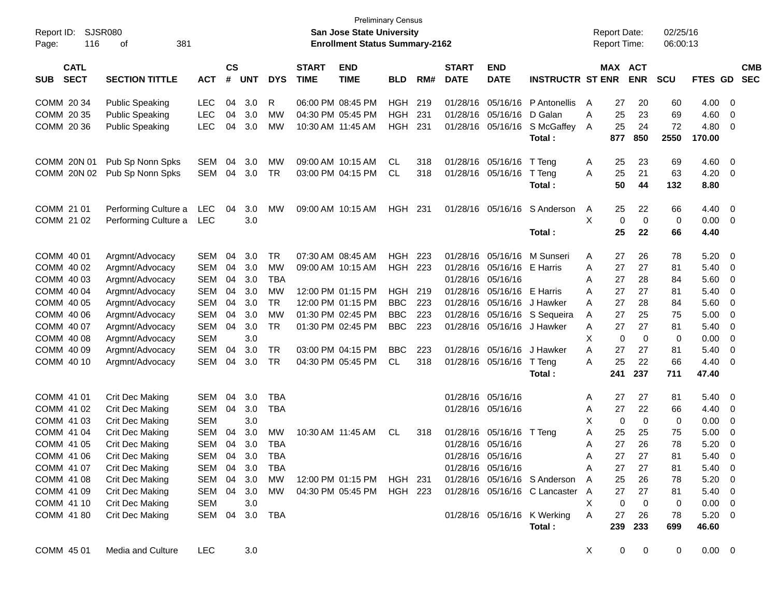| Report ID:<br>116<br>Page:               | SJSR080<br>381<br>οf   |                |                    |            |            |                             | San Jose State University<br><b>Enrollment Status Summary-2162</b> | Preliminary Census |      |                             |                           |                                 |   | <b>Report Date:</b><br><b>Report Time:</b> |             | 02/25/16<br>06:00:13 |               |                          |  |
|------------------------------------------|------------------------|----------------|--------------------|------------|------------|-----------------------------|--------------------------------------------------------------------|--------------------|------|-----------------------------|---------------------------|---------------------------------|---|--------------------------------------------|-------------|----------------------|---------------|--------------------------|--|
| <b>CATL</b><br><b>SECT</b><br><b>SUB</b> | <b>SECTION TITTLE</b>  | <b>ACT</b>     | $\mathsf{cs}$<br># | <b>UNT</b> | <b>DYS</b> | <b>START</b><br><b>TIME</b> | <b>END</b><br><b>TIME</b>                                          | <b>BLD</b>         | RM#  | <b>START</b><br><b>DATE</b> | <b>END</b><br><b>DATE</b> | <b>INSTRUCTR ST ENR</b>         |   | MAX ACT                                    | <b>ENR</b>  | <b>SCU</b>           | FTES GD       | <b>CMB</b><br><b>SEC</b> |  |
| COMM 20 34                               | <b>Public Speaking</b> | <b>LEC</b>     | 04                 | 3.0        | R          |                             | 06:00 PM 08:45 PM                                                  | <b>HGH</b>         | 219  | 01/28/16                    | 05/16/16                  | P Antonellis                    | A | 27                                         | 20          | 60                   | 4.00          | 0                        |  |
| COMM 20 35                               | <b>Public Speaking</b> | <b>LEC</b>     | 04                 | 3.0        | <b>MW</b>  |                             | 04:30 PM 05:45 PM                                                  | <b>HGH</b>         | 231  |                             | 01/28/16 05/16/16         | D Galan                         | A | 25                                         | 23          | 69                   | 4.60          | 0                        |  |
| COMM 20 36                               | <b>Public Speaking</b> | <b>LEC</b>     | 04                 | 3.0        | MW         | 10:30 AM 11:45 AM           |                                                                    | <b>HGH</b>         | 231  | 01/28/16                    | 05/16/16                  | S McGaffey                      | A | 25                                         | 24          | 72                   | 4.80          | 0                        |  |
|                                          |                        |                |                    |            |            |                             |                                                                    |                    |      |                             |                           | Total:                          |   | 877                                        | 850         | 2550                 | 170.00        |                          |  |
| COMM 20N 01                              | Pub Sp Nonn Spks       | <b>SEM</b>     | 04                 | 3.0        | MW         |                             | 09:00 AM 10:15 AM                                                  | CL                 | 318  |                             | 01/28/16 05/16/16         | T Teng                          | A | 25                                         | 23          | 69                   | 4.60          | 0                        |  |
| COMM 20N 02                              | Pub Sp Nonn Spks       | SEM            | 04                 | 3.0        | TR         |                             | 03:00 PM 04:15 PM                                                  | CL                 | 318  |                             | 01/28/16 05/16/16         | T Teng                          | A | 25                                         | 21          | 63                   | 4.20          | 0                        |  |
|                                          |                        |                |                    |            |            |                             |                                                                    |                    |      |                             |                           | Total:                          |   | 50                                         | 44          | 132                  | 8.80          |                          |  |
| COMM 21 01                               | Performing Culture a   | LEC            | 04                 | 3.0        | MW         |                             | 09:00 AM 10:15 AM                                                  | <b>HGH</b>         | -231 |                             | 01/28/16 05/16/16         | S Anderson                      | A | 25                                         | 22          | 66                   | 4.40          | 0                        |  |
| COMM 21 02                               | Performing Culture a   | <b>LEC</b>     |                    | 3.0        |            |                             |                                                                    |                    |      |                             |                           |                                 | X | 0                                          | 0           | 0                    | 0.00          | $\overline{0}$           |  |
|                                          |                        |                |                    |            |            |                             |                                                                    |                    |      |                             |                           | Total:                          |   | 25                                         | 22          | 66                   | 4.40          |                          |  |
| COMM 40 01                               | Argmnt/Advocacy        | <b>SEM</b>     | 04                 | 3.0        | TR         |                             | 07:30 AM 08:45 AM                                                  | <b>HGH 223</b>     |      |                             | 01/28/16 05/16/16         | M Sunseri                       | A | 27                                         | 26          | 78                   | 5.20          | 0                        |  |
| COMM 40 02                               | Argmnt/Advocacy        | <b>SEM</b>     | 04                 | 3.0        | MW         |                             | 09:00 AM 10:15 AM                                                  | <b>HGH 223</b>     |      |                             | 01/28/16 05/16/16         | E Harris                        | A | 27                                         | 27          | 81                   | 5.40          | 0                        |  |
| COMM 40 03                               | Argmnt/Advocacy        | <b>SEM</b>     | 04                 | 3.0        | <b>TBA</b> |                             |                                                                    |                    |      | 01/28/16 05/16/16           |                           |                                 | A | 27                                         | 28          | 84                   | 5.60          | 0                        |  |
| COMM 40 04                               | Argmnt/Advocacy        | <b>SEM</b>     | 04                 | 3.0        | <b>MW</b>  |                             | 12:00 PM 01:15 PM                                                  | <b>HGH</b>         | 219  | 01/28/16                    | 05/16/16                  | E Harris                        | A | 27                                         | 27          | 81                   | 5.40          | 0                        |  |
| COMM 40 05                               | Argmnt/Advocacy        | <b>SEM</b>     | 04                 | 3.0        | <b>TR</b>  |                             | 12:00 PM 01:15 PM                                                  | <b>BBC</b>         | 223  | 01/28/16                    | 05/16/16                  | J Hawker                        | A | 27                                         | 28          | 84                   | 5.60          | 0                        |  |
| COMM 40 06                               | Argmnt/Advocacy        | <b>SEM</b>     | 04                 | 3.0        | <b>MW</b>  |                             | 01:30 PM 02:45 PM                                                  | <b>BBC</b>         | 223  | 01/28/16                    | 05/16/16                  | S Sequeira                      | A | 27                                         | 25          | 75                   | 5.00          | 0                        |  |
| COMM 40 07                               | Argmnt/Advocacy        | <b>SEM</b>     | 04                 | 3.0        | <b>TR</b>  |                             | 01:30 PM 02:45 PM                                                  | <b>BBC</b>         | 223  | 01/28/16                    | 05/16/16                  | J Hawker                        | A | 27                                         | 27          | 81                   | 5.40          | 0                        |  |
| COMM 40 08                               | Argmnt/Advocacy        | <b>SEM</b>     |                    | 3.0        |            |                             |                                                                    |                    |      |                             |                           |                                 | X | 0                                          | $\mathbf 0$ | 0                    | 0.00          | $\mathbf 0$              |  |
| COMM 40 09                               | Argmnt/Advocacy        | <b>SEM</b>     | 04                 | 3.0        | TR         |                             | 03:00 PM 04:15 PM                                                  | <b>BBC</b>         | 223  |                             | 01/28/16 05/16/16         | J Hawker                        | A | 27                                         | 27          | 81                   | 5.40          | 0                        |  |
| COMM 40 10                               | Argmnt/Advocacy        | <b>SEM</b>     | 04                 | 3.0        | TR         |                             | 04:30 PM 05:45 PM                                                  | CL.                | 318  |                             | 01/28/16 05/16/16         | T Teng<br>Total:                | A | 25<br>241                                  | 22<br>237   | 66<br>711            | 4.40<br>47.40 | 0                        |  |
|                                          |                        |                |                    |            |            |                             |                                                                    |                    |      |                             |                           |                                 |   |                                            |             |                      |               |                          |  |
| COMM 41 01                               | Crit Dec Making        | <b>SEM</b>     | 04                 | 3.0        | <b>TBA</b> |                             |                                                                    |                    |      | 01/28/16 05/16/16           |                           |                                 | A | 27                                         | 27          | 81                   | 5.40          | 0                        |  |
| COMM 41 02                               | Crit Dec Making        | <b>SEM</b>     | 04                 | 3.0        | TBA        |                             |                                                                    |                    |      | 01/28/16 05/16/16           |                           |                                 | A | 27                                         | 22          | 66                   | 4.40          | 0                        |  |
| COMM 41 03                               | Crit Dec Making        | <b>SEM</b>     |                    | 3.0        |            |                             |                                                                    |                    |      |                             |                           |                                 | Χ | 0                                          | 0           | 0                    | 0.00          | 0                        |  |
| COMM 41 04                               | Crit Dec Making        | <b>SEM</b>     | 04                 | 3.0        | MW         | 10:30 AM 11:45 AM           |                                                                    | CL                 | 318  |                             | 01/28/16 05/16/16         | T Teng                          | A | 25                                         | 25          | 75                   | 5.00          | 0                        |  |
| COMM 41 05                               | Crit Dec Making        | <b>SEM</b>     | 04                 | 3.0        | TBA        |                             |                                                                    |                    |      | 01/28/16 05/16/16           |                           |                                 | A | 27                                         | 26          | 78                   | 5.20          | 0                        |  |
| COMM 41 06                               | Crit Dec Making        | SEM            |                    | 04 3.0     | <b>TBA</b> |                             |                                                                    |                    |      | 01/28/16 05/16/16           |                           |                                 | А | 27                                         | 27          | 81                   | 5.40          | $\Omega$                 |  |
| COMM 41 07                               | Crit Dec Making        | SEM 04 3.0 TBA |                    |            |            |                             |                                                                    |                    |      | 01/28/16 05/16/16           |                           |                                 | Α | 27                                         | 27          | 81                   | $5.40 \ 0$    |                          |  |
| COMM 41 08                               | Crit Dec Making        | SEM 04 3.0     |                    |            | MW         |                             | 12:00 PM_01:15 PM                                                  | HGH 231            |      |                             |                           | 01/28/16 05/16/16 S Anderson    | A | 25                                         | 26          | 78                   | 5.20          | $\overline{\mathbf{0}}$  |  |
| COMM 41 09                               | Crit Dec Making        | SEM 04 3.0     |                    |            | MW         |                             | 04:30 PM 05:45 PM                                                  | HGH 223            |      |                             |                           | 01/28/16 05/16/16 C Lancaster A |   | 27                                         | 27          | 81                   | 5.40 0        |                          |  |
| COMM 41 10                               | Crit Dec Making        | <b>SEM</b>     |                    | 3.0        |            |                             |                                                                    |                    |      |                             |                           |                                 | X | 0                                          | 0           | 0                    | $0.00 \t 0$   |                          |  |
| COMM 41 80                               | Crit Dec Making        | SEM 04 3.0 TBA |                    |            |            |                             |                                                                    |                    |      |                             |                           | 01/28/16 05/16/16 K Werking     | A | 27                                         | 26          | 78                   | $5.20 \ 0$    |                          |  |
|                                          |                        |                |                    |            |            |                             |                                                                    |                    |      |                             |                           | Total:                          |   | 239                                        | 233         | 699                  | 46.60         |                          |  |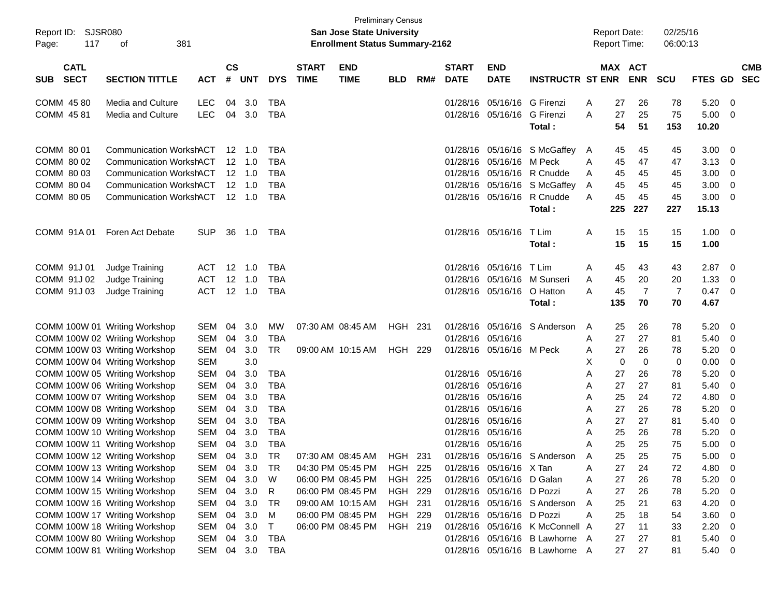| Report ID:<br>117<br>Page:               | SJSR080<br>381<br>οf                                           |                          |                    |                |                          |                             | <b>San Jose State University</b><br><b>Enrollment Status Summary-2162</b> | <b>Preliminary Census</b> |     |                             |                           |                                 |        | <b>Report Date:</b><br><b>Report Time:</b> |                       | 02/25/16<br>06:00:13 |                     |                          |                          |
|------------------------------------------|----------------------------------------------------------------|--------------------------|--------------------|----------------|--------------------------|-----------------------------|---------------------------------------------------------------------------|---------------------------|-----|-----------------------------|---------------------------|---------------------------------|--------|--------------------------------------------|-----------------------|----------------------|---------------------|--------------------------|--------------------------|
| <b>CATL</b><br><b>SECT</b><br><b>SUB</b> | <b>SECTION TITTLE</b>                                          | <b>ACT</b>               | $\mathsf{cs}$<br># | <b>UNT</b>     | <b>DYS</b>               | <b>START</b><br><b>TIME</b> | <b>END</b><br><b>TIME</b>                                                 | <b>BLD</b>                | RM# | <b>START</b><br><b>DATE</b> | <b>END</b><br><b>DATE</b> | <b>INSTRUCTR ST ENR</b>         |        |                                            | MAX ACT<br><b>ENR</b> | <b>SCU</b>           | FTES GD             |                          | <b>CMB</b><br><b>SEC</b> |
| COMM 4580                                | Media and Culture                                              | <b>LEC</b>               | 04                 | 3.0            | TBA                      |                             |                                                                           |                           |     | 01/28/16                    | 05/16/16 G Firenzi        |                                 | A      | 27                                         | 26                    | 78                   | 5.20                | - 0                      |                          |
| COMM 4581                                | <b>Media and Culture</b>                                       | <b>LEC</b>               | 04                 | 3.0            | <b>TBA</b>               |                             |                                                                           |                           |     |                             | 01/28/16 05/16/16         | G Firenzi<br>Total:             | A      | 27<br>54                                   | 25<br>51              | 75<br>153            | 5.00<br>10.20       | - 0                      |                          |
| COMM 80 01                               | <b>Communication WorkshACT</b>                                 |                          |                    | 12 1.0         | TBA                      |                             |                                                                           |                           |     | 01/28/16                    |                           | 05/16/16 S McGaffey             | A      | 45                                         | 45                    | 45                   | 3.00                | - 0                      |                          |
| COMM 80 02                               | <b>Communication WorkshACT</b>                                 |                          |                    | $12 \quad 1.0$ | TBA                      |                             |                                                                           |                           |     | 01/28/16                    | 05/16/16 M Peck           |                                 | A      | 45                                         | 47                    | 47                   | 3.13                | - 0                      |                          |
| COMM 80 03                               | <b>Communication WorkshACT</b>                                 |                          |                    | $12 \quad 1.0$ | TBA                      |                             |                                                                           |                           |     | 01/28/16                    |                           | 05/16/16 R Cnudde               | A      | 45                                         | 45                    | 45                   | 3.00                | 0                        |                          |
| COMM 80 04                               | <b>Communication WorkshACT</b>                                 |                          |                    | $12 \quad 1.0$ | <b>TBA</b>               |                             |                                                                           |                           |     | 01/28/16                    |                           | 05/16/16 S McGaffey             | A      | 45                                         | 45                    | 45                   | 3.00                | 0                        |                          |
| COMM 80 05                               | <b>Communication WorkshACT</b>                                 |                          |                    | 12 1.0         | TBA                      |                             |                                                                           |                           |     |                             | 01/28/16 05/16/16         | R Cnudde                        | A      | 45                                         | 45                    | 45                   | 3.00                | - 0                      |                          |
|                                          |                                                                |                          |                    |                |                          |                             |                                                                           |                           |     |                             |                           | Total:                          |        | 225                                        | 227                   | 227                  | 15.13               |                          |                          |
| COMM 91A01                               | Foren Act Debate                                               | <b>SUP</b>               | 36                 | 1.0            | TBA                      |                             |                                                                           |                           |     |                             | 01/28/16 05/16/16         | T Lim<br>Total:                 | A      | 15<br>15                                   | 15<br>15              | 15<br>15             | $1.00 \t 0$<br>1.00 |                          |                          |
| COMM 91J 01                              | Judge Training                                                 | ACT                      |                    | 12 1.0         | TBA                      |                             |                                                                           |                           |     | 01/28/16                    | 05/16/16 T Lim            |                                 | A      | 45                                         | 43                    | 43                   | 2.87                | $\overline{\phantom{0}}$ |                          |
| COMM 91J 02                              | Judge Training                                                 | <b>ACT</b>               | 12                 | 1.0            | TBA                      |                             |                                                                           |                           |     | 01/28/16                    |                           | 05/16/16 M Sunseri              | Α      | 45                                         | 20                    | 20                   | 1.33                | - 0                      |                          |
| COMM 91J 03                              | Judge Training                                                 | <b>ACT</b>               |                    | 12 1.0         | TBA                      |                             |                                                                           |                           |     |                             | 01/28/16 05/16/16         | O Hatton                        | A      | 45                                         | $\overline{7}$        | 7                    | 0.47                | - 0                      |                          |
|                                          |                                                                |                          |                    |                |                          |                             |                                                                           |                           |     |                             |                           | Total:                          |        | 135                                        | 70                    | 70                   | 4.67                |                          |                          |
|                                          | COMM 100W 01 Writing Workshop                                  | SEM                      | 04                 | 3.0            | MW                       |                             | 07:30 AM 08:45 AM                                                         | HGH 231                   |     | 01/28/16                    | 05/16/16                  | S Anderson                      | A      | 25                                         | 26                    | 78                   | 5.20                | $\overline{\mathbf{0}}$  |                          |
|                                          | COMM 100W 02 Writing Workshop                                  | <b>SEM</b>               | 04                 | 3.0            | TBA                      |                             |                                                                           |                           |     | 01/28/16                    | 05/16/16                  |                                 | A      | 27                                         | 27                    | 81                   | 5.40                | - 0                      |                          |
|                                          | COMM 100W 03 Writing Workshop                                  | <b>SEM</b>               | 04                 | 3.0            | TR                       |                             | 09:00 AM 10:15 AM                                                         | <b>HGH 229</b>            |     |                             | 01/28/16 05/16/16 M Peck  |                                 | A      | 27                                         | 26                    | 78                   | 5.20                | 0                        |                          |
|                                          | COMM 100W 04 Writing Workshop                                  | <b>SEM</b>               |                    | 3.0            |                          |                             |                                                                           |                           |     |                             |                           |                                 | х      | 0                                          | 0                     | 0                    | 0.00                | 0                        |                          |
|                                          | COMM 100W 05 Writing Workshop                                  | <b>SEM</b>               | 04                 | 3.0            | TBA                      |                             |                                                                           |                           |     |                             | 01/28/16 05/16/16         |                                 | A      | 27                                         | 26                    | 78                   | 5.20                | 0                        |                          |
|                                          | COMM 100W 06 Writing Workshop                                  | <b>SEM</b>               | 04                 | 3.0            | <b>TBA</b>               |                             |                                                                           |                           |     | 01/28/16<br>01/28/16        | 05/16/16                  |                                 | A      | 27                                         | 27                    | 81                   | 5.40                | 0                        |                          |
|                                          | COMM 100W 07 Writing Workshop                                  | <b>SEM</b>               | 04<br>04           | 3.0<br>3.0     | <b>TBA</b><br><b>TBA</b> |                             |                                                                           |                           |     | 01/28/16                    | 05/16/16<br>05/16/16      |                                 | A      | 25<br>27                                   | 24<br>26              | 72<br>78             | 4.80<br>5.20        | 0<br>0                   |                          |
|                                          | COMM 100W 08 Writing Workshop<br>COMM 100W 09 Writing Workshop | <b>SEM</b><br><b>SEM</b> | 04                 | 3.0            | <b>TBA</b>               |                             |                                                                           |                           |     |                             | 01/28/16 05/16/16         |                                 | A<br>A | 27                                         | 27                    | 81                   | 5.40                | 0                        |                          |
|                                          | COMM 100W 10 Writing Workshop                                  | <b>SEM</b>               | 04                 | 3.0            | <b>TBA</b>               |                             |                                                                           |                           |     | 01/28/16                    | 05/16/16                  |                                 | A      | 25                                         | 26                    | 78                   | 5.20                | 0                        |                          |
|                                          | COMM 100W 11 Writing Workshop                                  | SEM                      | 04                 | 3.0            | TBA                      |                             |                                                                           |                           |     |                             | 01/28/16 05/16/16         |                                 | A      | 25                                         | 25                    | 75                   | 5.00                | 0                        |                          |
|                                          | COMM 100W 12 Writing Workshop                                  | SEM                      | 04                 | 3.0            | TR                       |                             | 07:30 AM 08:45 AM                                                         | <b>HGH 231</b>            |     |                             |                           | 01/28/16 05/16/16 S Anderson    | A      | 25                                         | 25                    | 75                   | 5.00                | 0                        |                          |
|                                          | COMM 100W 13 Writing Workshop                                  | SEM                      | 04                 | 3.0            | TR                       |                             | 04:30 PM 05:45 PM                                                         | <b>HGH 225</b>            |     |                             | 01/28/16 05/16/16 X Tan   |                                 | A      | 27                                         | 24                    | 72                   | 4.80                | - 0                      |                          |
|                                          | COMM 100W 14 Writing Workshop                                  | SEM                      | 04                 | 3.0            | W                        |                             | 06:00 PM 08:45 PM                                                         | <b>HGH 225</b>            |     |                             | 01/28/16 05/16/16 D Galan |                                 | A      | 27                                         | 26                    | 78                   | 5.20                | - 0                      |                          |
|                                          | COMM 100W 15 Writing Workshop                                  | SEM                      | 04                 | 3.0            | R                        |                             | 06:00 PM 08:45 PM                                                         | <b>HGH 229</b>            |     |                             | 01/28/16 05/16/16 D Pozzi |                                 | A      | 27                                         | 26                    | 78                   | 5.20                | - 0                      |                          |
|                                          | COMM 100W 16 Writing Workshop                                  | SEM                      | 04                 | 3.0            | TR                       |                             | 09:00 AM 10:15 AM                                                         | HGH 231                   |     |                             |                           | 01/28/16 05/16/16 S Anderson    | A      | 25                                         | 21                    | 63                   | 4.20                | - 0                      |                          |
|                                          | COMM 100W 17 Writing Workshop                                  | SEM                      | 04                 | 3.0            | M                        |                             | 06:00 PM 08:45 PM                                                         | <b>HGH 229</b>            |     |                             | 01/28/16 05/16/16 D Pozzi |                                 | A      | 25                                         | 18                    | 54                   | 3.60                | - 0                      |                          |
|                                          | COMM 100W 18 Writing Workshop                                  | SEM                      | 04                 | 3.0            | $\mathsf{T}$             |                             | 06:00 PM 08:45 PM                                                         | HGH 219                   |     |                             |                           | 01/28/16 05/16/16 K McConnell A |        | 27                                         | 11                    | 33                   | 2.20                | 0                        |                          |
|                                          | COMM 100W 80 Writing Workshop                                  | SEM                      |                    | 04 3.0         | TBA                      |                             |                                                                           |                           |     |                             |                           | 01/28/16 05/16/16 B Lawhorne A  |        | 27                                         | 27                    | 81                   | 5.40                | $\overline{\mathbf{0}}$  |                          |
|                                          | COMM 100W 81 Writing Workshop                                  | SEM                      |                    |                | 04 3.0 TBA               |                             |                                                                           |                           |     |                             |                           | 01/28/16 05/16/16 B Lawhorne A  |        | 27                                         | 27                    | 81                   | 5.40 0              |                          |                          |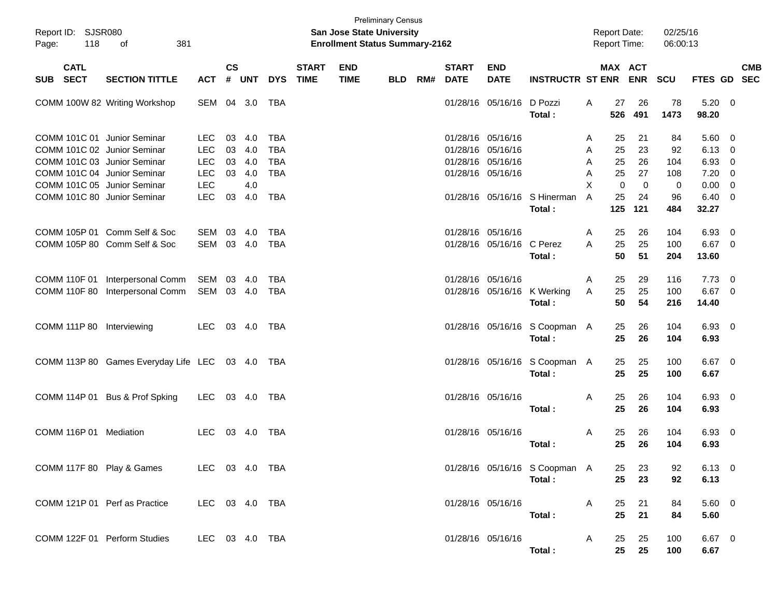| Page: | Report ID: SJSR080<br>118           | 381<br>of                                                                                                                |                                                      |                      |                          |                                                      |                             | San Jose State University<br><b>Enrollment Status Summary-2162</b> | <b>Preliminary Census</b> |     |                                                                                  |                           |                                         | <b>Report Date:</b><br><b>Report Time:</b> |                                         | 02/25/16<br>06:00:13   |                              |                                                    |
|-------|-------------------------------------|--------------------------------------------------------------------------------------------------------------------------|------------------------------------------------------|----------------------|--------------------------|------------------------------------------------------|-----------------------------|--------------------------------------------------------------------|---------------------------|-----|----------------------------------------------------------------------------------|---------------------------|-----------------------------------------|--------------------------------------------|-----------------------------------------|------------------------|------------------------------|----------------------------------------------------|
| SUB   | <b>CATL</b><br><b>SECT</b>          | <b>SECTION TITTLE</b>                                                                                                    | <b>ACT</b>                                           | <b>CS</b><br>#       | <b>UNT</b>               | <b>DYS</b>                                           | <b>START</b><br><b>TIME</b> | <b>END</b><br><b>TIME</b>                                          | <b>BLD</b>                | RM# | <b>START</b><br><b>DATE</b>                                                      | <b>END</b><br><b>DATE</b> | <b>INSTRUCTR ST ENR</b>                 |                                            | <b>MAX ACT</b><br><b>ENR</b>            | <b>SCU</b>             |                              | <b>CMB</b><br>FTES GD SEC                          |
|       |                                     | COMM 100W 82 Writing Workshop                                                                                            | SEM                                                  |                      | 04 3.0                   | TBA                                                  |                             |                                                                    |                           |     |                                                                                  | 01/28/16 05/16/16 D Pozzi | Total:                                  | 27<br>Α<br>526                             | 26<br>491                               | 78<br>1473             | 5.20<br>98.20                | $\overline{\mathbf{0}}$                            |
|       |                                     | COMM 101C 01 Junior Seminar<br>COMM 101C 02 Junior Seminar<br>COMM 101C 03 Junior Seminar<br>COMM 101C 04 Junior Seminar | <b>LEC</b><br><b>LEC</b><br><b>LEC</b><br><b>LEC</b> | 03<br>03<br>03<br>03 | 4.0<br>4.0<br>4.0<br>4.0 | <b>TBA</b><br><b>TBA</b><br><b>TBA</b><br><b>TBA</b> |                             |                                                                    |                           |     | 01/28/16 05/16/16<br>01/28/16 05/16/16<br>01/28/16 05/16/16<br>01/28/16 05/16/16 |                           |                                         | 25<br>A<br>25<br>A<br>25<br>A<br>25<br>Α   | 21<br>23<br>26<br>27                    | 84<br>92<br>104<br>108 | 5.60<br>6.13<br>6.93<br>7.20 | - 0<br>- 0<br>0<br>0                               |
|       |                                     | COMM 101C 05 Junior Seminar<br>COMM 101C 80 Junior Seminar                                                               | <b>LEC</b><br><b>LEC</b>                             | 03                   | 4.0<br>4.0               | <b>TBA</b>                                           |                             |                                                                    |                           |     |                                                                                  |                           | 01/28/16 05/16/16 S Hinerman<br>Total:  | X<br>A<br>25<br>125                        | $\mathbf 0$<br>$\mathbf 0$<br>24<br>121 | 0<br>96<br>484         | 0.00<br>6.40<br>32.27        | $\overline{0}$<br>- 0                              |
|       |                                     | COMM 105P 01 Comm Self & Soc<br>COMM 105P 80 Comm Self & Soc                                                             | <b>SEM</b><br>SEM                                    | 03<br>03             | 4.0<br>4.0               | <b>TBA</b><br><b>TBA</b>                             |                             |                                                                    |                           |     | 01/28/16 05/16/16                                                                | 01/28/16 05/16/16 C Perez | Total:                                  | 25<br>A<br>25<br>A<br>50                   | 26<br>25<br>51                          | 104<br>100<br>204      | 6.93<br>6.67<br>13.60        | $\overline{\mathbf{0}}$<br>$\overline{\mathbf{0}}$ |
|       | COMM 110F 01<br><b>COMM 110F 80</b> | Interpersonal Comm<br>Interpersonal Comm                                                                                 | SEM<br>SEM                                           | 03                   | 4.0<br>03 4.0            | TBA<br><b>TBA</b>                                    |                             |                                                                    |                           |     | 01/28/16 05/16/16                                                                |                           | 01/28/16 05/16/16 K Werking<br>Total:   | 25<br>A<br>25<br>A<br>50                   | 29<br>25<br>54                          | 116<br>100<br>216      | 7.73<br>6.67<br>14.40        | $\overline{\mathbf{0}}$<br>$\overline{\mathbf{0}}$ |
|       | <b>COMM 111P 80</b>                 | Interviewing                                                                                                             | LEC.                                                 |                      | 03 4.0                   | TBA                                                  |                             |                                                                    |                           |     |                                                                                  |                           | 01/28/16 05/16/16 S Coopman A<br>Total: | 25<br>25                                   | 26<br>26                                | 104<br>104             | $6.93$ 0<br>6.93             |                                                    |
|       |                                     | COMM 113P 80 Games Everyday Life LEC                                                                                     |                                                      |                      | 03 4.0                   | TBA                                                  |                             |                                                                    |                           |     |                                                                                  |                           | 01/28/16 05/16/16 S Coopman A<br>Total: | 25<br>25                                   | 25<br>25                                | 100<br>100             | $6.67$ 0<br>6.67             |                                                    |
|       | COMM 114P 01                        | Bus & Prof Spking                                                                                                        | LEC.                                                 |                      | 03 4.0                   | TBA                                                  |                             |                                                                    |                           |     | 01/28/16 05/16/16                                                                |                           | Total:                                  | A<br>25<br>25                              | 26<br>26                                | 104<br>104             | 6.93 0<br>6.93               |                                                    |
|       | COMM 116P 01                        | Mediation                                                                                                                | <b>LEC</b>                                           |                      | 03 4.0                   | TBA                                                  |                             |                                                                    |                           |     | 01/28/16 05/16/16                                                                |                           | Total:                                  | Α<br>25<br>25                              | 26<br>26                                | 104<br>104             | 6.93 0<br>6.93               |                                                    |
|       |                                     | COMM 117F 80 Play & Games                                                                                                | LEC 03 4.0 TBA                                       |                      |                          |                                                      |                             |                                                                    |                           |     |                                                                                  |                           | 01/28/16 05/16/16 S Coopman A<br>Total: | 25<br>25                                   | 23<br>23                                | 92<br>92               | $6.13$ 0<br>6.13             |                                                    |
|       |                                     | COMM 121P 01 Perf as Practice                                                                                            | LEC 03 4.0 TBA                                       |                      |                          |                                                      |                             |                                                                    |                           |     |                                                                                  | 01/28/16 05/16/16         | Total:                                  | 25<br>A<br>25                              | 21<br>21                                | 84<br>84               | 5.60 0<br>5.60               |                                                    |
|       |                                     | COMM 122F 01 Perform Studies                                                                                             | LEC 03 4.0 TBA                                       |                      |                          |                                                      |                             |                                                                    |                           |     |                                                                                  | 01/28/16 05/16/16         | Total:                                  | A<br>25<br>25                              | 25<br>25                                | 100<br>100             | $6.67$ 0<br>6.67             |                                                    |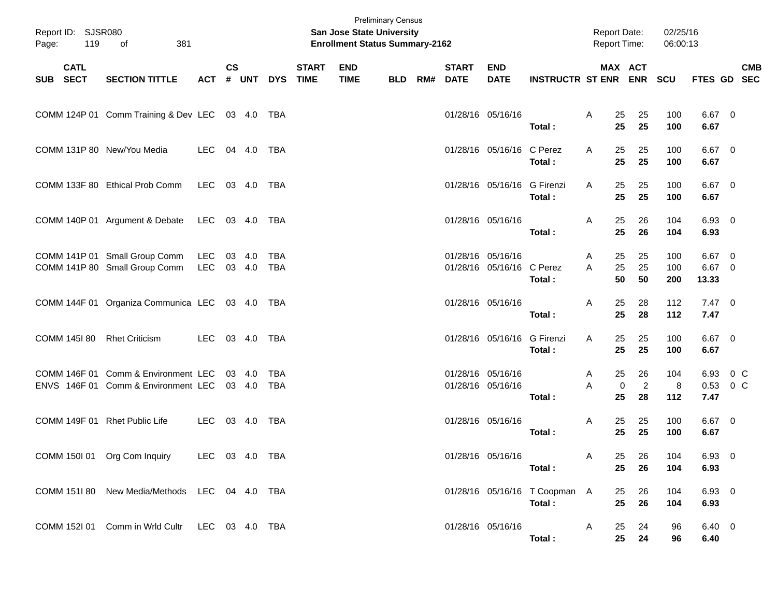| Page:    | Report ID: SJSR080<br>119<br>381<br>of<br><b>CATL</b> |                                                                            |                |           |                  |                          |                             | <b>San Jose State University</b><br><b>Enrollment Status Summary-2162</b> | <b>Preliminary Census</b> |     |                             |                                        |                                         |        |                | <b>Report Date:</b><br>Report Time: | 02/25/16<br>06:00:13 |                                |            |
|----------|-------------------------------------------------------|----------------------------------------------------------------------------|----------------|-----------|------------------|--------------------------|-----------------------------|---------------------------------------------------------------------------|---------------------------|-----|-----------------------------|----------------------------------------|-----------------------------------------|--------|----------------|-------------------------------------|----------------------|--------------------------------|------------|
| SUB SECT |                                                       | <b>SECTION TITTLE</b>                                                      | <b>ACT</b>     | <b>CS</b> | # UNT            | <b>DYS</b>               | <b>START</b><br><b>TIME</b> | <b>END</b><br><b>TIME</b>                                                 | <b>BLD</b>                | RM# | <b>START</b><br><b>DATE</b> | <b>END</b><br><b>DATE</b>              | <b>INSTRUCTR ST ENR ENR</b>             |        |                | MAX ACT                             | SCU                  | FTES GD SEC                    | <b>CMB</b> |
|          |                                                       | COMM 124P 01 Comm Training & Dev LEC 03 4.0 TBA                            |                |           |                  |                          |                             |                                                                           |                           |     |                             | 01/28/16 05/16/16                      | Total:                                  | A      | 25<br>25       | 25<br>25                            | 100<br>100           | $6.67$ 0<br>6.67               |            |
|          |                                                       | COMM 131P 80 New/You Media                                                 | LEC.           |           | 04 4.0           | TBA                      |                             |                                                                           |                           |     |                             | 01/28/16 05/16/16 C Perez              | Total:                                  | A      | 25<br>25       | 25<br>25                            | 100<br>100           | $6.67$ 0<br>6.67               |            |
|          |                                                       | COMM 133F 80 Ethical Prob Comm                                             | LEC            |           | 03 4.0 TBA       |                          |                             |                                                                           |                           |     |                             | 01/28/16 05/16/16 G Firenzi            | Total:                                  | A      | 25<br>25       | 25<br>25                            | 100<br>100           | $6.67$ 0<br>6.67               |            |
|          |                                                       | COMM 140P 01 Argument & Debate                                             | LEC 03 4.0 TBA |           |                  |                          |                             |                                                                           |                           |     |                             | 01/28/16 05/16/16                      | Total:                                  | A      | 25<br>25       | 26<br>26                            | 104<br>104           | $6.93$ 0<br>6.93               |            |
|          |                                                       | COMM 141P 01 Small Group Comm<br>COMM 141P 80 Small Group Comm             | LEC<br>LEC     |           | 03 4.0<br>03 4.0 | TBA<br><b>TBA</b>        |                             |                                                                           |                           |     | 01/28/16 05/16/16           | 01/28/16 05/16/16 C Perez              | Total:                                  | A<br>A | 25<br>25<br>50 | 25<br>25<br>50                      | 100<br>100<br>200    | $6.67$ 0<br>6.67 0<br>13.33    |            |
|          |                                                       | COMM 144F 01 Organiza Communica LEC 03 4.0 TBA                             |                |           |                  |                          |                             |                                                                           |                           |     | 01/28/16 05/16/16           |                                        | Total:                                  | A      | 25<br>25       | 28<br>28                            | 112<br>112           | $7.47\ 0$<br>7.47              |            |
|          |                                                       | COMM 145I 80 Rhet Criticism                                                | LEC            |           | 03 4.0           | TBA                      |                             |                                                                           |                           |     |                             | 01/28/16 05/16/16 G Firenzi            | Total:                                  | A      | 25<br>25       | 25<br>25                            | 100<br>100           | $6.67$ 0<br>6.67               |            |
|          |                                                       | COMM 146F 01 Comm & Environment LEC<br>ENVS 146F 01 Comm & Environment LEC |                |           | 03 4.0<br>03 4.0 | <b>TBA</b><br><b>TBA</b> |                             |                                                                           |                           |     |                             | 01/28/16 05/16/16<br>01/28/16 05/16/16 | Total:                                  | A<br>A | 25<br>0<br>25  | 26<br>$\sqrt{2}$<br>28              | 104<br>8<br>112      | 6.93 0 C<br>$0.53$ 0 C<br>7.47 |            |
|          |                                                       | COMM 149F 01 Rhet Public Life                                              | LEC            |           | 03 4.0           | TBA                      |                             |                                                                           |                           |     | 01/28/16 05/16/16           |                                        | Total:                                  | A      | 25<br>25       | 25<br>25                            | 100<br>100           | 6.67 0<br>6.67                 |            |
|          |                                                       | COMM 150I 01 Org Com Inquiry                                               | LEC 03 4.0 TBA |           |                  |                          |                             |                                                                           |                           |     |                             | 01/28/16 05/16/16                      | Total :                                 | A      | 25<br>25       | 26<br>26                            | 104<br>104           | 6.93 0<br>6.93                 |            |
|          |                                                       | COMM 151I 80 New Media/Methods LEC 04 4.0 TBA                              |                |           |                  |                          |                             |                                                                           |                           |     |                             |                                        | 01/28/16 05/16/16 T Coopman A<br>Total: |        | 25<br>25       | 26<br>26                            | 104<br>104           | 6.93 0<br>6.93                 |            |
|          |                                                       | COMM 152I 01 Comm in Wrld Cultr LEC 03 4.0 TBA                             |                |           |                  |                          |                             |                                                                           |                           |     |                             | 01/28/16 05/16/16                      | Total:                                  | A      | 25<br>25       | 24<br>24                            | 96<br>96             | $6.40 \quad 0$<br>6.40         |            |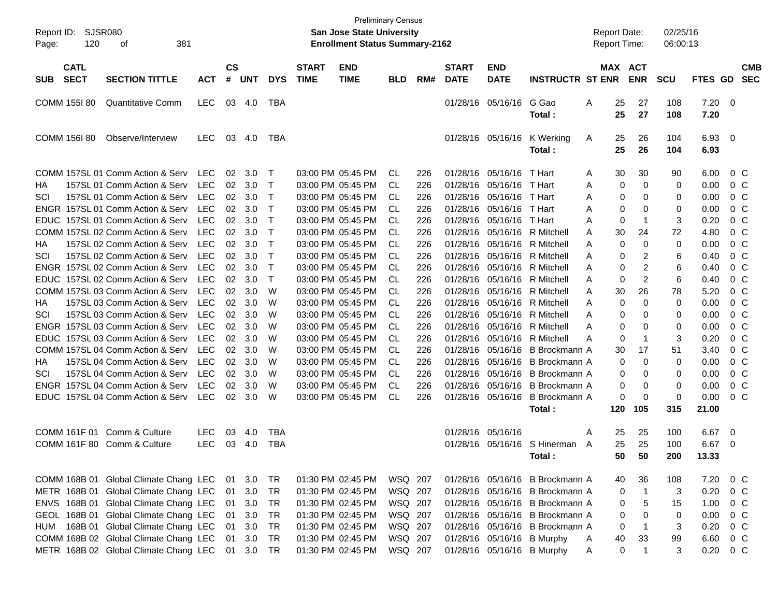| Report ID:<br>Page: | <b>SJSR080</b><br>120      | 381<br>οf                                       |            |                    |            |              |                             | <b>Preliminary Census</b><br>San Jose State University<br><b>Enrollment Status Summary-2162</b> |            |     |                             |                           |                                 | <b>Report Date:</b><br>Report Time: |           |                         | 02/25/16<br>06:00:13 |                |                          |                          |
|---------------------|----------------------------|-------------------------------------------------|------------|--------------------|------------|--------------|-----------------------------|-------------------------------------------------------------------------------------------------|------------|-----|-----------------------------|---------------------------|---------------------------------|-------------------------------------|-----------|-------------------------|----------------------|----------------|--------------------------|--------------------------|
| <b>SUB</b>          | <b>CATL</b><br><b>SECT</b> | <b>SECTION TITTLE</b>                           | <b>ACT</b> | $\mathsf{cs}$<br># | <b>UNT</b> | <b>DYS</b>   | <b>START</b><br><b>TIME</b> | <b>END</b><br><b>TIME</b>                                                                       | <b>BLD</b> | RM# | <b>START</b><br><b>DATE</b> | <b>END</b><br><b>DATE</b> | <b>INSTRUCTR ST ENR</b>         |                                     |           | MAX ACT<br><b>ENR</b>   | <b>SCU</b>           | <b>FTES GD</b> |                          | <b>CMB</b><br><b>SEC</b> |
|                     | <b>COMM 155I 80</b>        | <b>Quantitative Comm</b>                        | <b>LEC</b> | 03                 | 4.0        | TBA          |                             |                                                                                                 |            |     | 01/28/16                    | 05/16/16                  | G Gao<br>Total:                 | Α                                   | 25<br>25  | 27<br>27                | 108<br>108           | 7.20<br>7.20   | - 0                      |                          |
|                     | COMM 156I 80               | Observe/Interview                               | <b>LEC</b> | 03                 | 4.0        | <b>TBA</b>   |                             |                                                                                                 |            |     | 01/28/16                    | 05/16/16                  | K Werking<br>Total:             | A                                   | 25<br>25  | 26<br>26                | 104<br>104           | 6.93<br>6.93   | $\overline{\phantom{0}}$ |                          |
|                     |                            | COMM 157SL 01 Comm Action & Serv                | <b>LEC</b> | 02                 | 3.0        | Т            |                             | 03:00 PM 05:45 PM                                                                               | CL.        | 226 | 01/28/16                    | 05/16/16                  | T Hart                          | A                                   | 30        | 30                      | 90                   | 6.00           | $0\,$ C                  |                          |
| НA                  |                            | 157SL 01 Comm Action & Serv                     | <b>LEC</b> | 02                 | 3.0        | Т            |                             | 03:00 PM 05:45 PM                                                                               | CL         | 226 | 01/28/16                    | 05/16/16                  | T Hart                          | Α                                   | 0         | $\mathbf 0$             | 0                    | 0.00           | $0\,$ C                  |                          |
| SCI                 |                            | 157SL 01 Comm Action & Serv                     | <b>LEC</b> | 02                 | 3.0        | Т            |                             | 03:00 PM 05:45 PM                                                                               | CL         | 226 | 01/28/16                    | 05/16/16                  | T Hart                          | A                                   | 0         | 0                       | 0                    | 0.00           | 0 <sup>C</sup>           |                          |
|                     |                            | ENGR 157SL 01 Comm Action & Serv                | <b>LEC</b> | 02                 | 3.0        | Т            |                             | 03:00 PM 05:45 PM                                                                               | CL         | 226 | 01/28/16                    | 05/16/16                  | T Hart                          | A                                   | 0         | 0                       | 0                    | 0.00           | $0\,C$                   |                          |
|                     |                            | EDUC 157SL 01 Comm Action & Serv                | <b>LEC</b> | 02                 | 3.0        | Т            |                             | 03:00 PM 05:45 PM                                                                               | CL         | 226 | 01/28/16                    | 05/16/16                  | T Hart                          | A                                   | 0         | -1                      | 3                    | 0.20           | 0 <sup>C</sup>           |                          |
|                     |                            | COMM 157SL 02 Comm Action & Serv                | <b>LEC</b> | 02                 | 3.0        | Т            |                             | 03:00 PM 05:45 PM                                                                               | CL         | 226 | 01/28/16                    | 05/16/16                  | R Mitchell                      | A                                   | 30        | 24                      | 72                   | 4.80           | 0 <sup>C</sup>           |                          |
| НA                  |                            | 157SL 02 Comm Action & Serv                     | <b>LEC</b> | 02                 | 3.0        | $\mathsf T$  |                             | 03:00 PM 05:45 PM                                                                               | CL         | 226 | 01/28/16                    | 05/16/16                  | R Mitchell                      | A                                   | 0         | 0                       | 0                    | 0.00           | 0 <sup>C</sup>           |                          |
| SCI                 |                            | 157SL 02 Comm Action & Serv                     | <b>LEC</b> | 02                 | 3.0        | Т            |                             | 03:00 PM 05:45 PM                                                                               | CL         | 226 | 01/28/16                    | 05/16/16                  | R Mitchell                      | A                                   | 0         | 2                       | 6                    | 0.40           | 0 <sup>C</sup>           |                          |
|                     |                            | ENGR 157SL 02 Comm Action & Serv                | <b>LEC</b> | 02                 | 3.0        | Т            |                             | 03:00 PM 05:45 PM                                                                               | CL         | 226 | 01/28/16                    | 05/16/16                  | R Mitchell                      | A                                   | 0         | $\overline{c}$          | 6                    | 0.40           | 0 <sup>C</sup>           |                          |
|                     |                            | EDUC 157SL 02 Comm Action & Serv                | <b>LEC</b> | 02                 | 3.0        | $\mathsf{T}$ |                             | 03:00 PM 05:45 PM                                                                               | <b>CL</b>  | 226 | 01/28/16                    | 05/16/16                  | R Mitchell                      | A                                   | 0         | 2                       | 6                    | 0.40           | $0\,C$                   |                          |
|                     |                            | COMM 157SL 03 Comm Action & Serv                | <b>LEC</b> | 02                 | 3.0        | W            |                             | 03:00 PM 05:45 PM                                                                               | CL         | 226 | 01/28/16                    | 05/16/16                  | R Mitchell                      | A                                   | 30        | 26                      | 78                   | 5.20           | $0\,C$                   |                          |
| НA                  |                            | 157SL 03 Comm Action & Serv                     | <b>LEC</b> | 02                 | 3.0        | W            |                             | 03:00 PM 05:45 PM                                                                               | CL         | 226 | 01/28/16                    | 05/16/16                  | R Mitchell                      | A                                   | 0         | $\Omega$                | 0                    | 0.00           | 0 <sup>C</sup>           |                          |
| SCI                 |                            | 157SL 03 Comm Action & Serv                     | <b>LEC</b> | 02                 | 3.0        | W            |                             | 03:00 PM 05:45 PM                                                                               | <b>CL</b>  | 226 | 01/28/16                    | 05/16/16                  | R Mitchell                      | A                                   | 0         | 0                       | 0                    | 0.00           | 0 <sup>C</sup>           |                          |
|                     |                            | ENGR 157SL 03 Comm Action & Serv                | <b>LEC</b> | 02                 | 3.0        | W            |                             | 03:00 PM 05:45 PM                                                                               | CL         | 226 | 01/28/16                    | 05/16/16                  | R Mitchell                      | A                                   | 0         | 0                       | 0                    | 0.00           | 0 <sup>C</sup>           |                          |
|                     |                            | EDUC 157SL 03 Comm Action & Serv                | <b>LEC</b> | 02                 | 3.0        | W            |                             | 03:00 PM 05:45 PM                                                                               | CL         | 226 | 01/28/16                    | 05/16/16                  | R Mitchell                      | A                                   | 0         | $\overline{\mathbf{1}}$ | 3                    | 0.20           | 0 <sup>C</sup>           |                          |
|                     |                            | COMM 157SL 04 Comm Action & Serv                | <b>LEC</b> | 02                 | 3.0        | W            |                             | 03:00 PM 05:45 PM                                                                               | CL         | 226 | 01/28/16                    | 05/16/16                  | B Brockmann A                   |                                     | 30        | 17                      | 51                   | 3.40           | 0 <sup>C</sup>           |                          |
| HA                  |                            | 157SL 04 Comm Action & Serv                     | <b>LEC</b> | 02                 | 3.0        | W            |                             | 03:00 PM 05:45 PM                                                                               | CL         | 226 | 01/28/16                    | 05/16/16                  | B Brockmann A                   |                                     | 0         | 0                       | 0                    | 0.00           | 0 <sup>C</sup>           |                          |
| SCI                 |                            | 157SL 04 Comm Action & Serv                     | LEC        | 02                 | 3.0        | W            |                             | 03:00 PM 05:45 PM                                                                               | CL         | 226 | 01/28/16                    | 05/16/16                  | B Brockmann A                   |                                     | 0         | 0                       | 0                    | 0.00           | 0 <sup>C</sup>           |                          |
|                     |                            | ENGR 157SL 04 Comm Action & Serv                | LEC        | 02                 | 3.0        | W            |                             | 03:00 PM 05:45 PM                                                                               | CL         | 226 | 01/28/16                    | 05/16/16                  | B Brockmann A                   |                                     | 0         | 0                       | 0                    | 0.00           | 0 <sup>C</sup>           |                          |
|                     |                            | EDUC 157SL 04 Comm Action & Serv                | <b>LEC</b> | 02                 | 3.0        | W            |                             | 03:00 PM 05:45 PM                                                                               | <b>CL</b>  | 226 | 01/28/16                    | 05/16/16                  | B Brockmann A<br>Total:         |                                     | 0<br>120  | $\mathbf 0$<br>105      | 0<br>315             | 0.00<br>21.00  | 0 <sup>C</sup>           |                          |
|                     | COMM 161F 01               | Comm & Culture                                  | LEC        | 03                 | 4.0        | <b>TBA</b>   |                             |                                                                                                 |            |     | 01/28/16                    | 05/16/16                  |                                 | A                                   | 25        | 25                      | 100                  | 6.67           | - 0                      |                          |
|                     | COMM 161F 80               | Comm & Culture                                  | <b>LEC</b> | 03                 | 4.0        | <b>TBA</b>   |                             |                                                                                                 |            |     |                             |                           | 01/28/16 05/16/16 S Hinerman    | A                                   | 25        | 25                      | 100                  | 6.67           | - 0                      |                          |
|                     |                            |                                                 |            |                    |            |              |                             |                                                                                                 |            |     |                             |                           | Total :                         |                                     | 50        | 50                      | 200                  | 13.33          |                          |                          |
|                     |                            | COMM 168B 01 Global Climate Chang LEC           |            | 01                 | 3.0        | TR           |                             | 01:30 PM 02:45 PM                                                                               | WSQ 207    |     |                             |                           | 01/28/16 05/16/16 B Brockmann A |                                     | 40        | 36                      | 108                  | 7.20 0 C       |                          |                          |
|                     |                            | METR 168B 01 Global Climate Chang LEC           |            | 01                 | 3.0        | TR           |                             | 01:30 PM 02:45 PM                                                                               | WSQ 207    |     |                             |                           | 01/28/16 05/16/16 B Brockmann A |                                     | 0         | $\overline{1}$          | 3                    | 0.20           | $0\,C$                   |                          |
|                     |                            | ENVS 168B 01 Global Climate Chang LEC           |            | 01                 | 3.0        | <b>TR</b>    |                             | 01:30 PM 02:45 PM                                                                               | WSQ 207    |     |                             |                           | 01/28/16 05/16/16 B Brockmann A |                                     | 0         | $\,$ 5 $\,$             | 15                   | 1.00           | $0\,$ C                  |                          |
|                     |                            | GEOL 168B 01 Global Climate Chang LEC           |            | 01                 | 3.0        | <b>TR</b>    |                             | 01:30 PM 02:45 PM                                                                               | WSQ 207    |     |                             |                           | 01/28/16 05/16/16 B Brockmann A |                                     | $\pmb{0}$ | $\pmb{0}$               | 0                    | 0.00           | $0\,$ C                  |                          |
|                     |                            | HUM 168B 01 Global Climate Chang LEC            |            | 01                 | 3.0        | <b>TR</b>    |                             | 01:30 PM 02:45 PM                                                                               | WSQ 207    |     |                             |                           | 01/28/16 05/16/16 B Brockmann A |                                     | 0         | $\mathbf{1}$            | 3                    | 0.20           | $0\,$ C                  |                          |
|                     |                            | COMM 168B 02 Global Climate Chang LEC           |            | 01                 | 3.0        | TR           |                             | 01:30 PM 02:45 PM                                                                               | WSQ 207    |     |                             |                           | 01/28/16 05/16/16 B Murphy      | A                                   | 40        | 33                      | 99                   | 6.60           | $0\,$ C                  |                          |
|                     |                            | METR 168B 02 Global Climate Chang LEC 01 3.0 TR |            |                    |            |              |                             | 01:30 PM 02:45 PM                                                                               | WSQ 207    |     |                             |                           | 01/28/16 05/16/16 B Murphy      | A                                   | 0         | $\mathbf{1}$            | 3                    | $0.20 \t 0 C$  |                          |                          |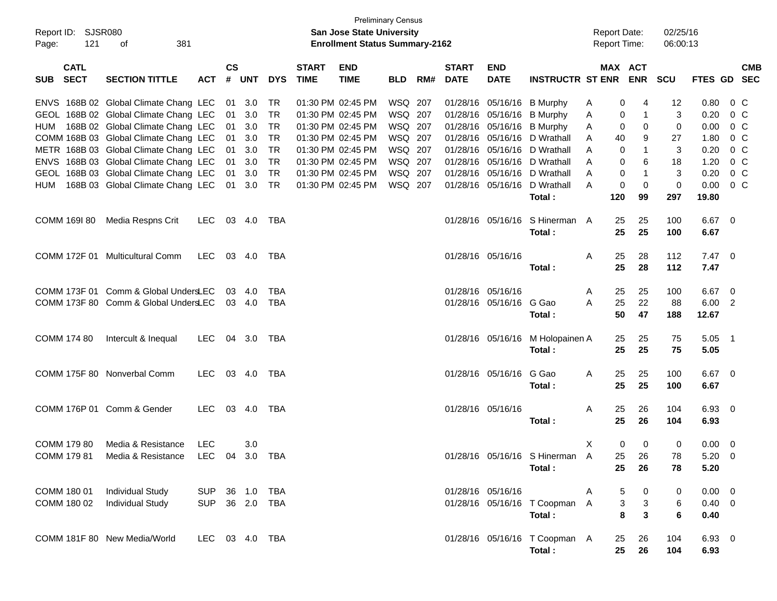| Report ID: SJSR080<br>121<br>Page: | 381<br>of                                                                                                                                                       |                                  |                    |                                      |                                           |                             | <b>Preliminary Census</b><br>San Jose State University<br><b>Enrollment Status Summary-2162</b> |                                          |     |                             |                           |                                                                                                                                        | <b>Report Date:</b><br>Report Time:         |                        | 02/25/16<br>06:00:13         |                                       |                                                                      |
|------------------------------------|-----------------------------------------------------------------------------------------------------------------------------------------------------------------|----------------------------------|--------------------|--------------------------------------|-------------------------------------------|-----------------------------|-------------------------------------------------------------------------------------------------|------------------------------------------|-----|-----------------------------|---------------------------|----------------------------------------------------------------------------------------------------------------------------------------|---------------------------------------------|------------------------|------------------------------|---------------------------------------|----------------------------------------------------------------------|
| <b>CATL</b><br>SUB SECT            | <b>SECTION TITTLE</b>                                                                                                                                           | <b>ACT</b>                       | $\mathsf{cs}$<br># | <b>UNT</b>                           | <b>DYS</b>                                | <b>START</b><br><b>TIME</b> | <b>END</b><br><b>TIME</b>                                                                       | <b>BLD</b>                               | RM# | <b>START</b><br><b>DATE</b> | <b>END</b><br><b>DATE</b> | <b>INSTRUCTR ST ENR ENR</b>                                                                                                            |                                             | <b>MAX ACT</b>         | <b>SCU</b>                   |                                       | <b>CMB</b><br>FTES GD SEC                                            |
|                                    | ENVS 168B 02 Global Climate Chang LEC<br>GEOL 168B 02 Global Climate Chang LEC<br>HUM 168B 02 Global Climate Chang LEC<br>COMM 168B 03 Global Climate Chang LEC |                                  | 01                 | 01 3.0<br>3.0<br>01 3.0<br>01 3.0    | TR<br>TR<br>TR<br>TR                      |                             | 01:30 PM 02:45 PM<br>01:30 PM 02:45 PM<br>01:30 PM 02:45 PM<br>01:30 PM 02:45 PM                | WSQ 207<br>WSQ 207<br>WSQ 207<br>WSQ 207 |     |                             |                           | 01/28/16 05/16/16 B Murphy<br>01/28/16 05/16/16 B Murphy<br>01/28/16 05/16/16 B Murphy<br>01/28/16 05/16/16 D Wrathall                 | 0<br>A<br>Α<br>0<br>A<br>40<br>A            | 4<br>0<br>0<br>9       | 12<br>3<br>$\mathbf 0$<br>27 | 0.80<br>0.20<br>0.00<br>1.80          | $0\,$ C<br>0 <sup>o</sup><br>0 <sup>o</sup><br>0 <sup>o</sup>        |
|                                    | METR 168B 03 Global Climate Chang LEC<br>ENVS 168B 03 Global Climate Chang LEC<br>GEOL 168B 03 Global Climate Chang LEC<br>HUM 168B 03 Global Climate Chang LEC |                                  |                    | 01 3.0<br>01 3.0<br>01 3.0<br>01 3.0 | TR<br><b>TR</b><br><b>TR</b><br><b>TR</b> |                             | 01:30 PM 02:45 PM<br>01:30 PM 02:45 PM<br>01:30 PM 02:45 PM<br>01:30 PM 02:45 PM                | WSQ 207<br>WSQ 207<br>WSQ 207<br>WSQ 207 |     |                             |                           | 01/28/16 05/16/16 D Wrathall<br>01/28/16 05/16/16 D Wrathall<br>01/28/16 05/16/16 D Wrathall<br>01/28/16 05/16/16 D Wrathall<br>Total: | 0<br>Α<br>0<br>A<br>0<br>Α<br>0<br>A<br>120 | 6<br>0<br>99           | 3<br>18<br>3<br>0<br>297     | 0.20<br>1.20<br>0.20<br>0.00<br>19.80 | 0 <sup>o</sup><br>0 <sup>o</sup><br>0 <sup>o</sup><br>0 <sup>o</sup> |
| COMM 169I 80                       | Media Respns Crit                                                                                                                                               | LEC.                             |                    | 03 4.0                               | TBA                                       |                             |                                                                                                 |                                          |     |                             |                           | 01/28/16 05/16/16 S Hinerman A<br>Total:                                                                                               | 25<br>25                                    | 25<br>25               | 100<br>100                   | 6.67 0<br>6.67                        |                                                                      |
|                                    | COMM 172F 01 Multicultural Comm                                                                                                                                 | LEC 03 4.0                       |                    |                                      | TBA                                       |                             |                                                                                                 |                                          |     |                             | 01/28/16 05/16/16         | Total:                                                                                                                                 | Α<br>25<br>25                               | 28<br>28               | 112<br>112                   | $7.47 \quad 0$<br>7.47                |                                                                      |
|                                    | COMM 173F 01 Comm & Global UndersLEC<br>COMM 173F 80 Comm & Global UndersLEC                                                                                    |                                  | 03                 | -4.0<br>03 4.0                       | <b>TBA</b><br><b>TBA</b>                  |                             |                                                                                                 |                                          |     | 01/28/16 05/16/16           | 01/28/16 05/16/16 G Gao   | Total:                                                                                                                                 | 25<br>A<br>A<br>25<br>50                    | 25<br>22<br>47         | 100<br>88<br>188             | 6.67 0<br>6.00 2<br>12.67             |                                                                      |
| COMM 174 80                        | Intercult & Inequal                                                                                                                                             | LEC.                             |                    |                                      | 04 3.0 TBA                                |                             |                                                                                                 |                                          |     |                             |                           | 01/28/16 05/16/16 M Holopainen A<br>Total:                                                                                             | 25<br>25                                    | 25<br>25               | 75<br>75                     | $5.05$ 1<br>5.05                      |                                                                      |
|                                    | COMM 175F 80 Nonverbal Comm                                                                                                                                     | LEC 03 4.0 TBA                   |                    |                                      |                                           |                             |                                                                                                 |                                          |     |                             | 01/28/16 05/16/16 G Gao   | Total:                                                                                                                                 | Α<br>25<br>25                               | 25<br>25               | 100<br>100                   | 6.67 0<br>6.67                        |                                                                      |
|                                    | COMM 176P 01 Comm & Gender                                                                                                                                      | LEC.                             |                    | 03 4.0                               | TBA                                       |                             |                                                                                                 |                                          |     |                             | 01/28/16 05/16/16         | Total:                                                                                                                                 | Α<br>25<br>25                               | 26<br>26               | 104<br>104                   | 6.93 0<br>6.93                        |                                                                      |
| COMM 179 80<br>COMM 179 81         | Media & Resistance<br>Media & Resistance LEC 04 3.0 TBA                                                                                                         | <b>LEC</b>                       |                    | 3.0                                  |                                           |                             |                                                                                                 |                                          |     |                             |                           | 01/28/16 05/16/16 S Hinerman A<br>Total:                                                                                               | X<br>0<br>25                                | 0<br>25 26<br>26       | 0<br>78<br>78                | $0.00 \t 0$<br>$5.20 \ 0$<br>5.20     |                                                                      |
| COMM 180 01<br>COMM 180 02         | <b>Individual Study</b><br><b>Individual Study</b>                                                                                                              | SUP 36 1.0 TBA<br>SUP 36 2.0 TBA |                    |                                      |                                           |                             |                                                                                                 |                                          |     |                             | 01/28/16 05/16/16         | 01/28/16 05/16/16 T Coopman A<br>Total:                                                                                                | 5<br>A<br>3<br>8                            | 0<br>3<br>$\mathbf{3}$ | 0<br>6<br>6                  | $0.00 \t 0$<br>$0.40 \quad 0$<br>0.40 |                                                                      |
|                                    | COMM 181F 80 New Media/World                                                                                                                                    | LEC 03 4.0 TBA                   |                    |                                      |                                           |                             |                                                                                                 |                                          |     |                             |                           | 01/28/16 05/16/16 T Coopman A<br>Total:                                                                                                | 25<br>25                                    | 26<br>26               | 104<br>104                   | 6.93 0<br>6.93                        |                                                                      |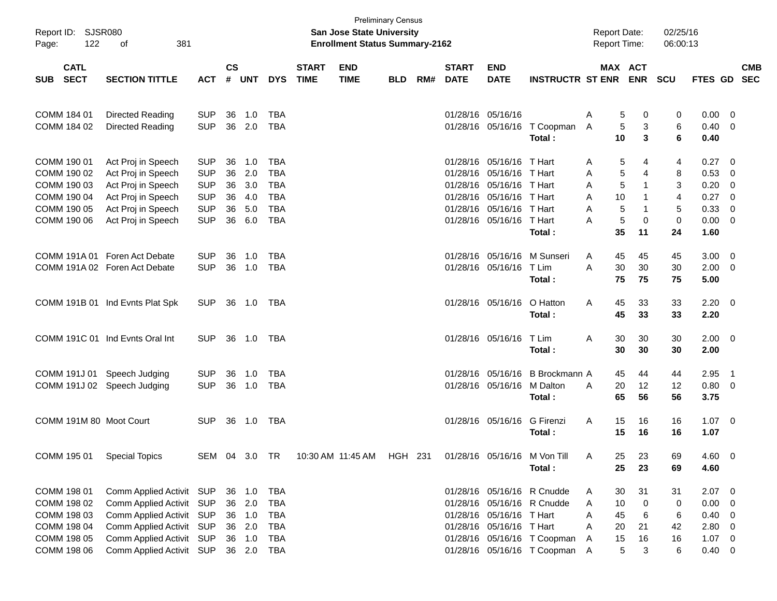| Report ID: SJSR080<br>122<br>Page:       |                                 |               |               |               |            | San Jose State University<br><b>Enrollment Status Summary-2162</b> | <b>Preliminary Census</b> |            |         |                             |                            | <b>Report Date:</b><br>Report Time:   |   |                       | 02/25/16<br>06:00:13 |                   |                     |                         |            |
|------------------------------------------|---------------------------------|---------------|---------------|---------------|------------|--------------------------------------------------------------------|---------------------------|------------|---------|-----------------------------|----------------------------|---------------------------------------|---|-----------------------|----------------------|-------------------|---------------------|-------------------------|------------|
| <b>CATL</b><br><b>SECT</b><br><b>SUB</b> | <b>SECTION TITTLE</b>           | <b>ACT</b>    | $\mathsf{cs}$ | # UNT         | <b>DYS</b> | <b>START</b><br><b>TIME</b>                                        | <b>END</b><br><b>TIME</b> | <b>BLD</b> | RM#     | <b>START</b><br><b>DATE</b> | <b>END</b><br><b>DATE</b>  | <b>INSTRUCTR ST ENR</b>               |   | MAX ACT<br><b>ENR</b> | <b>SCU</b>           |                   | FTES GD SEC         |                         | <b>CMB</b> |
| COMM 184 01                              | Directed Reading                | <b>SUP</b>    | 36            | 1.0           | TBA        |                                                                    |                           |            |         |                             | 01/28/16 05/16/16          |                                       | Α | 5                     | 0                    | 0                 | 0.00                | $\overline{\mathbf{0}}$ |            |
| COMM 184 02                              | Directed Reading                | <b>SUP</b>    |               | 36 2.0        | TBA        |                                                                    |                           |            |         |                             |                            | 01/28/16 05/16/16 T Coopman<br>Total: | A | 5<br>10               | 3<br>3               | 6<br>6            | 0.40<br>0.40        | $\overline{\mathbf{0}}$ |            |
| COMM 190 01                              | Act Proj in Speech              | <b>SUP</b>    | 36            | 1.0           | <b>TBA</b> |                                                                    |                           |            |         |                             | 01/28/16 05/16/16 T Hart   |                                       | A | 5                     | 4                    | 4                 | 0.27                | $\overline{\mathbf{0}}$ |            |
| COMM 190 02                              | Act Proj in Speech              | <b>SUP</b>    | 36            | 2.0           | <b>TBA</b> |                                                                    |                           |            |         |                             | 01/28/16 05/16/16 T Hart   |                                       | Α | 5                     | 4                    | 8                 | 0.53                | - 0                     |            |
| COMM 190 03                              | Act Proj in Speech              | <b>SUP</b>    | 36            | 3.0           | TBA        |                                                                    |                           |            |         |                             | 01/28/16 05/16/16 T Hart   |                                       | Α | 5                     |                      | 3                 | 0.20                | - 0                     |            |
| COMM 190 04                              | Act Proj in Speech              | <b>SUP</b>    | 36            | 4.0           | <b>TBA</b> |                                                                    |                           |            |         |                             | 01/28/16 05/16/16 T Hart   |                                       | A | 10                    |                      | 4                 | 0.27                | - 0                     |            |
| COMM 190 05                              | Act Proj in Speech              | <b>SUP</b>    | 36            | 5.0<br>36 6.0 | <b>TBA</b> |                                                                    |                           |            |         |                             | 01/28/16 05/16/16 T Hart   |                                       | A | 5                     |                      | 5                 | 0.33<br>0.00        | 0                       |            |
| COMM 190 06                              | Act Proj in Speech              | <b>SUP</b>    |               |               | TBA        |                                                                    |                           |            |         |                             | 01/28/16 05/16/16 T Hart   | Total:                                | A | 5<br>35<br>11         | 0                    | $\mathbf 0$<br>24 | 1.60                | $\overline{\mathbf{0}}$ |            |
|                                          |                                 |               |               |               |            |                                                                    |                           |            |         |                             |                            |                                       |   |                       |                      |                   |                     |                         |            |
| COMM 191A 01                             | Foren Act Debate                | <b>SUP</b>    | 36            | 1.0           | TBA        |                                                                    |                           |            |         |                             |                            | 01/28/16 05/16/16 M Sunseri           | A | 45<br>45              |                      | 45                | 3.00                | $\overline{\mathbf{0}}$ |            |
|                                          | COMM 191A 02 Foren Act Debate   | <b>SUP</b>    |               | 36 1.0        | TBA        |                                                                    |                           |            |         |                             | 01/28/16 05/16/16 T Lim    |                                       | A | 30<br>30              |                      | 30                | 2.00                | $\overline{\mathbf{0}}$ |            |
|                                          |                                 |               |               |               |            |                                                                    |                           |            |         |                             |                            | Total:                                |   | 75<br>75              |                      | 75                | 5.00                |                         |            |
|                                          |                                 |               |               |               |            |                                                                    |                           |            |         |                             |                            |                                       |   |                       |                      |                   |                     |                         |            |
|                                          | COMM 191B 01 Ind Evnts Plat Spk | <b>SUP</b>    |               | 36 1.0 TBA    |            |                                                                    |                           |            |         |                             | 01/28/16 05/16/16          | O Hatton                              | A | 45<br>33              |                      | 33                | $2.20 \t 0$         |                         |            |
|                                          |                                 |               |               |               |            |                                                                    |                           |            |         |                             |                            | Total:                                |   | 45<br>33              |                      | 33                | 2.20                |                         |            |
|                                          |                                 |               |               |               |            |                                                                    |                           |            |         |                             |                            |                                       |   |                       |                      |                   |                     |                         |            |
|                                          | COMM 191C 01 Ind Evnts Oral Int | <b>SUP</b>    |               | 36 1.0        | TBA        |                                                                    |                           |            |         |                             | 01/28/16 05/16/16 T Lim    |                                       | Α | 30<br>30              |                      | 30                | $2.00 \t 0$         |                         |            |
|                                          |                                 |               |               |               |            |                                                                    |                           |            |         |                             |                            | Total:                                |   | 30<br>30              |                      | 30                | 2.00                |                         |            |
|                                          |                                 |               |               |               |            |                                                                    |                           |            |         |                             |                            |                                       |   |                       |                      |                   |                     |                         |            |
| COMM 191J 01                             | Speech Judging                  | <b>SUP</b>    | 36            | 1.0           | TBA        |                                                                    |                           |            |         |                             |                            | 01/28/16 05/16/16 B Brockmann A       |   | 45<br>44              |                      | 44                | 2.95                | - 1                     |            |
|                                          | COMM 191J 02 Speech Judging     | <b>SUP</b>    |               | 36 1.0        | TBA        |                                                                    |                           |            |         |                             | 01/28/16 05/16/16 M Dalton | Total:                                | A | 20<br>12<br>65<br>56  |                      | 12<br>56          | $0.80 \t 0$<br>3.75 |                         |            |
|                                          |                                 |               |               |               |            |                                                                    |                           |            |         |                             |                            |                                       |   |                       |                      |                   |                     |                         |            |
| COMM 191M 80 Moot Court                  |                                 | <b>SUP</b>    |               | 36 1.0        | TBA        |                                                                    |                           |            |         |                             | 01/28/16 05/16/16          | G Firenzi                             | A | 15<br>16              |                      | 16                | $1.07 \t 0$         |                         |            |
|                                          |                                 |               |               |               |            |                                                                    |                           |            |         |                             |                            | Total:                                |   | 15<br>16              |                      | 16                | 1.07                |                         |            |
|                                          |                                 |               |               |               |            |                                                                    |                           |            |         |                             |                            |                                       |   |                       |                      |                   |                     |                         |            |
| COMM 195 01                              | <b>Special Topics</b>           | SEM 04 3.0 TR |               |               |            |                                                                    | 10:30 AM_11:45 AM         |            | HGH 231 |                             |                            | 01/28/16 05/16/16 M Von Till          | A | -23<br>25             |                      | 69                | 4.60 0              |                         |            |
|                                          |                                 |               |               |               |            |                                                                    |                           |            |         |                             |                            | Total:                                |   | 25<br>23              |                      | 69                | 4.60                |                         |            |
|                                          |                                 |               |               |               |            |                                                                    |                           |            |         |                             |                            |                                       |   |                       |                      |                   |                     |                         |            |
| COMM 198 01                              | Comm Applied Activit SUP        |               |               | 36 1.0        | TBA        |                                                                    |                           |            |         |                             |                            | 01/28/16 05/16/16 R Cnudde            | A | 30<br>31              |                      | 31                | $2.07$ 0            |                         |            |
| COMM 198 02                              | Comm Applied Activit SUP        |               |               | 36 2.0        | <b>TBA</b> |                                                                    |                           |            |         |                             |                            | 01/28/16 05/16/16 R Cnudde            | A | 10                    | 0                    | 0                 | 0.00                | - 0                     |            |
| COMM 198 03                              | Comm Applied Activit SUP        |               |               | 36 1.0        | <b>TBA</b> |                                                                    |                           |            |         |                             | 01/28/16 05/16/16 T Hart   |                                       | A | 45                    | 6                    | 6                 | 0.40                | - 0                     |            |
| COMM 198 04                              | Comm Applied Activit SUP        |               |               | 36 2.0        | <b>TBA</b> |                                                                    |                           |            |         |                             | 01/28/16 05/16/16 T Hart   |                                       | A | 20<br>21              |                      | 42                | 2.80                | $\overline{0}$          |            |
| COMM 198 05                              | Comm Applied Activit SUP        |               |               | 36 1.0        | <b>TBA</b> |                                                                    |                           |            |         |                             |                            | 01/28/16 05/16/16 T Coopman           | A | 15<br>16              |                      | 16                | $1.07 \t 0$         |                         |            |
| COMM 198 06                              | Comm Applied Activit SUP        |               |               | 36 2.0 TBA    |            |                                                                    |                           |            |         |                             |                            | 01/28/16 05/16/16 T Coopman           | A | 5                     | 3                    | 6                 | $0.40 \ 0$          |                         |            |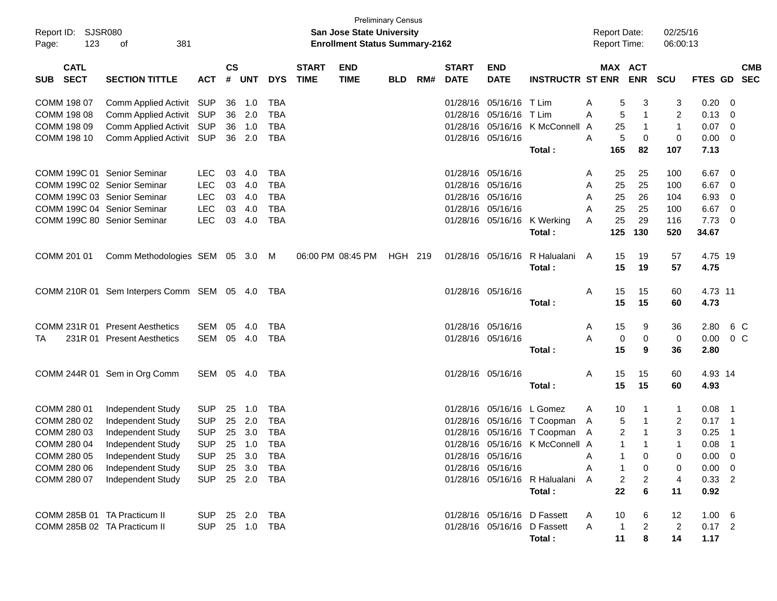| Report ID: SJSR080<br>123<br>Page:       | 381<br>оf                                      |                |                    |            |              |                             | <b>San Jose State University</b><br><b>Enrollment Status Summary-2162</b> | <b>Preliminary Census</b> |     |                             |                           |                                 | <b>Report Date:</b><br><b>Report Time:</b> |                |                | 02/25/16<br>06:00:13 |                |                          |            |
|------------------------------------------|------------------------------------------------|----------------|--------------------|------------|--------------|-----------------------------|---------------------------------------------------------------------------|---------------------------|-----|-----------------------------|---------------------------|---------------------------------|--------------------------------------------|----------------|----------------|----------------------|----------------|--------------------------|------------|
| <b>CATL</b><br><b>SECT</b><br><b>SUB</b> | <b>SECTION TITTLE</b>                          | <b>ACT</b>     | $\mathsf{cs}$<br># | <b>UNT</b> | <b>DYS</b>   | <b>START</b><br><b>TIME</b> | <b>END</b><br><b>TIME</b>                                                 | <b>BLD</b>                | RM# | <b>START</b><br><b>DATE</b> | <b>END</b><br><b>DATE</b> | <b>INSTRUCTR ST ENR</b>         |                                            | MAX ACT        | <b>ENR</b>     | <b>SCU</b>           | FTES GD SEC    |                          | <b>CMB</b> |
| COMM 198 07                              | Comm Applied Activit SUP                       |                | 36                 | 1.0        | <b>TBA</b>   |                             |                                                                           |                           |     |                             | 01/28/16 05/16/16 T Lim   |                                 | A                                          | 5              | 3              | 3                    | 0.20           | $\overline{\phantom{0}}$ |            |
| COMM 198 08                              | Comm Applied Activit SUP                       |                | 36                 | 2.0        | <b>TBA</b>   |                             |                                                                           |                           |     |                             | 01/28/16 05/16/16 T Lim   |                                 | A                                          | 5              | $\mathbf 1$    | $\overline{c}$       | $0.13 \quad 0$ |                          |            |
| COMM 198 09                              | Comm Applied Activit SUP                       |                | 36                 | 1.0        | <b>TBA</b>   |                             |                                                                           |                           |     |                             |                           | 01/28/16 05/16/16 K McConnell A |                                            | 25             | -1             | $\mathbf{1}$         | $0.07 \ 0$     |                          |            |
| COMM 198 10                              | Comm Applied Activit SUP                       |                |                    | 36 2.0     | <b>TBA</b>   |                             |                                                                           |                           |     |                             | 01/28/16 05/16/16         |                                 | A                                          | 5              | $\mathbf 0$    | $\pmb{0}$            | $0.00 \t 0$    |                          |            |
|                                          |                                                |                |                    |            |              |                             |                                                                           |                           |     |                             |                           | Total:                          | 165                                        |                | 82             | 107                  | 7.13           |                          |            |
| COMM 199C 01 Senior Seminar              |                                                | <b>LEC</b>     | 03                 | 4.0        | <b>TBA</b>   |                             |                                                                           |                           |     |                             | 01/28/16 05/16/16         |                                 | A                                          | 25             | 25             | 100                  | $6.67$ 0       |                          |            |
| COMM 199C 02 Senior Seminar              |                                                | <b>LEC</b>     | 03                 | 4.0        | <b>TBA</b>   |                             |                                                                           |                           |     |                             | 01/28/16 05/16/16         |                                 | A                                          | 25             | 25             | 100                  | $6.67$ 0       |                          |            |
| COMM 199C 03 Senior Seminar              |                                                | <b>LEC</b>     | 03                 | 4.0        | <b>TBA</b>   |                             |                                                                           |                           |     |                             | 01/28/16 05/16/16         |                                 | A                                          | 25             | 26             | 104                  | 6.93           | $\overline{\phantom{0}}$ |            |
| COMM 199C 04 Senior Seminar              |                                                | <b>LEC</b>     | 03                 | 4.0        | <b>TBA</b>   |                             |                                                                           |                           |     |                             | 01/28/16 05/16/16         |                                 | A                                          | 25             | 25             | 100                  | $6.67$ 0       |                          |            |
| COMM 199C 80 Senior Seminar              |                                                | <b>LEC</b>     | 03                 | 4.0        | <b>TBA</b>   |                             |                                                                           |                           |     |                             |                           | 01/28/16 05/16/16 K Werking     | A                                          | 25             | 29             | 116                  | $7.73$ 0       |                          |            |
|                                          |                                                |                |                    |            |              |                             |                                                                           |                           |     |                             |                           | Total:                          |                                            | 125            | 130            | 520                  | 34.67          |                          |            |
| COMM 201 01                              | Comm Methodologies SEM 05 3.0 M                |                |                    |            |              |                             | 06:00 PM 08:45 PM                                                         | HGH 219                   |     |                             | 01/28/16 05/16/16         | R Halualani                     | A                                          | 15             | 19             | 57                   | 4.75 19        |                          |            |
|                                          |                                                |                |                    |            |              |                             |                                                                           |                           |     |                             |                           | Total:                          |                                            | 15             | 19             | 57                   | 4.75           |                          |            |
|                                          | COMM 210R 01 Sem Interpers Comm SEM 05 4.0 TBA |                |                    |            |              |                             |                                                                           |                           |     |                             | 01/28/16 05/16/16         |                                 | Α                                          | 15             | 15             | 60                   | 4.73 11        |                          |            |
|                                          |                                                |                |                    |            |              |                             |                                                                           |                           |     |                             |                           | Total:                          |                                            | 15             | 15             | 60                   | 4.73           |                          |            |
|                                          | COMM 231R 01 Present Aesthetics                | SEM            | 05                 | 4.0        | <b>TBA</b>   |                             |                                                                           |                           |     |                             | 01/28/16 05/16/16         |                                 | A                                          | 15             | 9              | 36                   | 2.80           |                          | 6 C        |
| TA                                       | 231R 01 Present Aesthetics                     | SEM 05 4.0     |                    |            | <b>TBA</b>   |                             |                                                                           |                           |     |                             | 01/28/16 05/16/16         |                                 | A                                          | 0              | 0              | 0                    | 0.00           | $0\,$ C                  |            |
|                                          |                                                |                |                    |            |              |                             |                                                                           |                           |     |                             |                           | Total:                          |                                            | 15             | 9              | 36                   | 2.80           |                          |            |
|                                          | COMM 244R 01 Sem in Org Comm                   | SEM 05 4.0 TBA |                    |            |              |                             |                                                                           |                           |     |                             | 01/28/16 05/16/16         |                                 | A                                          | 15             | 15             | 60                   | 4.93 14        |                          |            |
|                                          |                                                |                |                    |            |              |                             |                                                                           |                           |     |                             |                           | Total:                          |                                            | 15             | 15             | 60                   | 4.93           |                          |            |
| COMM 280 01                              | Independent Study                              | <b>SUP</b>     | 25                 | 1.0        | <b>TBA</b>   |                             |                                                                           |                           |     |                             | 01/28/16 05/16/16 L Gomez |                                 | A                                          | 10             |                | 1                    | 0.08           | $\overline{\phantom{1}}$ |            |
| COMM 280 02                              | Independent Study                              | <b>SUP</b>     | 25                 | 2.0        | <b>TBA</b>   |                             |                                                                           |                           |     |                             |                           | 01/28/16 05/16/16 T Coopman     | A                                          | 5              | $\overline{1}$ | $\overline{2}$       | $0.17$ 1       |                          |            |
| COMM 280 03                              | Independent Study                              | <b>SUP</b>     | 25                 | 3.0        | <b>TBA</b>   |                             |                                                                           |                           |     |                             |                           | 01/28/16 05/16/16 T Coopman     | - A                                        | 2              | $\overline{1}$ | 3                    | 0.25           | - 1                      |            |
| COMM 280 04                              | Independent Study                              | <b>SUP</b>     |                    | 25 1.0     | <b>TBA</b>   |                             |                                                                           |                           |     |                             |                           | 01/28/16 05/16/16 K McConnell A |                                            | $\mathbf{1}$   | $\mathbf{1}$   | $\mathbf{1}$         | 0.08           | $\overline{1}$           |            |
| COMM 280 05                              | Independent Study                              | SUP 25 3.0 TBA |                    |            |              |                             |                                                                           |                           |     |                             | 01/28/16 05/16/16         |                                 | $\overline{A}$                             | $\mathbf{1}$   | 0              | 0                    | $0.00 \t 0$    |                          |            |
| COMM 280 06                              | Independent Study                              | <b>SUP</b>     |                    |            | 25 3.0 TBA   |                             |                                                                           |                           |     |                             | 01/28/16 05/16/16         |                                 | Α                                          |                | 0              | 0                    | $0.00 \t 0$    |                          |            |
| COMM 280 07                              | Independent Study                              | <b>SUP</b>     |                    |            | 25  2.0  TBA |                             |                                                                           |                           |     |                             |                           | 01/28/16 05/16/16 R Halualani A |                                            | $\overline{2}$ | $\overline{2}$ | 4                    | $0.33$ 2       |                          |            |
|                                          |                                                |                |                    |            |              |                             |                                                                           |                           |     |                             |                           | Total:                          |                                            | 22             | 6              | 11                   | 0.92           |                          |            |
| COMM 285B 01 TA Practicum II             |                                                | SUP 25 2.0 TBA |                    |            |              |                             |                                                                           |                           |     |                             |                           | 01/28/16 05/16/16 D Fassett     | A                                          | 10             | 6              | 12                   | $1.00\quad 6$  |                          |            |
| COMM 285B 02 TA Practicum II             |                                                | <b>SUP</b>     |                    |            | 25 1.0 TBA   |                             |                                                                           |                           |     |                             |                           | 01/28/16 05/16/16 D Fassett     | A                                          | $\mathbf{1}$   | 2              | $\overline{2}$       | $0.17$ 2       |                          |            |
|                                          |                                                |                |                    |            |              |                             |                                                                           |                           |     |                             |                           | Total:                          |                                            | 11             | 8              | 14                   | 1.17           |                          |            |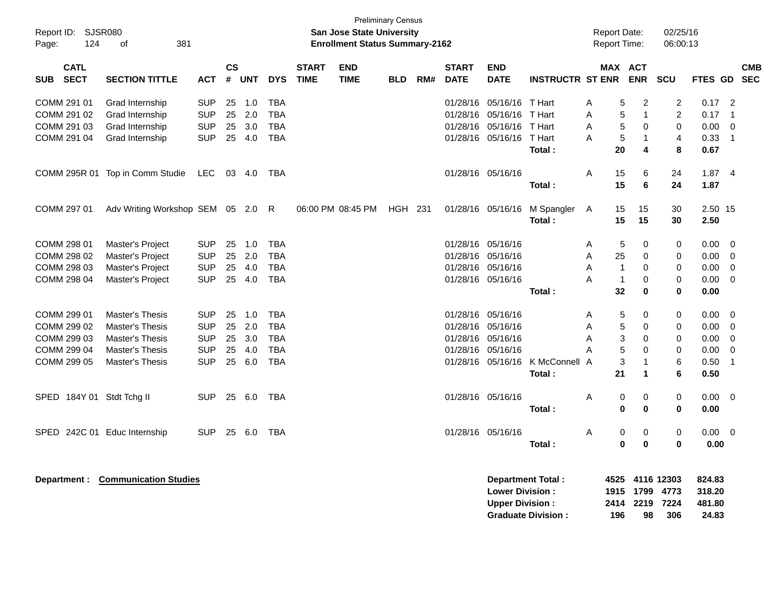| Report ID: SJSR080<br>124<br>Page: | 381<br>of                         |            |                |            |            |                             | <b>San Jose State University</b><br><b>Enrollment Status Summary-2162</b> | <b>Preliminary Census</b> |     |                             |                                                  |                          | <b>Report Date:</b><br><b>Report Time:</b> |                              | 02/25/16<br>06:00:13       |                            |                            |                          |
|------------------------------------|-----------------------------------|------------|----------------|------------|------------|-----------------------------|---------------------------------------------------------------------------|---------------------------|-----|-----------------------------|--------------------------------------------------|--------------------------|--------------------------------------------|------------------------------|----------------------------|----------------------------|----------------------------|--------------------------|
| <b>CATL</b><br>SUB SECT            | <b>SECTION TITTLE</b>             | <b>ACT</b> | <b>CS</b><br># | <b>UNT</b> | <b>DYS</b> | <b>START</b><br><b>TIME</b> | <b>END</b><br><b>TIME</b>                                                 | <b>BLD</b>                | RM# | <b>START</b><br><b>DATE</b> | <b>END</b><br><b>DATE</b>                        | <b>INSTRUCTR ST ENR</b>  |                                            | <b>MAX ACT</b><br><b>ENR</b> | <b>SCU</b>                 | <b>FTES GD</b>             |                            | <b>CMB</b><br><b>SEC</b> |
| COMM 291 01                        | Grad Internship                   | <b>SUP</b> | 25             | 1.0        | <b>TBA</b> |                             |                                                                           |                           |     | 01/28/16                    | 05/16/16 T Hart                                  |                          | Α                                          | $\overline{c}$<br>5          | $\overline{\mathbf{c}}$    | 0.17                       | $\overline{\phantom{0}}^2$ |                          |
| COMM 291 02                        | Grad Internship                   | <b>SUP</b> | 25             | 2.0        | <b>TBA</b> |                             |                                                                           |                           |     | 01/28/16                    | 05/16/16                                         | T Hart                   | A                                          | $\overline{1}$<br>5          | $\overline{2}$             | 0.17                       | $\overline{1}$             |                          |
| COMM 291 03                        | Grad Internship                   | <b>SUP</b> | 25             | 3.0        | <b>TBA</b> |                             |                                                                           |                           |     | 01/28/16                    | 05/16/16                                         | T Hart                   | A                                          | 5<br>$\mathbf 0$             | 0                          | 0.00                       | $\overline{0}$             |                          |
| COMM 291 04                        | Grad Internship                   | <b>SUP</b> |                | 25 4.0     | <b>TBA</b> |                             |                                                                           |                           |     | 01/28/16                    | 05/16/16                                         | T Hart                   | A                                          | 5<br>$\mathbf{1}$            | $\overline{4}$             | 0.33                       | $\overline{1}$             |                          |
|                                    |                                   |            |                |            |            |                             |                                                                           |                           |     |                             |                                                  | Total:                   | 20                                         | $\overline{\mathbf{4}}$      | 8                          | 0.67                       |                            |                          |
|                                    | COMM 295R 01 Top in Comm Studie   | <b>LEC</b> | 03             | 4.0        | <b>TBA</b> |                             |                                                                           |                           |     |                             | 01/28/16 05/16/16                                |                          | A<br>15                                    | 6                            | 24                         | 1.874                      |                            |                          |
|                                    |                                   |            |                |            |            |                             |                                                                           |                           |     |                             |                                                  | Total:                   | 15                                         | 6                            | 24                         | 1.87                       |                            |                          |
| COMM 297 01                        | Adv Writing Workshop SEM 05 2.0 R |            |                |            |            |                             | 06:00 PM 08:45 PM                                                         | HGH 231                   |     |                             | 01/28/16 05/16/16                                | M Spangler               | A<br>15                                    | 15                           | 30                         | 2.50 15                    |                            |                          |
|                                    |                                   |            |                |            |            |                             |                                                                           |                           |     |                             |                                                  | Total:                   | 15                                         | 15                           | 30                         | 2.50                       |                            |                          |
| COMM 298 01                        | Master's Project                  | <b>SUP</b> | 25             | 1.0        | <b>TBA</b> |                             |                                                                           |                           |     | 01/28/16                    | 05/16/16                                         |                          | Α                                          | 5<br>0                       | 0                          | 0.00                       | $\overline{0}$             |                          |
| COMM 298 02                        | Master's Project                  | <b>SUP</b> |                | 25 2.0     | <b>TBA</b> |                             |                                                                           |                           |     | 01/28/16                    | 05/16/16                                         |                          | 25<br>A                                    | $\mathbf 0$                  | 0                          | 0.00                       | $\overline{0}$             |                          |
| COMM 298 03                        | Master's Project                  | <b>SUP</b> | 25             | 4.0        | <b>TBA</b> |                             |                                                                           |                           |     |                             | 01/28/16 05/16/16                                |                          | A                                          | $\Omega$<br>$\mathbf 1$      | 0                          | 0.00                       | $\overline{0}$             |                          |
| COMM 298 04                        | Master's Project                  | <b>SUP</b> |                | 25 4.0     | <b>TBA</b> |                             |                                                                           |                           |     |                             | 01/28/16 05/16/16                                |                          | A                                          | $\mathbf{1}$<br>$\mathbf 0$  | 0                          | 0.00                       | $\mathbf 0$                |                          |
|                                    |                                   |            |                |            |            |                             |                                                                           |                           |     |                             |                                                  | Total:                   | 32                                         | $\bf{0}$                     | 0                          | 0.00                       |                            |                          |
| COMM 299 01                        | Master's Thesis                   | <b>SUP</b> | 25             | 1.0        | <b>TBA</b> |                             |                                                                           |                           |     |                             | 01/28/16 05/16/16                                |                          | Α                                          | 5<br>0                       | 0                          | 0.00                       | $\overline{0}$             |                          |
| COMM 299 02                        | <b>Master's Thesis</b>            | <b>SUP</b> | 25             | 2.0        | <b>TBA</b> |                             |                                                                           |                           |     | 01/28/16                    | 05/16/16                                         |                          | A                                          | 5<br>$\Omega$                | 0                          | 0.00                       | $\overline{0}$             |                          |
| COMM 299 03                        | <b>Master's Thesis</b>            | <b>SUP</b> | 25             | 3.0        | <b>TBA</b> |                             |                                                                           |                           |     | 01/28/16                    | 05/16/16                                         |                          | A                                          | 3<br>$\mathbf 0$             | 0                          | 0.00                       | $\overline{0}$             |                          |
| COMM 299 04                        | <b>Master's Thesis</b>            | <b>SUP</b> | 25             | 4.0        | <b>TBA</b> |                             |                                                                           |                           |     | 01/28/16                    | 05/16/16                                         |                          | A                                          | 5<br>$\mathbf 0$             | 0                          | 0.00                       | $\mathbf 0$                |                          |
| COMM 299 05                        | <b>Master's Thesis</b>            | <b>SUP</b> |                | 25 6.0     | <b>TBA</b> |                             |                                                                           |                           |     |                             | 01/28/16 05/16/16                                | K McConnell A            |                                            | 3<br>$\overline{1}$          | 6                          | 0.50                       | $\overline{1}$             |                          |
|                                    |                                   |            |                |            |            |                             |                                                                           |                           |     |                             |                                                  | Total:                   | 21                                         | $\blacktriangleleft$         | 6                          | 0.50                       |                            |                          |
| SPED 184Y 01 Stdt Tchg II          |                                   | <b>SUP</b> | 25             | 6.0        | <b>TBA</b> |                             |                                                                           |                           |     |                             | 01/28/16 05/16/16                                |                          | A                                          | 0<br>0                       | 0                          | 0.00                       | $\overline{\mathbf{0}}$    |                          |
|                                    |                                   |            |                |            |            |                             |                                                                           |                           |     |                             |                                                  | Total:                   |                                            | $\mathbf 0$<br>0             | 0                          | 0.00                       |                            |                          |
| SPED 242C 01 Educ Internship       |                                   | <b>SUP</b> |                | 25 6.0     | TBA        |                             |                                                                           |                           |     |                             | 01/28/16 05/16/16                                |                          | Α                                          | 0<br>0                       | 0                          | $0.00 \ 0$                 |                            |                          |
|                                    |                                   |            |                |            |            |                             |                                                                           |                           |     |                             |                                                  | Total:                   |                                            | 0<br>$\bf{0}$                | $\bf{0}$                   | 0.00                       |                            |                          |
| Department :                       | <b>Communication Studies</b>      |            |                |            |            |                             |                                                                           |                           |     |                             | <b>Lower Division:</b><br><b>Upper Division:</b> | <b>Department Total:</b> | 4525<br>1915<br>2414                       | 1799<br>2219                 | 4116 12303<br>4773<br>7224 | 824.83<br>318.20<br>481.80 |                            |                          |

**Graduate Division : 196 98 306 24.83**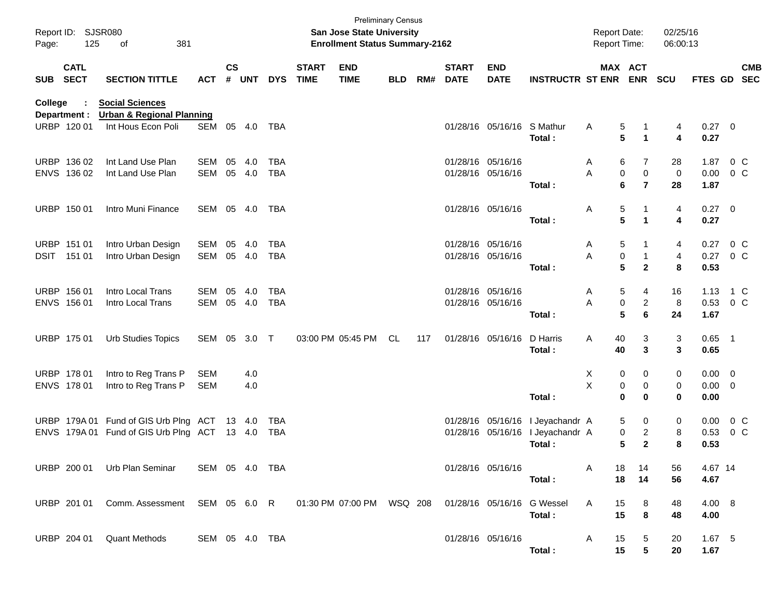| Page:      | Report ID: SJSR080<br>125  | 381<br>οf                                                                                      |                |                    |            |            |                             | San Jose State University<br><b>Enrollment Status Summary-2162</b> | <b>Preliminary Census</b> |     |                             |                            |                             | <b>Report Date:</b><br><b>Report Time:</b> |                 |                | 02/25/16<br>06:00:13 |                  |         |            |
|------------|----------------------------|------------------------------------------------------------------------------------------------|----------------|--------------------|------------|------------|-----------------------------|--------------------------------------------------------------------|---------------------------|-----|-----------------------------|----------------------------|-----------------------------|--------------------------------------------|-----------------|----------------|----------------------|------------------|---------|------------|
| <b>SUB</b> | <b>CATL</b><br><b>SECT</b> | <b>SECTION TITTLE</b>                                                                          | <b>ACT</b>     | $\mathsf{cs}$<br># | <b>UNT</b> | <b>DYS</b> | <b>START</b><br><b>TIME</b> | <b>END</b><br><b>TIME</b>                                          | <b>BLD</b>                | RM# | <b>START</b><br><b>DATE</b> | <b>END</b><br><b>DATE</b>  | <b>INSTRUCTR ST ENR ENR</b> |                                            | MAX ACT         |                | <b>SCU</b>           | FTES GD SEC      |         | <b>CMB</b> |
| College    | Department :               | <b>Social Sciences</b><br><b>Urban &amp; Regional Planning</b>                                 |                |                    |            |            |                             |                                                                    |                           |     |                             |                            |                             |                                            |                 |                |                      |                  |         |            |
|            | URBP 120 01                | Int Hous Econ Poli                                                                             | SEM            | 05                 | 4.0        | TBA        |                             |                                                                    |                           |     |                             | 01/28/16 05/16/16 S Mathur | Total:                      | A                                          | 5<br>5          | 1              | 4<br>4               | $0.27$ 0<br>0.27 |         |            |
|            | URBP 136 02                | Int Land Use Plan                                                                              | <b>SEM</b>     | 05                 | 4.0        | TBA        |                             |                                                                    |                           |     |                             | 01/28/16 05/16/16          |                             | A                                          | 6               | 7              | 28                   | 1.87             | $0\,$ C |            |
|            | ENVS 136 02                | Int Land Use Plan                                                                              | SEM            |                    | 05 4.0     | <b>TBA</b> |                             |                                                                    |                           |     |                             | 01/28/16 05/16/16          |                             | A                                          | $\mathbf 0$     | $\mathbf 0$    | 0                    | $0.00 \t 0 C$    |         |            |
|            |                            |                                                                                                |                |                    |            |            |                             |                                                                    |                           |     |                             |                            | Total:                      |                                            | 6               | $\overline{7}$ | 28                   | 1.87             |         |            |
|            | URBP 150 01                | Intro Muni Finance                                                                             | SEM 05 4.0     |                    |            | TBA        |                             |                                                                    |                           |     |                             | 01/28/16 05/16/16          |                             | A                                          | 5               |                | 4                    | $0.27$ 0         |         |            |
|            |                            |                                                                                                |                |                    |            |            |                             |                                                                    |                           |     |                             |                            | Total:                      |                                            | 5               | 1              | 4                    | 0.27             |         |            |
|            | URBP 151 01                | Intro Urban Design                                                                             | SEM            | 05                 | 4.0        | TBA        |                             |                                                                    |                           |     |                             | 01/28/16 05/16/16          |                             | A                                          | 5               |                | 4                    | 0.27             | $0\,$ C |            |
|            | DSIT 151 01                | Intro Urban Design                                                                             | SEM            |                    | 05 4.0     | <b>TBA</b> |                             |                                                                    |                           |     |                             | 01/28/16 05/16/16          |                             | Α                                          | 0               |                | 4                    | 0.27             | $0\,$ C |            |
|            |                            |                                                                                                |                |                    |            |            |                             |                                                                    |                           |     |                             |                            | Total:                      |                                            | $5\phantom{.0}$ | $\mathbf{2}$   | 8                    | 0.53             |         |            |
|            | URBP 156 01                | Intro Local Trans                                                                              | <b>SEM</b>     | 05                 | 4.0        | <b>TBA</b> |                             |                                                                    |                           |     |                             | 01/28/16 05/16/16          |                             | A                                          | 5               | 4              | 16                   | 1.13             | 1 C     |            |
|            | ENVS 156 01                | Intro Local Trans                                                                              | <b>SEM</b>     |                    | 05 4.0     | <b>TBA</b> |                             |                                                                    |                           |     |                             | 01/28/16 05/16/16          |                             | A                                          | 0               | $\overline{c}$ | 8                    | 0.53 0 C         |         |            |
|            |                            |                                                                                                |                |                    |            |            |                             |                                                                    |                           |     |                             |                            | Total:                      |                                            | 5               | 6              | 24                   | 1.67             |         |            |
|            | URBP 175 01                | <b>Urb Studies Topics</b>                                                                      | SEM 05         |                    | $3.0$ T    |            |                             | 03:00 PM 05:45 PM                                                  | <b>CL</b>                 | 117 |                             | 01/28/16 05/16/16          | D Harris                    | Α                                          | 40              | 3              | 3                    | $0.65$ 1         |         |            |
|            |                            |                                                                                                |                |                    |            |            |                             |                                                                    |                           |     |                             |                            | Total:                      |                                            | 40              | 3              | 3                    | 0.65             |         |            |
|            | URBP 178 01                | Intro to Reg Trans P                                                                           | <b>SEM</b>     |                    | 4.0        |            |                             |                                                                    |                           |     |                             |                            |                             | X                                          | 0               | 0              | 0                    | $0.00 \t 0$      |         |            |
|            | ENVS 178 01                | Intro to Reg Trans P                                                                           | <b>SEM</b>     |                    | 4.0        |            |                             |                                                                    |                           |     |                             |                            |                             | Χ                                          | 0               | 0              | 0                    | $0.00 \t 0$      |         |            |
|            |                            |                                                                                                |                |                    |            |            |                             |                                                                    |                           |     |                             |                            | Total:                      |                                            | $\mathbf 0$     | 0              | 0                    | 0.00             |         |            |
|            |                            | URBP 179A 01 Fund of GIS Urb Plng ACT 13 4.0                                                   |                |                    |            | TBA        |                             |                                                                    |                           |     |                             | 01/28/16 05/16/16          | I Jeyachandr A              |                                            | 5               | 0              | 0                    | 0.00             | $0\,$ C |            |
|            |                            | ENVS 179A 01 Fund of GIS Urb Plng ACT 13 4.0                                                   |                |                    |            | <b>TBA</b> |                             |                                                                    |                           |     |                             | 01/28/16 05/16/16          | I Jeyachandr A              |                                            | 0               | $\overline{c}$ | 8                    | 0.53             | $0\,$ C |            |
|            |                            |                                                                                                |                |                    |            |            |                             |                                                                    |                           |     |                             |                            | Total:                      |                                            | 5               | $\mathbf{2}$   | 8                    | 0.53             |         |            |
|            |                            | URBP 200 01 Urb Plan Seminar                                                                   | SEM 05 4.0 TBA |                    |            |            |                             |                                                                    |                           |     |                             | 01/28/16 05/16/16          |                             | A                                          | 18              | 14             | 56                   | 4.67 14          |         |            |
|            |                            |                                                                                                |                |                    |            |            |                             |                                                                    |                           |     |                             |                            | Total:                      |                                            | 18              | 14             | 56                   | 4.67             |         |            |
|            |                            | URBP 201 01 Comm. Assessment SEM 05 6.0 R 01:30 PM 07:00 PM WSQ 208 01/28/16 05/16/16 G Wessel |                |                    |            |            |                             |                                                                    |                           |     |                             |                            |                             | A                                          | 15              | 8              | 48                   | 4.00 8           |         |            |
|            |                            |                                                                                                |                |                    |            |            |                             |                                                                    |                           |     |                             |                            | Total:                      |                                            | 15              | 8              | 48                   | 4.00             |         |            |
|            |                            | URBP 204 01 Quant Methods                                                                      | SEM 05 4.0 TBA |                    |            |            |                             |                                                                    |                           |     |                             | 01/28/16 05/16/16          |                             | A                                          | 15              | 5              | 20                   | $1.67$ 5         |         |            |
|            |                            |                                                                                                |                |                    |            |            |                             |                                                                    |                           |     |                             |                            | Total:                      |                                            | 15              | 5              | 20                   | 1.67             |         |            |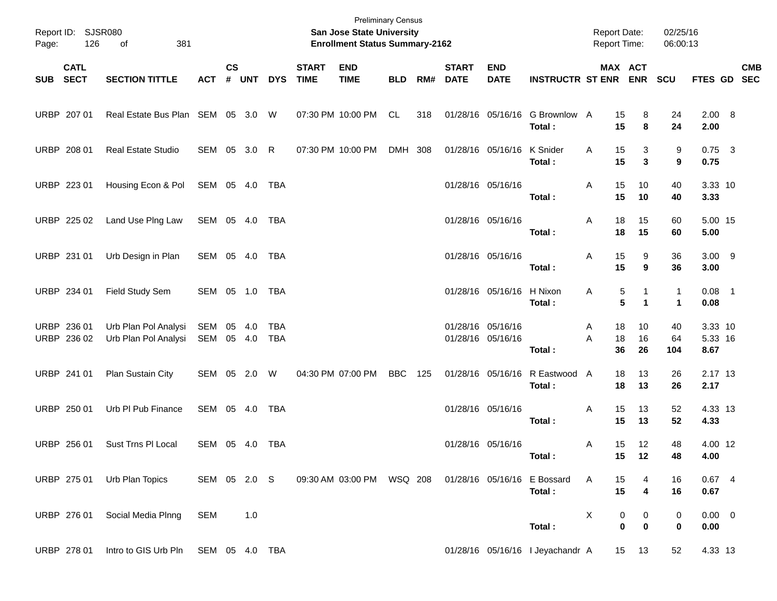| Page: | Report ID: SJSR080<br>126  | 381<br>οf                                    |                          |               |       |                   |                             | <b>Preliminary Census</b><br>San Jose State University<br><b>Enrollment Status Summary-2162</b> |            |     |                             |                                        |                                       | Report Date:<br><b>Report Time:</b> |                       |                   | 02/25/16<br>06:00:13 |                            |            |
|-------|----------------------------|----------------------------------------------|--------------------------|---------------|-------|-------------------|-----------------------------|-------------------------------------------------------------------------------------------------|------------|-----|-----------------------------|----------------------------------------|---------------------------------------|-------------------------------------|-----------------------|-------------------|----------------------|----------------------------|------------|
|       | <b>CATL</b><br>SUB SECT    | <b>SECTION TITTLE</b>                        | <b>ACT</b>               | $\mathsf{cs}$ | # UNT | <b>DYS</b>        | <b>START</b><br><b>TIME</b> | <b>END</b><br><b>TIME</b>                                                                       | <b>BLD</b> | RM# | <b>START</b><br><b>DATE</b> | <b>END</b><br><b>DATE</b>              | <b>INSTRUCTR ST ENR</b>               |                                     | MAX ACT<br><b>ENR</b> |                   | SCU                  | FTES GD SEC                | <b>CMB</b> |
|       | URBP 207 01                | Real Estate Bus Plan SEM 05 3.0 W            |                          |               |       |                   |                             | 07:30 PM 10:00 PM                                                                               | CL         | 318 |                             | 01/28/16 05/16/16                      | G Brownlow A<br>Total:                |                                     | 15<br>15              | 8<br>8            | 24<br>24             | 2.00 8<br>2.00             |            |
|       | URBP 208 01                | <b>Real Estate Studio</b>                    | SEM 05 3.0 R             |               |       |                   | 07:30 PM 10:00 PM           |                                                                                                 | DMH 308    |     |                             | 01/28/16 05/16/16                      | K Snider<br>Total:                    | A                                   | 15<br>15              | 3<br>3            | 9<br>9               | $0.75$ 3<br>0.75           |            |
|       | URBP 223 01                | Housing Econ & Pol                           | SEM 05 4.0 TBA           |               |       |                   |                             |                                                                                                 |            |     |                             | 01/28/16 05/16/16                      | Total:                                | A                                   | 15<br>15              | 10<br>10          | 40<br>40             | 3.33 10<br>3.33            |            |
|       | URBP 225 02                | Land Use Plng Law                            | SEM 05 4.0 TBA           |               |       |                   |                             |                                                                                                 |            |     |                             | 01/28/16 05/16/16                      | Total:                                | A                                   | 18<br>18              | 15<br>15          | 60<br>60             | 5.00 15<br>5.00            |            |
|       | URBP 231 01                | Urb Design in Plan                           | SEM 05 4.0 TBA           |               |       |                   |                             |                                                                                                 |            |     |                             | 01/28/16 05/16/16                      | Total:                                | Α                                   | 15<br>15              | 9<br>9            | 36<br>36             | $3.00$ 9<br>3.00           |            |
|       | URBP 234 01                | Field Study Sem                              | SEM 05 1.0 TBA           |               |       |                   |                             |                                                                                                 |            |     |                             | 01/28/16 05/16/16                      | H Nixon<br>Total:                     | Α                                   | 5<br>5                | 1<br>$\mathbf{1}$ | 1<br>1               | $0.08$ 1<br>0.08           |            |
|       | URBP 236 01<br>URBP 236 02 | Urb Plan Pol Analysi<br>Urb Plan Pol Analysi | SEM 05 4.0<br>SEM 05 4.0 |               |       | <b>TBA</b><br>TBA |                             |                                                                                                 |            |     |                             | 01/28/16 05/16/16<br>01/28/16 05/16/16 | Total:                                | A<br>A                              | 18<br>18<br>36        | 10<br>16<br>26    | 40<br>64<br>104      | 3.33 10<br>5.33 16<br>8.67 |            |
|       | URBP 241 01                | Plan Sustain City                            | SEM 05 2.0 W             |               |       |                   | 04:30 PM 07:00 PM           |                                                                                                 | <b>BBC</b> | 125 |                             | 01/28/16 05/16/16                      | R Eastwood A<br>Total:                |                                     | 18<br>18              | 13<br>13          | 26<br>26             | 2.17 13<br>2.17            |            |
|       | URBP 250 01                | Urb PI Pub Finance                           | SEM 05 4.0 TBA           |               |       |                   |                             |                                                                                                 |            |     |                             | 01/28/16 05/16/16                      | Total:                                | A                                   | 15<br>15              | 13<br>13          | 52<br>52             | 4.33 13<br>4.33            |            |
|       | URBP 256 01                | <b>Sust Trns PI Local</b>                    | SEM 05 4.0               |               |       | TBA               |                             |                                                                                                 |            |     |                             | 01/28/16 05/16/16                      | Total:                                | Α                                   | 15<br>15              | 12<br>12          | 48<br>48             | 4.00 12<br>4.00            |            |
|       |                            | URBP 275 01 Urb Plan Topics                  | SEM 05 2.0 S             |               |       |                   |                             | 09:30 AM 03:00 PM   WSQ   208                                                                   |            |     |                             |                                        | 01/28/16 05/16/16 E Bossard<br>Total: | A                                   | 15<br>15              | 4                 | 16<br>16             | 0.674<br>0.67              |            |
|       | URBP 276 01                | Social Media Plnng                           | SEM                      |               | 1.0   |                   |                             |                                                                                                 |            |     |                             |                                        | Total:                                | Χ                                   | 0<br>$\mathbf 0$      | 0<br>$\bf{0}$     | 0<br>0               | $0.00 \t 0$<br>0.00        |            |
|       | URBP 278 01                | Intro to GIS Urb Pln SEM 05 4.0 TBA          |                          |               |       |                   |                             |                                                                                                 |            |     |                             |                                        | 01/28/16 05/16/16 I Jeyachandr A      |                                     | 15                    | 13                | 52                   | 4.33 13                    |            |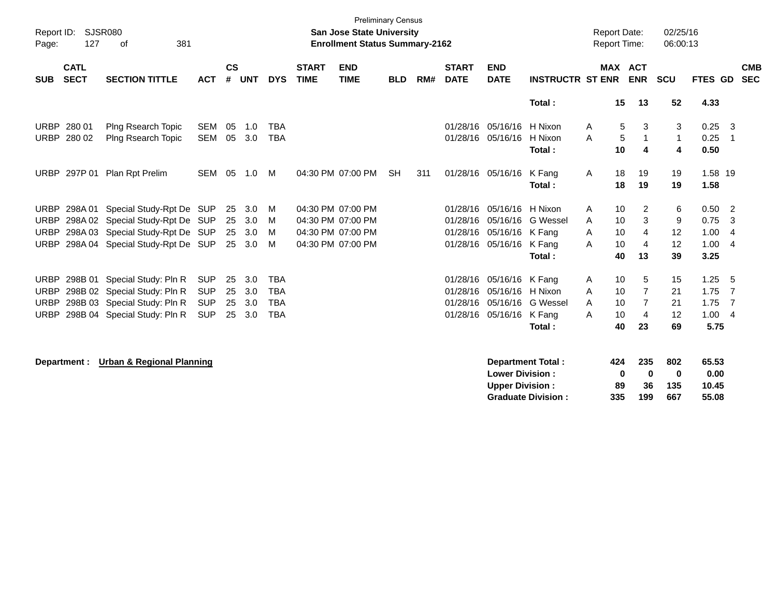| Report ID:<br>Page: | 127                        | SJSR080<br>381<br>οf                 |            |                    |            |            |                             | <b>Preliminary Census</b><br><b>San Jose State University</b><br><b>Enrollment Status Summary-2162</b> |            |     |                             |                           |                           |   | <b>Report Date:</b><br><b>Report Time:</b> |                   | 02/25/16<br>06:00:13 |                 |                |                          |
|---------------------|----------------------------|--------------------------------------|------------|--------------------|------------|------------|-----------------------------|--------------------------------------------------------------------------------------------------------|------------|-----|-----------------------------|---------------------------|---------------------------|---|--------------------------------------------|-------------------|----------------------|-----------------|----------------|--------------------------|
| <b>SUB</b>          | <b>CATL</b><br><b>SECT</b> | <b>SECTION TITTLE</b>                | <b>ACT</b> | $\mathsf{cs}$<br># | <b>UNT</b> | <b>DYS</b> | <b>START</b><br><b>TIME</b> | <b>END</b><br><b>TIME</b>                                                                              | <b>BLD</b> | RM# | <b>START</b><br><b>DATE</b> | <b>END</b><br><b>DATE</b> | <b>INSTRUCTR ST ENR</b>   |   | <b>MAX ACT</b>                             | <b>ENR</b>        | <b>SCU</b>           | FTES GD         |                | <b>CMB</b><br><b>SEC</b> |
|                     |                            |                                      |            |                    |            |            |                             |                                                                                                        |            |     |                             |                           | Total:                    |   | 15                                         | 13                | 52                   | 4.33            |                |                          |
| <b>URBP</b>         | 280 01                     | Plng Rsearch Topic                   | <b>SEM</b> | 05                 | 1.0        | <b>TBA</b> |                             |                                                                                                        |            |     | 01/28/16                    | 05/16/16                  | H Nixon                   | A | 5                                          | 3                 | 3                    | 0.25            | $\mathbf{3}$   |                          |
| <b>URBP</b>         | 280 02                     | Plng Rsearch Topic                   | <b>SEM</b> | 05                 | 3.0        | <b>TBA</b> |                             |                                                                                                        |            |     |                             | 01/28/16 05/16/16         | H Nixon<br>Total:         | A | 5<br>10                                    | $\mathbf{1}$<br>4 | $\mathbf{1}$<br>4    | 0.25<br>0.50    | - 1            |                          |
| <b>URBP</b>         | 297P 01                    | Plan Rpt Prelim                      | SEM 05     |                    | 1.0        | M          |                             | 04:30 PM 07:00 PM                                                                                      | <b>SH</b>  | 311 |                             | 01/28/16 05/16/16         | K Fang<br>Total:          | A | 18<br>18                                   | 19<br>19          | 19<br>19             | 1.58 19<br>1.58 |                |                          |
| <b>URBP</b>         | 298A 01                    | Special Study-Rpt De SUP             |            | 25                 | 3.0        | м          |                             | 04:30 PM 07:00 PM                                                                                      |            |     | 01/28/16                    | 05/16/16 H Nixon          |                           | A | 10                                         | 2                 | 6                    | $0.50$ 2        |                |                          |
| <b>URBP</b>         |                            | 298A 02 Special Study-Rpt De SUP     |            | 25                 | 3.0        | м          |                             | 04:30 PM 07:00 PM                                                                                      |            |     | 01/28/16                    | 05/16/16                  | G Wessel                  | A | 10                                         | 3                 | 9                    | 0.75            | -3             |                          |
| <b>URBP</b>         |                            | 298A 03 Special Study-Rpt De SUP     |            | 25                 | 3.0        | м          |                             | 04:30 PM 07:00 PM                                                                                      |            |     | 01/28/16                    | 05/16/16 K Fang           |                           | A | 10                                         | 4                 | 12                   | 1.00            | $\overline{4}$ |                          |
| URBP                |                            | 298A 04 Special Study-Rpt De SUP     |            | 25                 | 3.0        | м          |                             | 04:30 PM 07:00 PM                                                                                      |            |     | 01/28/16                    | 05/16/16 K Fang           |                           | A | 10                                         | $\overline{4}$    | 12                   | 1.00            | $\overline{4}$ |                          |
|                     |                            |                                      |            |                    |            |            |                             |                                                                                                        |            |     |                             |                           | Total:                    |   | 40                                         | 13                | 39                   | 3.25            |                |                          |
| <b>URBP</b>         |                            | 298B 01 Special Study: Pln R         | <b>SUP</b> | 25                 | 3.0        | <b>TBA</b> |                             |                                                                                                        |            |     | 01/28/16                    | 05/16/16 K Fang           |                           | Α | 10                                         | 5                 | 15                   | 1.25            | - 5            |                          |
| <b>URBP</b>         |                            | 298B 02 Special Study: Pln R         | <b>SUP</b> | 25                 | 3.0        | <b>TBA</b> |                             |                                                                                                        |            |     | 01/28/16                    | 05/16/16 H Nixon          |                           | A | 10                                         | $\overline{7}$    | 21                   | 1.75            | $\overline{7}$ |                          |
| <b>URBP</b>         |                            | 298B 03 Special Study: Pln R         | <b>SUP</b> | 25                 | 3.0        | <b>TBA</b> |                             |                                                                                                        |            |     | 01/28/16                    |                           | 05/16/16 G Wessel         | A | 10                                         | $\overline{7}$    | 21                   | 1.75            | $\overline{7}$ |                          |
| URBP                |                            | 298B 04 Special Study: Pln R         | <b>SUP</b> | 25                 | 3.0        | <b>TBA</b> |                             |                                                                                                        |            |     | 01/28/16                    | 05/16/16 K Fang           |                           | A | 10                                         | 4                 | 12                   | 1.004           |                |                          |
|                     |                            |                                      |            |                    |            |            |                             |                                                                                                        |            |     |                             |                           | Total:                    |   | 40                                         | 23                | 69                   | 5.75            |                |                          |
|                     | Department :               | <b>Urban &amp; Regional Planning</b> |            |                    |            |            |                             |                                                                                                        |            |     |                             |                           | <b>Department Total:</b>  |   | 424                                        | 235               | 802                  | 65.53           |                |                          |
|                     |                            |                                      |            |                    |            |            |                             |                                                                                                        |            |     |                             | <b>Lower Division:</b>    |                           |   | 0                                          | $\bf{0}$          | 0                    | 0.00            |                |                          |
|                     |                            |                                      |            |                    |            |            |                             |                                                                                                        |            |     |                             | <b>Upper Division:</b>    |                           |   | 89                                         | 36                | 135                  | 10.45           |                |                          |
|                     |                            |                                      |            |                    |            |            |                             |                                                                                                        |            |     |                             |                           | <b>Graduate Division:</b> |   | 335                                        | 199               | 667                  | 55.08           |                |                          |